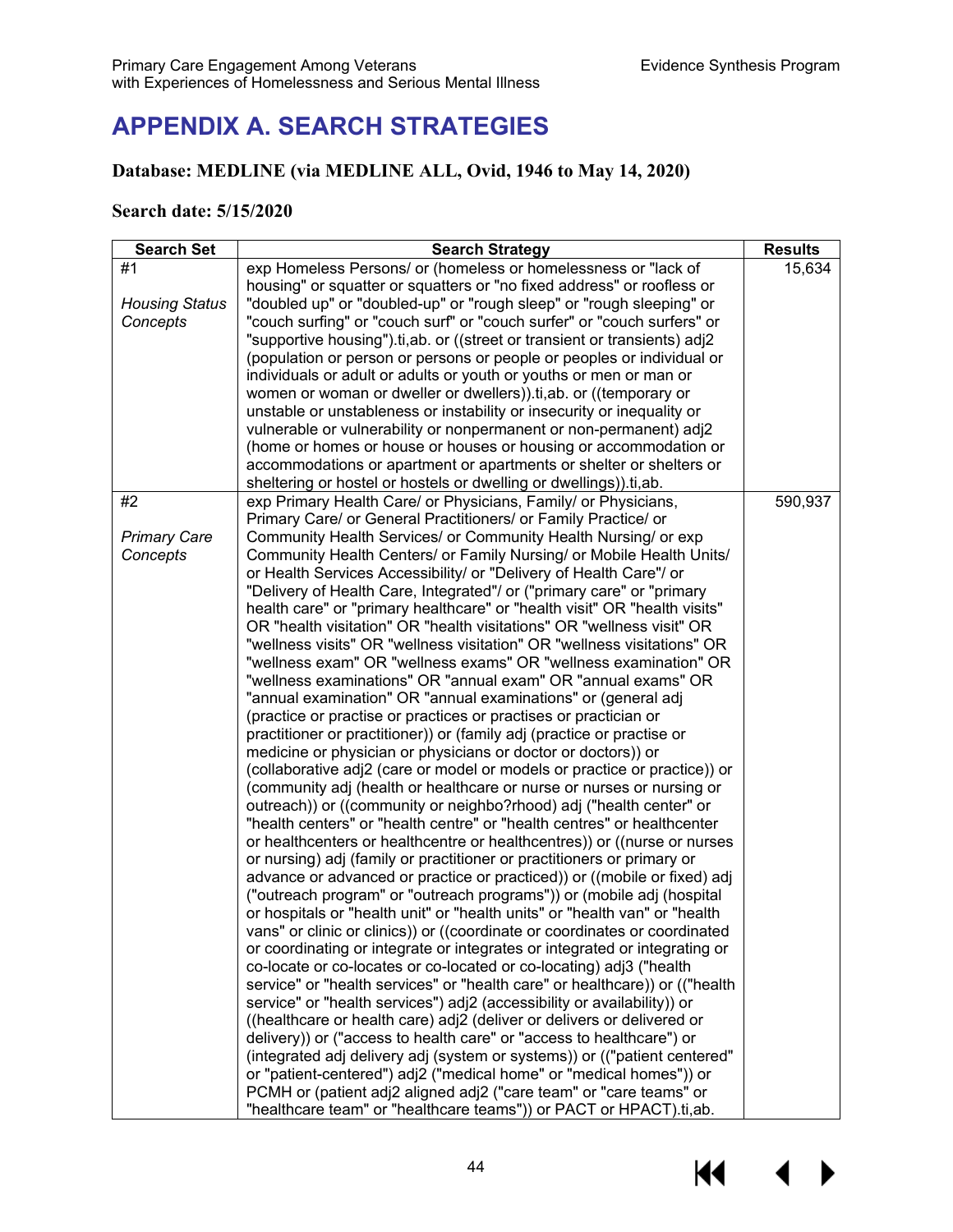# **APPENDIX A. SEARCH STRATEGIES**

## **Database: MEDLINE (via MEDLINE ALL, Ovid, 1946 to May 14, 2020)**

### **Search date: 5/15/2020**

| <b>Search Set</b>     | <b>Search Strategy</b>                                                      | <b>Results</b> |
|-----------------------|-----------------------------------------------------------------------------|----------------|
| #1                    | exp Homeless Persons/ or (homeless or homelessness or "lack of              | 15,634         |
|                       | housing" or squatter or squatters or "no fixed address" or roofless or      |                |
| <b>Housing Status</b> | "doubled up" or "doubled-up" or "rough sleep" or "rough sleeping" or        |                |
| Concepts              | "couch surfing" or "couch surf" or "couch surfer" or "couch surfers" or     |                |
|                       | "supportive housing").ti,ab. or ((street or transient or transients) adj2   |                |
|                       | (population or person or persons or people or peoples or individual or      |                |
|                       | individuals or adult or adults or youth or youths or men or man or          |                |
|                       | women or woman or dweller or dwellers)).ti, ab. or ((temporary or           |                |
|                       | unstable or unstableness or instability or insecurity or inequality or      |                |
|                       | vulnerable or vulnerability or nonpermanent or non-permanent) adj2          |                |
|                       | (home or homes or house or houses or housing or accommodation or            |                |
|                       | accommodations or apartment or apartments or shelter or shelters or         |                |
|                       | sheltering or hostel or hostels or dwelling or dwellings)).ti,ab.           |                |
| #2                    | exp Primary Health Care/ or Physicians, Family/ or Physicians,              | 590,937        |
|                       | Primary Care/ or General Practitioners/ or Family Practice/ or              |                |
| <b>Primary Care</b>   | Community Health Services/ or Community Health Nursing/ or exp              |                |
| Concepts              | Community Health Centers/ or Family Nursing/ or Mobile Health Units/        |                |
|                       | or Health Services Accessibility/ or "Delivery of Health Care"/ or          |                |
|                       | "Delivery of Health Care, Integrated"/ or ("primary care" or "primary       |                |
|                       | health care" or "primary healthcare" or "health visit" OR "health visits"   |                |
|                       | OR "health visitation" OR "health visitations" OR "wellness visit" OR       |                |
|                       | "wellness visits" OR "wellness visitation" OR "wellness visitations" OR     |                |
|                       | "wellness exam" OR "wellness exams" OR "wellness examination" OR            |                |
|                       | "wellness examinations" OR "annual exam" OR "annual exams" OR               |                |
|                       | "annual examination" OR "annual examinations" or (general adj               |                |
|                       | (practice or practise or practices or practises or practician or            |                |
|                       | practitioner or practitioner)) or (family adj (practice or practise or      |                |
|                       | medicine or physician or physicians or doctor or doctors)) or               |                |
|                       | (collaborative adj2 (care or model or models or practice or practice)) or   |                |
|                       | (community adj (health or healthcare or nurse or nurses or nursing or       |                |
|                       | outreach)) or ((community or neighbo?rhood) adj ("health center" or         |                |
|                       | "health centers" or "health centre" or "health centres" or healthcenter     |                |
|                       | or healthcenters or healthcentre or healthcentres)) or ((nurse or nurses    |                |
|                       | or nursing) adj (family or practitioner or practitioners or primary or      |                |
|                       | advance or advanced or practice or practiced)) or ((mobile or fixed) adj    |                |
|                       | ("outreach program" or "outreach programs")) or (mobile adj (hospital       |                |
|                       | or hospitals or "health unit" or "health units" or "health van" or "health  |                |
|                       | vans" or clinic or clinics)) or ((coordinate or coordinates or coordinated  |                |
|                       | or coordinating or integrate or integrates or integrated or integrating or  |                |
|                       | co-locate or co-locates or co-located or co-locating) adj3 ("health         |                |
|                       | service" or "health services" or "health care" or healthcare)) or (("health |                |
|                       | service" or "health services") adj2 (accessibility or availability)) or     |                |
|                       | ((healthcare or health care) adj2 (deliver or delivers or delivered or      |                |
|                       | delivery)) or ("access to health care" or "access to healthcare") or        |                |
|                       | (integrated adj delivery adj (system or systems)) or (("patient centered"   |                |
|                       | or "patient-centered") adj2 ("medical home" or "medical homes")) or         |                |
|                       | PCMH or (patient adj2 aligned adj2 ("care team" or "care teams" or          |                |
|                       | "healthcare team" or "healthcare teams")) or PACT or HPACT).ti,ab.          |                |

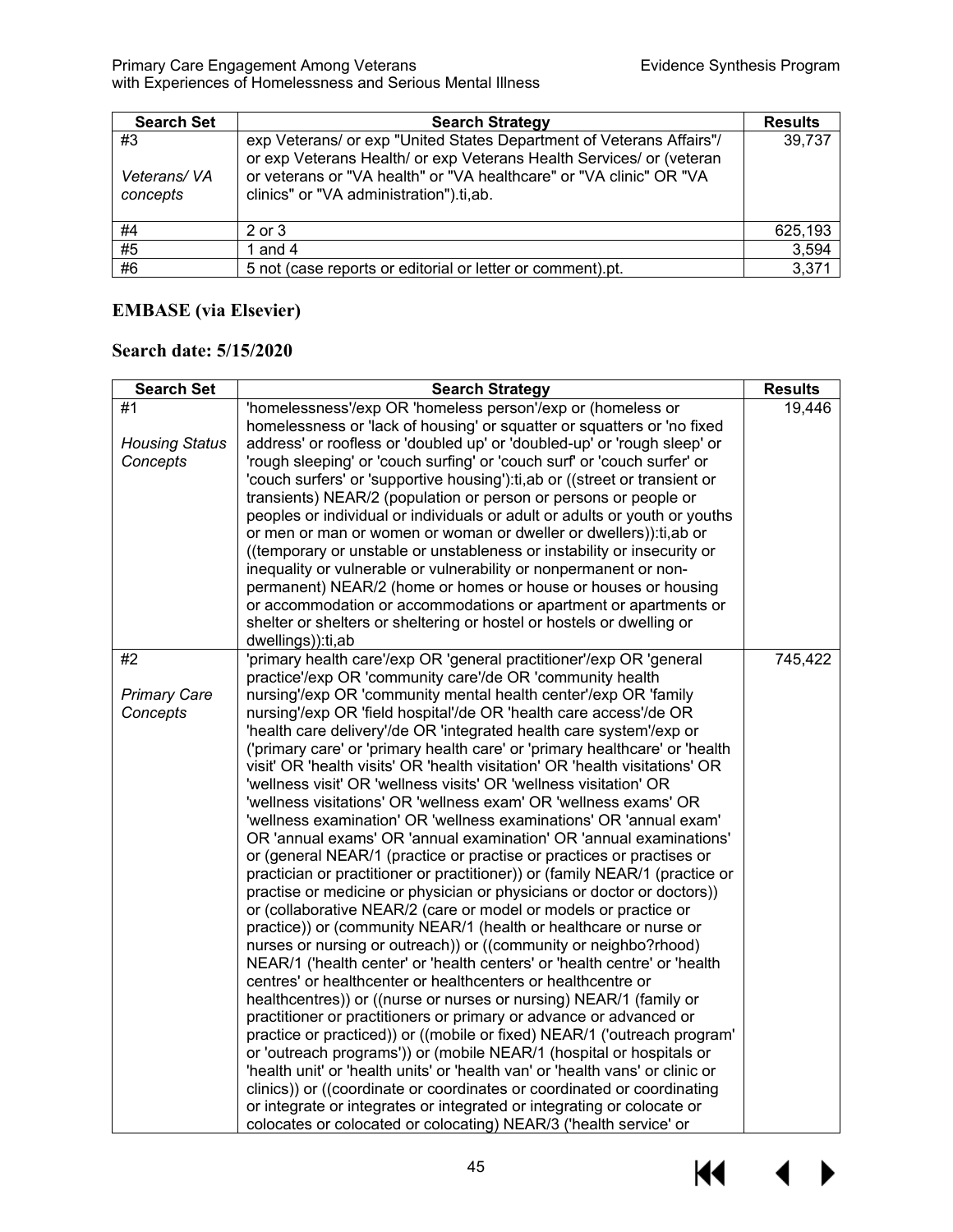#### Primary Care Engagement Among Veterans Evidence Synthesis Program with Experiences of Homelessness and Serious Mental Illness

| <b>Search Set</b>             | <b>Search Strategy</b>                                                                                                                                                                                                                                         | <b>Results</b> |
|-------------------------------|----------------------------------------------------------------------------------------------------------------------------------------------------------------------------------------------------------------------------------------------------------------|----------------|
| #3<br>Veterans/VA<br>concepts | exp Veterans/ or exp "United States Department of Veterans Affairs"/<br>or exp Veterans Health/ or exp Veterans Health Services/ or (veteran<br>or veterans or "VA health" or "VA healthcare" or "VA clinic" OR "VA<br>clinics" or "VA administration").ti,ab. | 39,737         |
| #4                            | $2$ or $3$                                                                                                                                                                                                                                                     | 625,193        |
| $\overline{45}$               | 1 and 4                                                                                                                                                                                                                                                        | 3,594          |
| #6                            | 5 not (case reports or editorial or letter or comment).pt.                                                                                                                                                                                                     | 3,371          |

## **EMBASE (via Elsevier)**

## **Search date: 5/15/2020**

| <b>Search Set</b>                       | <b>Search Strategy</b>                                                                                                                                                                                                                                                                                                                                                                                                                                                                                                                                                                                                                                                                                                                                                                                                                                                                                                                                                                                                                                                                                                                                                                                                                                                                                                                                                                                                                                                                                                                                                                                                                                                                                                                                                                                                                                                                                                                                                                                    | <b>Results</b> |
|-----------------------------------------|-----------------------------------------------------------------------------------------------------------------------------------------------------------------------------------------------------------------------------------------------------------------------------------------------------------------------------------------------------------------------------------------------------------------------------------------------------------------------------------------------------------------------------------------------------------------------------------------------------------------------------------------------------------------------------------------------------------------------------------------------------------------------------------------------------------------------------------------------------------------------------------------------------------------------------------------------------------------------------------------------------------------------------------------------------------------------------------------------------------------------------------------------------------------------------------------------------------------------------------------------------------------------------------------------------------------------------------------------------------------------------------------------------------------------------------------------------------------------------------------------------------------------------------------------------------------------------------------------------------------------------------------------------------------------------------------------------------------------------------------------------------------------------------------------------------------------------------------------------------------------------------------------------------------------------------------------------------------------------------------------------------|----------------|
| #1<br><b>Housing Status</b><br>Concepts | 'homelessness'/exp OR 'homeless person'/exp or (homeless or<br>homelessness or 'lack of housing' or squatter or squatters or 'no fixed<br>address' or roofless or 'doubled up' or 'doubled-up' or 'rough sleep' or<br>'rough sleeping' or 'couch surfing' or 'couch surf' or 'couch surfer' or<br>'couch surfers' or 'supportive housing'): ti, ab or ((street or transient or<br>transients) NEAR/2 (population or person or persons or people or<br>peoples or individual or individuals or adult or adults or youth or youths<br>or men or man or women or woman or dweller or dwellers)): ti, ab or<br>((temporary or unstable or unstableness or instability or insecurity or<br>inequality or vulnerable or vulnerability or nonpermanent or non-<br>permanent) NEAR/2 (home or homes or house or houses or housing<br>or accommodation or accommodations or apartment or apartments or<br>shelter or shelters or sheltering or hostel or hostels or dwelling or<br>dwellings)): ti, ab                                                                                                                                                                                                                                                                                                                                                                                                                                                                                                                                                                                                                                                                                                                                                                                                                                                                                                                                                                                                             | 19,446         |
| #2<br><b>Primary Care</b><br>Concepts   | 'primary health care'/exp OR 'general practitioner'/exp OR 'general<br>practice'/exp OR 'community care'/de OR 'community health<br>nursing'/exp OR 'community mental health center'/exp OR 'family<br>nursing'/exp OR 'field hospital'/de OR 'health care access'/de OR<br>'health care delivery'/de OR 'integrated health care system'/exp or<br>('primary care' or 'primary health care' or 'primary healthcare' or 'health<br>visit' OR 'health visits' OR 'health visitation' OR 'health visitations' OR<br>'wellness visit' OR 'wellness visits' OR 'wellness visitation' OR<br>'wellness visitations' OR 'wellness exam' OR 'wellness exams' OR<br>'wellness examination' OR 'wellness examinations' OR 'annual exam'<br>OR 'annual exams' OR 'annual examination' OR 'annual examinations'<br>or (general NEAR/1 (practice or practise or practices or practises or<br>practician or practitioner or practitioner)) or (family NEAR/1 (practice or<br>practise or medicine or physician or physicians or doctor or doctors))<br>or (collaborative NEAR/2 (care or model or models or practice or<br>practice)) or (community NEAR/1 (health or healthcare or nurse or<br>nurses or nursing or outreach)) or ((community or neighbo?rhood)<br>NEAR/1 ('health center' or 'health centers' or 'health centre' or 'health<br>centres' or healthcenter or healthcenters or healthcentre or<br>healthcentres)) or ((nurse or nurses or nursing) NEAR/1 (family or<br>practitioner or practitioners or primary or advance or advanced or<br>practice or practiced)) or ((mobile or fixed) NEAR/1 ('outreach program'<br>or 'outreach programs')) or (mobile NEAR/1 (hospital or hospitals or<br>'health unit' or 'health units' or 'health van' or 'health vans' or clinic or<br>clinics)) or ((coordinate or coordinates or coordinated or coordinating<br>or integrate or integrates or integrated or integrating or colocate or<br>colocates or colocated or colocating) NEAR/3 ('health service' or | 745,422        |

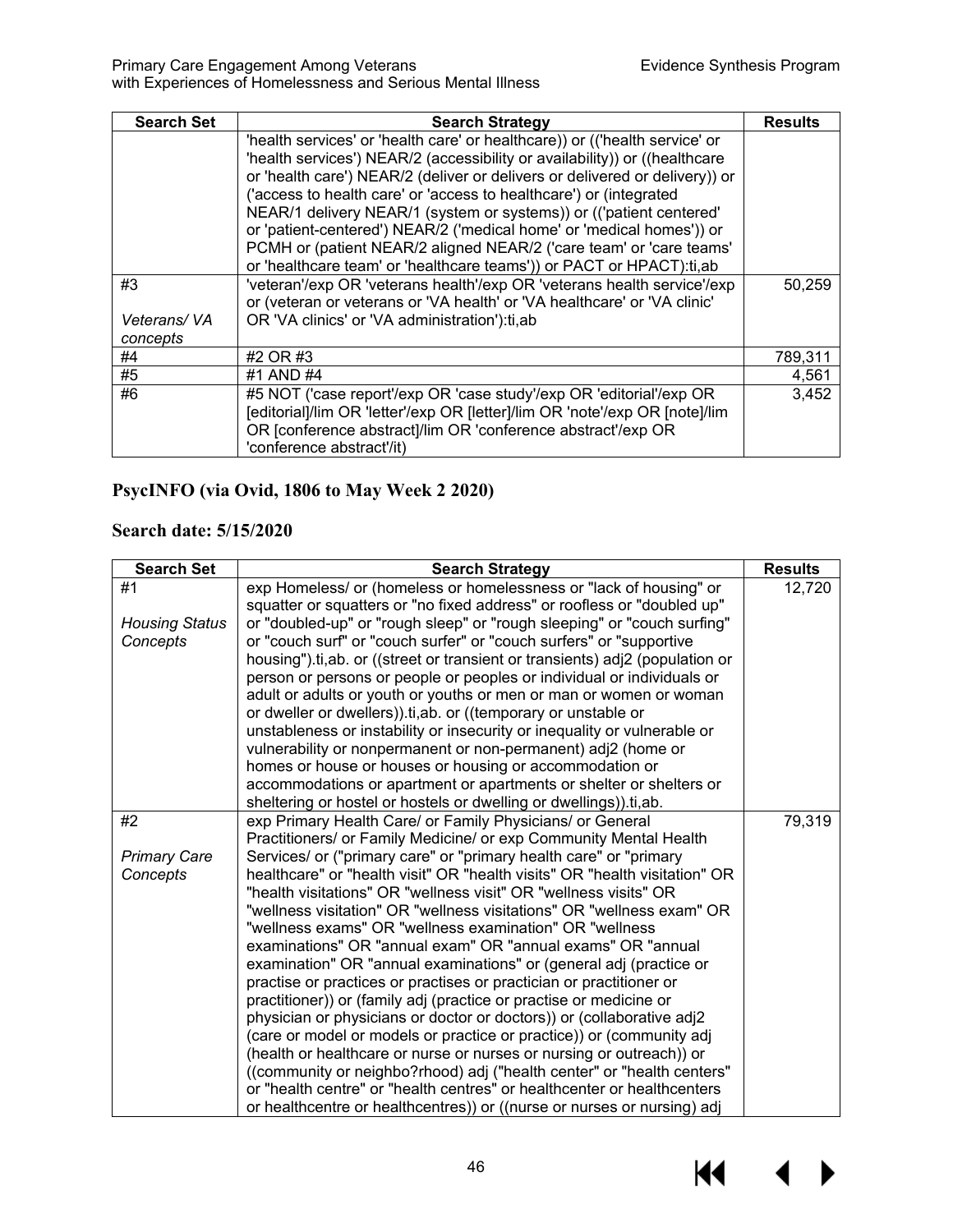| <b>Search Set</b> | <b>Search Strategy</b>                                                      | <b>Results</b> |
|-------------------|-----------------------------------------------------------------------------|----------------|
|                   | 'health services' or 'health care' or healthcare)) or (('health service' or |                |
|                   | 'health services') NEAR/2 (accessibility or availability)) or ((healthcare  |                |
|                   | or 'health care') NEAR/2 (deliver or delivers or delivered or delivery)) or |                |
|                   | ('access to health care' or 'access to healthcare') or (integrated          |                |
|                   | NEAR/1 delivery NEAR/1 (system or systems)) or (('patient centered'         |                |
|                   | or 'patient-centered') NEAR/2 ('medical home' or 'medical homes')) or       |                |
|                   | PCMH or (patient NEAR/2 aligned NEAR/2 ('care team' or 'care teams'         |                |
|                   | or 'healthcare team' or 'healthcare teams')) or PACT or HPACT):ti,ab        |                |
| #3                | 'veteran'/exp OR 'veterans health'/exp OR 'veterans health service'/exp     | 50.259         |
|                   | or (veteran or veterans or 'VA health' or 'VA healthcare' or 'VA clinic'    |                |
| Veterans/VA       | OR 'VA clinics' or 'VA administration'):ti,ab                               |                |
| concepts          |                                                                             |                |
| #4                | #2 OR #3                                                                    | 789,311        |
| #5                | #1 AND #4                                                                   | 4,561          |
| #6                | #5 NOT ('case report'/exp OR 'case study'/exp OR 'editorial'/exp OR         | 3,452          |
|                   | [editorial]/lim OR 'letter'/exp OR [letter]/lim OR 'note'/exp OR [note]/lim |                |
|                   | OR [conference abstract]/lim OR 'conference abstract'/exp OR                |                |
|                   | 'conference abstract'/it)                                                   |                |

## **PsycINFO (via Ovid, 1806 to May Week 2 2020)**

## **Search date: 5/15/2020**

| <b>Search Set</b>     | <b>Search Strategy</b>                                                                                                                      | <b>Results</b> |
|-----------------------|---------------------------------------------------------------------------------------------------------------------------------------------|----------------|
| #1                    | exp Homeless/ or (homeless or homelessness or "lack of housing" or                                                                          | 12,720         |
|                       | squatter or squatters or "no fixed address" or roofless or "doubled up"                                                                     |                |
| <b>Housing Status</b> | or "doubled-up" or "rough sleep" or "rough sleeping" or "couch surfing"                                                                     |                |
| Concepts              | or "couch surf" or "couch surfer" or "couch surfers" or "supportive                                                                         |                |
|                       | housing").ti, ab. or ((street or transient or transients) adj2 (population or                                                               |                |
|                       | person or persons or people or peoples or individual or individuals or                                                                      |                |
|                       | adult or adults or youth or youths or men or man or women or woman                                                                          |                |
|                       | or dweller or dwellers)).ti, ab. or ((temporary or unstable or                                                                              |                |
|                       | unstableness or instability or insecurity or inequality or vulnerable or                                                                    |                |
|                       | vulnerability or nonpermanent or non-permanent) adj2 (home or                                                                               |                |
|                       | homes or house or houses or housing or accommodation or                                                                                     |                |
|                       | accommodations or apartment or apartments or shelter or shelters or                                                                         |                |
|                       | sheltering or hostel or hostels or dwelling or dwellings)).ti,ab.                                                                           |                |
| #2                    | exp Primary Health Care/ or Family Physicians/ or General                                                                                   | 79,319         |
|                       | Practitioners/ or Family Medicine/ or exp Community Mental Health                                                                           |                |
| <b>Primary Care</b>   | Services/ or ("primary care" or "primary health care" or "primary                                                                           |                |
| Concepts              | healthcare" or "health visit" OR "health visits" OR "health visitation" OR                                                                  |                |
|                       | "health visitations" OR "wellness visit" OR "wellness visits" OR                                                                            |                |
|                       | "wellness visitation" OR "wellness visitations" OR "wellness exam" OR                                                                       |                |
|                       | "wellness exams" OR "wellness examination" OR "wellness"                                                                                    |                |
|                       | examinations" OR "annual exam" OR "annual exams" OR "annual                                                                                 |                |
|                       | examination" OR "annual examinations" or (general adj (practice or                                                                          |                |
|                       | practise or practices or practises or practician or practitioner or                                                                         |                |
|                       | practitioner)) or (family adj (practice or practise or medicine or<br>physician or physicians or doctor or doctors)) or (collaborative adj2 |                |
|                       | (care or model or models or practice or practice)) or (community adj                                                                        |                |
|                       | (health or healthcare or nurse or nurses or nursing or outreach)) or                                                                        |                |
|                       | ((community or neighbo?rhood) adj ("health center" or "health centers"                                                                      |                |
|                       | or "health centre" or "health centres" or healthcenter or healthcenters                                                                     |                |
|                       | or healthcentre or healthcentres)) or ((nurse or nurses or nursing) adj                                                                     |                |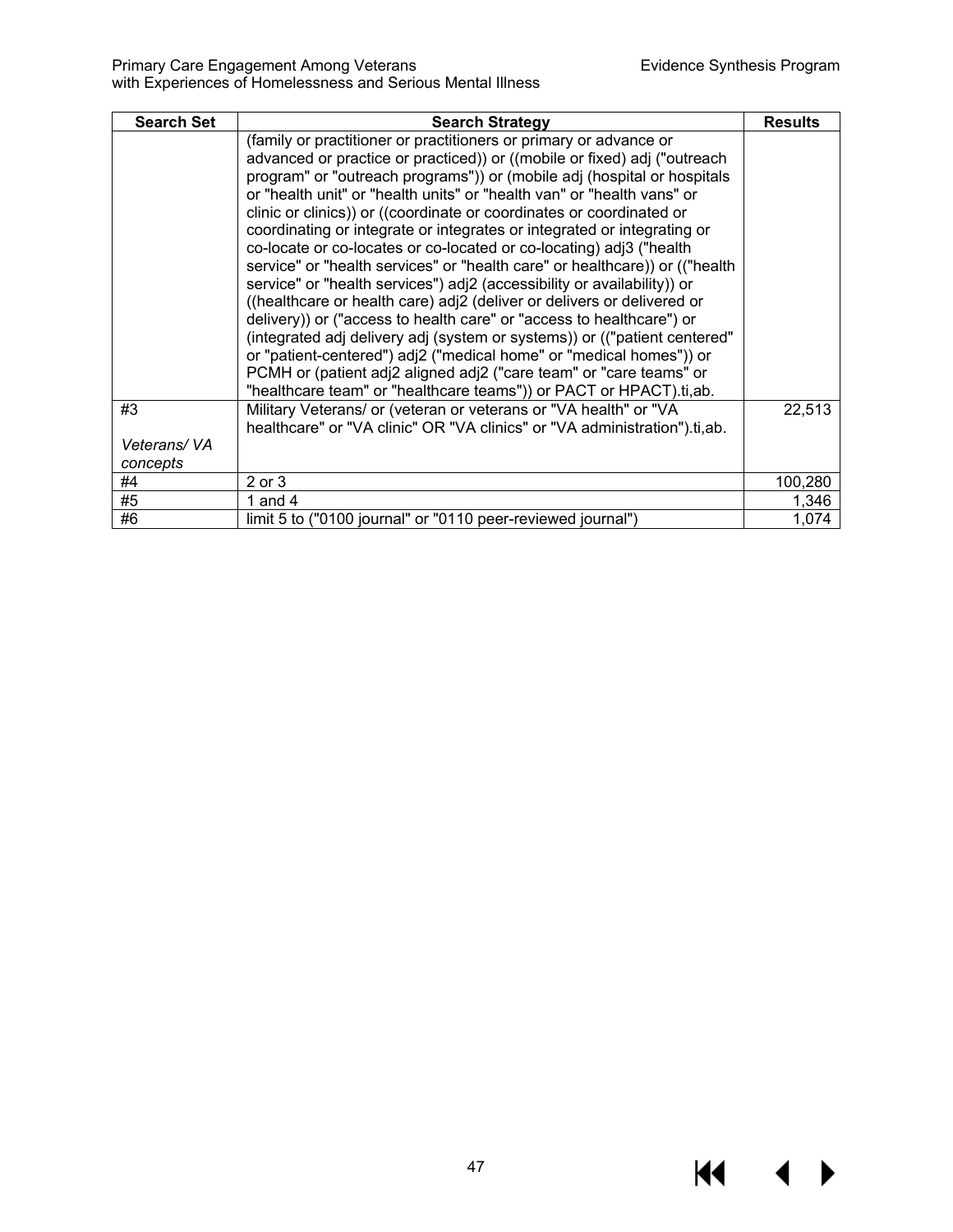$M \rightarrow$ 

#### Primary Care Engagement Among Veterans Evidence Synthesis Program with Experiences of Homelessness and Serious Mental Illness

| <b>Search Set</b> | <b>Search Strategy</b>                                                      | <b>Results</b> |
|-------------------|-----------------------------------------------------------------------------|----------------|
|                   | (family or practitioner or practitioners or primary or advance or           |                |
|                   | advanced or practice or practiced)) or ((mobile or fixed) adj ("outreach    |                |
|                   | program" or "outreach programs")) or (mobile adj (hospital or hospitals     |                |
|                   | or "health unit" or "health units" or "health van" or "health vans" or      |                |
|                   | clinic or clinics)) or ((coordinate or coordinates or coordinated or        |                |
|                   | coordinating or integrate or integrates or integrated or integrating or     |                |
|                   | co-locate or co-locates or co-located or co-locating) adj3 ("health         |                |
|                   | service" or "health services" or "health care" or healthcare)) or (("health |                |
|                   | service" or "health services") adj2 (accessibility or availability)) or     |                |
|                   | ((healthcare or health care) adj2 (deliver or delivers or delivered or      |                |
|                   | delivery)) or ("access to health care" or "access to healthcare") or        |                |
|                   | (integrated adj delivery adj (system or systems)) or (("patient centered"   |                |
|                   | or "patient-centered") adj2 ("medical home" or "medical homes")) or         |                |
|                   | PCMH or (patient adj2 aligned adj2 ("care team" or "care teams" or          |                |
|                   | "healthcare team" or "healthcare teams")) or PACT or HPACT).ti,ab.          |                |
| #3                | Military Veterans/ or (veteran or veterans or "VA health" or "VA            | 22,513         |
|                   | healthcare" or "VA clinic" OR "VA clinics" or "VA administration").ti,ab.   |                |
| Veterans/VA       |                                                                             |                |
| concepts          |                                                                             |                |
| #4                | $2$ or $3$                                                                  | 100,280        |
| #5                | 1 and 4                                                                     | 1,346          |
| #6                | limit 5 to ("0100 journal" or "0110 peer-reviewed journal")                 | 1.074          |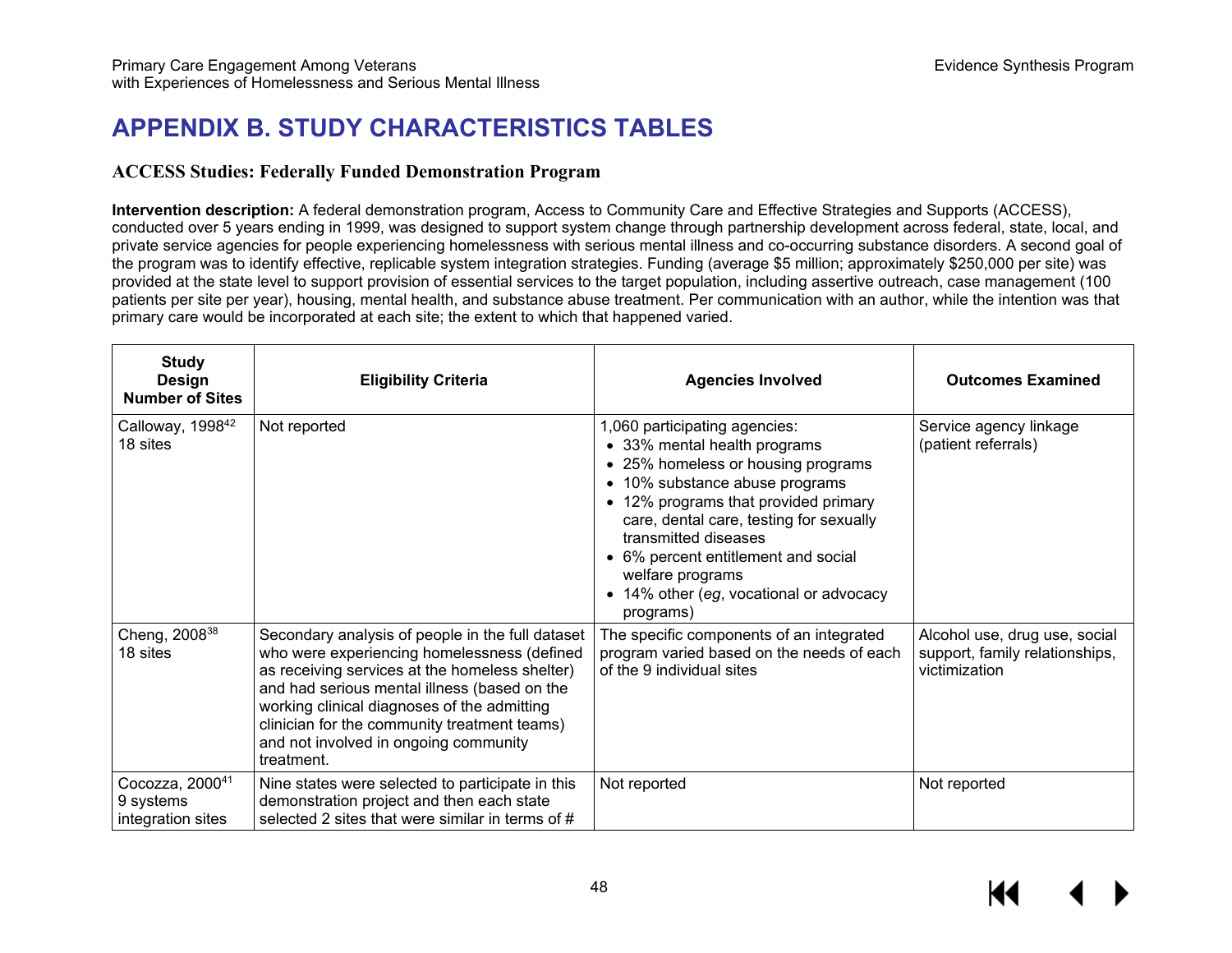## **APPENDIX B. STUDY CHARACTERISTICS TABLES**

### **ACCESS Studies: Federally Funded Demonstration Program**

**Intervention description:** A federal demonstration program, Access to Community Care and Effective Strategies and Supports (ACCESS), conducted over 5 years ending in 1999, was designed to support system change through partnership development across federal, state, local, and private service agencies for people experiencing homelessness with serious mental illness and co-occurring substance disorders. A second goal of the program was to identify effective, replicable system integration strategies. Funding (average \$5 million; approximately \$250,000 per site) was provided at the state level to support provision of essential services to the target population, including assertive outreach, case management (100 patients per site per year), housing, mental health, and substance abuse treatment. Per communication with an author, while the intention was that primary care would be incorporated at each site; the extent to which that happened varied.

| <b>Study</b><br><b>Design</b><br><b>Number of Sites</b> | <b>Eligibility Criteria</b>                                                                                                                                                                                                                                                                                                                             | <b>Agencies Involved</b>                                                                                                                                                                                                                                                                                                                                          | <b>Outcomes Examined</b>                                                         |
|---------------------------------------------------------|---------------------------------------------------------------------------------------------------------------------------------------------------------------------------------------------------------------------------------------------------------------------------------------------------------------------------------------------------------|-------------------------------------------------------------------------------------------------------------------------------------------------------------------------------------------------------------------------------------------------------------------------------------------------------------------------------------------------------------------|----------------------------------------------------------------------------------|
| Calloway, 1998 <sup>42</sup><br>18 sites                | Not reported                                                                                                                                                                                                                                                                                                                                            | 1,060 participating agencies:<br>• 33% mental health programs<br>• 25% homeless or housing programs<br>• 10% substance abuse programs<br>12% programs that provided primary<br>care, dental care, testing for sexually<br>transmitted diseases<br>• 6% percent entitlement and social<br>welfare programs<br>• 14% other (eg, vocational or advocacy<br>programs) | Service agency linkage<br>(patient referrals)                                    |
| Cheng, 2008 <sup>38</sup><br>18 sites                   | Secondary analysis of people in the full dataset<br>who were experiencing homelessness (defined<br>as receiving services at the homeless shelter)<br>and had serious mental illness (based on the<br>working clinical diagnoses of the admitting<br>clinician for the community treatment teams)<br>and not involved in ongoing community<br>treatment. | The specific components of an integrated<br>program varied based on the needs of each<br>of the 9 individual sites                                                                                                                                                                                                                                                | Alcohol use, drug use, social<br>support, family relationships,<br>victimization |
| Cocozza, 200041<br>9 systems<br>integration sites       | Nine states were selected to participate in this<br>demonstration project and then each state<br>selected 2 sites that were similar in terms of #                                                                                                                                                                                                       | Not reported                                                                                                                                                                                                                                                                                                                                                      | Not reported                                                                     |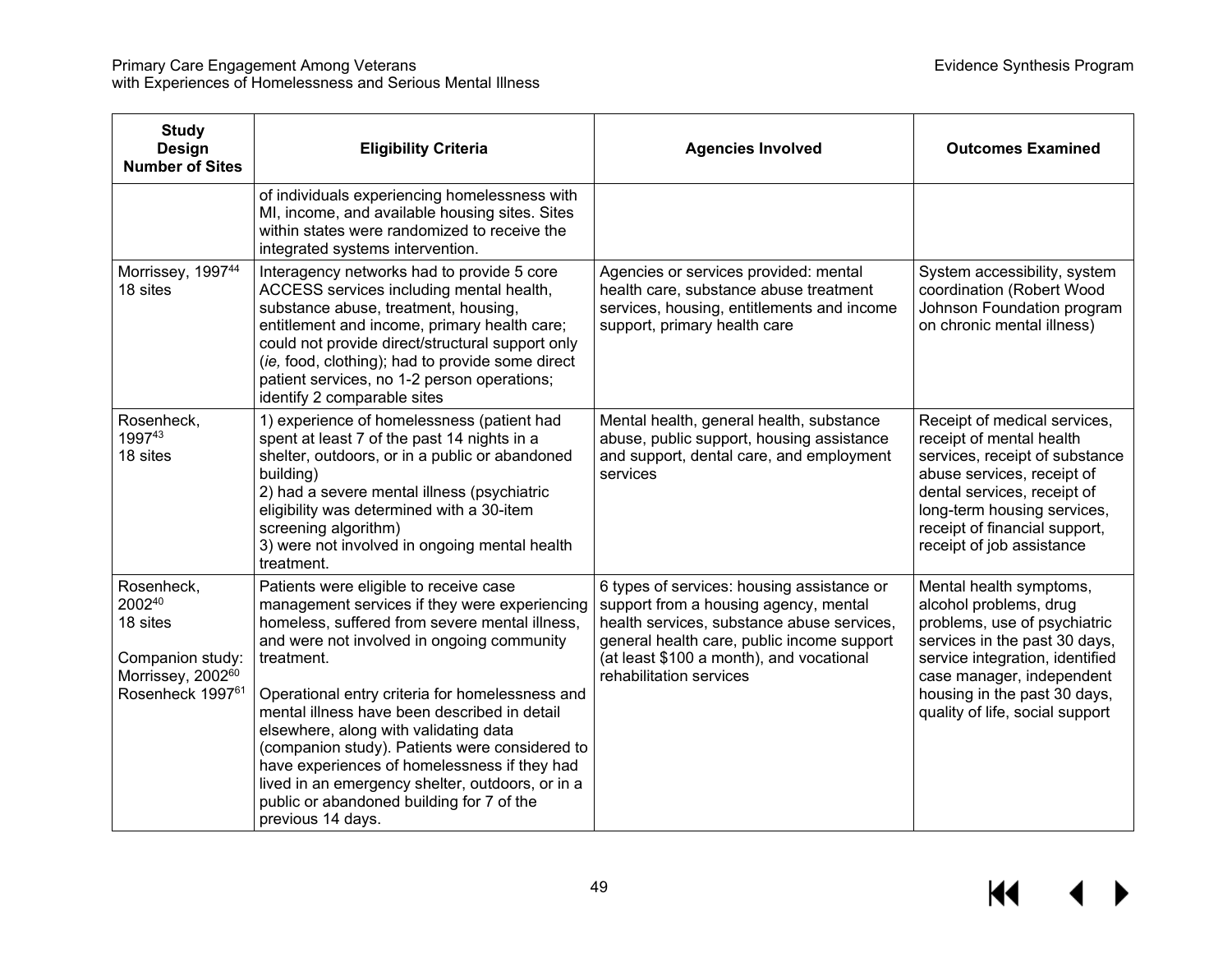| <b>Study</b><br><b>Design</b><br><b>Number of Sites</b>                                                   | <b>Eligibility Criteria</b>                                                                                                                                                                                                                                                                                                                                                                                                                                                                                                                                               | <b>Agencies Involved</b>                                                                                                                                                                                                                               | <b>Outcomes Examined</b>                                                                                                                                                                                                                              |
|-----------------------------------------------------------------------------------------------------------|---------------------------------------------------------------------------------------------------------------------------------------------------------------------------------------------------------------------------------------------------------------------------------------------------------------------------------------------------------------------------------------------------------------------------------------------------------------------------------------------------------------------------------------------------------------------------|--------------------------------------------------------------------------------------------------------------------------------------------------------------------------------------------------------------------------------------------------------|-------------------------------------------------------------------------------------------------------------------------------------------------------------------------------------------------------------------------------------------------------|
|                                                                                                           | of individuals experiencing homelessness with<br>MI, income, and available housing sites. Sites<br>within states were randomized to receive the<br>integrated systems intervention.                                                                                                                                                                                                                                                                                                                                                                                       |                                                                                                                                                                                                                                                        |                                                                                                                                                                                                                                                       |
| Morrissey, 199744<br>18 sites                                                                             | Interagency networks had to provide 5 core<br>ACCESS services including mental health,<br>substance abuse, treatment, housing,<br>entitlement and income, primary health care;<br>could not provide direct/structural support only<br>(ie, food, clothing); had to provide some direct<br>patient services, no 1-2 person operations;<br>identify 2 comparable sites                                                                                                                                                                                                      | Agencies or services provided: mental<br>health care, substance abuse treatment<br>services, housing, entitlements and income<br>support, primary health care                                                                                          | System accessibility, system<br>coordination (Robert Wood<br>Johnson Foundation program<br>on chronic mental illness)                                                                                                                                 |
| Rosenheck,<br>199743<br>18 sites                                                                          | 1) experience of homelessness (patient had<br>spent at least 7 of the past 14 nights in a<br>shelter, outdoors, or in a public or abandoned<br>building)<br>2) had a severe mental illness (psychiatric<br>eligibility was determined with a 30-item<br>screening algorithm)<br>3) were not involved in ongoing mental health<br>treatment.                                                                                                                                                                                                                               | Mental health, general health, substance<br>abuse, public support, housing assistance<br>and support, dental care, and employment<br>services                                                                                                          | Receipt of medical services,<br>receipt of mental health<br>services, receipt of substance<br>abuse services, receipt of<br>dental services, receipt of<br>long-term housing services,<br>receipt of financial support,<br>receipt of job assistance  |
| Rosenheck,<br>200240<br>18 sites<br>Companion study:<br>Morrissey, 2002 <sup>60</sup><br>Rosenheck 199761 | Patients were eligible to receive case<br>management services if they were experiencing<br>homeless, suffered from severe mental illness,<br>and were not involved in ongoing community<br>treatment.<br>Operational entry criteria for homelessness and<br>mental illness have been described in detail<br>elsewhere, along with validating data<br>(companion study). Patients were considered to<br>have experiences of homelessness if they had<br>lived in an emergency shelter, outdoors, or in a<br>public or abandoned building for 7 of the<br>previous 14 days. | 6 types of services: housing assistance or<br>support from a housing agency, mental<br>health services, substance abuse services,<br>general health care, public income support<br>(at least \$100 a month), and vocational<br>rehabilitation services | Mental health symptoms,<br>alcohol problems, drug<br>problems, use of psychiatric<br>services in the past 30 days,<br>service integration, identified<br>case manager, independent<br>housing in the past 30 days,<br>quality of life, social support |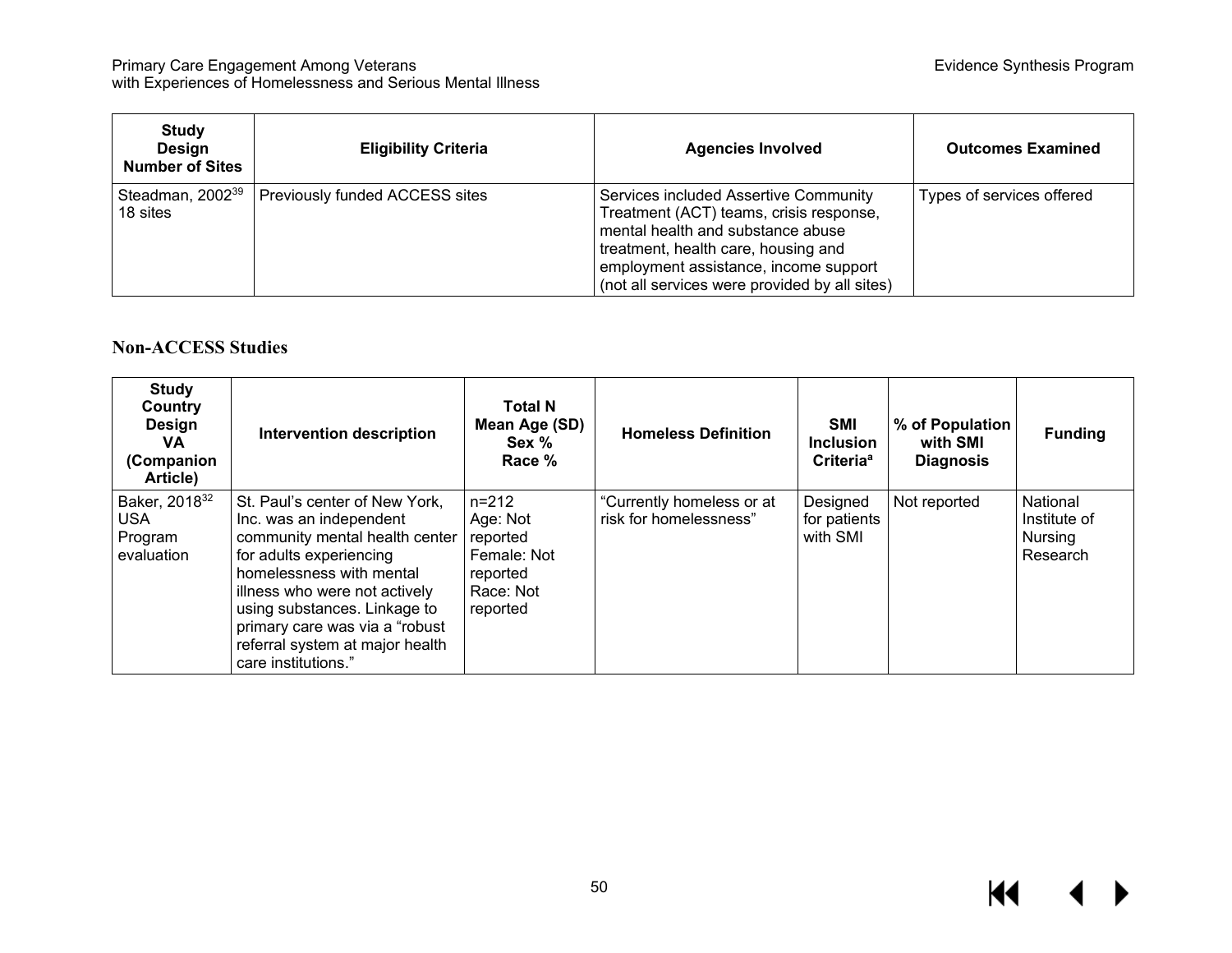| <b>Study</b><br><b>Design</b><br><b>Number of Sites</b> | <b>Eligibility Criteria</b>    | <b>Agencies Involved</b>                                                                                                                                                                                                                               | <b>Outcomes Examined</b>  |
|---------------------------------------------------------|--------------------------------|--------------------------------------------------------------------------------------------------------------------------------------------------------------------------------------------------------------------------------------------------------|---------------------------|
| Steadman, 2002 <sup>39</sup><br>18 sites                | Previously funded ACCESS sites | Services included Assertive Community<br>Treatment (ACT) teams, crisis response,<br>mental health and substance abuse<br>treatment, health care, housing and<br>employment assistance, income support<br>(not all services were provided by all sites) | Types of services offered |

### **Non-ACCESS Studies**

| <b>Study</b><br>Country<br><b>Design</b><br>VA.<br>(Companion<br>Article) | <b>Intervention description</b>                                                                                                                                                                                                                                                                                  | <b>Total N</b><br>Mean Age (SD)<br>Sex %<br>Race %                                    | <b>Homeless Definition</b>                          | SMI<br><b>Inclusion</b><br>Criteria <sup>a</sup> | % of Population<br>with SMI<br><b>Diagnosis</b> | <b>Funding</b>                                  |
|---------------------------------------------------------------------------|------------------------------------------------------------------------------------------------------------------------------------------------------------------------------------------------------------------------------------------------------------------------------------------------------------------|---------------------------------------------------------------------------------------|-----------------------------------------------------|--------------------------------------------------|-------------------------------------------------|-------------------------------------------------|
| Baker, 2018 <sup>32</sup><br><b>USA</b><br>Program<br>evaluation          | St. Paul's center of New York.<br>Inc. was an independent<br>community mental health center<br>for adults experiencing<br>homelessness with mental<br>illness who were not actively<br>using substances. Linkage to<br>primary care was via a "robust"<br>referral system at major health<br>care institutions." | $n = 212$<br>Age: Not<br>reported<br>Female: Not<br>reported<br>Race: Not<br>reported | "Currently homeless or at<br>risk for homelessness" | Designed<br>for patients<br>with SMI             | Not reported                                    | National<br>Institute of<br>Nursing<br>Research |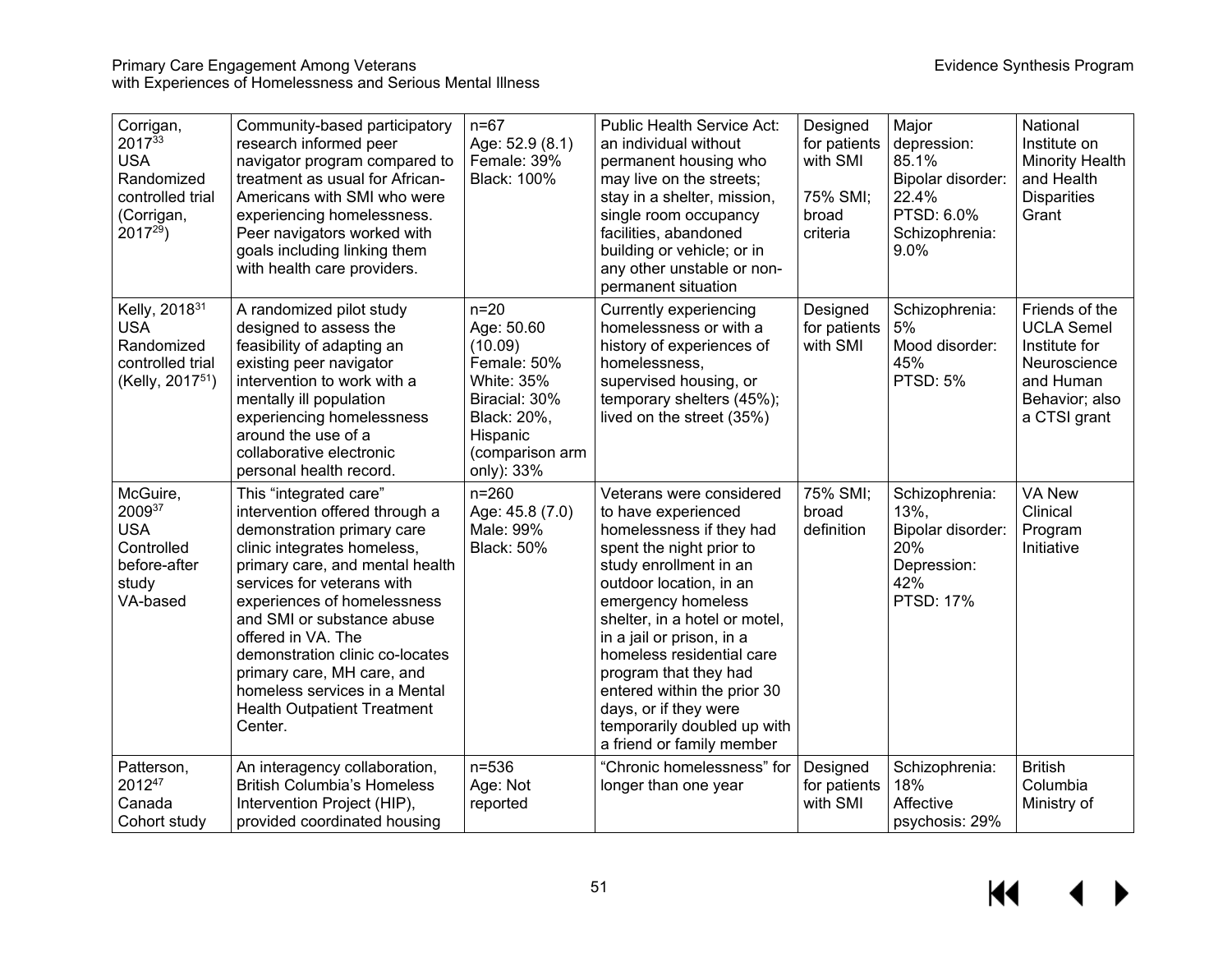| Corrigan,<br>201733<br><b>USA</b><br>Randomized<br>controlled trial<br>(Corrigan,<br>$2017^{29}$          | Community-based participatory<br>research informed peer<br>navigator program compared to<br>treatment as usual for African-<br>Americans with SMI who were<br>experiencing homelessness.<br>Peer navigators worked with<br>goals including linking them<br>with health care providers.                                                                                                                                       | $n=67$<br>Age: 52.9 (8.1)<br>Female: 39%<br><b>Black: 100%</b>                                                                                   | Public Health Service Act:<br>an individual without<br>permanent housing who<br>may live on the streets;<br>stay in a shelter, mission,<br>single room occupancy<br>facilities, abandoned<br>building or vehicle; or in<br>any other unstable or non-<br>permanent situation                                                                                                                                               | Designed<br>for patients<br>with SMI<br>75% SMI;<br>broad<br>criteria | Major<br>depression:<br>85.1%<br>Bipolar disorder:<br>22.4%<br>PTSD: 6.0%<br>Schizophrenia:<br>9.0% | National<br>Institute on<br><b>Minority Health</b><br>and Health<br><b>Disparities</b><br>Grant                     |
|-----------------------------------------------------------------------------------------------------------|------------------------------------------------------------------------------------------------------------------------------------------------------------------------------------------------------------------------------------------------------------------------------------------------------------------------------------------------------------------------------------------------------------------------------|--------------------------------------------------------------------------------------------------------------------------------------------------|----------------------------------------------------------------------------------------------------------------------------------------------------------------------------------------------------------------------------------------------------------------------------------------------------------------------------------------------------------------------------------------------------------------------------|-----------------------------------------------------------------------|-----------------------------------------------------------------------------------------------------|---------------------------------------------------------------------------------------------------------------------|
| Kelly, 2018 <sup>31</sup><br><b>USA</b><br>Randomized<br>controlled trial<br>(Kelly, 2017 <sup>51</sup> ) | A randomized pilot study<br>designed to assess the<br>feasibility of adapting an<br>existing peer navigator<br>intervention to work with a<br>mentally ill population<br>experiencing homelessness<br>around the use of a<br>collaborative electronic<br>personal health record.                                                                                                                                             | $n=20$<br>Age: 50.60<br>(10.09)<br>Female: 50%<br><b>White: 35%</b><br>Biracial: 30%<br>Black: 20%,<br>Hispanic<br>(comparison arm<br>only): 33% | Currently experiencing<br>homelessness or with a<br>history of experiences of<br>homelessness,<br>supervised housing, or<br>temporary shelters (45%);<br>lived on the street (35%)                                                                                                                                                                                                                                         | Designed<br>for patients<br>with SMI                                  | Schizophrenia:<br>5%<br>Mood disorder:<br>45%<br><b>PTSD: 5%</b>                                    | Friends of the<br><b>UCLA Semel</b><br>Institute for<br>Neuroscience<br>and Human<br>Behavior; also<br>a CTSI grant |
| McGuire,<br>200937<br><b>USA</b><br>Controlled<br>before-after<br>study<br>VA-based                       | This "integrated care"<br>intervention offered through a<br>demonstration primary care<br>clinic integrates homeless,<br>primary care, and mental health<br>services for veterans with<br>experiences of homelessness<br>and SMI or substance abuse<br>offered in VA. The<br>demonstration clinic co-locates<br>primary care, MH care, and<br>homeless services in a Mental<br><b>Health Outpatient Treatment</b><br>Center. | $n = 260$<br>Age: 45.8 (7.0)<br>Male: 99%<br><b>Black: 50%</b>                                                                                   | Veterans were considered<br>to have experienced<br>homelessness if they had<br>spent the night prior to<br>study enrollment in an<br>outdoor location, in an<br>emergency homeless<br>shelter, in a hotel or motel,<br>in a jail or prison, in a<br>homeless residential care<br>program that they had<br>entered within the prior 30<br>days, or if they were<br>temporarily doubled up with<br>a friend or family member | 75% SMI;<br>broad<br>definition                                       | Schizophrenia:<br>13%,<br>Bipolar disorder:<br>20%<br>Depression:<br>42%<br><b>PTSD: 17%</b>        | <b>VA New</b><br>Clinical<br>Program<br>Initiative                                                                  |
| Patterson,<br>201247<br>Canada<br>Cohort study                                                            | An interagency collaboration,<br><b>British Columbia's Homeless</b><br>Intervention Project (HIP),<br>provided coordinated housing                                                                                                                                                                                                                                                                                           | $n = 536$<br>Age: Not<br>reported                                                                                                                | "Chronic homelessness" for<br>longer than one year                                                                                                                                                                                                                                                                                                                                                                         | Designed<br>for patients<br>with SMI                                  | Schizophrenia:<br>18%<br>Affective<br>psychosis: 29%                                                | <b>British</b><br>Columbia<br>Ministry of                                                                           |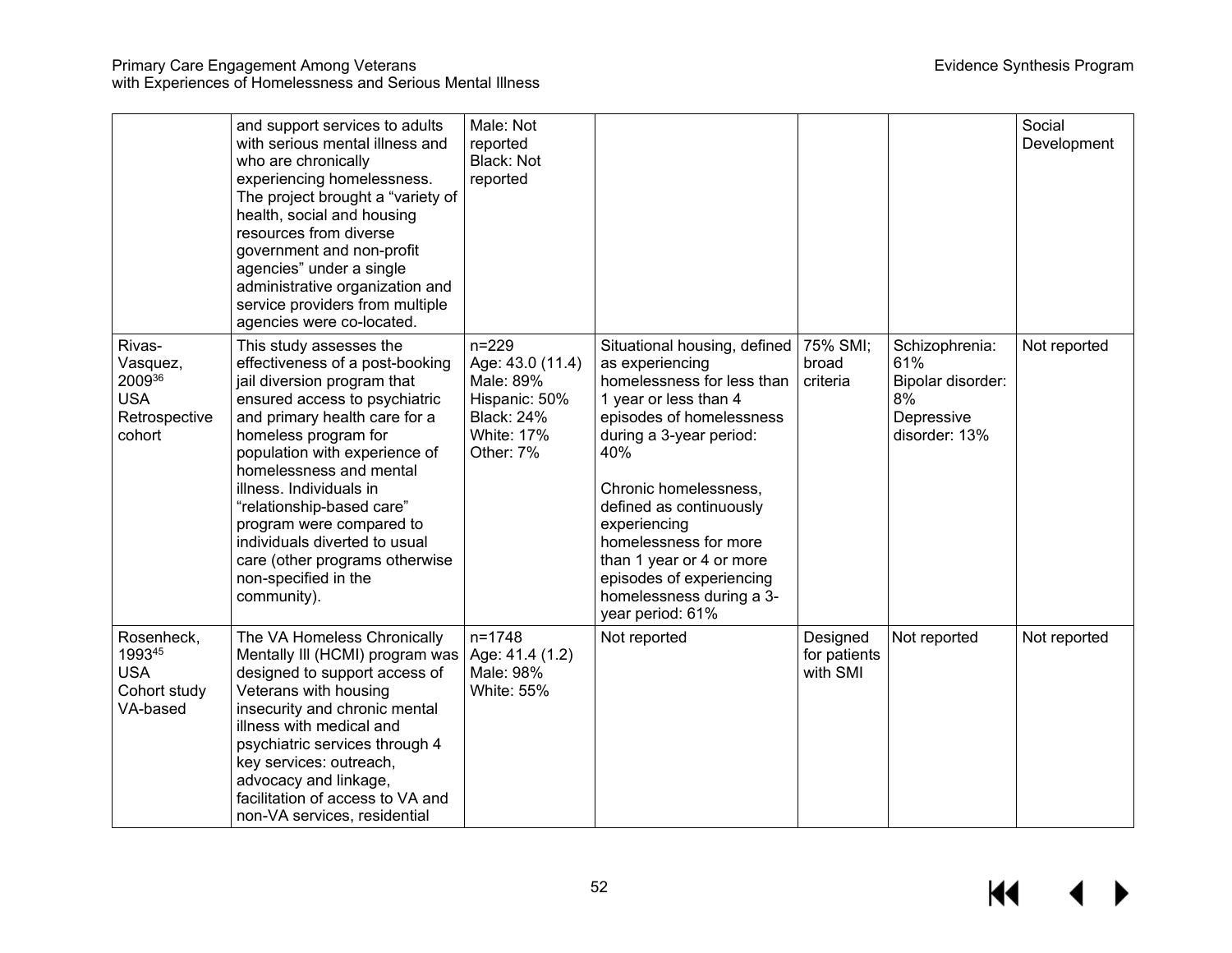|                                                                       | and support services to adults<br>with serious mental illness and<br>who are chronically<br>experiencing homelessness.<br>The project brought a "variety of<br>health, social and housing<br>resources from diverse<br>government and non-profit<br>agencies" under a single<br>administrative organization and<br>service providers from multiple<br>agencies were co-located.                                                               | Male: Not<br>reported<br>Black: Not<br>reported                                                                    |                                                                                                                                                                                                                                                                                                                                                                           |                                      |                                                                                 | Social<br>Development |
|-----------------------------------------------------------------------|-----------------------------------------------------------------------------------------------------------------------------------------------------------------------------------------------------------------------------------------------------------------------------------------------------------------------------------------------------------------------------------------------------------------------------------------------|--------------------------------------------------------------------------------------------------------------------|---------------------------------------------------------------------------------------------------------------------------------------------------------------------------------------------------------------------------------------------------------------------------------------------------------------------------------------------------------------------------|--------------------------------------|---------------------------------------------------------------------------------|-----------------------|
| Rivas-<br>Vasquez,<br>200936<br><b>USA</b><br>Retrospective<br>cohort | This study assesses the<br>effectiveness of a post-booking<br>jail diversion program that<br>ensured access to psychiatric<br>and primary health care for a<br>homeless program for<br>population with experience of<br>homelessness and mental<br>illness. Individuals in<br>"relationship-based care"<br>program were compared to<br>individuals diverted to usual<br>care (other programs otherwise<br>non-specified in the<br>community). | $n = 229$<br>Age: 43.0 (11.4)<br>Male: 89%<br>Hispanic: 50%<br><b>Black: 24%</b><br><b>White: 17%</b><br>Other: 7% | Situational housing, defined<br>as experiencing<br>homelessness for less than<br>1 year or less than 4<br>episodes of homelessness<br>during a 3-year period:<br>40%<br>Chronic homelessness,<br>defined as continuously<br>experiencing<br>homelessness for more<br>than 1 year or 4 or more<br>episodes of experiencing<br>homelessness during a 3-<br>year period: 61% | 75% SMI;<br>broad<br>criteria        | Schizophrenia:<br>61%<br>Bipolar disorder:<br>8%<br>Depressive<br>disorder: 13% | Not reported          |
| Rosenheck,<br>199345<br><b>USA</b><br>Cohort study<br>VA-based        | The VA Homeless Chronically<br>Mentally III (HCMI) program was<br>designed to support access of<br>Veterans with housing<br>insecurity and chronic mental<br>illness with medical and<br>psychiatric services through 4<br>key services: outreach,<br>advocacy and linkage,<br>facilitation of access to VA and<br>non-VA services, residential                                                                                               | $n = 1748$<br>Age: 41.4 (1.2)<br>Male: 98%<br><b>White: 55%</b>                                                    | Not reported                                                                                                                                                                                                                                                                                                                                                              | Designed<br>for patients<br>with SMI | Not reported                                                                    | Not reported          |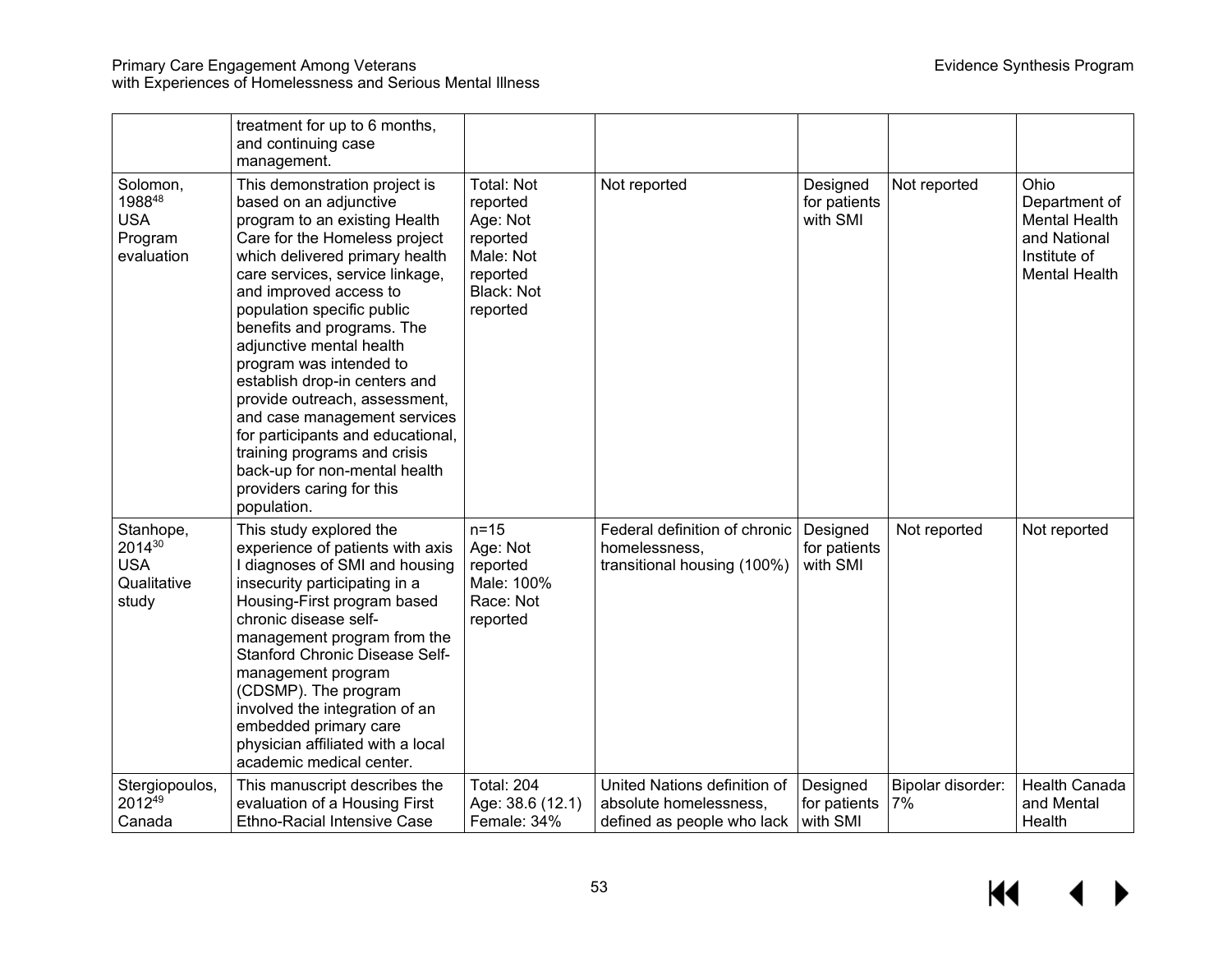#### Primary Care Engagement Among Veterans Evidence Synthesis Program with Experiences of Homelessness and Serious Mental Illness

|                                                           | treatment for up to 6 months,<br>and continuing case<br>management.                                                                                                                                                                                                                                                                                                                                                                                                                                                                                                                             |                                                                                                          |                                                                                      |                                      |                         |                                                                                                       |
|-----------------------------------------------------------|-------------------------------------------------------------------------------------------------------------------------------------------------------------------------------------------------------------------------------------------------------------------------------------------------------------------------------------------------------------------------------------------------------------------------------------------------------------------------------------------------------------------------------------------------------------------------------------------------|----------------------------------------------------------------------------------------------------------|--------------------------------------------------------------------------------------|--------------------------------------|-------------------------|-------------------------------------------------------------------------------------------------------|
| Solomon,<br>198848<br><b>USA</b><br>Program<br>evaluation | This demonstration project is<br>based on an adjunctive<br>program to an existing Health<br>Care for the Homeless project<br>which delivered primary health<br>care services, service linkage,<br>and improved access to<br>population specific public<br>benefits and programs. The<br>adjunctive mental health<br>program was intended to<br>establish drop-in centers and<br>provide outreach, assessment,<br>and case management services<br>for participants and educational,<br>training programs and crisis<br>back-up for non-mental health<br>providers caring for this<br>population. | <b>Total: Not</b><br>reported<br>Age: Not<br>reported<br>Male: Not<br>reported<br>Black: Not<br>reported | Not reported                                                                         | Designed<br>for patients<br>with SMI | Not reported            | Ohio<br>Department of<br><b>Mental Health</b><br>and National<br>Institute of<br><b>Mental Health</b> |
| Stanhope,<br>201430<br><b>USA</b><br>Qualitative<br>study | This study explored the<br>experience of patients with axis<br>I diagnoses of SMI and housing<br>insecurity participating in a<br>Housing-First program based<br>chronic disease self-<br>management program from the<br><b>Stanford Chronic Disease Self-</b><br>management program<br>(CDSMP). The program<br>involved the integration of an<br>embedded primary care<br>physician affiliated with a local<br>academic medical center.                                                                                                                                                        | $n=15$<br>Age: Not<br>reported<br>Male: 100%<br>Race: Not<br>reported                                    | Federal definition of chronic<br>homelessness,<br>transitional housing (100%)        | Designed<br>for patients<br>with SMI | Not reported            | Not reported                                                                                          |
| Stergiopoulos,<br>201249<br>Canada                        | This manuscript describes the<br>evaluation of a Housing First<br><b>Ethno-Racial Intensive Case</b>                                                                                                                                                                                                                                                                                                                                                                                                                                                                                            | <b>Total: 204</b><br>Age: 38.6 (12.1)<br>Female: 34%                                                     | United Nations definition of<br>absolute homelessness,<br>defined as people who lack | Designed<br>for patients<br>with SMI | Bipolar disorder:<br>7% | <b>Health Canada</b><br>and Mental<br>Health                                                          |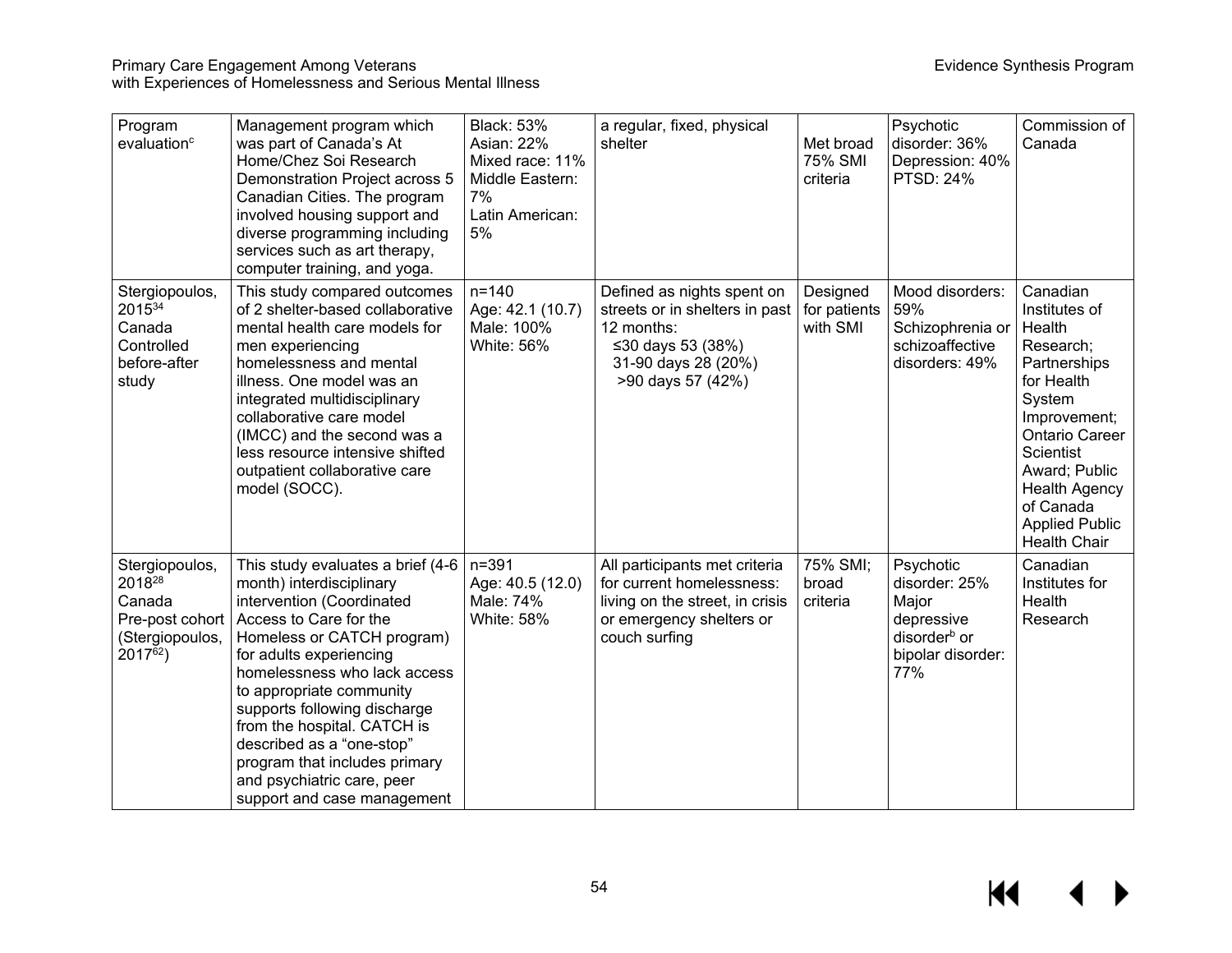| Program<br>evaluation <sup>c</sup>                                                  | Management program which<br>was part of Canada's At<br>Home/Chez Soi Research<br>Demonstration Project across 5<br>Canadian Cities. The program<br>involved housing support and<br>diverse programming including<br>services such as art therapy,<br>computer training, and yoga.                                                                                                                                                    | <b>Black: 53%</b><br><b>Asian: 22%</b><br>Mixed race: 11%<br>Middle Eastern:<br>7%<br>Latin American:<br>5% | a regular, fixed, physical<br>shelter                                                                                                       | Met broad<br>75% SMI<br>criteria     | Psychotic<br>disorder: 36%<br>Depression: 40%<br><b>PTSD: 24%</b>                                         | Commission of<br>Canada                                                                                                                                                                                                                              |
|-------------------------------------------------------------------------------------|--------------------------------------------------------------------------------------------------------------------------------------------------------------------------------------------------------------------------------------------------------------------------------------------------------------------------------------------------------------------------------------------------------------------------------------|-------------------------------------------------------------------------------------------------------------|---------------------------------------------------------------------------------------------------------------------------------------------|--------------------------------------|-----------------------------------------------------------------------------------------------------------|------------------------------------------------------------------------------------------------------------------------------------------------------------------------------------------------------------------------------------------------------|
| Stergiopoulos,<br>201534<br>Canada<br>Controlled<br>before-after<br>study           | This study compared outcomes<br>of 2 shelter-based collaborative<br>mental health care models for<br>men experiencing<br>homelessness and mental<br>illness. One model was an<br>integrated multidisciplinary<br>collaborative care model<br>(IMCC) and the second was a<br>less resource intensive shifted<br>outpatient collaborative care<br>model (SOCC).                                                                        | $n = 140$<br>Age: 42.1 (10.7)<br>Male: 100%<br><b>White: 56%</b>                                            | Defined as nights spent on<br>streets or in shelters in past<br>12 months:<br>≤30 days 53 (38%)<br>31-90 days 28 (20%)<br>>90 days 57 (42%) | Designed<br>for patients<br>with SMI | Mood disorders:<br>59%<br>Schizophrenia or<br>schizoaffective<br>disorders: 49%                           | Canadian<br>Institutes of<br>Health<br>Research;<br>Partnerships<br>for Health<br>System<br>Improvement;<br><b>Ontario Career</b><br>Scientist<br>Award; Public<br><b>Health Agency</b><br>of Canada<br><b>Applied Public</b><br><b>Health Chair</b> |
| Stergiopoulos,<br>201828<br>Canada<br>Pre-post cohort<br>(Stergiopoulos,<br>201762) | This study evaluates a brief (4-6)<br>month) interdisciplinary<br>intervention (Coordinated<br>Access to Care for the<br>Homeless or CATCH program)<br>for adults experiencing<br>homelessness who lack access<br>to appropriate community<br>supports following discharge<br>from the hospital. CATCH is<br>described as a "one-stop"<br>program that includes primary<br>and psychiatric care, peer<br>support and case management | $n = 391$<br>Age: 40.5 (12.0)<br>Male: 74%<br><b>White: 58%</b>                                             | All participants met criteria<br>for current homelessness:<br>living on the street, in crisis<br>or emergency shelters or<br>couch surfing  | 75% SMI;<br>broad<br>criteria        | Psychotic<br>disorder: 25%<br>Major<br>depressive<br>disorder <sup>b</sup> or<br>bipolar disorder:<br>77% | Canadian<br>Institutes for<br>Health<br>Research                                                                                                                                                                                                     |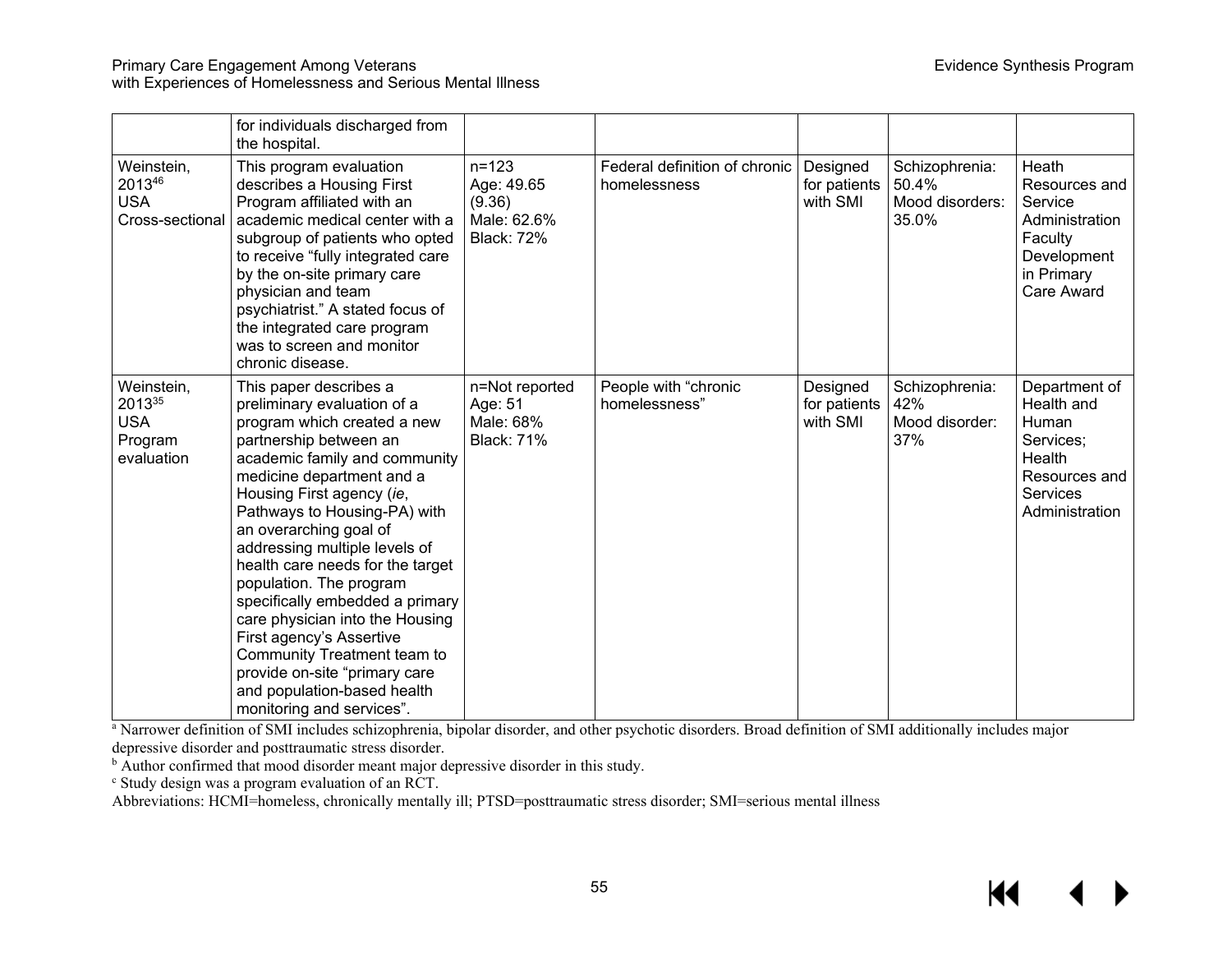#### Primary Care Engagement Among Veterans **Evidence Synthesis Program** Evidence Synthesis Program with Experiences of Homelessness and Serious Mental Illness

|                                                             | for individuals discharged from<br>the hospital.                                                                                                                                                                                                                                                                                                                                                                                                                                                                                                                                                  |                                                                       |                                               |                                      |                                                     |                                                                                                                   |
|-------------------------------------------------------------|---------------------------------------------------------------------------------------------------------------------------------------------------------------------------------------------------------------------------------------------------------------------------------------------------------------------------------------------------------------------------------------------------------------------------------------------------------------------------------------------------------------------------------------------------------------------------------------------------|-----------------------------------------------------------------------|-----------------------------------------------|--------------------------------------|-----------------------------------------------------|-------------------------------------------------------------------------------------------------------------------|
| Weinstein,<br>201346<br><b>USA</b><br>Cross-sectional       | This program evaluation<br>describes a Housing First<br>Program affiliated with an<br>academic medical center with a<br>subgroup of patients who opted<br>to receive "fully integrated care<br>by the on-site primary care<br>physician and team<br>psychiatrist." A stated focus of<br>the integrated care program<br>was to screen and monitor<br>chronic disease.                                                                                                                                                                                                                              | $n = 123$<br>Age: 49.65<br>(9.36)<br>Male: 62.6%<br><b>Black: 72%</b> | Federal definition of chronic<br>homelessness | Designed<br>for patients<br>with SMI | Schizophrenia:<br>50.4%<br>Mood disorders:<br>35.0% | Heath<br>Resources and<br>Service<br>Administration<br>Faculty<br>Development<br>in Primary<br><b>Care Award</b>  |
| Weinstein,<br>201335<br><b>USA</b><br>Program<br>evaluation | This paper describes a<br>preliminary evaluation of a<br>program which created a new<br>partnership between an<br>academic family and community<br>medicine department and a<br>Housing First agency (ie,<br>Pathways to Housing-PA) with<br>an overarching goal of<br>addressing multiple levels of<br>health care needs for the target<br>population. The program<br>specifically embedded a primary<br>care physician into the Housing<br>First agency's Assertive<br>Community Treatment team to<br>provide on-site "primary care<br>and population-based health<br>monitoring and services". | n=Not reported<br>Age: 51<br>Male: 68%<br><b>Black: 71%</b>           | People with "chronic<br>homelessness"         | Designed<br>for patients<br>with SMI | Schizophrenia:<br>42%<br>Mood disorder:<br>37%      | Department of<br>Health and<br>Human<br>Services:<br>Health<br>Resources and<br><b>Services</b><br>Administration |

<sup>a</sup> Narrower definition of SMI includes schizophrenia, bipolar disorder, and other psychotic disorders. Broad definition of SMI additionally includes major depressive disorder and posttraumatic stress disorder.

 $\overrightarrow{a}$  Author confirmed that mood disorder meant major depressive disorder in this study.

<sup>c</sup> Study design was a program evaluation of an RCT.

Abbreviations: HCMI=homeless, chronically mentally ill; PTSD=posttraumatic stress disorder; SMI=serious mental illness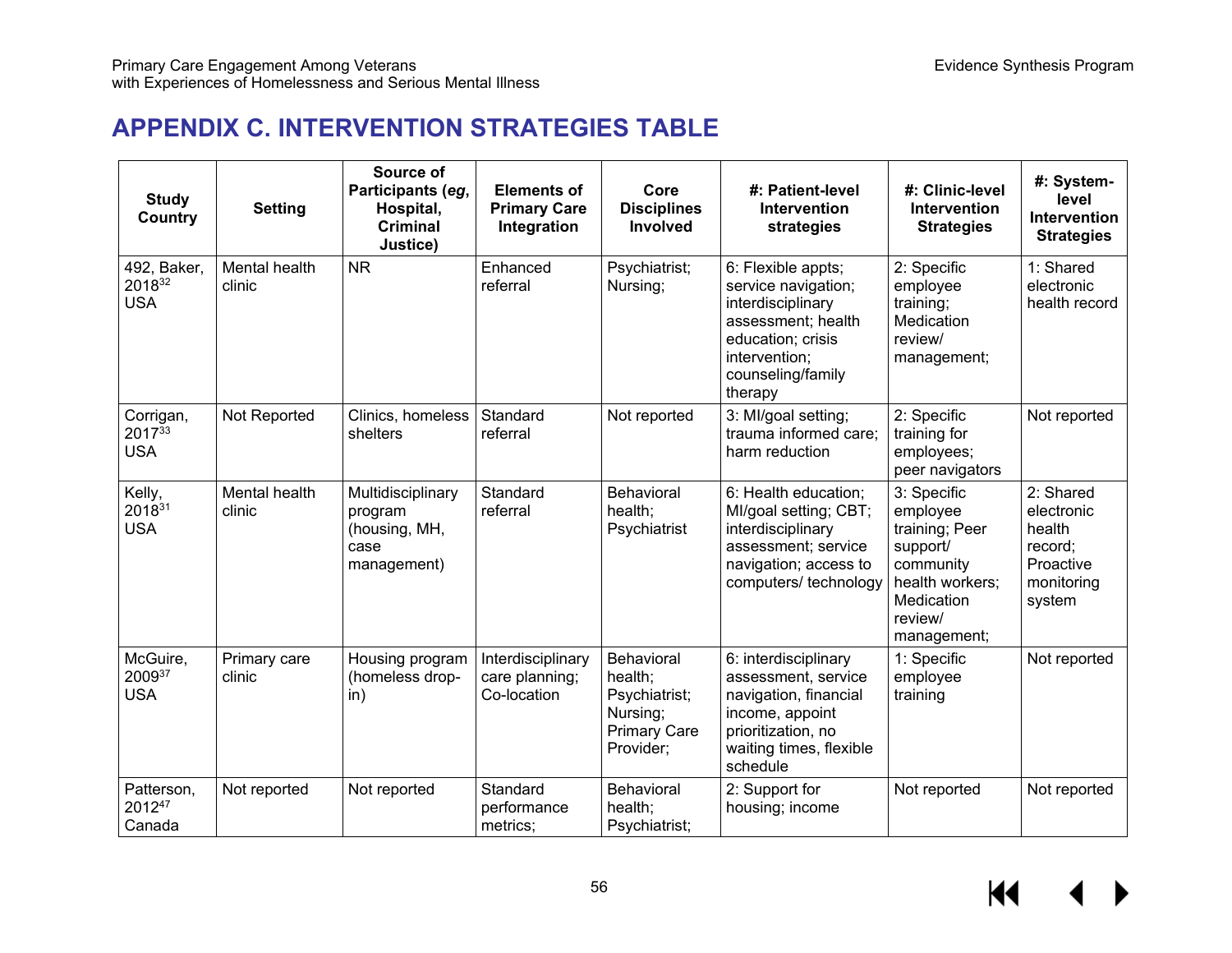# **APPENDIX C. INTERVENTION STRATEGIES TABLE**

| <b>Study</b><br>Country                | <b>Setting</b>          | Source of<br>Participants (eg,<br>Hospital,<br><b>Criminal</b><br>Justice) | <b>Elements of</b><br><b>Primary Care</b><br>Integration | Core<br><b>Disciplines</b><br>Involved                                                 | #: Patient-level<br>Intervention<br>strategies                                                                                                             | #: Clinic-level<br><b>Intervention</b><br><b>Strategies</b>                                                                   | #: System-<br>level<br><b>Intervention</b><br><b>Strategies</b>                   |
|----------------------------------------|-------------------------|----------------------------------------------------------------------------|----------------------------------------------------------|----------------------------------------------------------------------------------------|------------------------------------------------------------------------------------------------------------------------------------------------------------|-------------------------------------------------------------------------------------------------------------------------------|-----------------------------------------------------------------------------------|
| 492, Baker,<br>201832<br><b>USA</b>    | Mental health<br>clinic | <b>NR</b>                                                                  | Enhanced<br>referral                                     | Psychiatrist;<br>Nursing;                                                              | 6: Flexible appts;<br>service navigation;<br>interdisciplinary<br>assessment; health<br>education; crisis<br>intervention;<br>counseling/family<br>therapy | 2: Specific<br>employee<br>training;<br>Medication<br>review/<br>management;                                                  | 1: Shared<br>electronic<br>health record                                          |
| Corrigan,<br>$2017^{33}$<br><b>USA</b> | Not Reported            | Clinics, homeless<br>shelters                                              | Standard<br>referral                                     | Not reported                                                                           | 3: MI/goal setting;<br>trauma informed care;<br>harm reduction                                                                                             | 2: Specific<br>training for<br>employees;<br>peer navigators                                                                  | Not reported                                                                      |
| Kelly,<br>201831<br><b>USA</b>         | Mental health<br>clinic | Multidisciplinary<br>program<br>(housing, MH,<br>case<br>management)       | Standard<br>referral                                     | Behavioral<br>health;<br>Psychiatrist                                                  | 6: Health education;<br>MI/goal setting; CBT;<br>interdisciplinary<br>assessment; service<br>navigation; access to<br>computers/ technology                | 3: Specific<br>employee<br>training; Peer<br>support/<br>community<br>health workers;<br>Medication<br>review/<br>management; | 2: Shared<br>electronic<br>health<br>record;<br>Proactive<br>monitoring<br>system |
| McGuire,<br>200937<br><b>USA</b>       | Primary care<br>clinic  | Housing program<br>(homeless drop-<br>in)                                  | Interdisciplinary<br>care planning;<br>Co-location       | Behavioral<br>health;<br>Psychiatrist;<br>Nursing;<br><b>Primary Care</b><br>Provider; | 6: interdisciplinary<br>assessment, service<br>navigation, financial<br>income, appoint<br>prioritization, no<br>waiting times, flexible<br>schedule       | 1: Specific<br>employee<br>training                                                                                           | Not reported                                                                      |
| Patterson,<br>201247<br>Canada         | Not reported            | Not reported                                                               | Standard<br>performance<br>metrics;                      | Behavioral<br>health;<br>Psychiatrist;                                                 | 2: Support for<br>housing; income                                                                                                                          | Not reported                                                                                                                  | Not reported                                                                      |

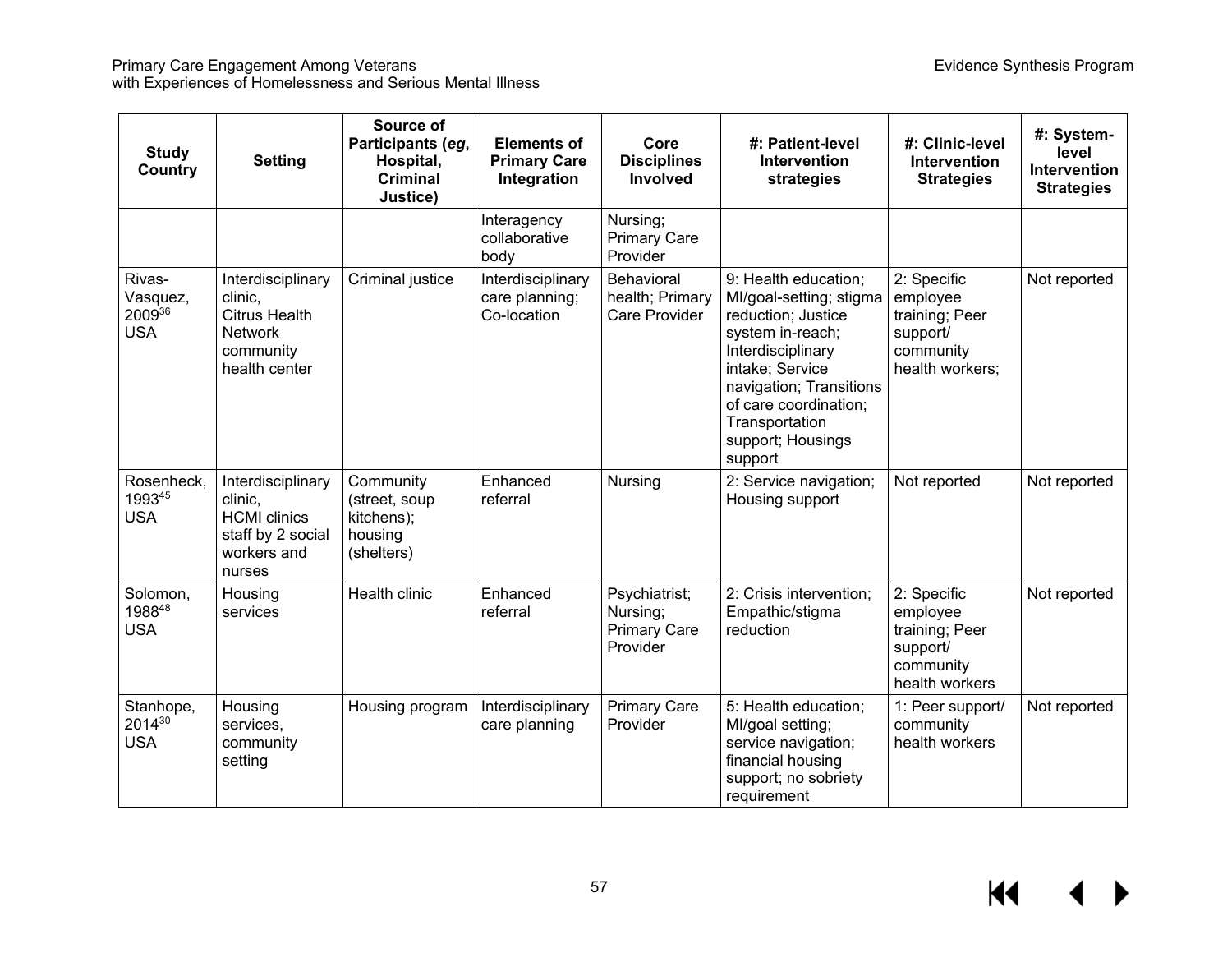| <b>Study</b><br>Country                    | <b>Setting</b>                                                                                       | Source of<br>Participants (eg,<br>Hospital,<br>Criminal<br>Justice) | <b>Elements of</b><br><b>Primary Care</b><br>Integration | Core<br><b>Disciplines</b><br><b>Involved</b>                | #: Patient-level<br>Intervention<br>strategies                                                                                                                                                                                          | #: Clinic-level<br>Intervention<br><b>Strategies</b>                                  | #: System-<br>level<br>Intervention<br><b>Strategies</b> |
|--------------------------------------------|------------------------------------------------------------------------------------------------------|---------------------------------------------------------------------|----------------------------------------------------------|--------------------------------------------------------------|-----------------------------------------------------------------------------------------------------------------------------------------------------------------------------------------------------------------------------------------|---------------------------------------------------------------------------------------|----------------------------------------------------------|
|                                            |                                                                                                      |                                                                     | Interagency<br>collaborative<br>body                     | Nursing;<br><b>Primary Care</b><br>Provider                  |                                                                                                                                                                                                                                         |                                                                                       |                                                          |
| Rivas-<br>Vasquez,<br>200936<br><b>USA</b> | Interdisciplinary<br>clinic,<br><b>Citrus Health</b><br><b>Network</b><br>community<br>health center | Criminal justice                                                    | Interdisciplinary<br>care planning;<br>Co-location       | Behavioral<br>health; Primary<br><b>Care Provider</b>        | 9: Health education;<br>MI/goal-setting; stigma<br>reduction; Justice<br>system in-reach;<br>Interdisciplinary<br>intake; Service<br>navigation; Transitions<br>of care coordination;<br>Transportation<br>support; Housings<br>support | 2: Specific<br>employee<br>training; Peer<br>support/<br>community<br>health workers; | Not reported                                             |
| Rosenheck,<br>199345<br><b>USA</b>         | Interdisciplinary<br>clinic,<br><b>HCMI</b> clinics<br>staff by 2 social<br>workers and<br>nurses    | Community<br>(street, soup<br>kitchens);<br>housing<br>(shelters)   | Enhanced<br>referral                                     | Nursing                                                      | 2: Service navigation;<br>Housing support                                                                                                                                                                                               | Not reported                                                                          | Not reported                                             |
| Solomon,<br>198848<br><b>USA</b>           | Housing<br>services                                                                                  | Health clinic                                                       | Enhanced<br>referral                                     | Psychiatrist;<br>Nursing;<br><b>Primary Care</b><br>Provider | 2: Crisis intervention;<br>Empathic/stigma<br>reduction                                                                                                                                                                                 | 2: Specific<br>employee<br>training; Peer<br>support/<br>community<br>health workers  | Not reported                                             |
| Stanhope,<br>201430<br><b>USA</b>          | Housing<br>services,<br>community<br>setting                                                         | Housing program                                                     | Interdisciplinary<br>care planning                       | <b>Primary Care</b><br>Provider                              | 5: Health education;<br>MI/goal setting;<br>service navigation;<br>financial housing<br>support; no sobriety<br>requirement                                                                                                             | 1: Peer support/<br>community<br>health workers                                       | Not reported                                             |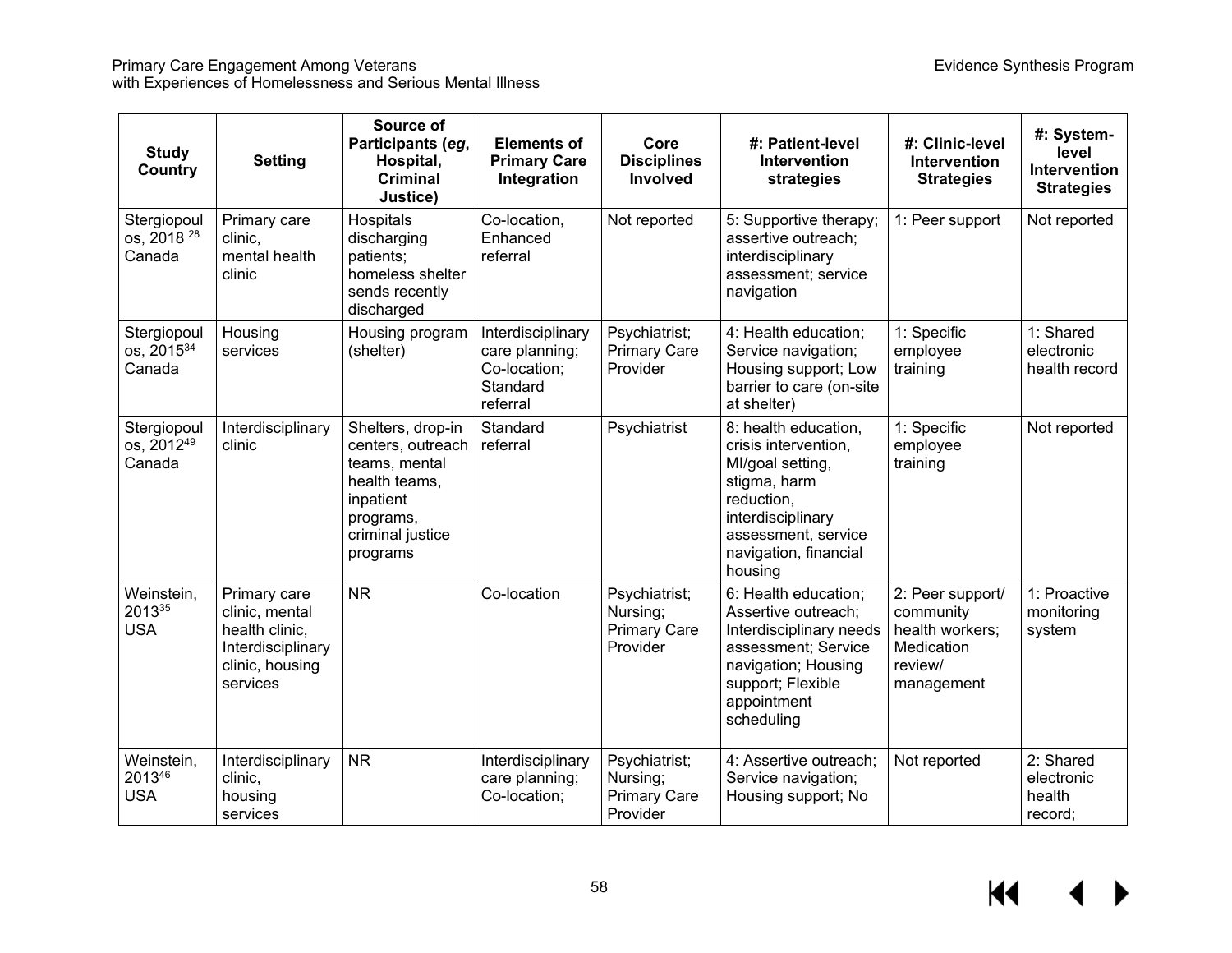| <b>Study</b><br>Country                         | <b>Setting</b>                                                                                       | Source of<br>Participants (eg,<br>Hospital,<br><b>Criminal</b><br>Justice)                                                         | <b>Elements of</b><br><b>Primary Care</b><br>Integration                    | Core<br><b>Disciplines</b><br>Involved                       | #: Patient-level<br><b>Intervention</b><br>strategies                                                                                                                          | #: Clinic-level<br>Intervention<br><b>Strategies</b>                                    | #: System-<br>level<br><b>Intervention</b><br><b>Strategies</b> |
|-------------------------------------------------|------------------------------------------------------------------------------------------------------|------------------------------------------------------------------------------------------------------------------------------------|-----------------------------------------------------------------------------|--------------------------------------------------------------|--------------------------------------------------------------------------------------------------------------------------------------------------------------------------------|-----------------------------------------------------------------------------------------|-----------------------------------------------------------------|
| Stergiopoul<br>os, 2018 <sup>28</sup><br>Canada | Primary care<br>clinic,<br>mental health<br>clinic                                                   | Hospitals<br>discharging<br>patients;<br>homeless shelter<br>sends recently<br>discharged                                          | Co-location,<br>Enhanced<br>referral                                        | Not reported                                                 | 5: Supportive therapy;<br>assertive outreach;<br>interdisciplinary<br>assessment; service<br>navigation                                                                        | 1: Peer support                                                                         | Not reported                                                    |
| Stergiopoul<br>os, 2015 <sup>34</sup><br>Canada | Housing<br>services                                                                                  | Housing program<br>(shelter)                                                                                                       | Interdisciplinary<br>care planning;<br>Co-location;<br>Standard<br>referral | Psychiatrist;<br><b>Primary Care</b><br>Provider             | 4: Health education;<br>Service navigation;<br>Housing support; Low<br>barrier to care (on-site<br>at shelter)                                                                 | 1: Specific<br>employee<br>training                                                     | 1: Shared<br>electronic<br>health record                        |
| Stergiopoul<br>os, 201249<br>Canada             | Interdisciplinary<br>clinic                                                                          | Shelters, drop-in<br>centers, outreach<br>teams, mental<br>health teams,<br>inpatient<br>programs,<br>criminal justice<br>programs | Standard<br>referral                                                        | Psychiatrist                                                 | 8: health education,<br>crisis intervention,<br>MI/goal setting,<br>stigma, harm<br>reduction,<br>interdisciplinary<br>assessment, service<br>navigation, financial<br>housing | 1: Specific<br>employee<br>training                                                     | Not reported                                                    |
| Weinstein,<br>201335<br><b>USA</b>              | Primary care<br>clinic, mental<br>health clinic,<br>Interdisciplinary<br>clinic, housing<br>services | <b>NR</b>                                                                                                                          | Co-location                                                                 | Psychiatrist;<br>Nursing;<br><b>Primary Care</b><br>Provider | 6: Health education;<br>Assertive outreach;<br>Interdisciplinary needs<br>assessment; Service<br>navigation; Housing<br>support; Flexible<br>appointment<br>scheduling         | 2: Peer support/<br>community<br>health workers;<br>Medication<br>review/<br>management | 1: Proactive<br>monitoring<br>system                            |
| Weinstein,<br>201346<br><b>USA</b>              | Interdisciplinary<br>clinic,<br>housing<br>services                                                  | <b>NR</b>                                                                                                                          | Interdisciplinary<br>care planning;<br>Co-location;                         | Psychiatrist;<br>Nursing;<br><b>Primary Care</b><br>Provider | 4: Assertive outreach;<br>Service navigation;<br>Housing support; No                                                                                                           | Not reported                                                                            | 2: Shared<br>electronic<br>health<br>record;                    |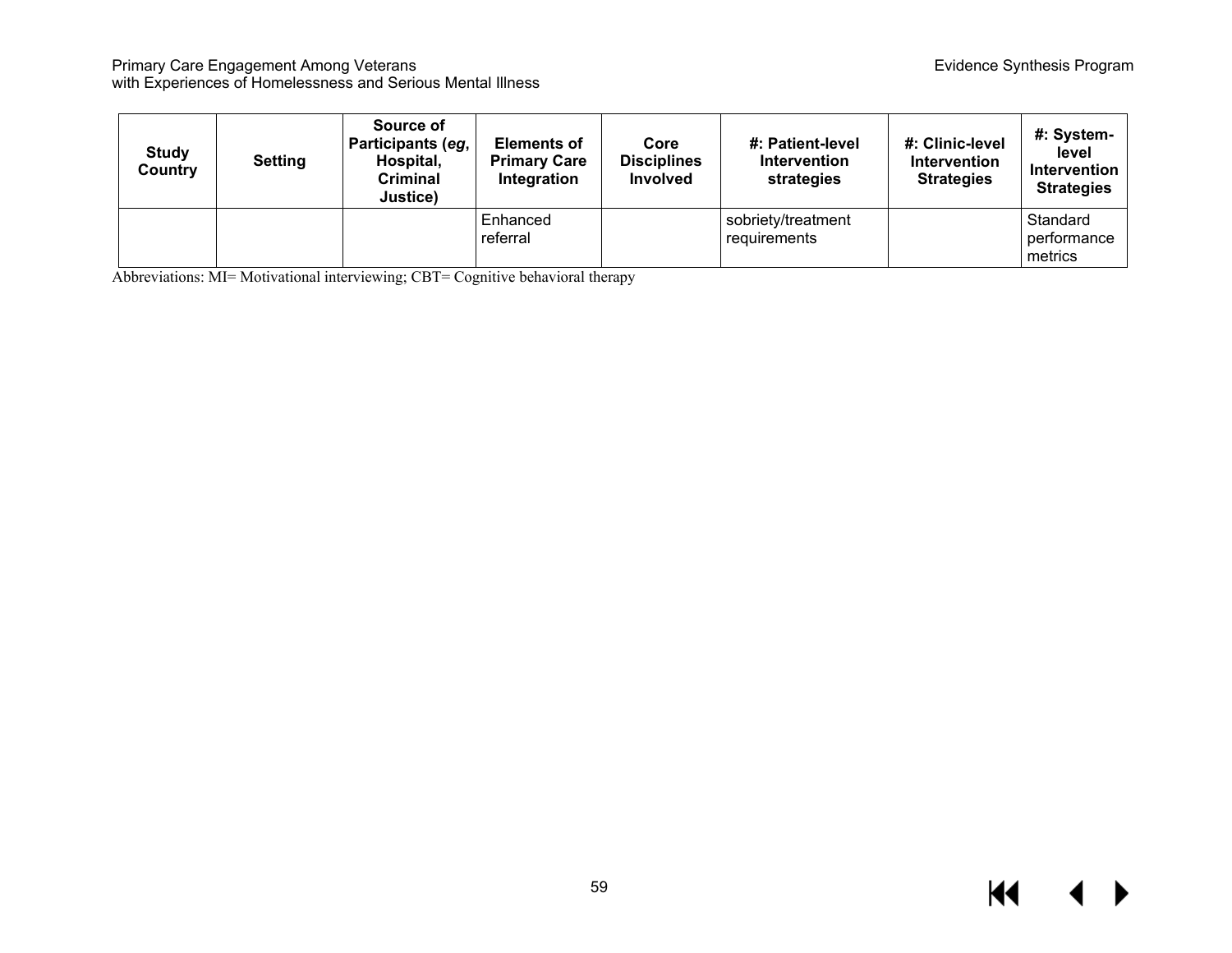| <b>Study</b><br>Country | <b>Setting</b> | Source of<br>Participants (eg, <sup>1</sup><br>Hospital,<br>Criminal<br>Justice) | <b>Elements of</b><br><b>Primary Care</b><br>Integration | Core<br><b>Disciplines</b><br><b>Involved</b> | #: Patient-level<br><b>Intervention</b><br>strategies | #: Clinic-level<br><b>Intervention</b><br><b>Strategies</b> | #: System-<br>level<br>Intervention<br><b>Strategies</b> |
|-------------------------|----------------|----------------------------------------------------------------------------------|----------------------------------------------------------|-----------------------------------------------|-------------------------------------------------------|-------------------------------------------------------------|----------------------------------------------------------|
|                         |                |                                                                                  | Enhanced<br>referral                                     |                                               | sobriety/treatment<br>requirements                    |                                                             | Standard<br>performance<br>metrics                       |

Abbreviations: MI= Motivational interviewing; CBT= Cognitive behavioral therapy

### $M$  $\leftrightarrow$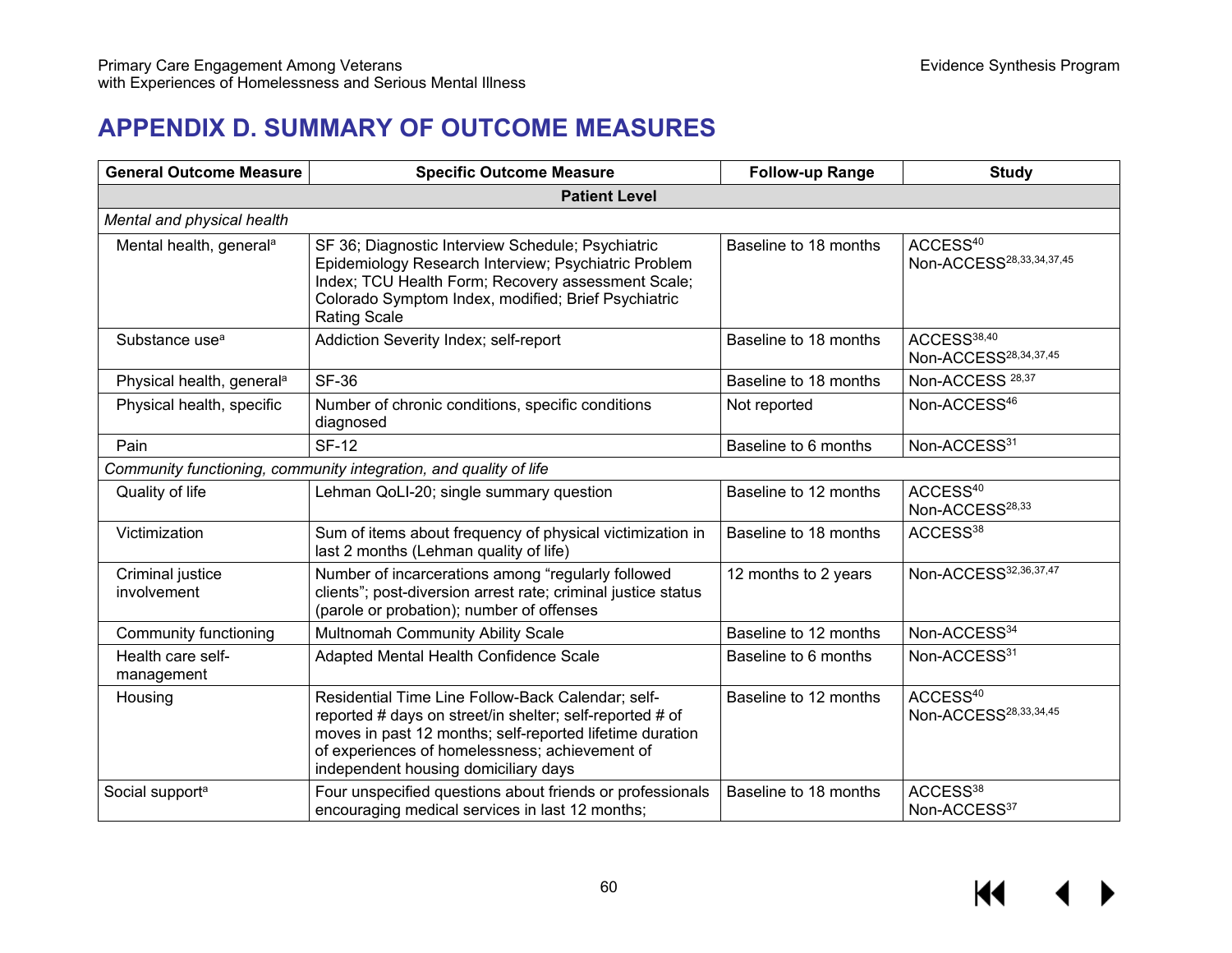# **APPENDIX D. SUMMARY OF OUTCOME MEASURES**

| <b>General Outcome Measure</b>                                    | <b>Specific Outcome Measure</b>                                                                                                                                                                                                                                     | <b>Follow-up Range</b> | <b>Study</b>                                                 |  |  |  |  |  |
|-------------------------------------------------------------------|---------------------------------------------------------------------------------------------------------------------------------------------------------------------------------------------------------------------------------------------------------------------|------------------------|--------------------------------------------------------------|--|--|--|--|--|
| <b>Patient Level</b>                                              |                                                                                                                                                                                                                                                                     |                        |                                                              |  |  |  |  |  |
| Mental and physical health                                        |                                                                                                                                                                                                                                                                     |                        |                                                              |  |  |  |  |  |
| Mental health, general <sup>a</sup>                               | SF 36; Diagnostic Interview Schedule; Psychiatric<br>Epidemiology Research Interview; Psychiatric Problem<br>Index; TCU Health Form; Recovery assessment Scale;<br>Colorado Symptom Index, modified; Brief Psychiatric<br><b>Rating Scale</b>                       | Baseline to 18 months  | ACCESS <sup>40</sup><br>Non-ACCESS <sup>28,33,34,37,45</sup> |  |  |  |  |  |
| Substance use <sup>a</sup>                                        | Addiction Severity Index; self-report                                                                                                                                                                                                                               | Baseline to 18 months  | ACCESS <sup>38,40</sup><br>Non-ACCESS <sup>28,34,37,45</sup> |  |  |  |  |  |
| Physical health, general <sup>a</sup>                             | <b>SF-36</b>                                                                                                                                                                                                                                                        | Baseline to 18 months  | Non-ACCESS <sup>28,37</sup>                                  |  |  |  |  |  |
| Physical health, specific                                         | Number of chronic conditions, specific conditions<br>diagnosed                                                                                                                                                                                                      | Not reported           | Non-ACCESS <sup>46</sup>                                     |  |  |  |  |  |
| Pain                                                              | <b>SF-12</b>                                                                                                                                                                                                                                                        | Baseline to 6 months   | Non-ACCESS31                                                 |  |  |  |  |  |
| Community functioning, community integration, and quality of life |                                                                                                                                                                                                                                                                     |                        |                                                              |  |  |  |  |  |
| Quality of life                                                   | Lehman QoLI-20; single summary question                                                                                                                                                                                                                             | Baseline to 12 months  | ACCESS <sup>40</sup><br>Non-ACCESS <sup>28,33</sup>          |  |  |  |  |  |
| Victimization                                                     | Sum of items about frequency of physical victimization in<br>last 2 months (Lehman quality of life)                                                                                                                                                                 | Baseline to 18 months  | ACCESS <sup>38</sup>                                         |  |  |  |  |  |
| Criminal justice<br>involvement                                   | Number of incarcerations among "regularly followed<br>clients"; post-diversion arrest rate; criminal justice status<br>(parole or probation); number of offenses                                                                                                    | 12 months to 2 years   | Non-ACCESS32,36,37,47                                        |  |  |  |  |  |
| <b>Community functioning</b>                                      | Multnomah Community Ability Scale                                                                                                                                                                                                                                   | Baseline to 12 months  | Non-ACCESS34                                                 |  |  |  |  |  |
| Health care self-<br>management                                   | Adapted Mental Health Confidence Scale                                                                                                                                                                                                                              | Baseline to 6 months   | Non-ACCESS31                                                 |  |  |  |  |  |
| Housing                                                           | Residential Time Line Follow-Back Calendar; self-<br>reported # days on street/in shelter; self-reported # of<br>moves in past 12 months; self-reported lifetime duration<br>of experiences of homelessness; achievement of<br>independent housing domiciliary days | Baseline to 12 months  | ACCESS <sup>40</sup><br>Non-ACCESS <sup>28,33,34,45</sup>    |  |  |  |  |  |
| Social support <sup>a</sup>                                       | Four unspecified questions about friends or professionals<br>encouraging medical services in last 12 months;                                                                                                                                                        | Baseline to 18 months  | ACCESS <sup>38</sup><br>Non-ACCESS37                         |  |  |  |  |  |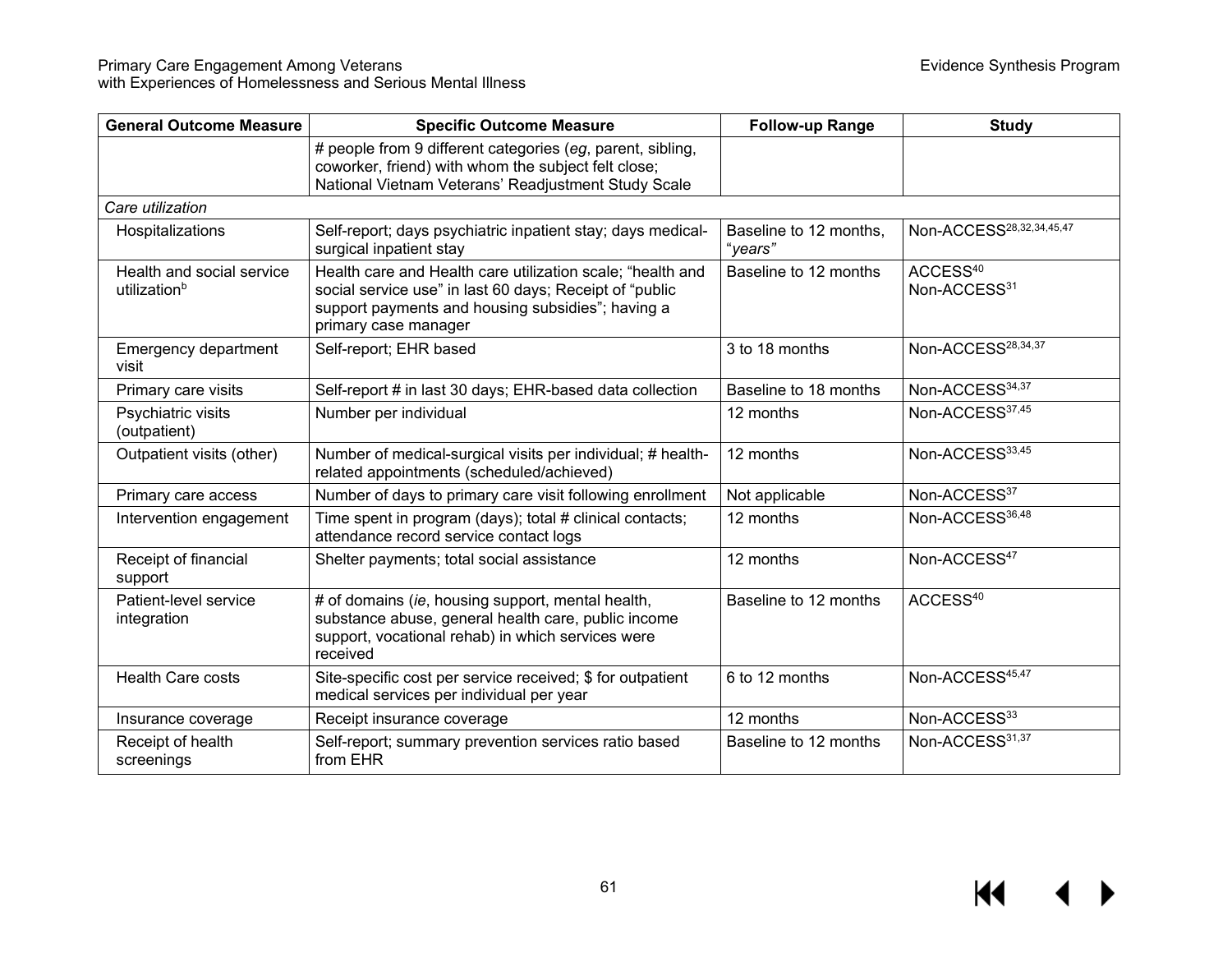| <b>General Outcome Measure</b><br><b>Specific Outcome Measure</b> |                                                                                                                                                                                                    | <b>Follow-up Range</b> | <b>Study</b>                         |
|-------------------------------------------------------------------|----------------------------------------------------------------------------------------------------------------------------------------------------------------------------------------------------|------------------------|--------------------------------------|
|                                                                   | # people from 9 different categories (eg, parent, sibling,<br>coworker, friend) with whom the subject felt close;<br>National Vietnam Veterans' Readjustment Study Scale                           |                        |                                      |
| Care utilization                                                  |                                                                                                                                                                                                    |                        |                                      |
| Hospitalizations                                                  | Self-report; days psychiatric inpatient stay; days medical-<br>Baseline to 12 months,<br>surgical inpatient stay<br>"years"                                                                        |                        | Non-ACCESS <sup>28,32,34,45,47</sup> |
| Health and social service<br>utilization <sup>b</sup>             | Health care and Health care utilization scale; "health and<br>social service use" in last 60 days; Receipt of "public<br>support payments and housing subsidies"; having a<br>primary case manager | Baseline to 12 months  | ACCESS <sup>40</sup><br>Non-ACCESS31 |
| Emergency department<br>visit                                     | Self-report; EHR based                                                                                                                                                                             | 3 to 18 months         | Non-ACCESS <sup>28,34,37</sup>       |
| Primary care visits                                               | Self-report # in last 30 days; EHR-based data collection                                                                                                                                           | Baseline to 18 months  | Non-ACCESS34,37                      |
| Psychiatric visits<br>(outpatient)                                | Number per individual                                                                                                                                                                              | 12 months              | Non-ACCESS37,45                      |
| Outpatient visits (other)                                         | Number of medical-surgical visits per individual; # health-<br>related appointments (scheduled/achieved)                                                                                           | 12 months              | Non-ACCESS33,45                      |
| Primary care access                                               | Number of days to primary care visit following enrollment                                                                                                                                          | Not applicable         | Non-ACCESS37                         |
| Intervention engagement                                           | Time spent in program (days); total # clinical contacts;<br>attendance record service contact logs                                                                                                 | 12 months              | Non-ACCESS36,48                      |
| Receipt of financial<br>support                                   | Shelter payments; total social assistance                                                                                                                                                          | 12 months              | Non-ACCESS <sup>47</sup>             |
| Patient-level service<br>integration                              | # of domains (ie, housing support, mental health,<br>substance abuse, general health care, public income<br>support, vocational rehab) in which services were<br>received                          | Baseline to 12 months  | ACCESS <sup>40</sup>                 |
| Health Care costs                                                 | Site-specific cost per service received; \$ for outpatient<br>medical services per individual per year                                                                                             | 6 to 12 months         | Non-ACCESS45,47                      |
| Insurance coverage                                                | Receipt insurance coverage                                                                                                                                                                         | 12 months              | Non-ACCESS33                         |
| Receipt of health<br>screenings                                   | Self-report; summary prevention services ratio based<br>from EHR                                                                                                                                   | Baseline to 12 months  | Non-ACCESS31,37                      |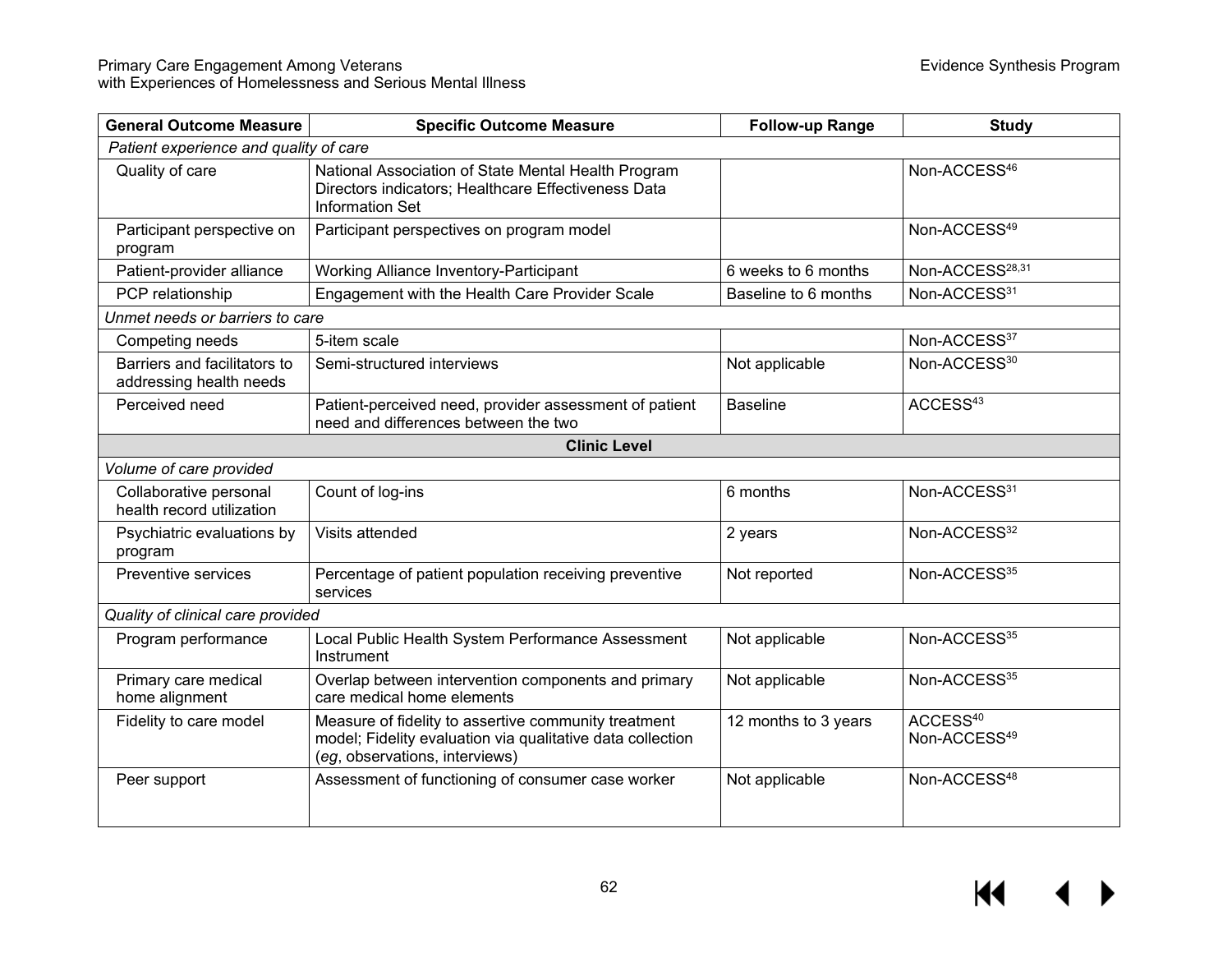| <b>General Outcome Measure</b>                          | <b>Specific Outcome Measure</b>                                                                                                                      | <b>Follow-up Range</b> | <b>Study</b>                                     |  |  |  |  |
|---------------------------------------------------------|------------------------------------------------------------------------------------------------------------------------------------------------------|------------------------|--------------------------------------------------|--|--|--|--|
| Patient experience and quality of care                  |                                                                                                                                                      |                        |                                                  |  |  |  |  |
| Quality of care                                         | National Association of State Mental Health Program<br>Directors indicators; Healthcare Effectiveness Data<br><b>Information Set</b>                 |                        | Non-ACCESS <sup>46</sup>                         |  |  |  |  |
| Participant perspective on<br>program                   | Participant perspectives on program model                                                                                                            |                        | Non-ACCESS <sup>49</sup>                         |  |  |  |  |
| Patient-provider alliance                               | Working Alliance Inventory-Participant                                                                                                               | 6 weeks to 6 months    | Non-ACCESS <sup>28,31</sup>                      |  |  |  |  |
| PCP relationship                                        | Engagement with the Health Care Provider Scale                                                                                                       | Baseline to 6 months   | Non-ACCESS31                                     |  |  |  |  |
| Unmet needs or barriers to care                         |                                                                                                                                                      |                        |                                                  |  |  |  |  |
| Competing needs                                         | 5-item scale                                                                                                                                         |                        | Non-ACCESS37                                     |  |  |  |  |
| Barriers and facilitators to<br>addressing health needs | Semi-structured interviews                                                                                                                           | Not applicable         | Non-ACCESS30                                     |  |  |  |  |
| Perceived need                                          | Patient-perceived need, provider assessment of patient<br>need and differences between the two                                                       | <b>Baseline</b>        | ACCESS <sup>43</sup>                             |  |  |  |  |
| <b>Clinic Level</b>                                     |                                                                                                                                                      |                        |                                                  |  |  |  |  |
| Volume of care provided                                 |                                                                                                                                                      |                        |                                                  |  |  |  |  |
| Collaborative personal<br>health record utilization     | Count of log-ins                                                                                                                                     | 6 months               | Non-ACCESS31                                     |  |  |  |  |
| Psychiatric evaluations by<br>program                   | Visits attended                                                                                                                                      | 2 years                | Non-ACCESS32                                     |  |  |  |  |
| Preventive services                                     | Percentage of patient population receiving preventive<br>services                                                                                    | Not reported           | Non-ACCESS35                                     |  |  |  |  |
| Quality of clinical care provided                       |                                                                                                                                                      |                        |                                                  |  |  |  |  |
| Program performance                                     | Local Public Health System Performance Assessment<br>Instrument                                                                                      | Not applicable         | Non-ACCESS35                                     |  |  |  |  |
| Primary care medical<br>home alignment                  | Overlap between intervention components and primary<br>care medical home elements                                                                    | Not applicable         | Non-ACCESS35                                     |  |  |  |  |
| Fidelity to care model                                  | Measure of fidelity to assertive community treatment<br>model; Fidelity evaluation via qualitative data collection<br>(eg, observations, interviews) | 12 months to 3 years   | ACCESS <sup>40</sup><br>Non-ACCESS <sup>49</sup> |  |  |  |  |
| Peer support                                            | Assessment of functioning of consumer case worker                                                                                                    | Not applicable         | Non-ACCESS <sup>48</sup>                         |  |  |  |  |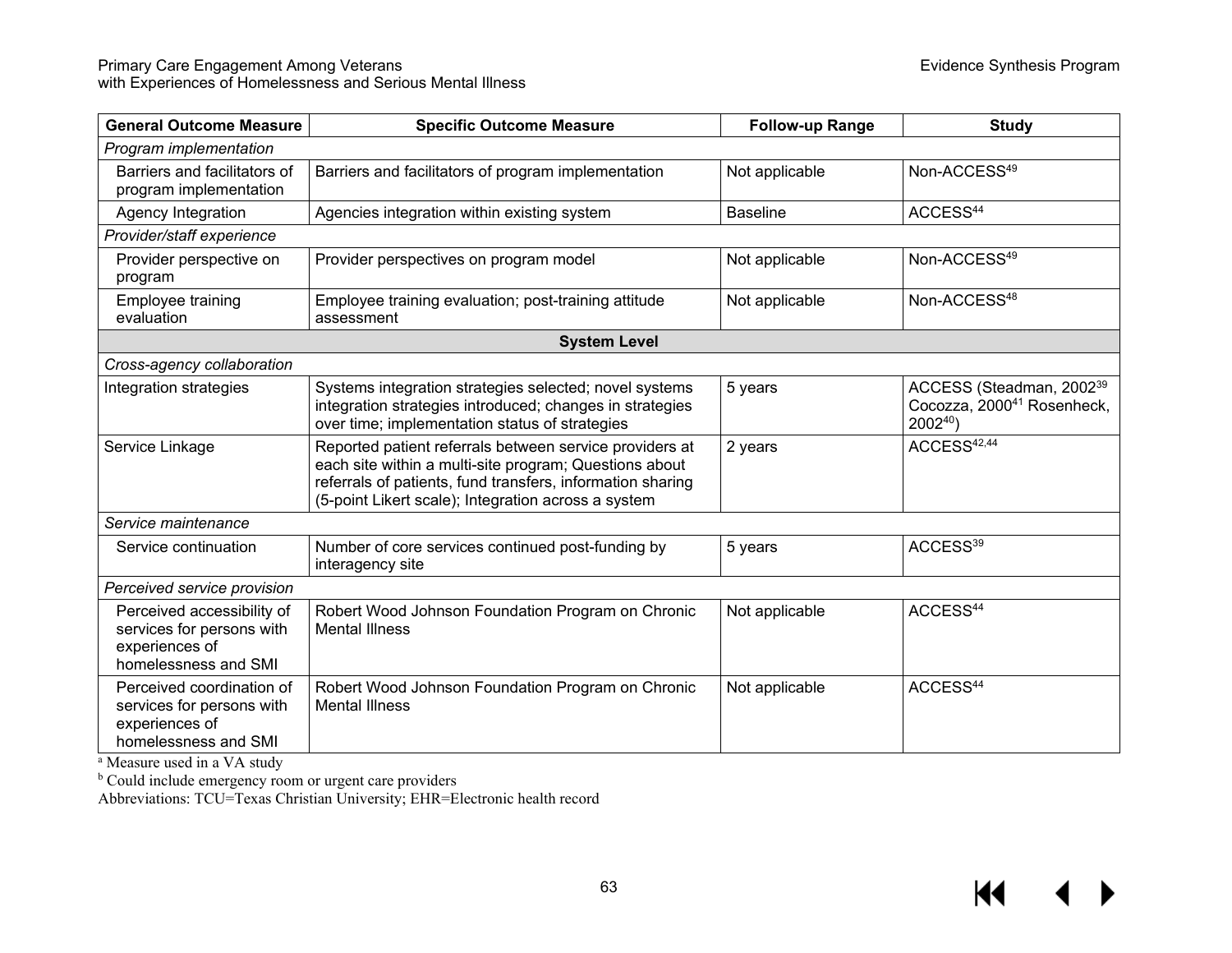| <b>General Outcome Measure</b>                                                                    | <b>Specific Outcome Measure</b>                                                                                                                                                                                                        | <b>Follow-up Range</b> | <b>Study</b>                                                                              |
|---------------------------------------------------------------------------------------------------|----------------------------------------------------------------------------------------------------------------------------------------------------------------------------------------------------------------------------------------|------------------------|-------------------------------------------------------------------------------------------|
| Program implementation                                                                            |                                                                                                                                                                                                                                        |                        |                                                                                           |
| Barriers and facilitators of<br>program implementation                                            | Barriers and facilitators of program implementation                                                                                                                                                                                    | Not applicable         | Non-ACCESS <sup>49</sup>                                                                  |
| Agency Integration                                                                                | Agencies integration within existing system                                                                                                                                                                                            | <b>Baseline</b>        | ACCESS <sup>44</sup>                                                                      |
| Provider/staff experience                                                                         |                                                                                                                                                                                                                                        |                        |                                                                                           |
| Provider perspective on<br>program                                                                | Provider perspectives on program model                                                                                                                                                                                                 | Not applicable         | Non-ACCESS <sup>49</sup>                                                                  |
| Employee training<br>evaluation                                                                   | Employee training evaluation; post-training attitude<br>assessment                                                                                                                                                                     | Not applicable         | Non-ACCESS <sup>48</sup>                                                                  |
|                                                                                                   | <b>System Level</b>                                                                                                                                                                                                                    |                        |                                                                                           |
| Cross-agency collaboration                                                                        |                                                                                                                                                                                                                                        |                        |                                                                                           |
| Integration strategies                                                                            | Systems integration strategies selected; novel systems<br>integration strategies introduced; changes in strategies<br>over time; implementation status of strategies                                                                   | 5 years                | ACCESS (Steadman, 2002 <sup>39</sup><br>Cocozza, 2000 <sup>41</sup> Rosenheck,<br>200240) |
| Service Linkage                                                                                   | Reported patient referrals between service providers at<br>each site within a multi-site program; Questions about<br>referrals of patients, fund transfers, information sharing<br>(5-point Likert scale); Integration across a system | 2 years                | ACCESS <sup>42,44</sup>                                                                   |
| Service maintenance                                                                               |                                                                                                                                                                                                                                        |                        |                                                                                           |
| Service continuation                                                                              | Number of core services continued post-funding by<br>interagency site                                                                                                                                                                  | 5 years                | ACCESS <sup>39</sup>                                                                      |
| Perceived service provision                                                                       |                                                                                                                                                                                                                                        |                        |                                                                                           |
| Perceived accessibility of<br>services for persons with<br>experiences of<br>homelessness and SMI | Robert Wood Johnson Foundation Program on Chronic<br><b>Mental Illness</b>                                                                                                                                                             | Not applicable         | ACCESS <sup>44</sup>                                                                      |
| Perceived coordination of<br>services for persons with<br>experiences of<br>homelessness and SMI  | Robert Wood Johnson Foundation Program on Chronic<br><b>Mental Illness</b>                                                                                                                                                             | Not applicable         | ACCESS <sup>44</sup>                                                                      |

<sup>a</sup> Measure used in a VA study

<sup>b</sup> Could include emergency room or urgent care providers

Abbreviations: TCU=Texas Christian University; EHR=Electronic health record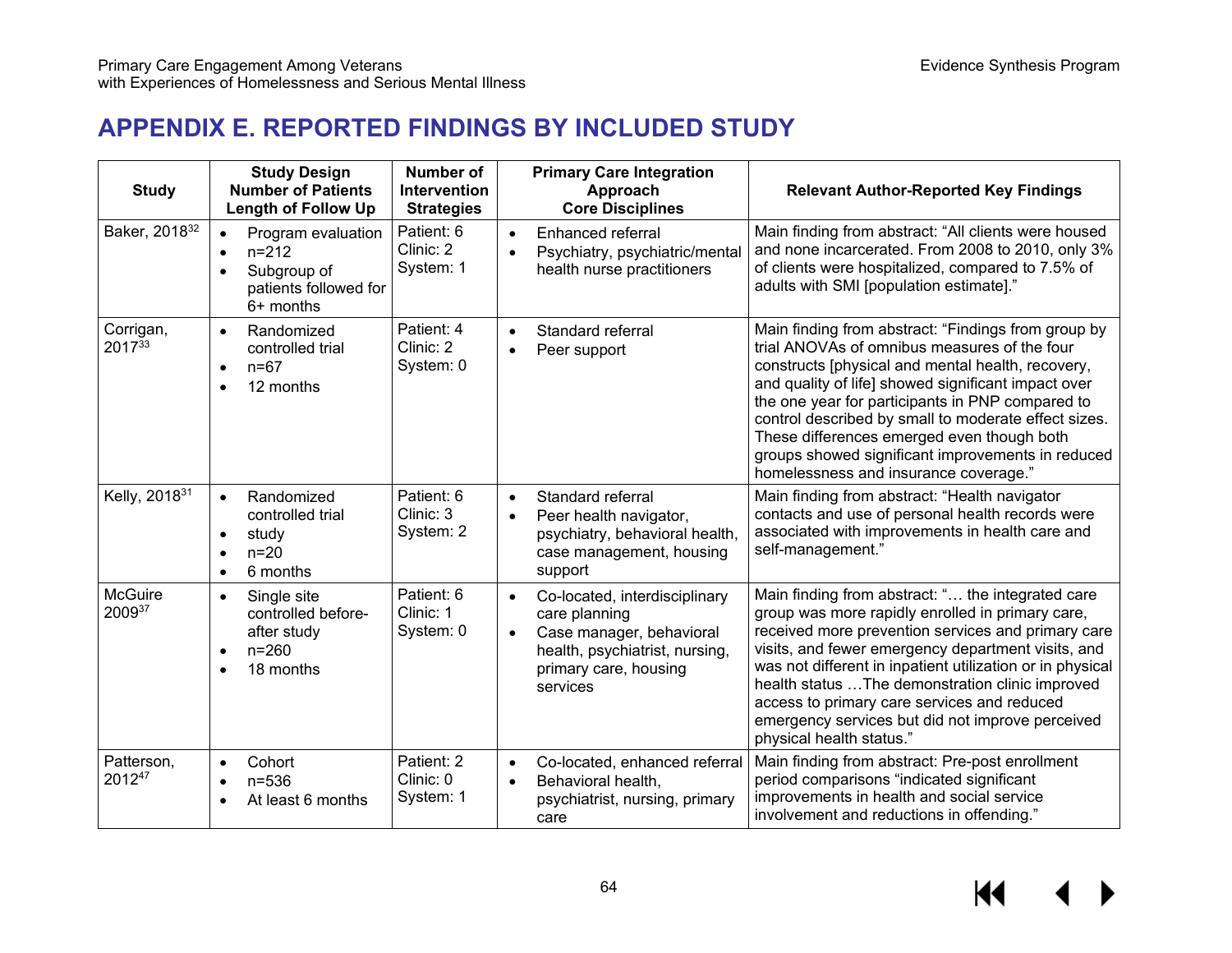# **APPENDIX E. REPORTED FINDINGS BY INCLUDED STUDY**

| <b>Study</b>              | <b>Study Design</b><br><b>Number of Patients</b><br><b>Length of Follow Up</b>                                                | Number of<br><b>Intervention</b><br><b>Strategies</b> | <b>Primary Care Integration</b><br>Approach<br><b>Core Disciplines</b>                                                                                                      | <b>Relevant Author-Reported Key Findings</b>                                                                                                                                                                                                                                                                                                                                                                                                                            |
|---------------------------|-------------------------------------------------------------------------------------------------------------------------------|-------------------------------------------------------|-----------------------------------------------------------------------------------------------------------------------------------------------------------------------------|-------------------------------------------------------------------------------------------------------------------------------------------------------------------------------------------------------------------------------------------------------------------------------------------------------------------------------------------------------------------------------------------------------------------------------------------------------------------------|
| Baker, 2018 <sup>32</sup> | Program evaluation<br>$\bullet$<br>$n = 212$<br>$\bullet$<br>Subgroup of<br>$\bullet$<br>patients followed for<br>$6+$ months | Patient: 6<br>Clinic: 2<br>System: 1                  | Enhanced referral<br>$\bullet$<br>Psychiatry, psychiatric/mental<br>$\bullet$<br>health nurse practitioners                                                                 | Main finding from abstract: "All clients were housed<br>and none incarcerated. From 2008 to 2010, only 3%<br>of clients were hospitalized, compared to 7.5% of<br>adults with SMI [population estimate]."                                                                                                                                                                                                                                                               |
| Corrigan,<br>201733       | Randomized<br>$\bullet$<br>controlled trial<br>$n = 67$<br>$\bullet$<br>12 months<br>$\bullet$                                | Patient: 4<br>Clinic: 2<br>System: 0                  | Standard referral<br>$\bullet$<br>Peer support<br>$\bullet$                                                                                                                 | Main finding from abstract: "Findings from group by<br>trial ANOVAs of omnibus measures of the four<br>constructs [physical and mental health, recovery,<br>and quality of life] showed significant impact over<br>the one year for participants in PNP compared to<br>control described by small to moderate effect sizes.<br>These differences emerged even though both<br>groups showed significant improvements in reduced<br>homelessness and insurance coverage." |
| Kelly, 2018 <sup>31</sup> | Randomized<br>$\bullet$<br>controlled trial<br>study<br>$\bullet$<br>$n=20$<br>$\bullet$<br>6 months<br>$\bullet$             | Patient: 6<br>Clinic: 3<br>System: 2                  | Standard referral<br>$\bullet$<br>Peer health navigator,<br>$\bullet$<br>psychiatry, behavioral health,<br>case management, housing<br>support                              | Main finding from abstract: "Health navigator<br>contacts and use of personal health records were<br>associated with improvements in health care and<br>self-management."                                                                                                                                                                                                                                                                                               |
| <b>McGuire</b><br>200937  | Single site<br>$\bullet$<br>controlled before-<br>after study<br>$n = 260$<br>$\bullet$<br>18 months<br>$\bullet$             | Patient: 6<br>Clinic: 1<br>System: 0                  | Co-located, interdisciplinary<br>$\bullet$<br>care planning<br>Case manager, behavioral<br>$\bullet$<br>health, psychiatrist, nursing,<br>primary care, housing<br>services | Main finding from abstract: " the integrated care<br>group was more rapidly enrolled in primary care,<br>received more prevention services and primary care<br>visits, and fewer emergency department visits, and<br>was not different in inpatient utilization or in physical<br>health status  The demonstration clinic improved<br>access to primary care services and reduced<br>emergency services but did not improve perceived<br>physical health status."       |
| Patterson,<br>201247      | Cohort<br>$\bullet$<br>$n = 536$<br>$\bullet$<br>At least 6 months<br>$\bullet$                                               | Patient: 2<br>Clinic: 0<br>System: 1                  | Co-located, enhanced referral<br>$\bullet$<br>Behavioral health,<br>$\bullet$<br>psychiatrist, nursing, primary<br>care                                                     | Main finding from abstract: Pre-post enrollment<br>period comparisons "indicated significant<br>improvements in health and social service<br>involvement and reductions in offending."                                                                                                                                                                                                                                                                                  |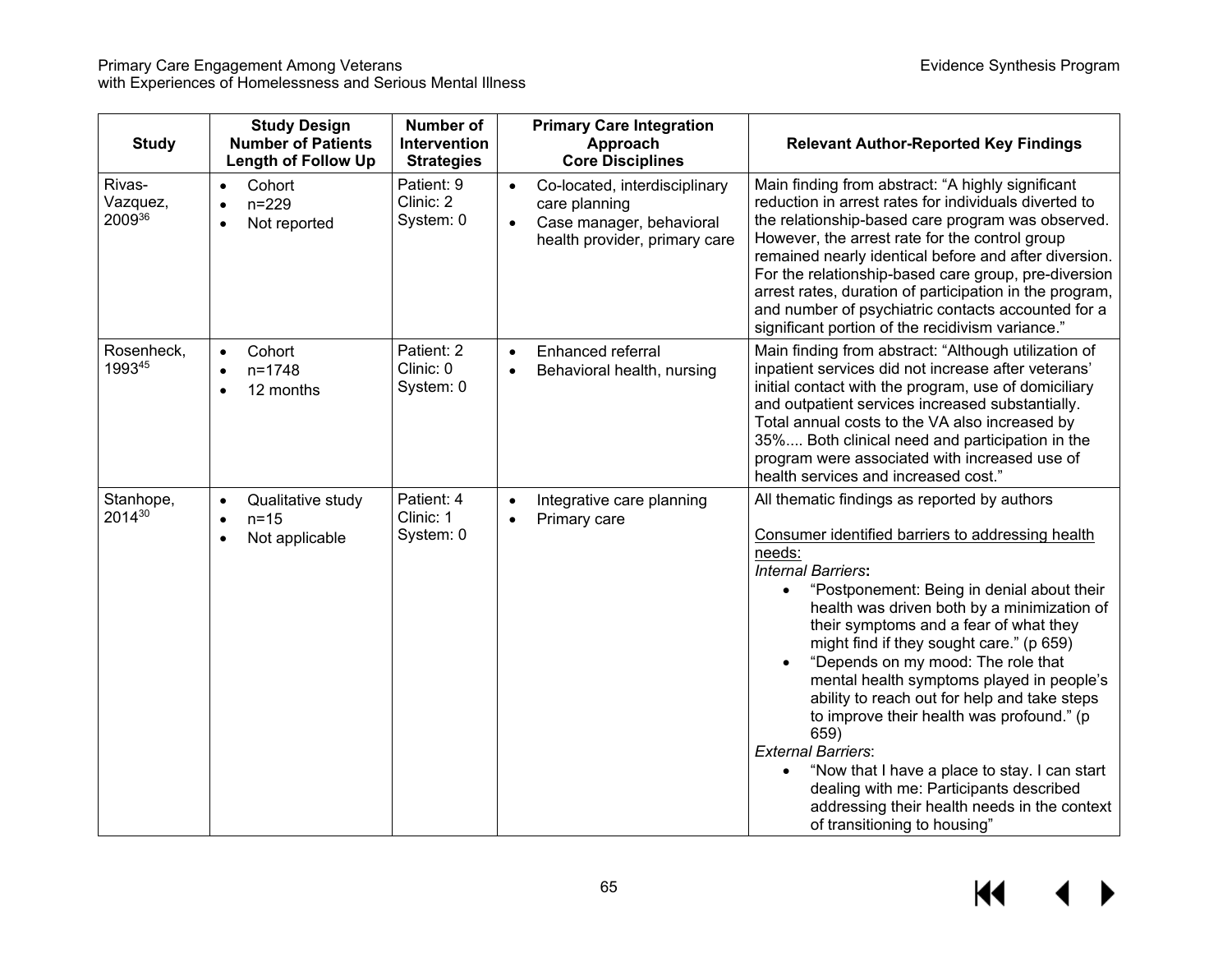| <b>Study</b>                 | <b>Study Design</b><br><b>Number of Patients</b><br><b>Length of Follow Up</b> | Number of<br>Intervention<br><b>Strategies</b> | <b>Primary Care Integration</b><br>Approach<br><b>Core Disciplines</b>                                                                | <b>Relevant Author-Reported Key Findings</b>                                                                                                                                                                                                                                                                                                                                                                                                                                                                                                                                                                                                                                                                                              |
|------------------------------|--------------------------------------------------------------------------------|------------------------------------------------|---------------------------------------------------------------------------------------------------------------------------------------|-------------------------------------------------------------------------------------------------------------------------------------------------------------------------------------------------------------------------------------------------------------------------------------------------------------------------------------------------------------------------------------------------------------------------------------------------------------------------------------------------------------------------------------------------------------------------------------------------------------------------------------------------------------------------------------------------------------------------------------------|
| Rivas-<br>Vazquez,<br>200936 | Cohort<br>$\bullet$<br>$n = 229$<br>$\bullet$<br>Not reported<br>$\bullet$     | Patient: 9<br>Clinic: 2<br>System: 0           | Co-located, interdisciplinary<br>$\bullet$<br>care planning<br>Case manager, behavioral<br>$\bullet$<br>health provider, primary care | Main finding from abstract: "A highly significant<br>reduction in arrest rates for individuals diverted to<br>the relationship-based care program was observed.<br>However, the arrest rate for the control group<br>remained nearly identical before and after diversion.<br>For the relationship-based care group, pre-diversion<br>arrest rates, duration of participation in the program,<br>and number of psychiatric contacts accounted for a<br>significant portion of the recidivism variance."                                                                                                                                                                                                                                   |
| Rosenheck,<br>199345         | Cohort<br>$\bullet$<br>$n = 1748$<br>$\bullet$<br>12 months                    | Patient: 2<br>Clinic: 0<br>System: 0           | Enhanced referral<br>$\bullet$<br>Behavioral health, nursing<br>$\bullet$                                                             | Main finding from abstract: "Although utilization of<br>inpatient services did not increase after veterans'<br>initial contact with the program, use of domiciliary<br>and outpatient services increased substantially.<br>Total annual costs to the VA also increased by<br>35% Both clinical need and participation in the<br>program were associated with increased use of<br>health services and increased cost."                                                                                                                                                                                                                                                                                                                     |
| Stanhope,<br>201430          | Qualitative study<br>$\bullet$<br>$n = 15$<br>$\bullet$<br>Not applicable      | Patient: 4<br>Clinic: 1<br>System: 0           | Integrative care planning<br>$\bullet$<br>Primary care<br>$\bullet$                                                                   | All thematic findings as reported by authors<br>Consumer identified barriers to addressing health<br>needs:<br><b>Internal Barriers:</b><br>"Postponement: Being in denial about their<br>$\bullet$<br>health was driven both by a minimization of<br>their symptoms and a fear of what they<br>might find if they sought care." (p 659)<br>"Depends on my mood: The role that<br>mental health symptoms played in people's<br>ability to reach out for help and take steps<br>to improve their health was profound." (p<br>659)<br><b>External Barriers:</b><br>"Now that I have a place to stay. I can start<br>dealing with me: Participants described<br>addressing their health needs in the context<br>of transitioning to housing" |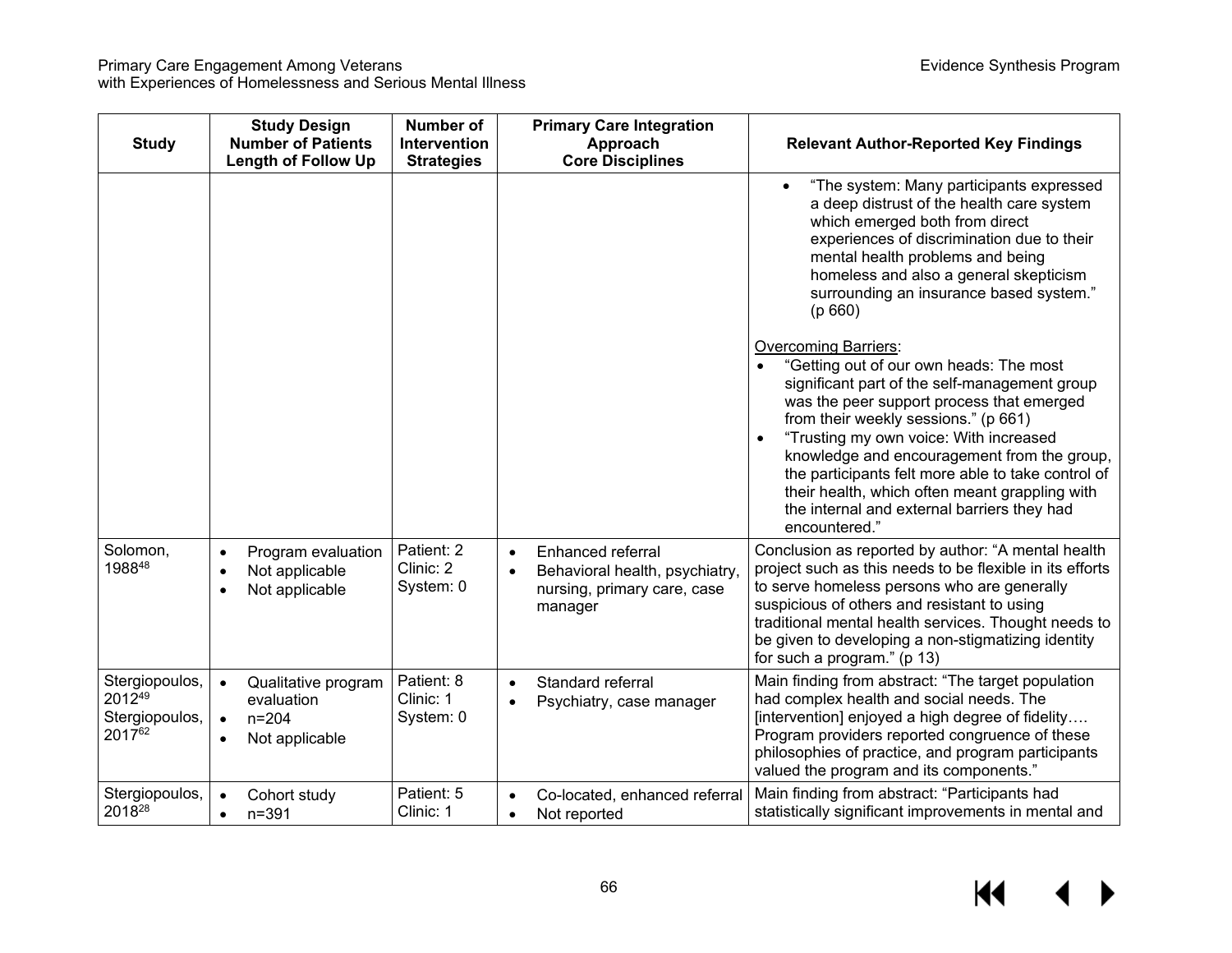| <b>Study</b>                                         | <b>Study Design</b><br><b>Number of Patients</b><br><b>Length of Follow Up</b>                          | <b>Number of</b><br>Intervention<br><b>Strategies</b> | <b>Primary Care Integration</b><br>Approach<br><b>Core Disciplines</b>                                                  | <b>Relevant Author-Reported Key Findings</b>                                                                                                                                                                                                                                                                                                                                                                                                                                                            |
|------------------------------------------------------|---------------------------------------------------------------------------------------------------------|-------------------------------------------------------|-------------------------------------------------------------------------------------------------------------------------|---------------------------------------------------------------------------------------------------------------------------------------------------------------------------------------------------------------------------------------------------------------------------------------------------------------------------------------------------------------------------------------------------------------------------------------------------------------------------------------------------------|
|                                                      |                                                                                                         |                                                       |                                                                                                                         | "The system: Many participants expressed<br>$\bullet$<br>a deep distrust of the health care system<br>which emerged both from direct<br>experiences of discrimination due to their<br>mental health problems and being<br>homeless and also a general skepticism<br>surrounding an insurance based system."<br>(p 660)                                                                                                                                                                                  |
|                                                      |                                                                                                         |                                                       |                                                                                                                         | <b>Overcoming Barriers:</b><br>"Getting out of our own heads: The most<br>$\bullet$<br>significant part of the self-management group<br>was the peer support process that emerged<br>from their weekly sessions." (p 661)<br>"Trusting my own voice: With increased<br>$\bullet$<br>knowledge and encouragement from the group,<br>the participants felt more able to take control of<br>their health, which often meant grappling with<br>the internal and external barriers they had<br>encountered." |
| Solomon,<br>198848                                   | Program evaluation<br>$\bullet$<br>Not applicable<br>$\bullet$<br>Not applicable                        | Patient: 2<br>Clinic: 2<br>System: 0                  | Enhanced referral<br>$\bullet$<br>Behavioral health, psychiatry,<br>$\bullet$<br>nursing, primary care, case<br>manager | Conclusion as reported by author: "A mental health<br>project such as this needs to be flexible in its efforts<br>to serve homeless persons who are generally<br>suspicious of others and resistant to using<br>traditional mental health services. Thought needs to<br>be given to developing a non-stigmatizing identity<br>for such a program." (p 13)                                                                                                                                               |
| Stergiopoulos,<br>201249<br>Stergiopoulos,<br>201762 | Qualitative program<br>$\bullet$<br>evaluation<br>$n = 204$<br>$\bullet$<br>Not applicable<br>$\bullet$ | Patient: 8<br>Clinic: 1<br>System: 0                  | Standard referral<br>$\bullet$<br>Psychiatry, case manager<br>$\bullet$                                                 | Main finding from abstract: "The target population<br>had complex health and social needs. The<br>[intervention] enjoyed a high degree of fidelity<br>Program providers reported congruence of these<br>philosophies of practice, and program participants<br>valued the program and its components."                                                                                                                                                                                                   |
| Stergiopoulos,<br>201828                             | Cohort study<br>$\bullet$<br>$n = 391$<br>$\bullet$                                                     | Patient: 5<br>Clinic: 1                               | Co-located, enhanced referral<br>$\bullet$<br>Not reported<br>$\bullet$                                                 | Main finding from abstract: "Participants had<br>statistically significant improvements in mental and                                                                                                                                                                                                                                                                                                                                                                                                   |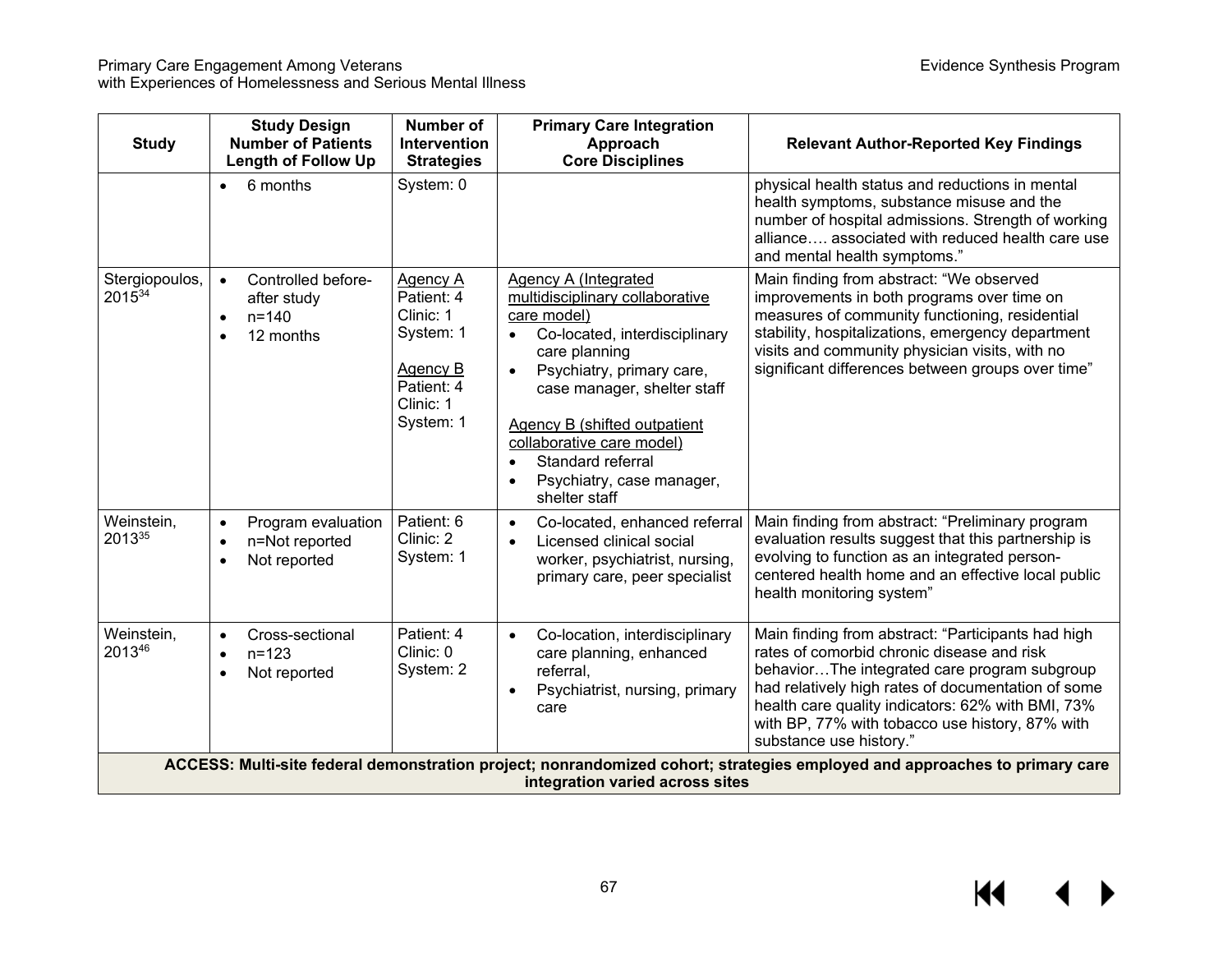| <b>Study</b>                                                                                                                                                  | <b>Study Design</b><br><b>Number of Patients</b><br><b>Length of Follow Up</b>        | <b>Number of</b><br>Intervention<br><b>Strategies</b>                                                              | <b>Primary Care Integration</b><br>Approach<br><b>Core Disciplines</b>                                                                                                                                                                                                                                                                                              | <b>Relevant Author-Reported Key Findings</b>                                                                                                                                                                                                                                                                                              |  |  |
|---------------------------------------------------------------------------------------------------------------------------------------------------------------|---------------------------------------------------------------------------------------|--------------------------------------------------------------------------------------------------------------------|---------------------------------------------------------------------------------------------------------------------------------------------------------------------------------------------------------------------------------------------------------------------------------------------------------------------------------------------------------------------|-------------------------------------------------------------------------------------------------------------------------------------------------------------------------------------------------------------------------------------------------------------------------------------------------------------------------------------------|--|--|
|                                                                                                                                                               | 6 months                                                                              | System: 0                                                                                                          |                                                                                                                                                                                                                                                                                                                                                                     | physical health status and reductions in mental<br>health symptoms, substance misuse and the<br>number of hospital admissions. Strength of working<br>alliance associated with reduced health care use<br>and mental health symptoms."                                                                                                    |  |  |
| Stergiopoulos,<br>201534                                                                                                                                      | Controlled before-<br>$\bullet$<br>after study<br>$n = 140$<br>$\bullet$<br>12 months | <b>Agency A</b><br>Patient: 4<br>Clinic: 1<br>System: 1<br><b>Agency B</b><br>Patient: 4<br>Clinic: 1<br>System: 1 | Agency A (Integrated<br>multidisciplinary collaborative<br>care model)<br>Co-located, interdisciplinary<br>$\bullet$<br>care planning<br>Psychiatry, primary care,<br>$\bullet$<br>case manager, shelter staff<br><b>Agency B (shifted outpatient)</b><br>collaborative care model)<br>Standard referral<br>Psychiatry, case manager,<br>$\bullet$<br>shelter staff | Main finding from abstract: "We observed<br>improvements in both programs over time on<br>measures of community functioning, residential<br>stability, hospitalizations, emergency department<br>visits and community physician visits, with no<br>significant differences between groups over time"                                      |  |  |
| Weinstein,<br>201335                                                                                                                                          | Program evaluation<br>$\bullet$<br>n=Not reported<br>Not reported                     | Patient: 6<br>Clinic: 2<br>System: 1                                                                               | Co-located, enhanced referral<br>$\bullet$<br>Licensed clinical social<br>$\bullet$<br>worker, psychiatrist, nursing,<br>primary care, peer specialist                                                                                                                                                                                                              | Main finding from abstract: "Preliminary program<br>evaluation results suggest that this partnership is<br>evolving to function as an integrated person-<br>centered health home and an effective local public<br>health monitoring system"                                                                                               |  |  |
| Weinstein,<br>201346                                                                                                                                          | Cross-sectional<br>$\bullet$<br>$n = 123$<br>$\bullet$<br>Not reported                | Patient: 4<br>Clinic: 0<br>System: 2                                                                               | Co-location, interdisciplinary<br>$\bullet$<br>care planning, enhanced<br>referral,<br>Psychiatrist, nursing, primary<br>$\bullet$<br>care                                                                                                                                                                                                                          | Main finding from abstract: "Participants had high<br>rates of comorbid chronic disease and risk<br>behaviorThe integrated care program subgroup<br>had relatively high rates of documentation of some<br>health care quality indicators: 62% with BMI, 73%<br>with BP, 77% with tobacco use history, 87% with<br>substance use history." |  |  |
| ACCESS: Multi-site federal demonstration project; nonrandomized cohort; strategies employed and approaches to primary care<br>integration varied across sites |                                                                                       |                                                                                                                    |                                                                                                                                                                                                                                                                                                                                                                     |                                                                                                                                                                                                                                                                                                                                           |  |  |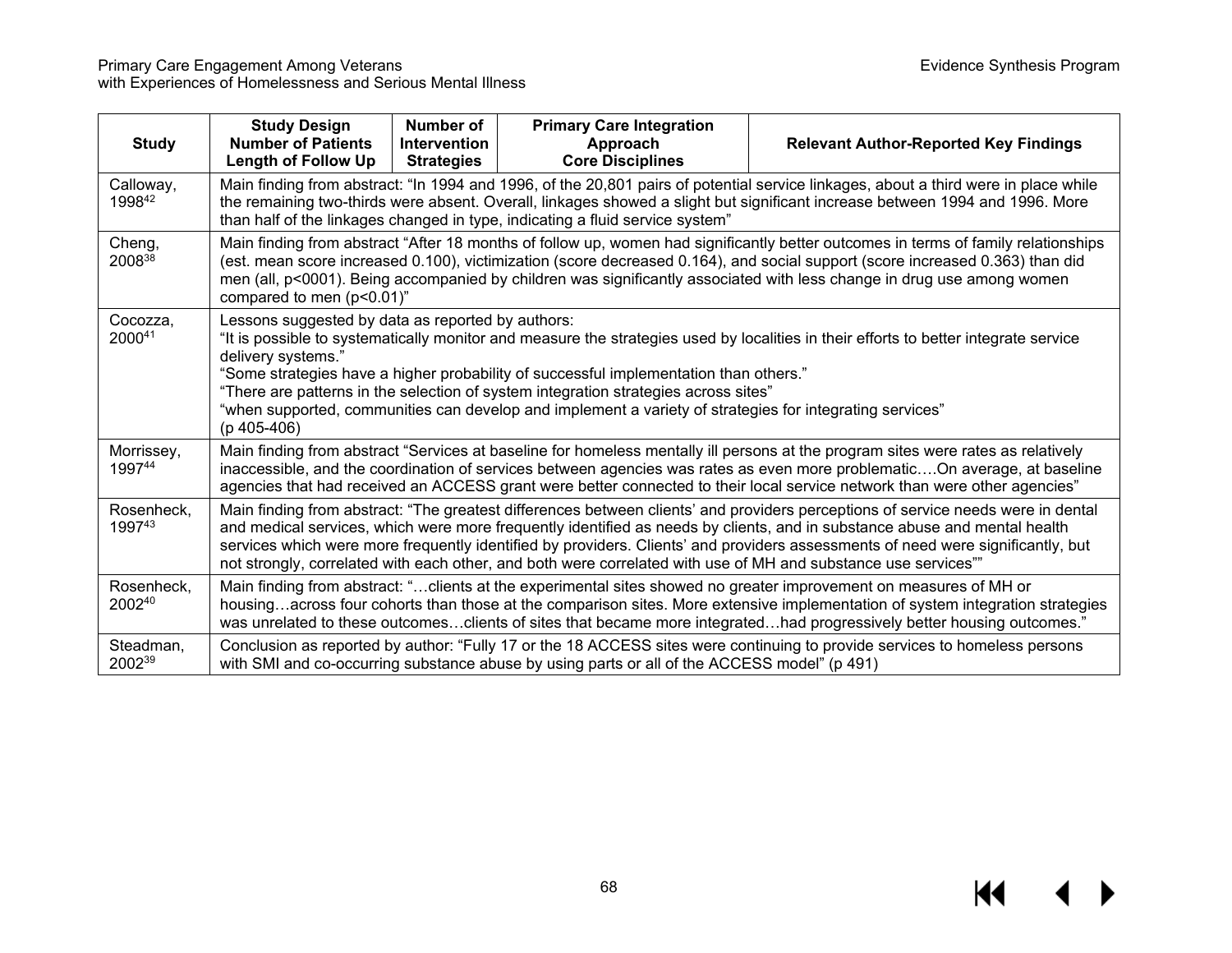| <b>Study</b>         | <b>Study Design</b><br><b>Number of Patients</b><br><b>Length of Follow Up</b>                                                                                                                                                                                                                                                                                                                                                                                                                                             | Number of<br>Intervention<br><b>Strategies</b> | <b>Primary Care Integration</b><br>Approach<br><b>Core Disciplines</b>                       | <b>Relevant Author-Reported Key Findings</b>                                                                                                                                                                                                                                                                                                                                 |  |
|----------------------|----------------------------------------------------------------------------------------------------------------------------------------------------------------------------------------------------------------------------------------------------------------------------------------------------------------------------------------------------------------------------------------------------------------------------------------------------------------------------------------------------------------------------|------------------------------------------------|----------------------------------------------------------------------------------------------|------------------------------------------------------------------------------------------------------------------------------------------------------------------------------------------------------------------------------------------------------------------------------------------------------------------------------------------------------------------------------|--|
| Calloway,<br>199842  |                                                                                                                                                                                                                                                                                                                                                                                                                                                                                                                            |                                                | than half of the linkages changed in type, indicating a fluid service system"                | Main finding from abstract: "In 1994 and 1996, of the 20,801 pairs of potential service linkages, about a third were in place while<br>the remaining two-thirds were absent. Overall, linkages showed a slight but significant increase between 1994 and 1996. More                                                                                                          |  |
| Cheng,<br>200838     | Main finding from abstract "After 18 months of follow up, women had significantly better outcomes in terms of family relationships<br>(est. mean score increased 0.100), victimization (score decreased 0.164), and social support (score increased 0.363) than did<br>men (all, p<0001). Being accompanied by children was significantly associated with less change in drug use among women<br>compared to men (p<0.01)"                                                                                                 |                                                |                                                                                              |                                                                                                                                                                                                                                                                                                                                                                              |  |
| Cocozza,<br>200041   | Lessons suggested by data as reported by authors:<br>"It is possible to systematically monitor and measure the strategies used by localities in their efforts to better integrate service<br>delivery systems."<br>"Some strategies have a higher probability of successful implementation than others."<br>"There are patterns in the selection of system integration strategies across sites"<br>"when supported, communities can develop and implement a variety of strategies for integrating services"<br>(p 405-406) |                                                |                                                                                              |                                                                                                                                                                                                                                                                                                                                                                              |  |
| Morrissey,<br>199744 | Main finding from abstract "Services at baseline for homeless mentally ill persons at the program sites were rates as relatively<br>inaccessible, and the coordination of services between agencies was rates as even more problematicOn average, at baseline<br>agencies that had received an ACCESS grant were better connected to their local service network than were other agencies"                                                                                                                                 |                                                |                                                                                              |                                                                                                                                                                                                                                                                                                                                                                              |  |
| Rosenheck,<br>199743 | Main finding from abstract: "The greatest differences between clients' and providers perceptions of service needs were in dental<br>and medical services, which were more frequently identified as needs by clients, and in substance abuse and mental health<br>services which were more frequently identified by providers. Clients' and providers assessments of need were significantly, but<br>not strongly, correlated with each other, and both were correlated with use of MH and substance use services""         |                                                |                                                                                              |                                                                                                                                                                                                                                                                                                                                                                              |  |
| Rosenheck,<br>200240 |                                                                                                                                                                                                                                                                                                                                                                                                                                                                                                                            |                                                |                                                                                              | Main finding from abstract: "clients at the experimental sites showed no greater improvement on measures of MH or<br>housingacross four cohorts than those at the comparison sites. More extensive implementation of system integration strategies<br>was unrelated to these outcomesclients of sites that became more integratedhad progressively better housing outcomes." |  |
| Steadman,<br>200239  |                                                                                                                                                                                                                                                                                                                                                                                                                                                                                                                            |                                                | with SMI and co-occurring substance abuse by using parts or all of the ACCESS model" (p 491) | Conclusion as reported by author: "Fully 17 or the 18 ACCESS sites were continuing to provide services to homeless persons                                                                                                                                                                                                                                                   |  |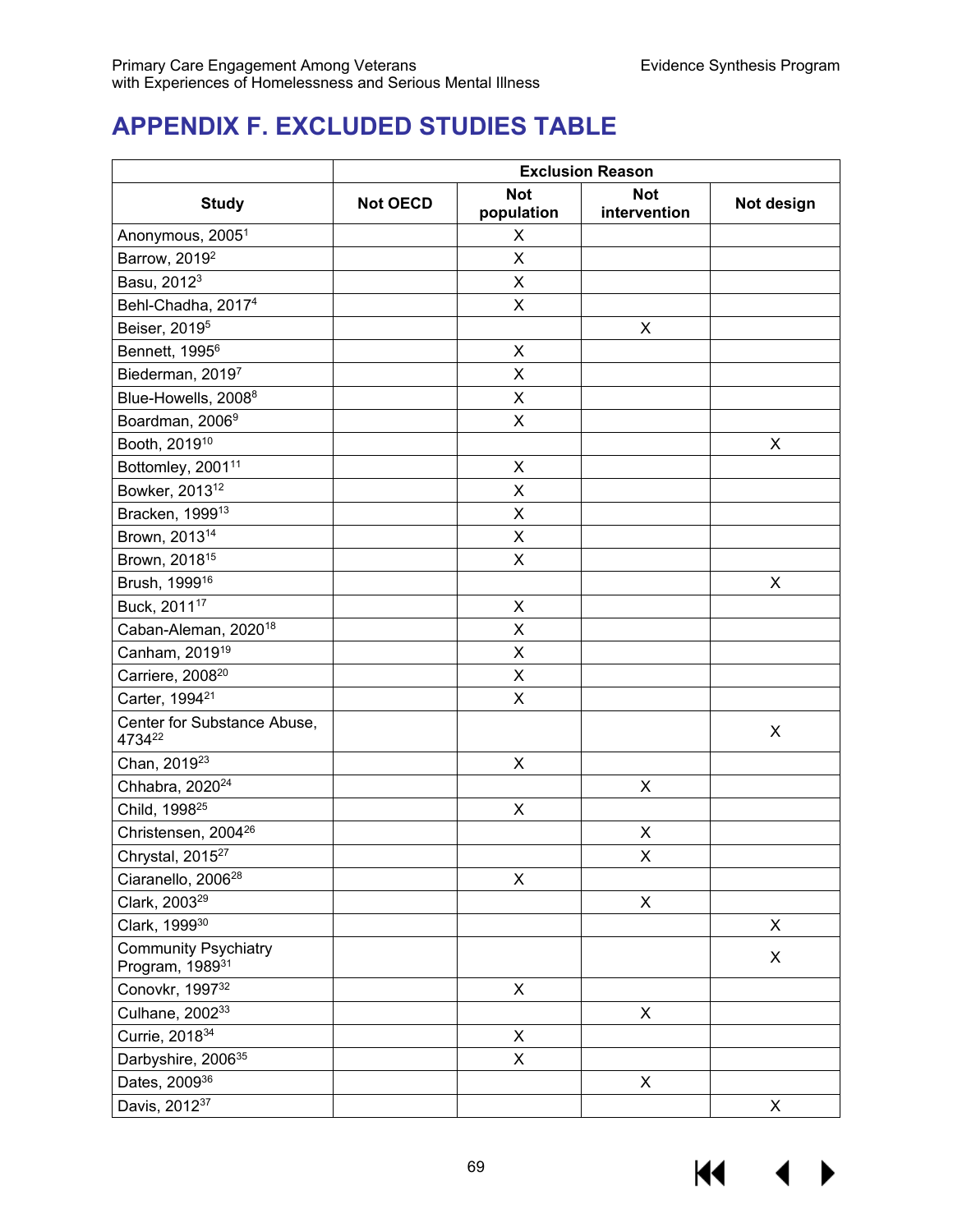# **APPENDIX F. EXCLUDED STUDIES TABLE**

|                                                            | <b>Exclusion Reason</b> |                          |                            |            |  |
|------------------------------------------------------------|-------------------------|--------------------------|----------------------------|------------|--|
| <b>Study</b>                                               | <b>Not OECD</b>         | <b>Not</b><br>population | <b>Not</b><br>intervention | Not design |  |
| Anonymous, 2005 <sup>1</sup>                               |                         | X                        |                            |            |  |
| Barrow, 2019 <sup>2</sup>                                  |                         | X                        |                            |            |  |
| Basu, 2012 <sup>3</sup>                                    |                         | X                        |                            |            |  |
| Behl-Chadha, 2017 <sup>4</sup>                             |                         | X                        |                            |            |  |
| Beiser, 2019 <sup>5</sup>                                  |                         |                          | X                          |            |  |
| Bennett, 1995 <sup>6</sup>                                 |                         | Χ                        |                            |            |  |
| Biederman, 20197                                           |                         | Χ                        |                            |            |  |
| Blue-Howells, 2008 <sup>8</sup>                            |                         | $\mathsf X$              |                            |            |  |
| Boardman, 20069                                            |                         | X                        |                            |            |  |
| Booth, 2019 <sup>10</sup>                                  |                         |                          |                            | X          |  |
| Bottomley, 2001 <sup>11</sup>                              |                         | $\mathsf X$              |                            |            |  |
| Bowker, 2013 <sup>12</sup>                                 |                         | $\mathsf X$              |                            |            |  |
| Bracken, 1999 <sup>13</sup>                                |                         | X                        |                            |            |  |
| Brown, 2013 <sup>14</sup>                                  |                         | X                        |                            |            |  |
| Brown, 2018 <sup>15</sup>                                  |                         | $\mathsf X$              |                            |            |  |
| Brush, 1999 <sup>16</sup>                                  |                         |                          |                            | X          |  |
| Buck, 2011 <sup>17</sup>                                   |                         | $\sf X$                  |                            |            |  |
| Caban-Aleman, 2020 <sup>18</sup>                           |                         | X                        |                            |            |  |
| Canham, 2019 <sup>19</sup>                                 |                         | X                        |                            |            |  |
| Carriere, 2008 <sup>20</sup>                               |                         | X                        |                            |            |  |
| Carter, 1994 <sup>21</sup>                                 |                         | X                        |                            |            |  |
| Center for Substance Abuse,<br>473422                      |                         |                          |                            | X          |  |
| Chan, 2019 <sup>23</sup>                                   |                         | X                        |                            |            |  |
| Chhabra, 2020 <sup>24</sup>                                |                         |                          | Χ                          |            |  |
| Child, 1998 <sup>25</sup>                                  |                         | $\mathsf X$              |                            |            |  |
| Christensen, 2004 <sup>26</sup>                            |                         |                          | X                          |            |  |
| Chrystal, 2015 <sup>27</sup>                               |                         |                          | X                          |            |  |
| Ciaranello, 2006 <sup>28</sup>                             |                         | X                        |                            |            |  |
| Clark, 2003 <sup>29</sup>                                  |                         |                          | X                          |            |  |
| Clark, 199930                                              |                         |                          |                            | X          |  |
| <b>Community Psychiatry</b><br>Program, 1989 <sup>31</sup> |                         |                          |                            | X          |  |
| Conovkr, 199732                                            |                         | X                        |                            |            |  |
| Culhane, 200233                                            |                         |                          | X                          |            |  |
| Currie, 2018 <sup>34</sup>                                 |                         | $\mathsf X$              |                            |            |  |
| Darbyshire, 2006 <sup>35</sup>                             |                         | X                        |                            |            |  |
| Dates, 2009 <sup>36</sup>                                  |                         |                          | $\pmb{\times}$             |            |  |
| Davis, 2012 <sup>37</sup>                                  |                         |                          |                            | X          |  |

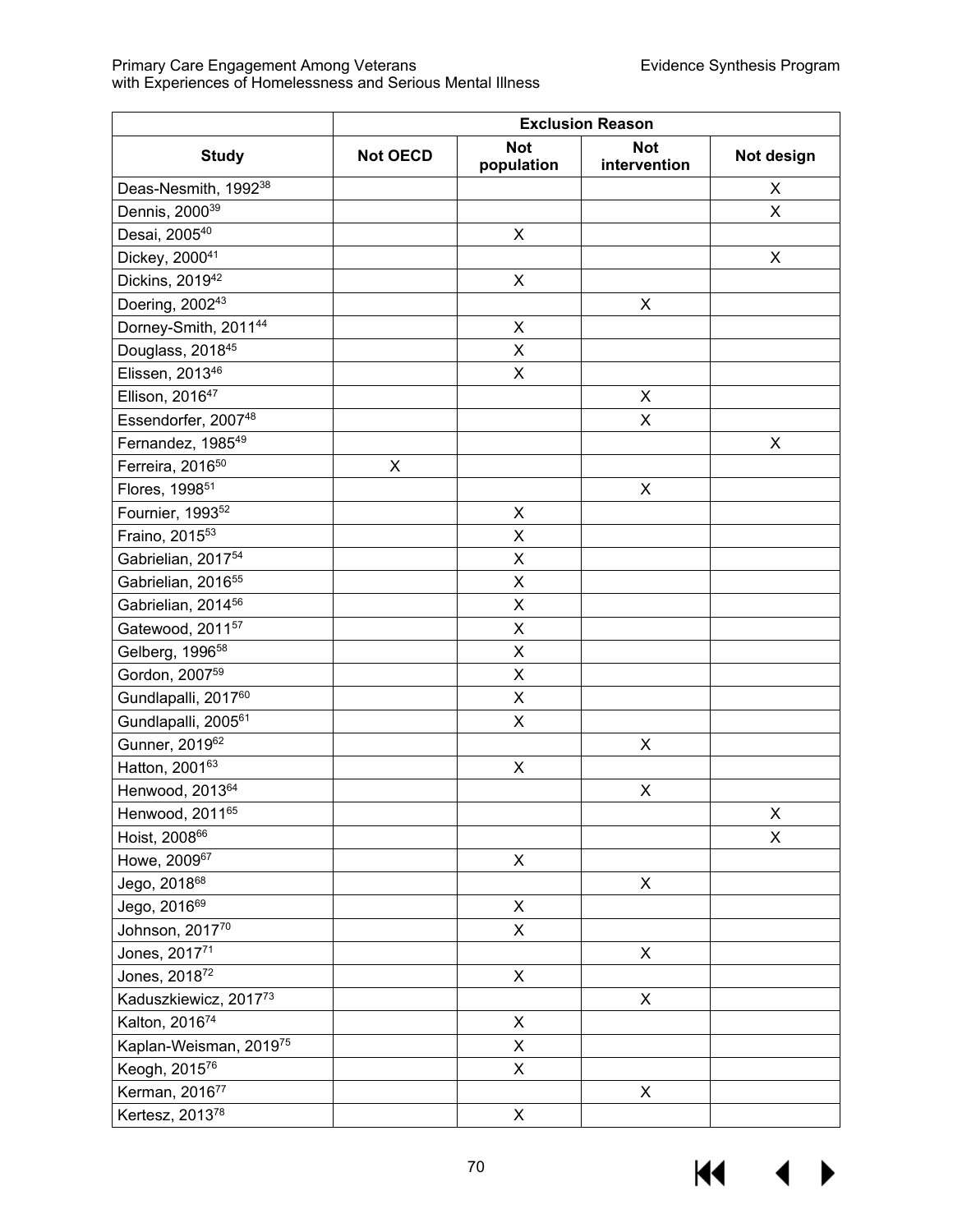|                                  | <b>Exclusion Reason</b> |                          |                            |            |
|----------------------------------|-------------------------|--------------------------|----------------------------|------------|
| <b>Study</b>                     | <b>Not OECD</b>         | <b>Not</b><br>population | <b>Not</b><br>intervention | Not design |
| Deas-Nesmith, 1992 <sup>38</sup> |                         |                          |                            | X          |
| Dennis, 2000 <sup>39</sup>       |                         |                          |                            | X          |
| Desai, 200540                    |                         | X                        |                            |            |
| Dickey, 200041                   |                         |                          |                            | X          |
| Dickins, 2019 <sup>42</sup>      |                         | $\pmb{\times}$           |                            |            |
| Doering, 2002 <sup>43</sup>      |                         |                          | X                          |            |
| Dorney-Smith, 201144             |                         | X                        |                            |            |
| Douglass, 2018 <sup>45</sup>     |                         | X                        |                            |            |
| Elissen, 2013 <sup>46</sup>      |                         | $\mathsf X$              |                            |            |
| Ellison, 2016 <sup>47</sup>      |                         |                          | X                          |            |
| Essendorfer, 200748              |                         |                          | X                          |            |
| Fernandez, 1985 <sup>49</sup>    |                         |                          |                            | X          |
| Ferreira, 2016 <sup>50</sup>     | X                       |                          |                            |            |
| Flores, 1998 <sup>51</sup>       |                         |                          | Χ                          |            |
| Fournier, 1993 <sup>52</sup>     |                         | X                        |                            |            |
| Fraino, 2015 <sup>53</sup>       |                         | $\mathsf X$              |                            |            |
| Gabrielian, 2017 <sup>54</sup>   |                         | $\pmb{\times}$           |                            |            |
| Gabrielian, 2016 <sup>55</sup>   |                         | X                        |                            |            |
| Gabrielian, 2014 <sup>56</sup>   |                         | X                        |                            |            |
| Gatewood, 2011 <sup>57</sup>     |                         | X                        |                            |            |
| Gelberg, 1996 <sup>58</sup>      |                         | X                        |                            |            |
| Gordon, 2007 <sup>59</sup>       |                         | $\mathsf X$              |                            |            |
| Gundlapalli, 201760              |                         | X                        |                            |            |
| Gundlapalli, 2005 <sup>61</sup>  |                         | X                        |                            |            |
| Gunner, 201962                   |                         |                          | Χ                          |            |
| Hatton, 200163                   |                         | X                        |                            |            |
| Henwood, 2013 <sup>64</sup>      |                         |                          | X                          |            |
| Henwood, 201165                  |                         |                          |                            | Χ          |
| Hoist, 200866                    |                         |                          |                            | X          |
| Howe, 200967                     |                         | $\pmb{\times}$           |                            |            |
| Jego, 201868                     |                         |                          | $\mathsf X$                |            |
| Jego, 201669                     |                         | X                        |                            |            |
| Johnson, 201770                  |                         | $\pmb{\times}$           |                            |            |
| Jones, 201771                    |                         |                          | $\mathsf X$                |            |
| Jones, 201872                    |                         | $\mathsf X$              |                            |            |
| Kaduszkiewicz, 201773            |                         |                          | $\mathsf X$                |            |
| Kalton, 201674                   |                         | $\mathsf X$              |                            |            |
| Kaplan-Weisman, 201975           |                         | X                        |                            |            |
| Keogh, 201576                    |                         | X                        |                            |            |
| Kerman, 201677                   |                         |                          | Χ                          |            |
| Kertesz, 2013 <sup>78</sup>      |                         | X                        |                            |            |

 $M \rightarrow$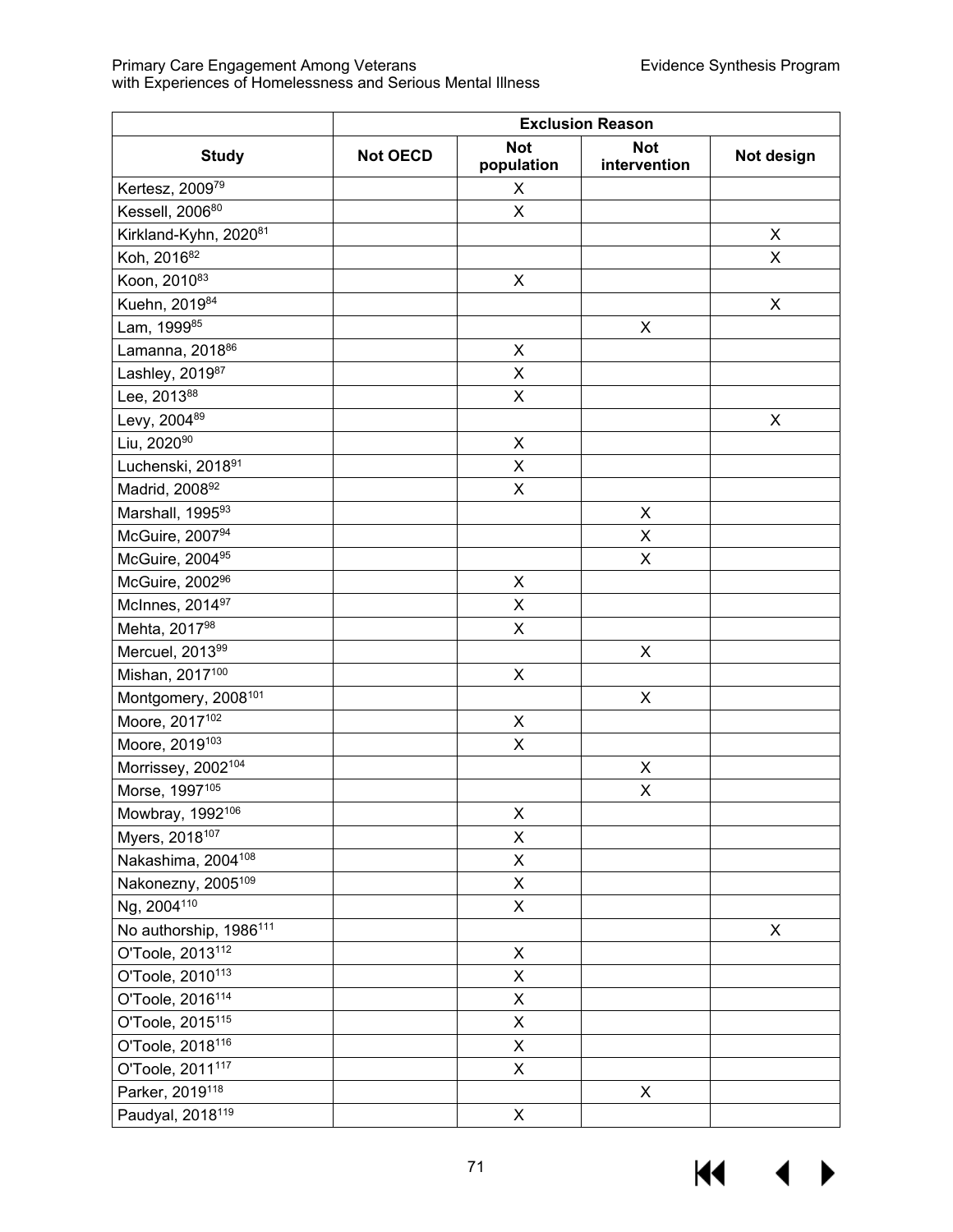|                                    | <b>Exclusion Reason</b> |                           |                            |                |
|------------------------------------|-------------------------|---------------------------|----------------------------|----------------|
| <b>Study</b>                       | <b>Not OECD</b>         | <b>Not</b><br>population  | <b>Not</b><br>intervention | Not design     |
| Kertesz, 200979                    |                         | X                         |                            |                |
| Kessell, 200680                    |                         | X                         |                            |                |
| Kirkland-Kyhn, 202081              |                         |                           |                            | $\pmb{\times}$ |
| Koh, 2016 <sup>82</sup>            |                         |                           |                            | X              |
| Koon, 201083                       |                         | X                         |                            |                |
| Kuehn, 201984                      |                         |                           |                            | X              |
| Lam, 199985                        |                         |                           | Χ                          |                |
| Lamanna, 2018 <sup>86</sup>        |                         | $\pmb{\mathsf{X}}$        |                            |                |
| Lashley, 201987                    |                         | $\sf X$                   |                            |                |
| Lee, 201388                        |                         | $\mathsf X$               |                            |                |
| Levy, 200489                       |                         |                           |                            | X              |
| Liu, 202090                        |                         | $\pmb{\mathsf{X}}$        |                            |                |
| Luchenski, 201891                  |                         | X                         |                            |                |
| Madrid, 200892                     |                         | X                         |                            |                |
| Marshall, 199593                   |                         |                           | $\mathsf X$                |                |
| McGuire, 200794                    |                         |                           | X                          |                |
| McGuire, 2004 <sup>95</sup>        |                         |                           | $\pmb{\times}$             |                |
| McGuire, 2002 <sup>96</sup>        |                         | X                         |                            |                |
| McInnes, 2014 <sup>97</sup>        |                         | X                         |                            |                |
| Mehta, 201798                      |                         | X                         |                            |                |
| Mercuel, 201399                    |                         |                           | $\mathsf X$                |                |
| Mishan, 2017 <sup>100</sup>        |                         | X                         |                            |                |
| Montgomery, 2008 <sup>101</sup>    |                         |                           | $\pmb{\mathsf{X}}$         |                |
| Moore, 2017 <sup>102</sup>         |                         | X                         |                            |                |
| Moore, 2019 <sup>103</sup>         |                         | Χ                         |                            |                |
| Morrissey, 2002 <sup>104</sup>     |                         |                           | X                          |                |
| Morse, 1997105                     |                         |                           | X                          |                |
| Mowbray, 1992 <sup>106</sup>       |                         | X                         |                            |                |
| Myers, 2018 <sup>107</sup>         |                         | X                         |                            |                |
| Nakashima, 2004 <sup>108</sup>     |                         | X                         |                            |                |
| Nakonezny, 2005 <sup>109</sup>     |                         | Χ                         |                            |                |
| Ng, 2004 <sup>110</sup>            |                         | X                         |                            |                |
| No authorship, 1986 <sup>111</sup> |                         |                           |                            | X              |
| O'Toole, 2013 <sup>112</sup>       |                         | X                         |                            |                |
| O'Toole, 2010 <sup>113</sup>       |                         | X                         |                            |                |
| O'Toole, 2016 <sup>114</sup>       |                         | X                         |                            |                |
| O'Toole, 2015 <sup>115</sup>       |                         | X                         |                            |                |
| O'Toole, 2018 <sup>116</sup>       |                         | X                         |                            |                |
| O'Toole, 2011 <sup>117</sup>       |                         | Χ                         |                            |                |
| Parker, 2019 <sup>118</sup>        |                         |                           | X                          |                |
| Paudyal, 2018 <sup>119</sup>       |                         | $\boldsymbol{\mathsf{X}}$ |                            |                |

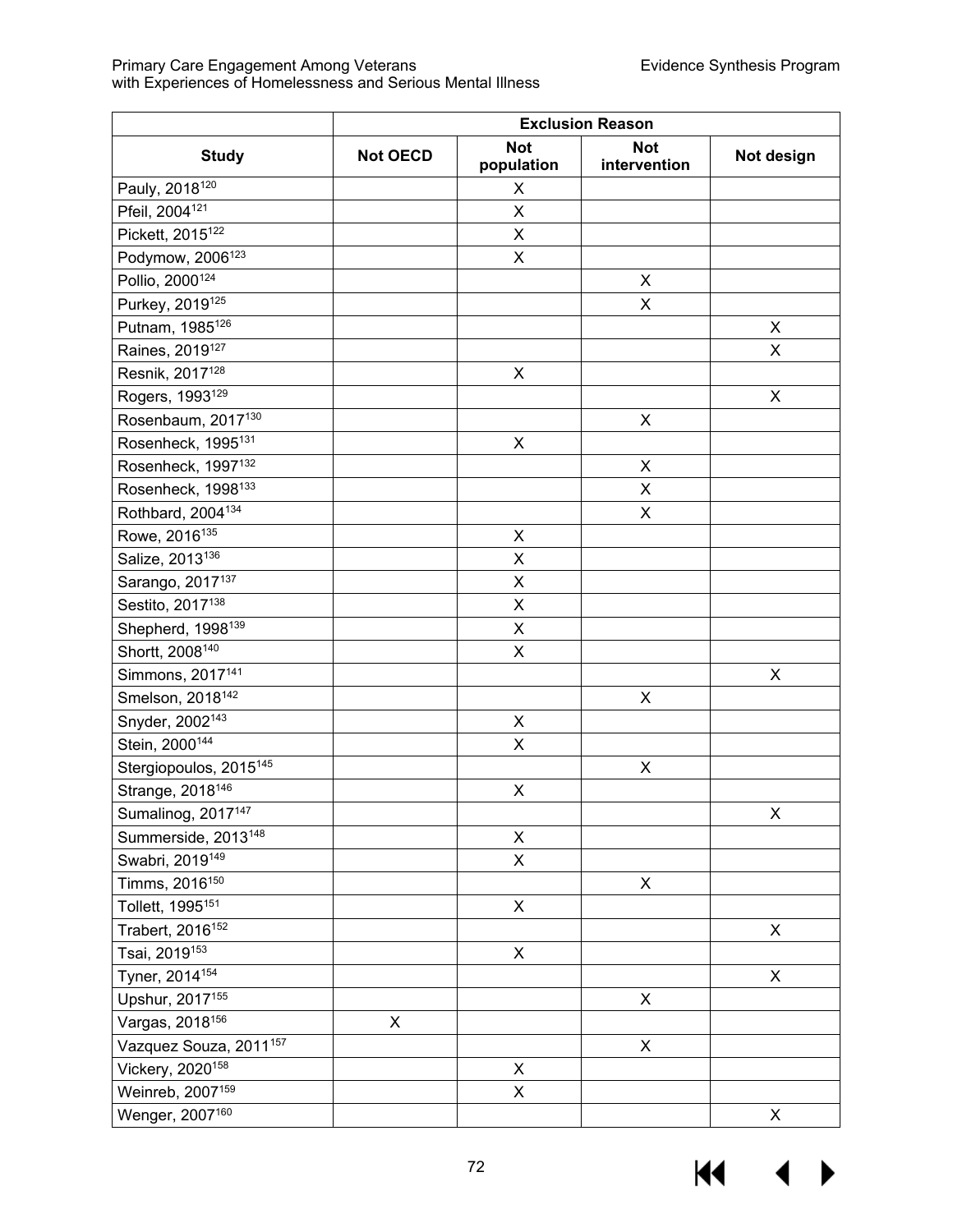| <b>Not</b><br><b>Not</b><br><b>Study</b><br><b>Not OECD</b><br>Not design<br>population<br>intervention<br>Pauly, 2018 <sup>120</sup><br>X<br>Pfeil, 2004 <sup>121</sup><br>X<br>Pickett, 2015 <sup>122</sup><br>X<br>Podymow, 2006 <sup>123</sup><br>X<br>Pollio, 2000 <sup>124</sup><br>X<br>Purkey, 2019 <sup>125</sup><br>X<br>Putnam, 1985 <sup>126</sup><br>X<br>Raines, 2019 <sup>127</sup><br>X<br>Resnik, 2017 <sup>128</sup><br>X<br>Rogers, 1993 <sup>129</sup><br>$\pmb{\times}$<br>Rosenbaum, 2017 <sup>130</sup><br>$\pmb{\times}$<br>Rosenheck, 1995 <sup>131</sup><br>$\pmb{\mathsf{X}}$<br>Rosenheck, 1997 <sup>132</sup><br>X<br>Rosenheck, 1998 <sup>133</sup><br>X<br>Rothbard, 2004 <sup>134</sup><br>$\mathsf X$<br>Rowe, 2016 <sup>135</sup><br>X<br>Salize, 2013 <sup>136</sup><br>X<br>Sarango, 2017 <sup>137</sup><br>$\mathsf X$<br>Sestito, 2017 <sup>138</sup><br>X<br>Shepherd, 1998 <sup>139</sup><br>X<br>Shortt, 2008 <sup>140</sup><br>Χ |                              | <b>Exclusion Reason</b> |  |  |  |  |
|----------------------------------------------------------------------------------------------------------------------------------------------------------------------------------------------------------------------------------------------------------------------------------------------------------------------------------------------------------------------------------------------------------------------------------------------------------------------------------------------------------------------------------------------------------------------------------------------------------------------------------------------------------------------------------------------------------------------------------------------------------------------------------------------------------------------------------------------------------------------------------------------------------------------------------------------------------------------------|------------------------------|-------------------------|--|--|--|--|
|                                                                                                                                                                                                                                                                                                                                                                                                                                                                                                                                                                                                                                                                                                                                                                                                                                                                                                                                                                            |                              |                         |  |  |  |  |
|                                                                                                                                                                                                                                                                                                                                                                                                                                                                                                                                                                                                                                                                                                                                                                                                                                                                                                                                                                            |                              |                         |  |  |  |  |
|                                                                                                                                                                                                                                                                                                                                                                                                                                                                                                                                                                                                                                                                                                                                                                                                                                                                                                                                                                            |                              |                         |  |  |  |  |
|                                                                                                                                                                                                                                                                                                                                                                                                                                                                                                                                                                                                                                                                                                                                                                                                                                                                                                                                                                            |                              |                         |  |  |  |  |
|                                                                                                                                                                                                                                                                                                                                                                                                                                                                                                                                                                                                                                                                                                                                                                                                                                                                                                                                                                            |                              |                         |  |  |  |  |
|                                                                                                                                                                                                                                                                                                                                                                                                                                                                                                                                                                                                                                                                                                                                                                                                                                                                                                                                                                            |                              |                         |  |  |  |  |
|                                                                                                                                                                                                                                                                                                                                                                                                                                                                                                                                                                                                                                                                                                                                                                                                                                                                                                                                                                            |                              |                         |  |  |  |  |
|                                                                                                                                                                                                                                                                                                                                                                                                                                                                                                                                                                                                                                                                                                                                                                                                                                                                                                                                                                            |                              |                         |  |  |  |  |
|                                                                                                                                                                                                                                                                                                                                                                                                                                                                                                                                                                                                                                                                                                                                                                                                                                                                                                                                                                            |                              |                         |  |  |  |  |
|                                                                                                                                                                                                                                                                                                                                                                                                                                                                                                                                                                                                                                                                                                                                                                                                                                                                                                                                                                            |                              |                         |  |  |  |  |
|                                                                                                                                                                                                                                                                                                                                                                                                                                                                                                                                                                                                                                                                                                                                                                                                                                                                                                                                                                            |                              |                         |  |  |  |  |
|                                                                                                                                                                                                                                                                                                                                                                                                                                                                                                                                                                                                                                                                                                                                                                                                                                                                                                                                                                            |                              |                         |  |  |  |  |
|                                                                                                                                                                                                                                                                                                                                                                                                                                                                                                                                                                                                                                                                                                                                                                                                                                                                                                                                                                            |                              |                         |  |  |  |  |
|                                                                                                                                                                                                                                                                                                                                                                                                                                                                                                                                                                                                                                                                                                                                                                                                                                                                                                                                                                            |                              |                         |  |  |  |  |
|                                                                                                                                                                                                                                                                                                                                                                                                                                                                                                                                                                                                                                                                                                                                                                                                                                                                                                                                                                            |                              |                         |  |  |  |  |
|                                                                                                                                                                                                                                                                                                                                                                                                                                                                                                                                                                                                                                                                                                                                                                                                                                                                                                                                                                            |                              |                         |  |  |  |  |
|                                                                                                                                                                                                                                                                                                                                                                                                                                                                                                                                                                                                                                                                                                                                                                                                                                                                                                                                                                            |                              |                         |  |  |  |  |
|                                                                                                                                                                                                                                                                                                                                                                                                                                                                                                                                                                                                                                                                                                                                                                                                                                                                                                                                                                            |                              |                         |  |  |  |  |
|                                                                                                                                                                                                                                                                                                                                                                                                                                                                                                                                                                                                                                                                                                                                                                                                                                                                                                                                                                            |                              |                         |  |  |  |  |
|                                                                                                                                                                                                                                                                                                                                                                                                                                                                                                                                                                                                                                                                                                                                                                                                                                                                                                                                                                            |                              |                         |  |  |  |  |
|                                                                                                                                                                                                                                                                                                                                                                                                                                                                                                                                                                                                                                                                                                                                                                                                                                                                                                                                                                            |                              |                         |  |  |  |  |
|                                                                                                                                                                                                                                                                                                                                                                                                                                                                                                                                                                                                                                                                                                                                                                                                                                                                                                                                                                            |                              |                         |  |  |  |  |
| X                                                                                                                                                                                                                                                                                                                                                                                                                                                                                                                                                                                                                                                                                                                                                                                                                                                                                                                                                                          | Simmons, 2017 <sup>141</sup> |                         |  |  |  |  |
| Smelson, 2018 <sup>142</sup><br>X                                                                                                                                                                                                                                                                                                                                                                                                                                                                                                                                                                                                                                                                                                                                                                                                                                                                                                                                          |                              |                         |  |  |  |  |
| Snyder, 2002 <sup>143</sup><br>Χ                                                                                                                                                                                                                                                                                                                                                                                                                                                                                                                                                                                                                                                                                                                                                                                                                                                                                                                                           |                              |                         |  |  |  |  |
| Stein, 2000 <sup>144</sup><br>Χ                                                                                                                                                                                                                                                                                                                                                                                                                                                                                                                                                                                                                                                                                                                                                                                                                                                                                                                                            |                              |                         |  |  |  |  |
| Stergiopoulos, 2015 <sup>145</sup><br>$\mathsf X$                                                                                                                                                                                                                                                                                                                                                                                                                                                                                                                                                                                                                                                                                                                                                                                                                                                                                                                          |                              |                         |  |  |  |  |
| Strange, 2018 <sup>146</sup><br>$\mathsf X$                                                                                                                                                                                                                                                                                                                                                                                                                                                                                                                                                                                                                                                                                                                                                                                                                                                                                                                                |                              |                         |  |  |  |  |
| Sumalinog, 2017 <sup>147</sup><br>X                                                                                                                                                                                                                                                                                                                                                                                                                                                                                                                                                                                                                                                                                                                                                                                                                                                                                                                                        |                              |                         |  |  |  |  |
| Summerside, 2013 <sup>148</sup><br>X                                                                                                                                                                                                                                                                                                                                                                                                                                                                                                                                                                                                                                                                                                                                                                                                                                                                                                                                       |                              |                         |  |  |  |  |
| Swabri, 2019 <sup>149</sup><br>X                                                                                                                                                                                                                                                                                                                                                                                                                                                                                                                                                                                                                                                                                                                                                                                                                                                                                                                                           |                              |                         |  |  |  |  |
| Timms, 2016 <sup>150</sup><br>$\mathsf X$                                                                                                                                                                                                                                                                                                                                                                                                                                                                                                                                                                                                                                                                                                                                                                                                                                                                                                                                  |                              |                         |  |  |  |  |
| Tollett, 1995 <sup>151</sup><br>X                                                                                                                                                                                                                                                                                                                                                                                                                                                                                                                                                                                                                                                                                                                                                                                                                                                                                                                                          |                              |                         |  |  |  |  |
| Trabert, 2016 <sup>152</sup><br>X                                                                                                                                                                                                                                                                                                                                                                                                                                                                                                                                                                                                                                                                                                                                                                                                                                                                                                                                          |                              |                         |  |  |  |  |
| Tsai, 2019 <sup>153</sup><br>X                                                                                                                                                                                                                                                                                                                                                                                                                                                                                                                                                                                                                                                                                                                                                                                                                                                                                                                                             |                              |                         |  |  |  |  |
| Tyner, 2014 <sup>154</sup><br>$\pmb{\times}$                                                                                                                                                                                                                                                                                                                                                                                                                                                                                                                                                                                                                                                                                                                                                                                                                                                                                                                               |                              |                         |  |  |  |  |
| Upshur, 2017 <sup>155</sup><br>$\pmb{\times}$                                                                                                                                                                                                                                                                                                                                                                                                                                                                                                                                                                                                                                                                                                                                                                                                                                                                                                                              |                              |                         |  |  |  |  |
| Vargas, 2018 <sup>156</sup><br>$\pmb{\times}$                                                                                                                                                                                                                                                                                                                                                                                                                                                                                                                                                                                                                                                                                                                                                                                                                                                                                                                              |                              |                         |  |  |  |  |
| Vazquez Souza, 2011 <sup>157</sup><br>$\mathsf X$                                                                                                                                                                                                                                                                                                                                                                                                                                                                                                                                                                                                                                                                                                                                                                                                                                                                                                                          |                              |                         |  |  |  |  |
| Vickery, 2020 <sup>158</sup><br>X                                                                                                                                                                                                                                                                                                                                                                                                                                                                                                                                                                                                                                                                                                                                                                                                                                                                                                                                          |                              |                         |  |  |  |  |
| Weinreb, 2007 <sup>159</sup><br>X                                                                                                                                                                                                                                                                                                                                                                                                                                                                                                                                                                                                                                                                                                                                                                                                                                                                                                                                          |                              |                         |  |  |  |  |
| Wenger, 2007 <sup>160</sup><br>X                                                                                                                                                                                                                                                                                                                                                                                                                                                                                                                                                                                                                                                                                                                                                                                                                                                                                                                                           |                              |                         |  |  |  |  |

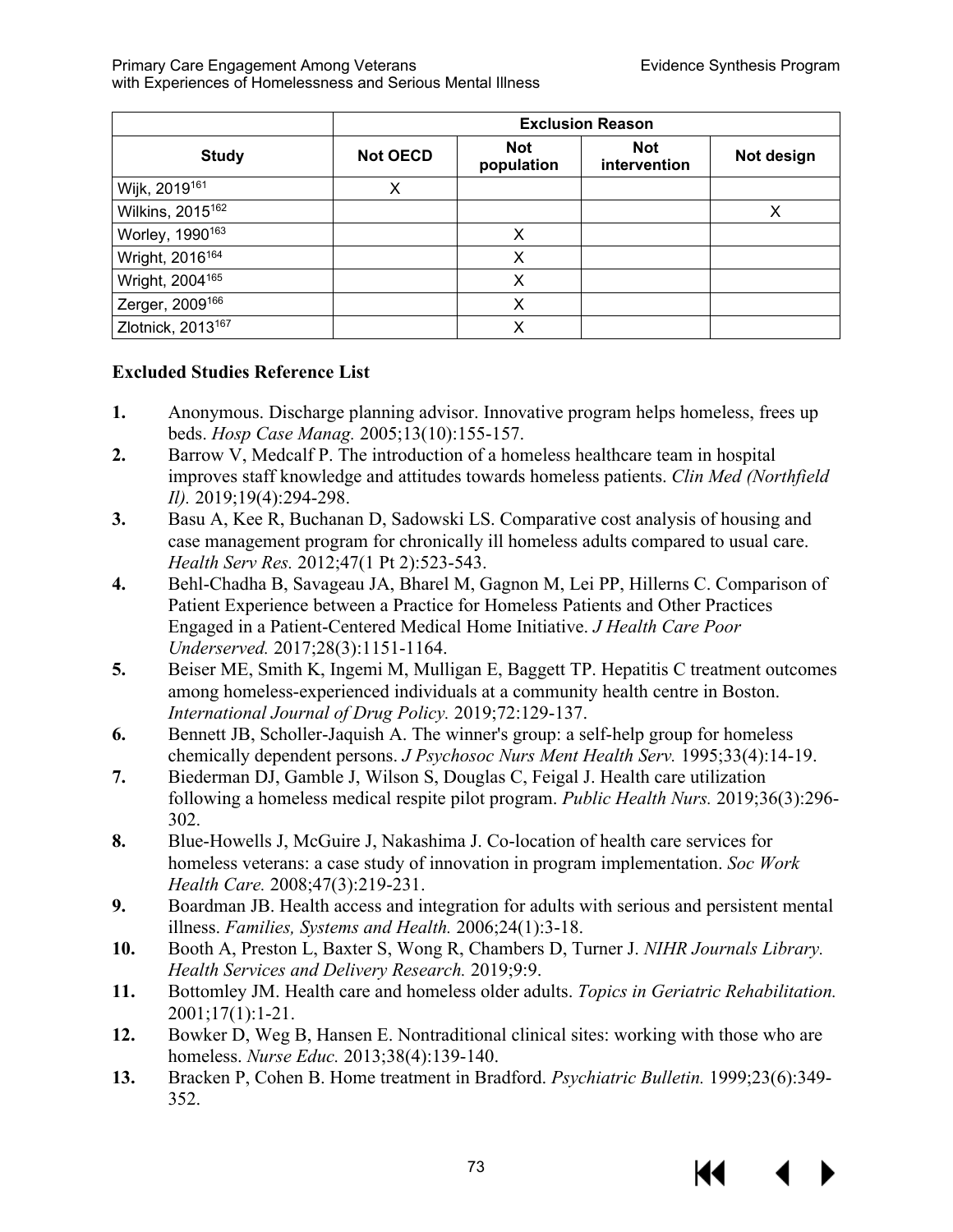| <b>Study</b>                  | <b>Not OECD</b> | <b>Not</b><br>population | <b>Not</b><br>intervention | Not design |
|-------------------------------|-----------------|--------------------------|----------------------------|------------|
| Wijk, 2019 <sup>161</sup>     | X               |                          |                            |            |
| Wilkins, 2015 <sup>162</sup>  |                 |                          |                            | Х          |
| Worley, 1990 <sup>163</sup>   |                 | Χ                        |                            |            |
| Wright, 2016 <sup>164</sup>   |                 | Χ                        |                            |            |
| Wright, 2004 <sup>165</sup>   |                 | x                        |                            |            |
| Zerger, 2009 <sup>166</sup>   |                 | X                        |                            |            |
| Zlotnick, 2013 <sup>167</sup> |                 | x                        |                            |            |

## **Excluded Studies Reference List**

- **1.** Anonymous. Discharge planning advisor. Innovative program helps homeless, frees up beds. *Hosp Case Manag.* 2005;13(10):155-157.
- **2.** Barrow V, Medcalf P. The introduction of a homeless healthcare team in hospital improves staff knowledge and attitudes towards homeless patients. *Clin Med (Northfield Il).* 2019;19(4):294-298.
- **3.** Basu A, Kee R, Buchanan D, Sadowski LS. Comparative cost analysis of housing and case management program for chronically ill homeless adults compared to usual care. *Health Serv Res.* 2012;47(1 Pt 2):523-543.
- **4.** Behl-Chadha B, Savageau JA, Bharel M, Gagnon M, Lei PP, Hillerns C. Comparison of Patient Experience between a Practice for Homeless Patients and Other Practices Engaged in a Patient-Centered Medical Home Initiative. *J Health Care Poor Underserved.* 2017;28(3):1151-1164.
- **5.** Beiser ME, Smith K, Ingemi M, Mulligan E, Baggett TP. Hepatitis C treatment outcomes among homeless-experienced individuals at a community health centre in Boston. *International Journal of Drug Policy.* 2019;72:129-137.
- **6.** Bennett JB, Scholler-Jaquish A. The winner's group: a self-help group for homeless chemically dependent persons. *J Psychosoc Nurs Ment Health Serv.* 1995;33(4):14-19.
- **7.** Biederman DJ, Gamble J, Wilson S, Douglas C, Feigal J. Health care utilization following a homeless medical respite pilot program. *Public Health Nurs.* 2019;36(3):296- 302.
- **8.** Blue-Howells J, McGuire J, Nakashima J. Co-location of health care services for homeless veterans: a case study of innovation in program implementation. *Soc Work Health Care.* 2008;47(3):219-231.
- **9.** Boardman JB. Health access and integration for adults with serious and persistent mental illness. *Families, Systems and Health.* 2006;24(1):3-18.
- **10.** Booth A, Preston L, Baxter S, Wong R, Chambers D, Turner J. *NIHR Journals Library. Health Services and Delivery Research.* 2019;9:9.
- **11.** Bottomley JM. Health care and homeless older adults. *Topics in Geriatric Rehabilitation.*  2001;17(1):1-21.
- **12.** Bowker D, Weg B, Hansen E. Nontraditional clinical sites: working with those who are homeless. *Nurse Educ.* 2013;38(4):139-140.
- **13.** Bracken P, Cohen B. Home treatment in Bradford. *Psychiatric Bulletin.* 1999;23(6):349- 352.

73



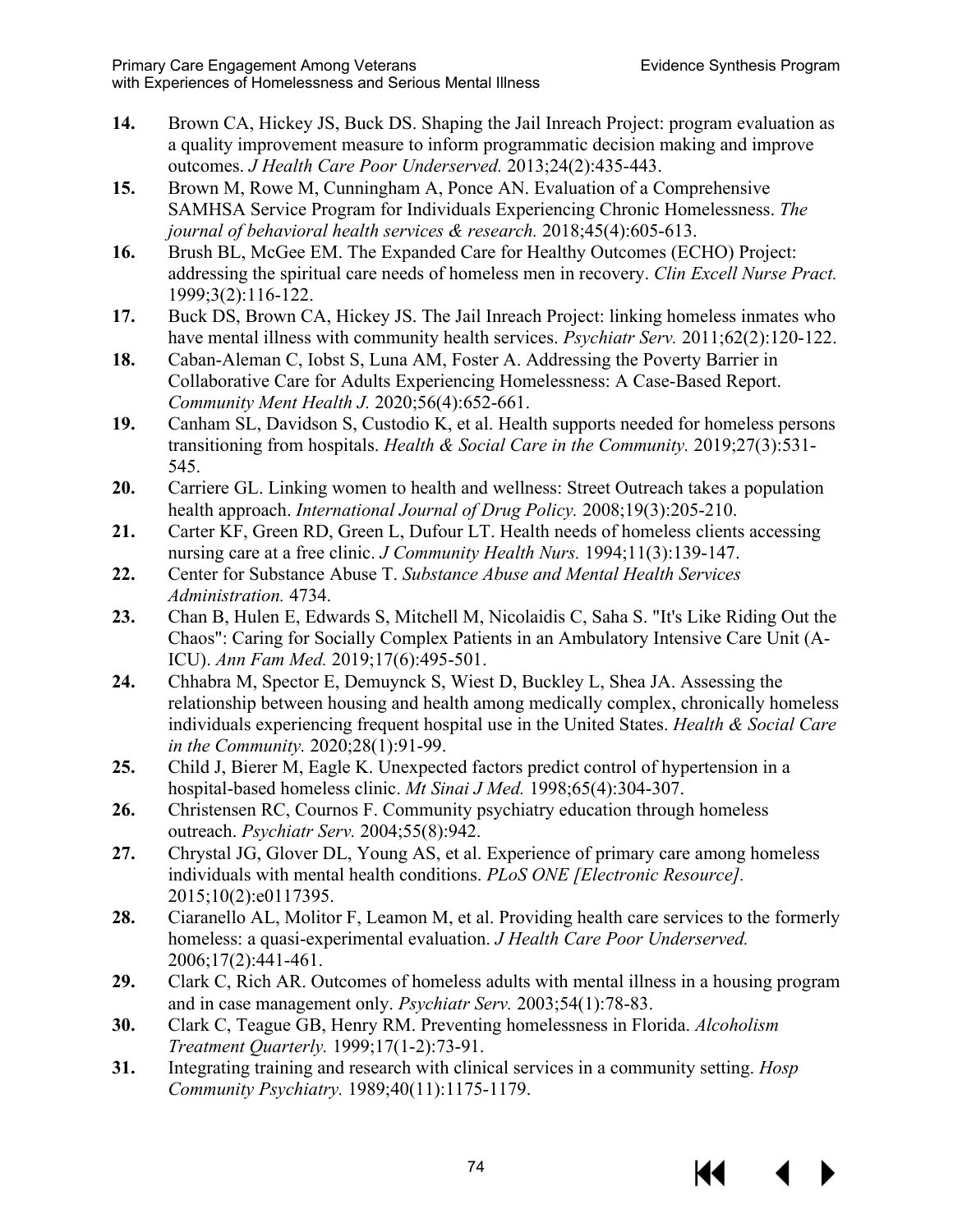- **14.** Brown CA, Hickey JS, Buck DS. Shaping the Jail Inreach Project: program evaluation as a quality improvement measure to inform programmatic decision making and improve outcomes. *J Health Care Poor Underserved.* 2013;24(2):435-443.
- **15.** Brown M, Rowe M, Cunningham A, Ponce AN. Evaluation of a Comprehensive SAMHSA Service Program for Individuals Experiencing Chronic Homelessness. *The journal of behavioral health services & research.* 2018;45(4):605-613.
- **16.** Brush BL, McGee EM. The Expanded Care for Healthy Outcomes (ECHO) Project: addressing the spiritual care needs of homeless men in recovery. *Clin Excell Nurse Pract.*  1999;3(2):116-122.
- **17.** Buck DS, Brown CA, Hickey JS. The Jail Inreach Project: linking homeless inmates who have mental illness with community health services. *Psychiatr Serv.* 2011;62(2):120-122.
- **18.** Caban-Aleman C, Iobst S, Luna AM, Foster A. Addressing the Poverty Barrier in Collaborative Care for Adults Experiencing Homelessness: A Case-Based Report. *Community Ment Health J.* 2020;56(4):652-661.
- **19.** Canham SL, Davidson S, Custodio K, et al. Health supports needed for homeless persons transitioning from hospitals. *Health & Social Care in the Community.* 2019;27(3):531- 545.
- **20.** Carriere GL. Linking women to health and wellness: Street Outreach takes a population health approach. *International Journal of Drug Policy.* 2008;19(3):205-210.
- **21.** Carter KF, Green RD, Green L, Dufour LT. Health needs of homeless clients accessing nursing care at a free clinic. *J Community Health Nurs.* 1994;11(3):139-147.
- **22.** Center for Substance Abuse T. *Substance Abuse and Mental Health Services Administration.* 4734.
- **23.** Chan B, Hulen E, Edwards S, Mitchell M, Nicolaidis C, Saha S. "It's Like Riding Out the Chaos": Caring for Socially Complex Patients in an Ambulatory Intensive Care Unit (A-ICU). *Ann Fam Med.* 2019;17(6):495-501.
- **24.** Chhabra M, Spector E, Demuynck S, Wiest D, Buckley L, Shea JA. Assessing the relationship between housing and health among medically complex, chronically homeless individuals experiencing frequent hospital use in the United States. *Health & Social Care in the Community.* 2020;28(1):91-99.
- **25.** Child J, Bierer M, Eagle K. Unexpected factors predict control of hypertension in a hospital-based homeless clinic. *Mt Sinai J Med.* 1998;65(4):304-307.
- **26.** Christensen RC, Cournos F. Community psychiatry education through homeless outreach. *Psychiatr Serv.* 2004;55(8):942.
- **27.** Chrystal JG, Glover DL, Young AS, et al. Experience of primary care among homeless individuals with mental health conditions. *PLoS ONE [Electronic Resource].*  2015;10(2):e0117395.
- **28.** Ciaranello AL, Molitor F, Leamon M, et al. Providing health care services to the formerly homeless: a quasi-experimental evaluation. *J Health Care Poor Underserved.*  2006;17(2):441-461.
- **29.** Clark C, Rich AR. Outcomes of homeless adults with mental illness in a housing program and in case management only. *Psychiatr Serv.* 2003;54(1):78-83.
- **30.** Clark C, Teague GB, Henry RM. Preventing homelessness in Florida. *Alcoholism Treatment Quarterly.* 1999;17(1-2):73-91.
- **31.** Integrating training and research with clinical services in a community setting. *Hosp Community Psychiatry.* 1989;40(11):1175-1179.

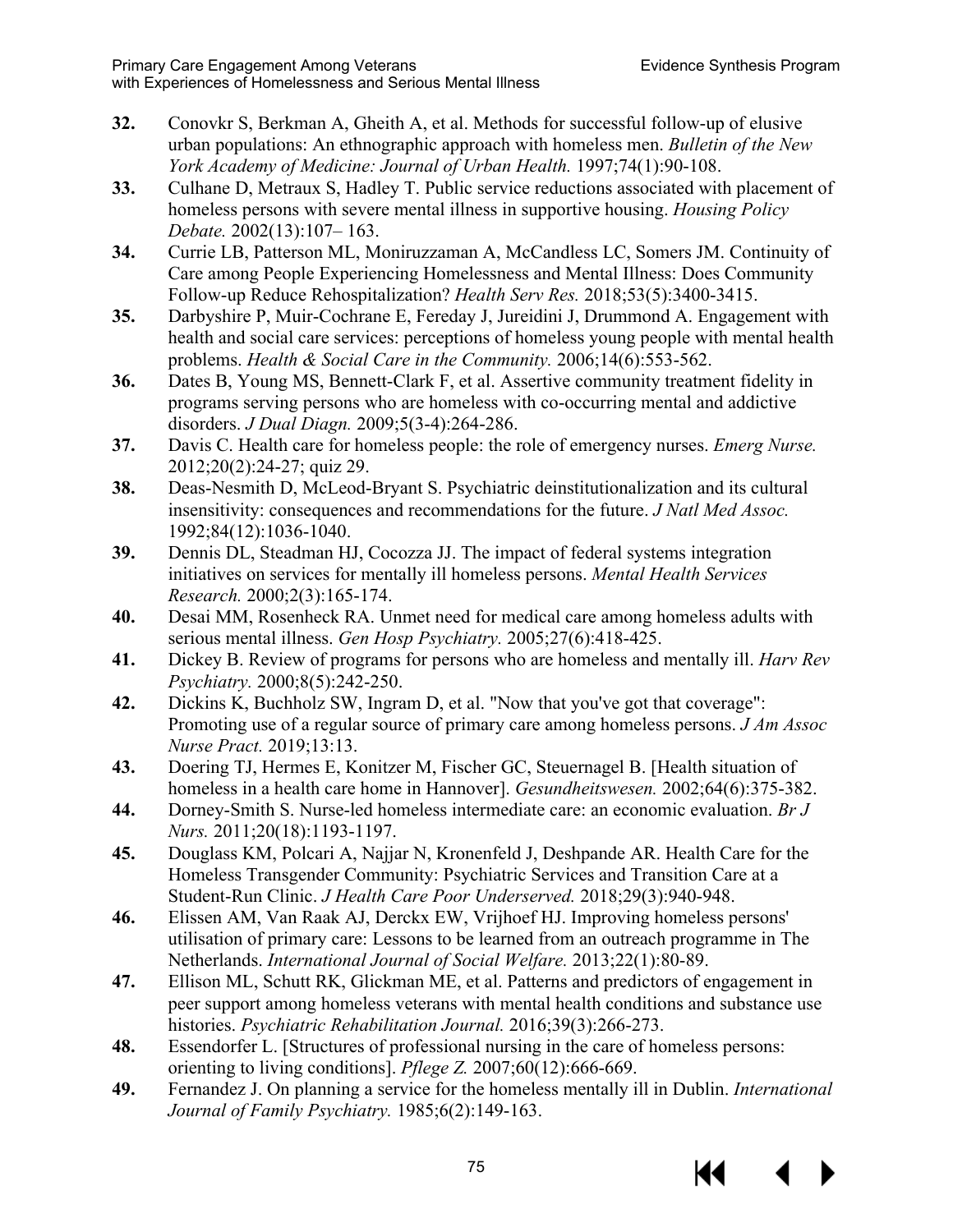- **32.** Conovkr S, Berkman A, Gheith A, et al. Methods for successful follow-up of elusive urban populations: An ethnographic approach with homeless men. *Bulletin of the New York Academy of Medicine: Journal of Urban Health.* 1997;74(1):90-108.
- **33.** Culhane D, Metraux S, Hadley T. Public service reductions associated with placement of homeless persons with severe mental illness in supportive housing. *Housing Policy Debate.* 2002(13):107– 163.
- **34.** Currie LB, Patterson ML, Moniruzzaman A, McCandless LC, Somers JM. Continuity of Care among People Experiencing Homelessness and Mental Illness: Does Community Follow-up Reduce Rehospitalization? *Health Serv Res.* 2018;53(5):3400-3415.
- **35.** Darbyshire P, Muir-Cochrane E, Fereday J, Jureidini J, Drummond A. Engagement with health and social care services: perceptions of homeless young people with mental health problems. *Health & Social Care in the Community.* 2006;14(6):553-562.
- **36.** Dates B, Young MS, Bennett-Clark F, et al. Assertive community treatment fidelity in programs serving persons who are homeless with co-occurring mental and addictive disorders. *J Dual Diagn.* 2009;5(3-4):264-286.
- **37.** Davis C. Health care for homeless people: the role of emergency nurses. *Emerg Nurse.*  2012;20(2):24-27; quiz 29.
- **38.** Deas-Nesmith D, McLeod-Bryant S. Psychiatric deinstitutionalization and its cultural insensitivity: consequences and recommendations for the future. *J Natl Med Assoc.*  1992;84(12):1036-1040.
- **39.** Dennis DL, Steadman HJ, Cocozza JJ. The impact of federal systems integration initiatives on services for mentally ill homeless persons. *Mental Health Services Research.* 2000;2(3):165-174.
- **40.** Desai MM, Rosenheck RA. Unmet need for medical care among homeless adults with serious mental illness. *Gen Hosp Psychiatry.* 2005;27(6):418-425.
- **41.** Dickey B. Review of programs for persons who are homeless and mentally ill. *Harv Rev Psychiatry.* 2000;8(5):242-250.
- **42.** Dickins K, Buchholz SW, Ingram D, et al. "Now that you've got that coverage": Promoting use of a regular source of primary care among homeless persons. *J Am Assoc Nurse Pract.* 2019;13:13.
- **43.** Doering TJ, Hermes E, Konitzer M, Fischer GC, Steuernagel B. [Health situation of homeless in a health care home in Hannover]. *Gesundheitswesen.* 2002;64(6):375-382.
- **44.** Dorney-Smith S. Nurse-led homeless intermediate care: an economic evaluation. *Br J Nurs.* 2011;20(18):1193-1197.
- **45.** Douglass KM, Polcari A, Najjar N, Kronenfeld J, Deshpande AR. Health Care for the Homeless Transgender Community: Psychiatric Services and Transition Care at a Student-Run Clinic. *J Health Care Poor Underserved.* 2018;29(3):940-948.
- **46.** Elissen AM, Van Raak AJ, Derckx EW, Vrijhoef HJ. Improving homeless persons' utilisation of primary care: Lessons to be learned from an outreach programme in The Netherlands. *International Journal of Social Welfare.* 2013;22(1):80-89.
- **47.** Ellison ML, Schutt RK, Glickman ME, et al. Patterns and predictors of engagement in peer support among homeless veterans with mental health conditions and substance use histories. *Psychiatric Rehabilitation Journal.* 2016;39(3):266-273.
- **48.** Essendorfer L. [Structures of professional nursing in the care of homeless persons: orienting to living conditions]. *Pflege Z.* 2007;60(12):666-669.
- **49.** Fernandez J. On planning a service for the homeless mentally ill in Dublin. *International Journal of Family Psychiatry.* 1985;6(2):149-163.

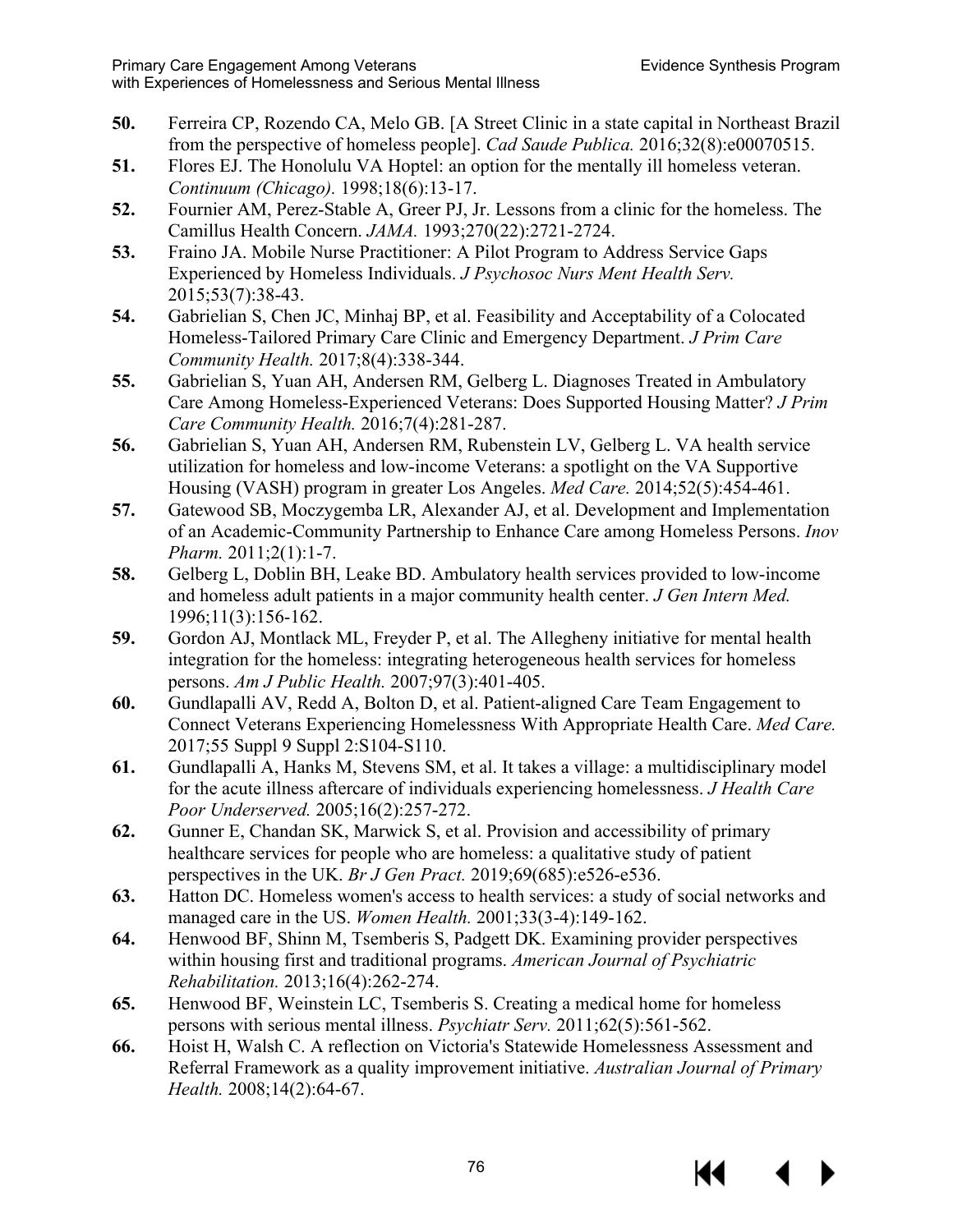- **50.** Ferreira CP, Rozendo CA, Melo GB. [A Street Clinic in a state capital in Northeast Brazil from the perspective of homeless people]. *Cad Saude Publica.* 2016;32(8):e00070515.
- **51.** Flores EJ. The Honolulu VA Hoptel: an option for the mentally ill homeless veteran. *Continuum (Chicago).* 1998;18(6):13-17.
- **52.** Fournier AM, Perez-Stable A, Greer PJ, Jr. Lessons from a clinic for the homeless. The Camillus Health Concern. *JAMA.* 1993;270(22):2721-2724.
- **53.** Fraino JA. Mobile Nurse Practitioner: A Pilot Program to Address Service Gaps Experienced by Homeless Individuals. *J Psychosoc Nurs Ment Health Serv.*  2015;53(7):38-43.
- **54.** Gabrielian S, Chen JC, Minhaj BP, et al. Feasibility and Acceptability of a Colocated Homeless-Tailored Primary Care Clinic and Emergency Department. *J Prim Care Community Health.* 2017;8(4):338-344.
- **55.** Gabrielian S, Yuan AH, Andersen RM, Gelberg L. Diagnoses Treated in Ambulatory Care Among Homeless-Experienced Veterans: Does Supported Housing Matter? *J Prim Care Community Health.* 2016;7(4):281-287.
- **56.** Gabrielian S, Yuan AH, Andersen RM, Rubenstein LV, Gelberg L. VA health service utilization for homeless and low-income Veterans: a spotlight on the VA Supportive Housing (VASH) program in greater Los Angeles. *Med Care.* 2014;52(5):454-461.
- **57.** Gatewood SB, Moczygemba LR, Alexander AJ, et al. Development and Implementation of an Academic-Community Partnership to Enhance Care among Homeless Persons. *Inov Pharm.* 2011;2(1):1-7.
- **58.** Gelberg L, Doblin BH, Leake BD. Ambulatory health services provided to low-income and homeless adult patients in a major community health center. *J Gen Intern Med.*  1996;11(3):156-162.
- **59.** Gordon AJ, Montlack ML, Freyder P, et al. The Allegheny initiative for mental health integration for the homeless: integrating heterogeneous health services for homeless persons. *Am J Public Health.* 2007;97(3):401-405.
- **60.** Gundlapalli AV, Redd A, Bolton D, et al. Patient-aligned Care Team Engagement to Connect Veterans Experiencing Homelessness With Appropriate Health Care. *Med Care.*  2017;55 Suppl 9 Suppl 2:S104-S110.
- **61.** Gundlapalli A, Hanks M, Stevens SM, et al. It takes a village: a multidisciplinary model for the acute illness aftercare of individuals experiencing homelessness. *J Health Care Poor Underserved.* 2005;16(2):257-272.
- **62.** Gunner E, Chandan SK, Marwick S, et al. Provision and accessibility of primary healthcare services for people who are homeless: a qualitative study of patient perspectives in the UK. *Br J Gen Pract.* 2019;69(685):e526-e536.
- **63.** Hatton DC. Homeless women's access to health services: a study of social networks and managed care in the US. *Women Health.* 2001;33(3-4):149-162.
- **64.** Henwood BF, Shinn M, Tsemberis S, Padgett DK. Examining provider perspectives within housing first and traditional programs. *American Journal of Psychiatric Rehabilitation.* 2013;16(4):262-274.
- **65.** Henwood BF, Weinstein LC, Tsemberis S. Creating a medical home for homeless persons with serious mental illness. *Psychiatr Serv.* 2011;62(5):561-562.
- **66.** Hoist H, Walsh C. A reflection on Victoria's Statewide Homelessness Assessment and Referral Framework as a quality improvement initiative. *Australian Journal of Primary Health.* 2008;14(2):64-67.

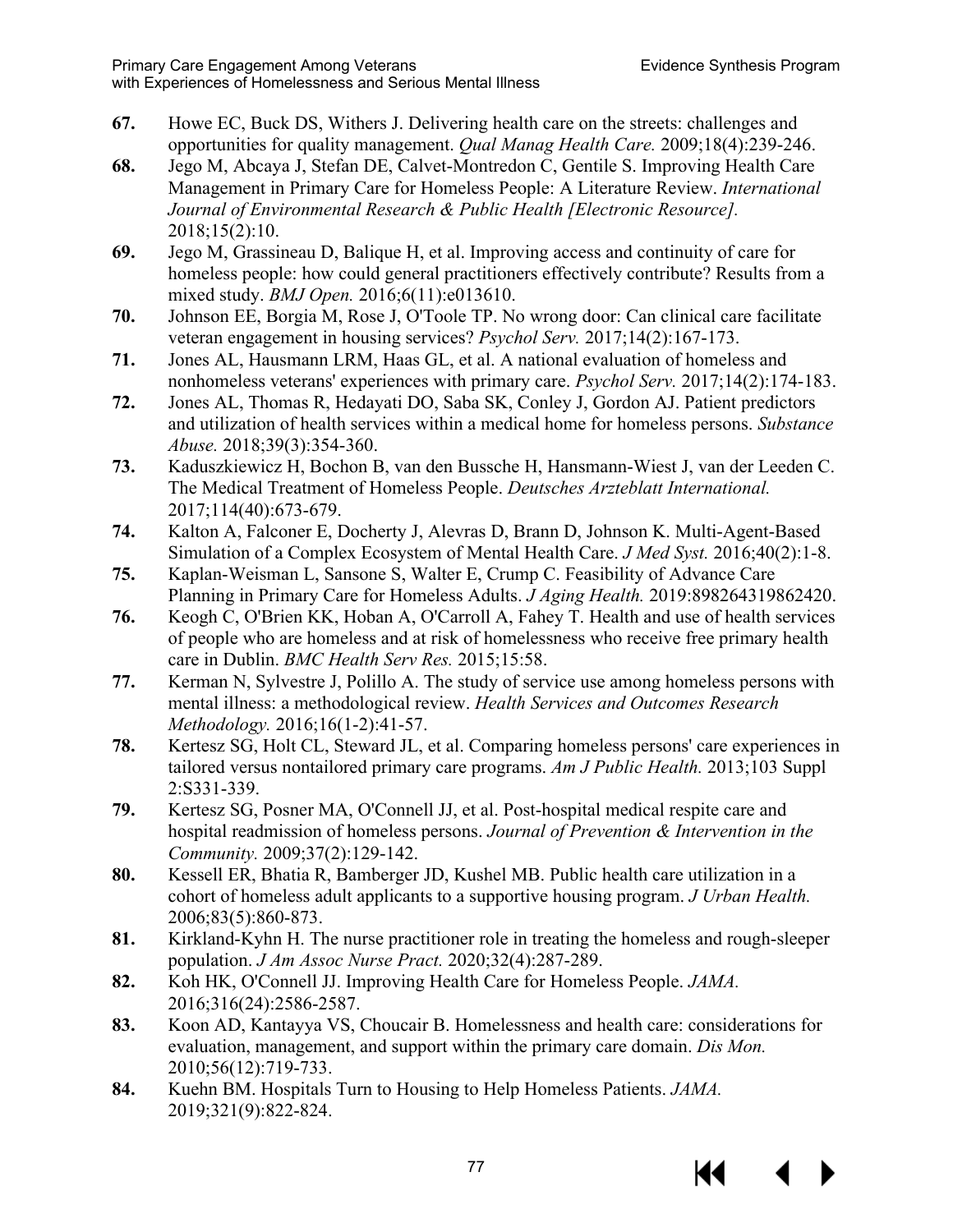- **67.** Howe EC, Buck DS, Withers J. Delivering health care on the streets: challenges and opportunities for quality management. *Qual Manag Health Care.* 2009;18(4):239-246.
- **68.** Jego M, Abcaya J, Stefan DE, Calvet-Montredon C, Gentile S. Improving Health Care Management in Primary Care for Homeless People: A Literature Review. *International Journal of Environmental Research & Public Health [Electronic Resource].*  2018;15(2):10.
- **69.** Jego M, Grassineau D, Balique H, et al. Improving access and continuity of care for homeless people: how could general practitioners effectively contribute? Results from a mixed study. *BMJ Open.* 2016;6(11):e013610.
- **70.** Johnson EE, Borgia M, Rose J, O'Toole TP. No wrong door: Can clinical care facilitate veteran engagement in housing services? *Psychol Serv.* 2017;14(2):167-173.
- **71.** Jones AL, Hausmann LRM, Haas GL, et al. A national evaluation of homeless and nonhomeless veterans' experiences with primary care. *Psychol Serv.* 2017;14(2):174-183.
- **72.** Jones AL, Thomas R, Hedayati DO, Saba SK, Conley J, Gordon AJ. Patient predictors and utilization of health services within a medical home for homeless persons. *Substance Abuse.* 2018;39(3):354-360.
- **73.** Kaduszkiewicz H, Bochon B, van den Bussche H, Hansmann-Wiest J, van der Leeden C. The Medical Treatment of Homeless People. *Deutsches Arzteblatt International.*  2017;114(40):673-679.
- **74.** Kalton A, Falconer E, Docherty J, Alevras D, Brann D, Johnson K. Multi-Agent-Based Simulation of a Complex Ecosystem of Mental Health Care. *J Med Syst.* 2016;40(2):1-8.
- **75.** Kaplan-Weisman L, Sansone S, Walter E, Crump C. Feasibility of Advance Care Planning in Primary Care for Homeless Adults. *J Aging Health.* 2019:898264319862420.
- **76.** Keogh C, O'Brien KK, Hoban A, O'Carroll A, Fahey T. Health and use of health services of people who are homeless and at risk of homelessness who receive free primary health care in Dublin. *BMC Health Serv Res.* 2015;15:58.
- **77.** Kerman N, Sylvestre J, Polillo A. The study of service use among homeless persons with mental illness: a methodological review. *Health Services and Outcomes Research Methodology.* 2016;16(1-2):41-57.
- **78.** Kertesz SG, Holt CL, Steward JL, et al. Comparing homeless persons' care experiences in tailored versus nontailored primary care programs. *Am J Public Health.* 2013;103 Suppl 2:S331-339.
- **79.** Kertesz SG, Posner MA, O'Connell JJ, et al. Post-hospital medical respite care and hospital readmission of homeless persons. *Journal of Prevention & Intervention in the Community.* 2009;37(2):129-142.
- **80.** Kessell ER, Bhatia R, Bamberger JD, Kushel MB. Public health care utilization in a cohort of homeless adult applicants to a supportive housing program. *J Urban Health.*  2006;83(5):860-873.
- **81.** Kirkland-Kyhn H. The nurse practitioner role in treating the homeless and rough-sleeper population. *J Am Assoc Nurse Pract.* 2020;32(4):287-289.
- **82.** Koh HK, O'Connell JJ. Improving Health Care for Homeless People. *JAMA.*  2016;316(24):2586-2587.
- **83.** Koon AD, Kantayya VS, Choucair B. Homelessness and health care: considerations for evaluation, management, and support within the primary care domain. *Dis Mon.*  2010;56(12):719-733.
- **84.** Kuehn BM. Hospitals Turn to Housing to Help Homeless Patients. *JAMA.*  2019;321(9):822-824.



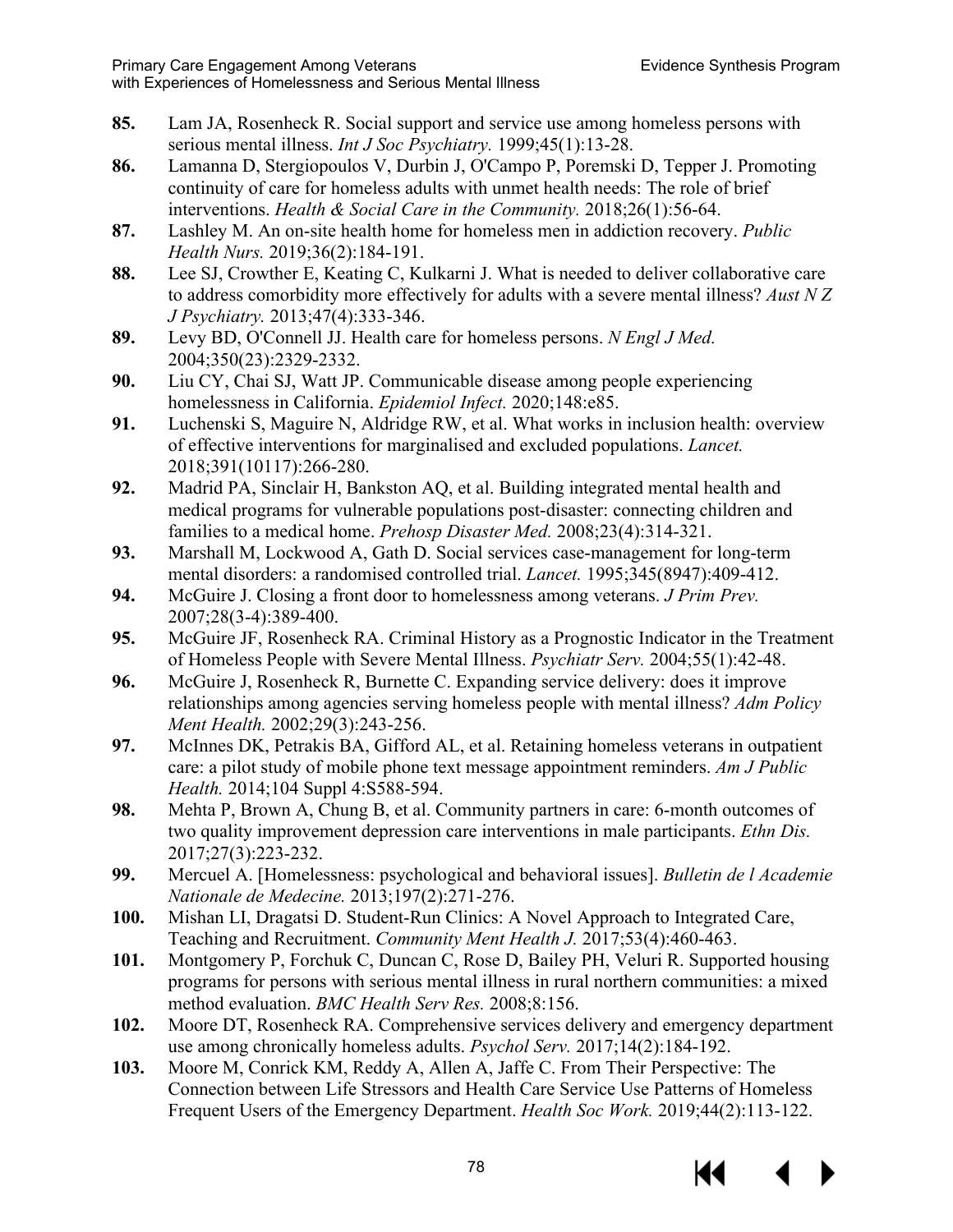- **85.** Lam JA, Rosenheck R. Social support and service use among homeless persons with serious mental illness. *Int J Soc Psychiatry.* 1999;45(1):13-28.
- **86.** Lamanna D, Stergiopoulos V, Durbin J, O'Campo P, Poremski D, Tepper J. Promoting continuity of care for homeless adults with unmet health needs: The role of brief interventions. *Health & Social Care in the Community.* 2018;26(1):56-64.
- **87.** Lashley M. An on-site health home for homeless men in addiction recovery. *Public Health Nurs.* 2019;36(2):184-191.
- **88.** Lee SJ, Crowther E, Keating C, Kulkarni J. What is needed to deliver collaborative care to address comorbidity more effectively for adults with a severe mental illness? *Aust N Z J Psychiatry.* 2013;47(4):333-346.
- **89.** Levy BD, O'Connell JJ. Health care for homeless persons. *N Engl J Med.*  2004;350(23):2329-2332.
- **90.** Liu CY, Chai SJ, Watt JP. Communicable disease among people experiencing homelessness in California. *Epidemiol Infect.* 2020;148:e85.
- **91.** Luchenski S, Maguire N, Aldridge RW, et al. What works in inclusion health: overview of effective interventions for marginalised and excluded populations. *Lancet.*  2018;391(10117):266-280.
- **92.** Madrid PA, Sinclair H, Bankston AQ, et al. Building integrated mental health and medical programs for vulnerable populations post-disaster: connecting children and families to a medical home. *Prehosp Disaster Med.* 2008;23(4):314-321.
- **93.** Marshall M, Lockwood A, Gath D. Social services case-management for long-term mental disorders: a randomised controlled trial. *Lancet.* 1995;345(8947):409-412.
- **94.** McGuire J. Closing a front door to homelessness among veterans. *J Prim Prev.*  2007;28(3-4):389-400.
- **95.** McGuire JF, Rosenheck RA. Criminal History as a Prognostic Indicator in the Treatment of Homeless People with Severe Mental Illness. *Psychiatr Serv.* 2004;55(1):42-48.
- **96.** McGuire J, Rosenheck R, Burnette C. Expanding service delivery: does it improve relationships among agencies serving homeless people with mental illness? *Adm Policy Ment Health.* 2002;29(3):243-256.
- **97.** McInnes DK, Petrakis BA, Gifford AL, et al. Retaining homeless veterans in outpatient care: a pilot study of mobile phone text message appointment reminders. *Am J Public Health.* 2014;104 Suppl 4:S588-594.
- **98.** Mehta P, Brown A, Chung B, et al. Community partners in care: 6-month outcomes of two quality improvement depression care interventions in male participants. *Ethn Dis.*  2017;27(3):223-232.
- **99.** Mercuel A. [Homelessness: psychological and behavioral issues]. *Bulletin de l Academie Nationale de Medecine.* 2013;197(2):271-276.
- **100.** Mishan LI, Dragatsi D. Student-Run Clinics: A Novel Approach to Integrated Care, Teaching and Recruitment. *Community Ment Health J.* 2017;53(4):460-463.
- **101.** Montgomery P, Forchuk C, Duncan C, Rose D, Bailey PH, Veluri R. Supported housing programs for persons with serious mental illness in rural northern communities: a mixed method evaluation. *BMC Health Serv Res.* 2008;8:156.
- **102.** Moore DT, Rosenheck RA. Comprehensive services delivery and emergency department use among chronically homeless adults. *Psychol Serv.* 2017;14(2):184-192.
- **103.** Moore M, Conrick KM, Reddy A, Allen A, Jaffe C. From Their Perspective: The Connection between Life Stressors and Health Care Service Use Patterns of Homeless Frequent Users of the Emergency Department. *Health Soc Work.* 2019;44(2):113-122.

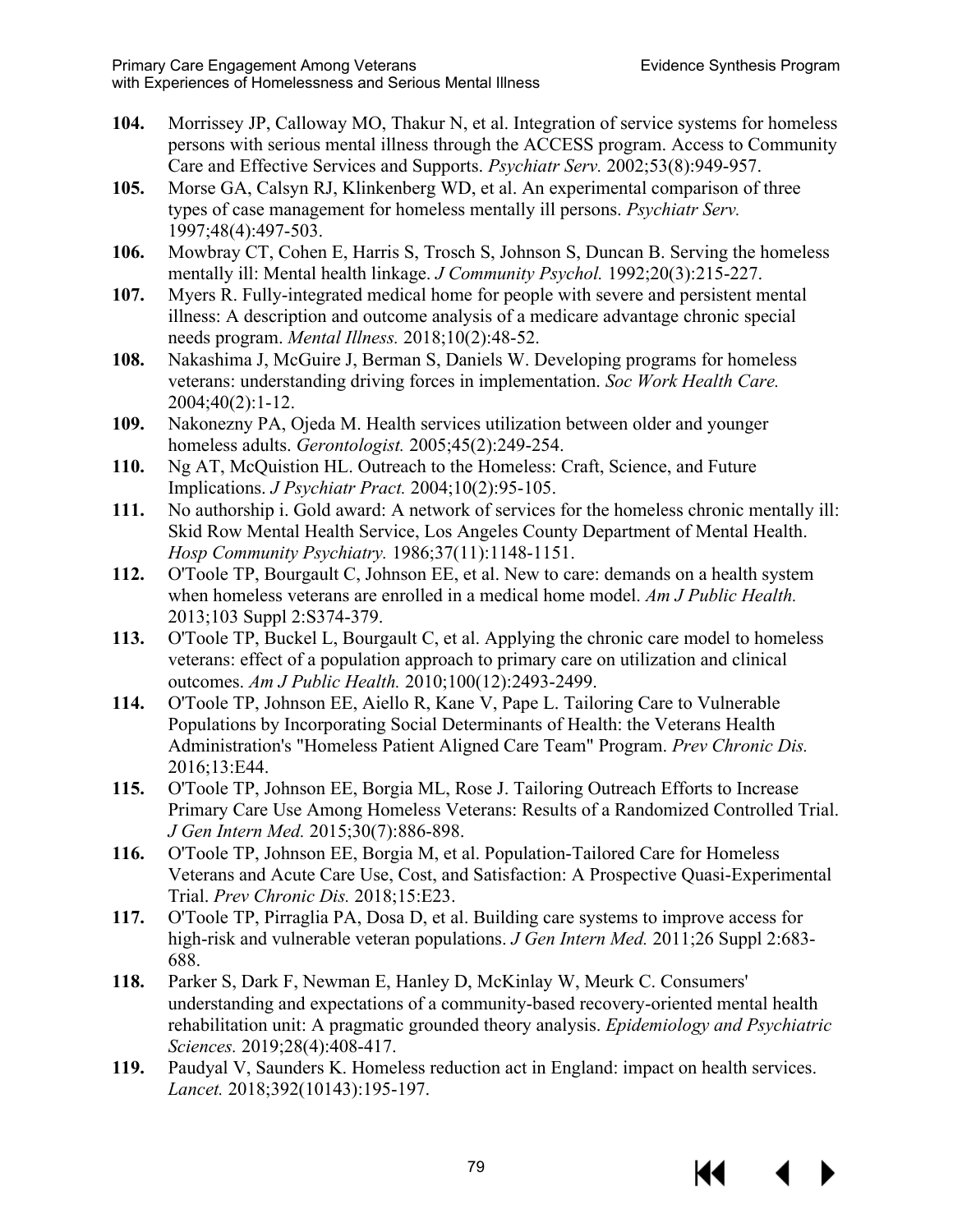- **104.** Morrissey JP, Calloway MO, Thakur N, et al. Integration of service systems for homeless persons with serious mental illness through the ACCESS program. Access to Community Care and Effective Services and Supports. *Psychiatr Serv.* 2002;53(8):949-957.
- **105.** Morse GA, Calsyn RJ, Klinkenberg WD, et al. An experimental comparison of three types of case management for homeless mentally ill persons. *Psychiatr Serv.*  1997;48(4):497-503.
- **106.** Mowbray CT, Cohen E, Harris S, Trosch S, Johnson S, Duncan B. Serving the homeless mentally ill: Mental health linkage. *J Community Psychol.* 1992;20(3):215-227.
- **107.** Myers R. Fully-integrated medical home for people with severe and persistent mental illness: A description and outcome analysis of a medicare advantage chronic special needs program. *Mental Illness.* 2018;10(2):48-52.
- **108.** Nakashima J, McGuire J, Berman S, Daniels W. Developing programs for homeless veterans: understanding driving forces in implementation. *Soc Work Health Care.*  2004;40(2):1-12.
- **109.** Nakonezny PA, Ojeda M. Health services utilization between older and younger homeless adults. *Gerontologist.* 2005;45(2):249-254.
- **110.** Ng AT, McQuistion HL. Outreach to the Homeless: Craft, Science, and Future Implications. *J Psychiatr Pract.* 2004;10(2):95-105.
- **111.** No authorship i. Gold award: A network of services for the homeless chronic mentally ill: Skid Row Mental Health Service, Los Angeles County Department of Mental Health. *Hosp Community Psychiatry.* 1986;37(11):1148-1151.
- **112.** O'Toole TP, Bourgault C, Johnson EE, et al. New to care: demands on a health system when homeless veterans are enrolled in a medical home model. *Am J Public Health.*  2013;103 Suppl 2:S374-379.
- **113.** O'Toole TP, Buckel L, Bourgault C, et al. Applying the chronic care model to homeless veterans: effect of a population approach to primary care on utilization and clinical outcomes. *Am J Public Health.* 2010;100(12):2493-2499.
- **114.** O'Toole TP, Johnson EE, Aiello R, Kane V, Pape L. Tailoring Care to Vulnerable Populations by Incorporating Social Determinants of Health: the Veterans Health Administration's "Homeless Patient Aligned Care Team" Program. *Prev Chronic Dis.*  2016;13:E44.
- **115.** O'Toole TP, Johnson EE, Borgia ML, Rose J. Tailoring Outreach Efforts to Increase Primary Care Use Among Homeless Veterans: Results of a Randomized Controlled Trial. *J Gen Intern Med.* 2015;30(7):886-898.
- **116.** O'Toole TP, Johnson EE, Borgia M, et al. Population-Tailored Care for Homeless Veterans and Acute Care Use, Cost, and Satisfaction: A Prospective Quasi-Experimental Trial. *Prev Chronic Dis.* 2018;15:E23.
- **117.** O'Toole TP, Pirraglia PA, Dosa D, et al. Building care systems to improve access for high-risk and vulnerable veteran populations. *J Gen Intern Med.* 2011;26 Suppl 2:683- 688.
- **118.** Parker S, Dark F, Newman E, Hanley D, McKinlay W, Meurk C. Consumers' understanding and expectations of a community-based recovery-oriented mental health rehabilitation unit: A pragmatic grounded theory analysis. *Epidemiology and Psychiatric Sciences.* 2019;28(4):408-417.
- **119.** Paudyal V, Saunders K. Homeless reduction act in England: impact on health services. *Lancet.* 2018;392(10143):195-197.

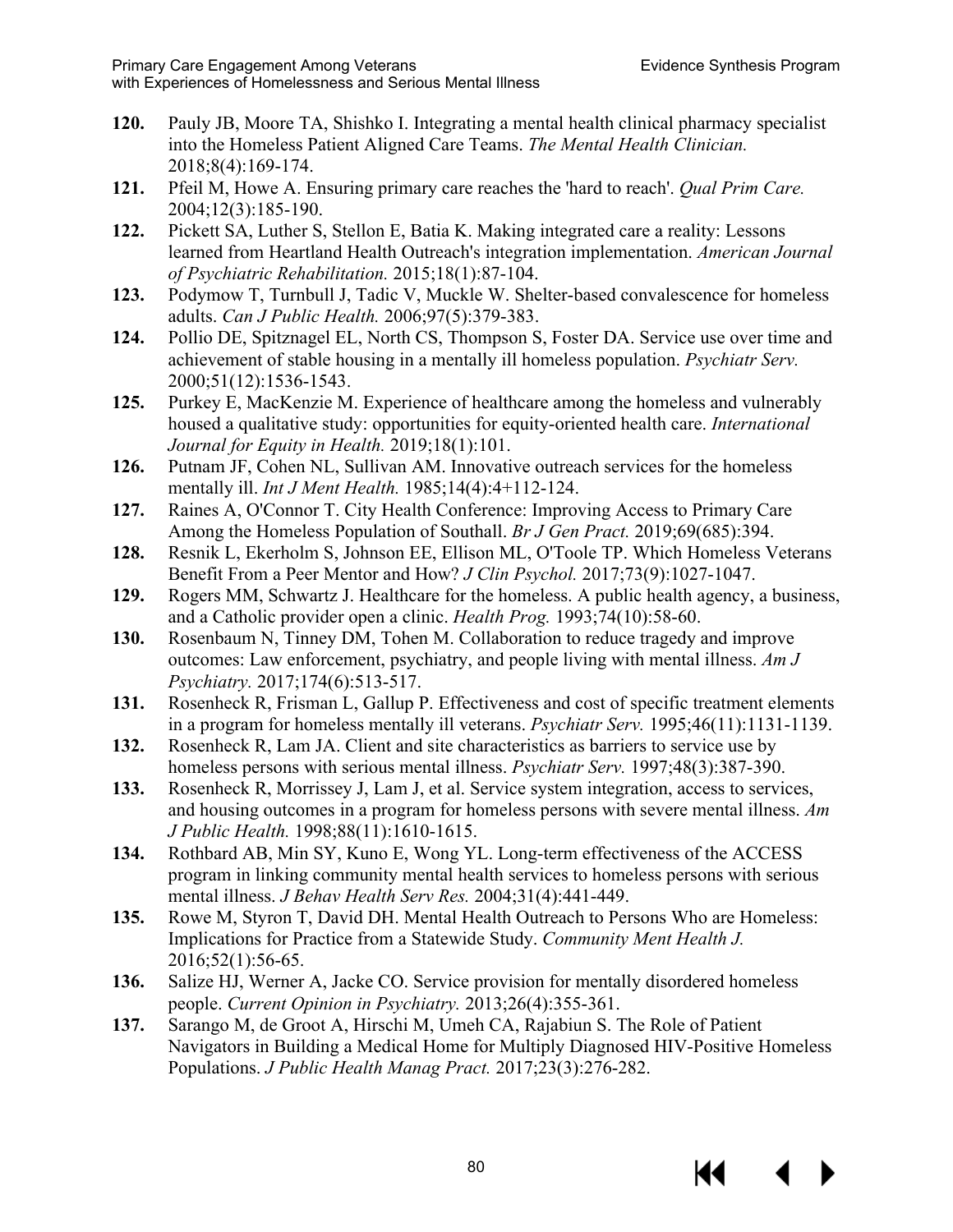- **120.** Pauly JB, Moore TA, Shishko I. Integrating a mental health clinical pharmacy specialist into the Homeless Patient Aligned Care Teams. *The Mental Health Clinician.*  2018;8(4):169-174.
- **121.** Pfeil M, Howe A. Ensuring primary care reaches the 'hard to reach'. *Qual Prim Care.*  2004;12(3):185-190.
- **122.** Pickett SA, Luther S, Stellon E, Batia K. Making integrated care a reality: Lessons learned from Heartland Health Outreach's integration implementation. *American Journal of Psychiatric Rehabilitation.* 2015;18(1):87-104.
- **123.** Podymow T, Turnbull J, Tadic V, Muckle W. Shelter-based convalescence for homeless adults. *Can J Public Health.* 2006;97(5):379-383.
- **124.** Pollio DE, Spitznagel EL, North CS, Thompson S, Foster DA. Service use over time and achievement of stable housing in a mentally ill homeless population. *Psychiatr Serv.*  2000;51(12):1536-1543.
- **125.** Purkey E, MacKenzie M. Experience of healthcare among the homeless and vulnerably housed a qualitative study: opportunities for equity-oriented health care. *International Journal for Equity in Health.* 2019;18(1):101.
- **126.** Putnam JF, Cohen NL, Sullivan AM. Innovative outreach services for the homeless mentally ill. *Int J Ment Health.* 1985;14(4):4+112-124.
- **127.** Raines A, O'Connor T. City Health Conference: Improving Access to Primary Care Among the Homeless Population of Southall. *Br J Gen Pract.* 2019;69(685):394.
- **128.** Resnik L, Ekerholm S, Johnson EE, Ellison ML, O'Toole TP. Which Homeless Veterans Benefit From a Peer Mentor and How? *J Clin Psychol.* 2017;73(9):1027-1047.
- **129.** Rogers MM, Schwartz J. Healthcare for the homeless. A public health agency, a business, and a Catholic provider open a clinic. *Health Prog.* 1993;74(10):58-60.
- **130.** Rosenbaum N, Tinney DM, Tohen M. Collaboration to reduce tragedy and improve outcomes: Law enforcement, psychiatry, and people living with mental illness. *Am J Psychiatry.* 2017;174(6):513-517.
- **131.** Rosenheck R, Frisman L, Gallup P. Effectiveness and cost of specific treatment elements in a program for homeless mentally ill veterans. *Psychiatr Serv.* 1995;46(11):1131-1139.
- **132.** Rosenheck R, Lam JA. Client and site characteristics as barriers to service use by homeless persons with serious mental illness. *Psychiatr Serv.* 1997;48(3):387-390.
- **133.** Rosenheck R, Morrissey J, Lam J, et al. Service system integration, access to services, and housing outcomes in a program for homeless persons with severe mental illness. *Am J Public Health.* 1998;88(11):1610-1615.
- **134.** Rothbard AB, Min SY, Kuno E, Wong YL. Long-term effectiveness of the ACCESS program in linking community mental health services to homeless persons with serious mental illness. *J Behav Health Serv Res.* 2004;31(4):441-449.
- **135.** Rowe M, Styron T, David DH. Mental Health Outreach to Persons Who are Homeless: Implications for Practice from a Statewide Study. *Community Ment Health J.*  2016;52(1):56-65.
- **136.** Salize HJ, Werner A, Jacke CO. Service provision for mentally disordered homeless people. *Current Opinion in Psychiatry.* 2013;26(4):355-361.
- **137.** Sarango M, de Groot A, Hirschi M, Umeh CA, Rajabiun S. The Role of Patient Navigators in Building a Medical Home for Multiply Diagnosed HIV-Positive Homeless Populations. *J Public Health Manag Pract.* 2017;23(3):276-282.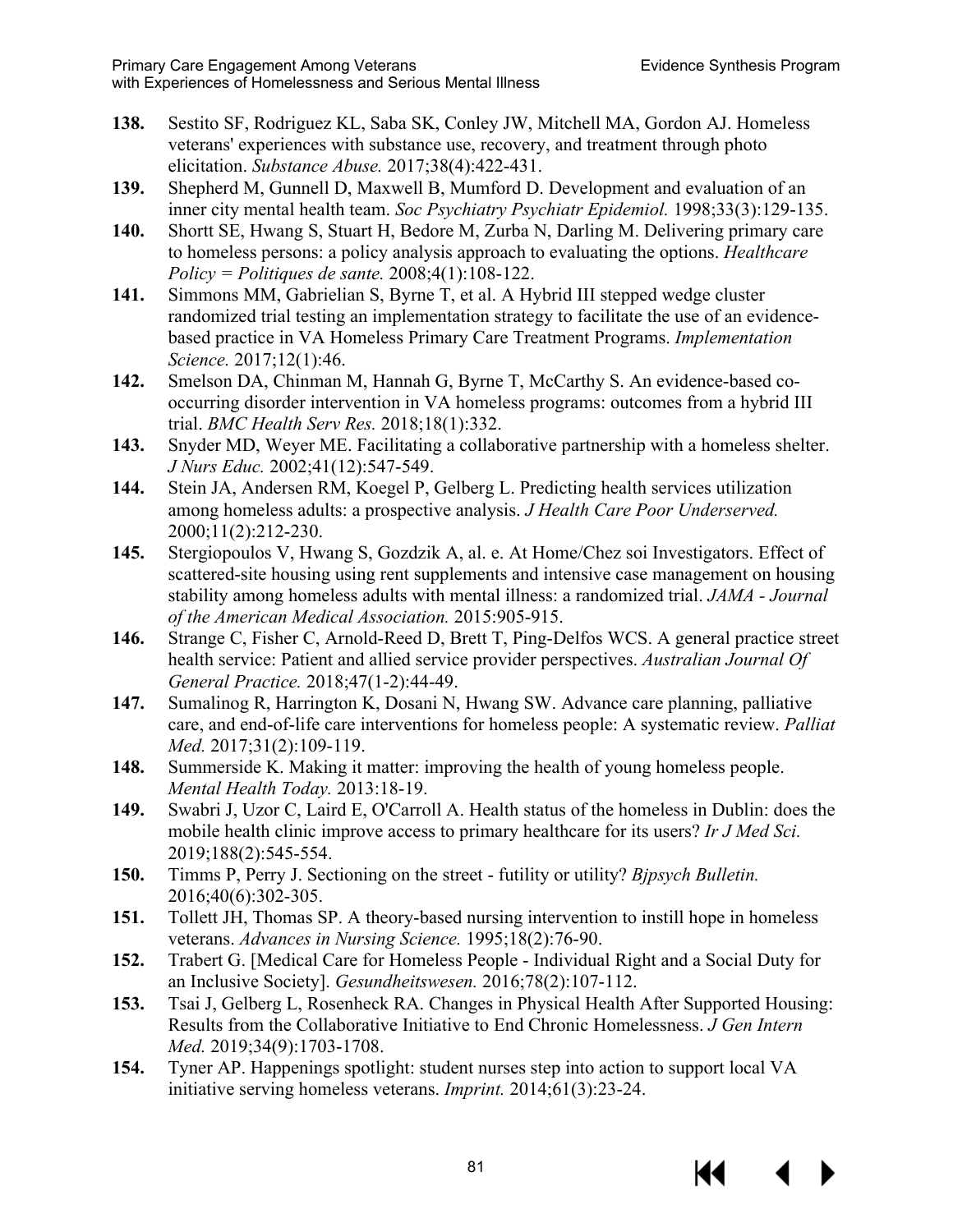- **138.** Sestito SF, Rodriguez KL, Saba SK, Conley JW, Mitchell MA, Gordon AJ. Homeless veterans' experiences with substance use, recovery, and treatment through photo elicitation. *Substance Abuse.* 2017;38(4):422-431.
- **139.** Shepherd M, Gunnell D, Maxwell B, Mumford D. Development and evaluation of an inner city mental health team. *Soc Psychiatry Psychiatr Epidemiol.* 1998;33(3):129-135.
- **140.** Shortt SE, Hwang S, Stuart H, Bedore M, Zurba N, Darling M. Delivering primary care to homeless persons: a policy analysis approach to evaluating the options. *Healthcare Policy = Politiques de sante.* 2008;4(1):108-122.
- **141.** Simmons MM, Gabrielian S, Byrne T, et al. A Hybrid III stepped wedge cluster randomized trial testing an implementation strategy to facilitate the use of an evidencebased practice in VA Homeless Primary Care Treatment Programs. *Implementation Science.* 2017;12(1):46.
- **142.** Smelson DA, Chinman M, Hannah G, Byrne T, McCarthy S. An evidence-based cooccurring disorder intervention in VA homeless programs: outcomes from a hybrid III trial. *BMC Health Serv Res.* 2018;18(1):332.
- **143.** Snyder MD, Weyer ME. Facilitating a collaborative partnership with a homeless shelter. *J Nurs Educ.* 2002;41(12):547-549.
- **144.** Stein JA, Andersen RM, Koegel P, Gelberg L. Predicting health services utilization among homeless adults: a prospective analysis. *J Health Care Poor Underserved.*  2000;11(2):212-230.
- **145.** Stergiopoulos V, Hwang S, Gozdzik A, al. e. At Home/Chez soi Investigators. Effect of scattered-site housing using rent supplements and intensive case management on housing stability among homeless adults with mental illness: a randomized trial. *JAMA - Journal of the American Medical Association.* 2015:905-915.
- **146.** Strange C, Fisher C, Arnold-Reed D, Brett T, Ping-Delfos WCS. A general practice street health service: Patient and allied service provider perspectives. *Australian Journal Of General Practice.* 2018;47(1-2):44-49.
- **147.** Sumalinog R, Harrington K, Dosani N, Hwang SW. Advance care planning, palliative care, and end-of-life care interventions for homeless people: A systematic review. *Palliat Med.* 2017;31(2):109-119.
- **148.** Summerside K. Making it matter: improving the health of young homeless people. *Mental Health Today.* 2013:18-19.
- **149.** Swabri J, Uzor C, Laird E, O'Carroll A. Health status of the homeless in Dublin: does the mobile health clinic improve access to primary healthcare for its users? *Ir J Med Sci.*  2019;188(2):545-554.
- **150.** Timms P, Perry J. Sectioning on the street futility or utility? *Bjpsych Bulletin.*  2016;40(6):302-305.
- **151.** Tollett JH, Thomas SP. A theory-based nursing intervention to instill hope in homeless veterans. *Advances in Nursing Science.* 1995;18(2):76-90.
- **152.** Trabert G. [Medical Care for Homeless People Individual Right and a Social Duty for an Inclusive Society]. *Gesundheitswesen.* 2016;78(2):107-112.
- **153.** Tsai J, Gelberg L, Rosenheck RA. Changes in Physical Health After Supported Housing: Results from the Collaborative Initiative to End Chronic Homelessness. *J Gen Intern Med.* 2019;34(9):1703-1708.
- **154.** Tyner AP. Happenings spotlight: student nurses step into action to support local VA initiative serving homeless veterans. *Imprint.* 2014;61(3):23-24.

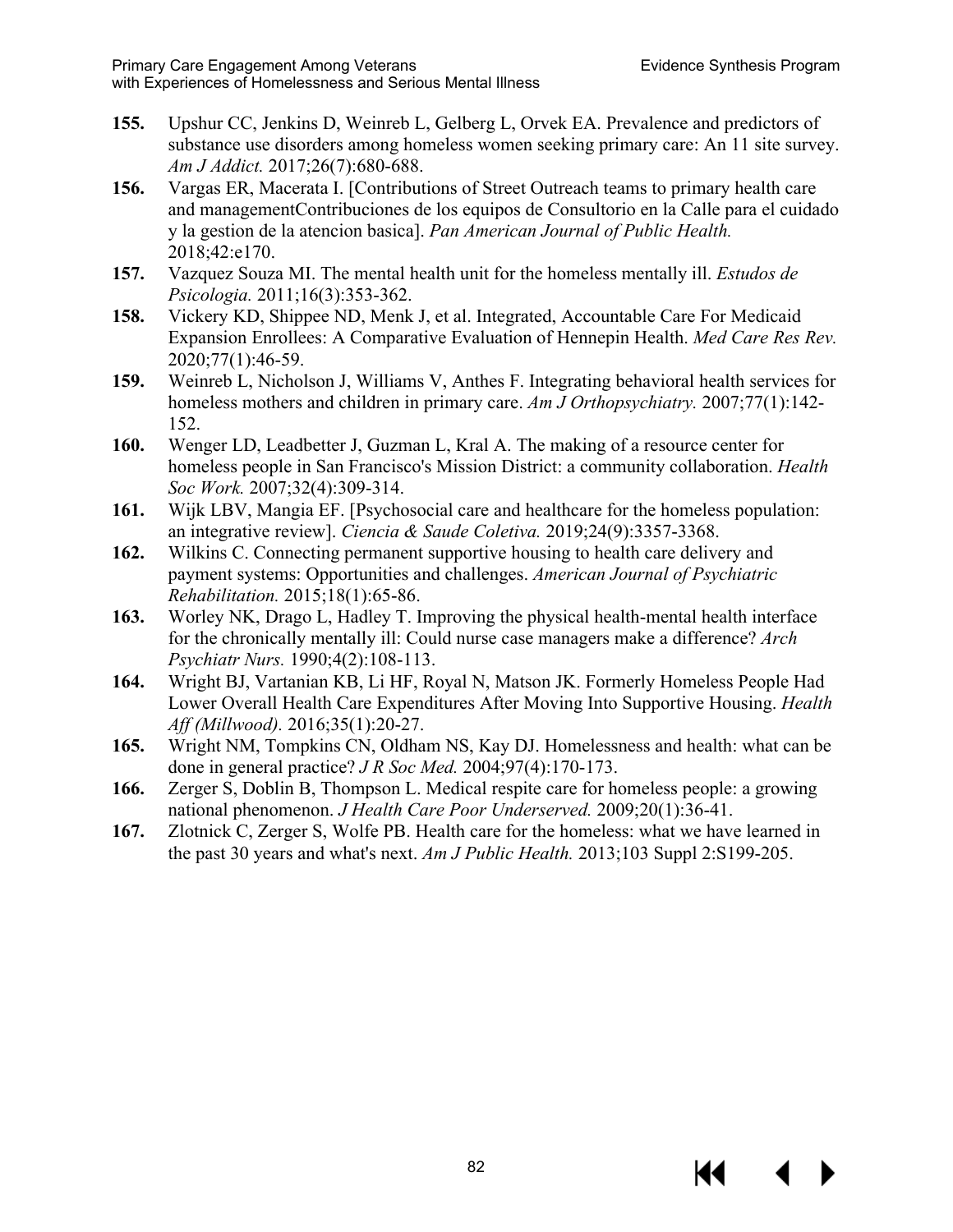- **155.** Upshur CC, Jenkins D, Weinreb L, Gelberg L, Orvek EA. Prevalence and predictors of substance use disorders among homeless women seeking primary care: An 11 site survey. *Am J Addict.* 2017;26(7):680-688.
- **156.** Vargas ER, Macerata I. [Contributions of Street Outreach teams to primary health care and managementContribuciones de los equipos de Consultorio en la Calle para el cuidado y la gestion de la atencion basica]. *Pan American Journal of Public Health.*  2018;42:e170.
- **157.** Vazquez Souza MI. The mental health unit for the homeless mentally ill. *Estudos de Psicologia.* 2011;16(3):353-362.
- **158.** Vickery KD, Shippee ND, Menk J, et al. Integrated, Accountable Care For Medicaid Expansion Enrollees: A Comparative Evaluation of Hennepin Health. *Med Care Res Rev.*  2020;77(1):46-59.
- **159.** Weinreb L, Nicholson J, Williams V, Anthes F. Integrating behavioral health services for homeless mothers and children in primary care. *Am J Orthopsychiatry.* 2007;77(1):142- 152.
- **160.** Wenger LD, Leadbetter J, Guzman L, Kral A. The making of a resource center for homeless people in San Francisco's Mission District: a community collaboration. *Health Soc Work.* 2007;32(4):309-314.
- **161.** Wijk LBV, Mangia EF. [Psychosocial care and healthcare for the homeless population: an integrative review]. *Ciencia & Saude Coletiva.* 2019;24(9):3357-3368.
- **162.** Wilkins C. Connecting permanent supportive housing to health care delivery and payment systems: Opportunities and challenges. *American Journal of Psychiatric Rehabilitation.* 2015;18(1):65-86.
- **163.** Worley NK, Drago L, Hadley T. Improving the physical health-mental health interface for the chronically mentally ill: Could nurse case managers make a difference? *Arch Psychiatr Nurs.* 1990;4(2):108-113.
- **164.** Wright BJ, Vartanian KB, Li HF, Royal N, Matson JK. Formerly Homeless People Had Lower Overall Health Care Expenditures After Moving Into Supportive Housing. *Health Aff (Millwood).* 2016;35(1):20-27.
- **165.** Wright NM, Tompkins CN, Oldham NS, Kay DJ. Homelessness and health: what can be done in general practice? *J R Soc Med.* 2004;97(4):170-173.
- **166.** Zerger S, Doblin B, Thompson L. Medical respite care for homeless people: a growing national phenomenon. *J Health Care Poor Underserved.* 2009;20(1):36-41.
- **167.** Zlotnick C, Zerger S, Wolfe PB. Health care for the homeless: what we have learned in the past 30 years and what's next. *Am J Public Health.* 2013;103 Suppl 2:S199-205.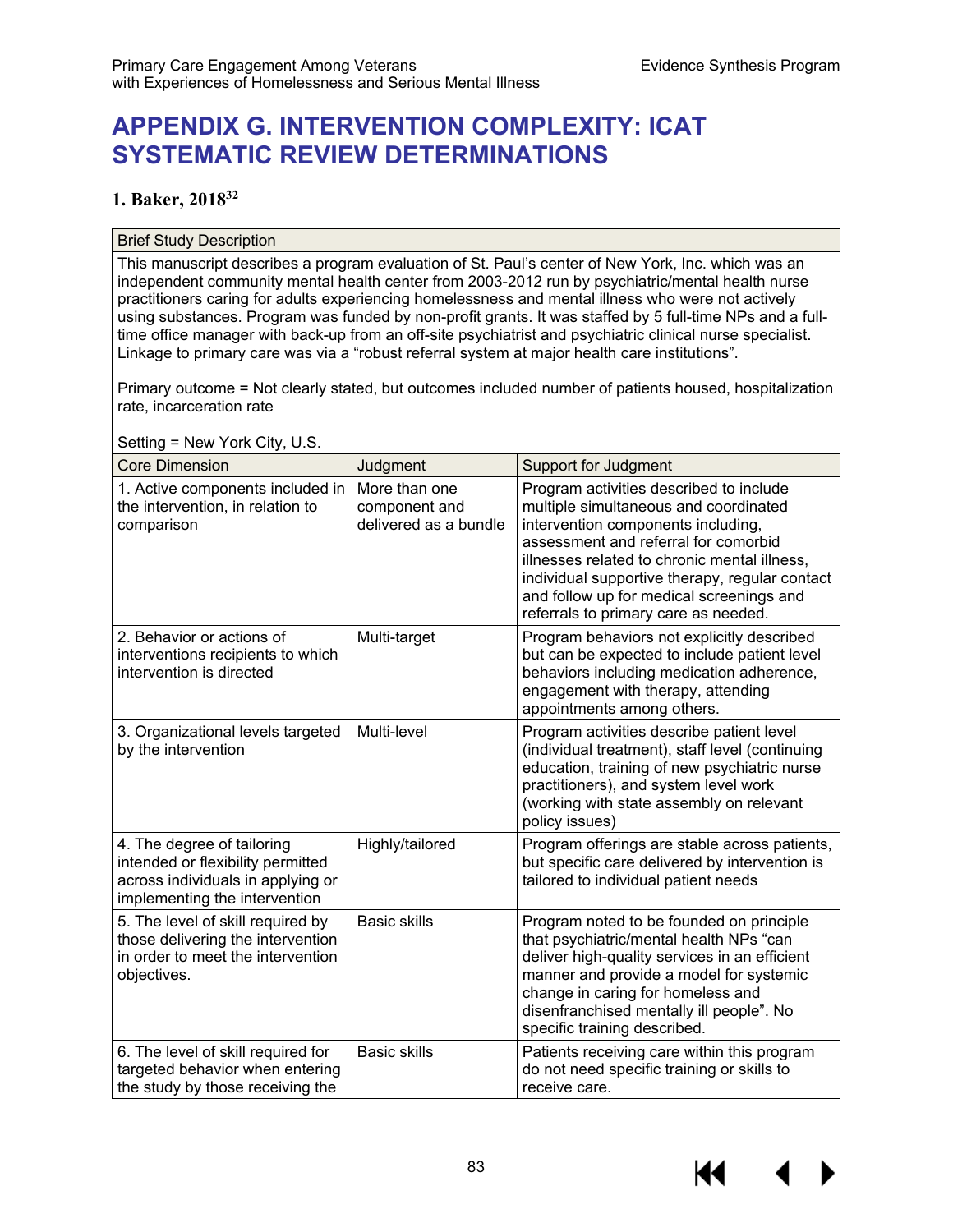# **APPENDIX G. INTERVENTION COMPLEXITY: ICAT SYSTEMATIC REVIEW DETERMINATIONS**

### **1. Baker, 201832**

#### Brief Study Description

This manuscript describes a program evaluation of St. Paul's center of New York, Inc. which was an independent community mental health center from 2003-2012 run by psychiatric/mental health nurse practitioners caring for adults experiencing homelessness and mental illness who were not actively using substances. Program was funded by non-profit grants. It was staffed by 5 full-time NPs and a fulltime office manager with back-up from an off-site psychiatrist and psychiatric clinical nurse specialist. Linkage to primary care was via a "robust referral system at major health care institutions".

Primary outcome = Not clearly stated, but outcomes included number of patients housed, hospitalization rate, incarceration rate

 $S$ etting = New York City,  $U.S$ 

| <b>Core Dimension</b>                                                                                                                 | Judgment                                                | <b>Support for Judgment</b>                                                                                                                                                                                                                                                                                                                          |
|---------------------------------------------------------------------------------------------------------------------------------------|---------------------------------------------------------|------------------------------------------------------------------------------------------------------------------------------------------------------------------------------------------------------------------------------------------------------------------------------------------------------------------------------------------------------|
| 1. Active components included in<br>the intervention, in relation to<br>comparison                                                    | More than one<br>component and<br>delivered as a bundle | Program activities described to include<br>multiple simultaneous and coordinated<br>intervention components including,<br>assessment and referral for comorbid<br>illnesses related to chronic mental illness,<br>individual supportive therapy, regular contact<br>and follow up for medical screenings and<br>referrals to primary care as needed. |
| 2. Behavior or actions of<br>interventions recipients to which<br>intervention is directed                                            | Multi-target                                            | Program behaviors not explicitly described<br>but can be expected to include patient level<br>behaviors including medication adherence,<br>engagement with therapy, attending<br>appointments among others.                                                                                                                                          |
| 3. Organizational levels targeted<br>by the intervention                                                                              | Multi-level                                             | Program activities describe patient level<br>(individual treatment), staff level (continuing<br>education, training of new psychiatric nurse<br>practitioners), and system level work<br>(working with state assembly on relevant<br>policy issues)                                                                                                  |
| 4. The degree of tailoring<br>intended or flexibility permitted<br>across individuals in applying or<br>implementing the intervention | Highly/tailored                                         | Program offerings are stable across patients,<br>but specific care delivered by intervention is<br>tailored to individual patient needs                                                                                                                                                                                                              |
| 5. The level of skill required by<br>those delivering the intervention<br>in order to meet the intervention<br>objectives.            | <b>Basic skills</b>                                     | Program noted to be founded on principle<br>that psychiatric/mental health NPs "can<br>deliver high-quality services in an efficient<br>manner and provide a model for systemic<br>change in caring for homeless and<br>disenfranchised mentally ill people". No<br>specific training described.                                                     |
| 6. The level of skill required for<br>targeted behavior when entering<br>the study by those receiving the                             | <b>Basic skills</b>                                     | Patients receiving care within this program<br>do not need specific training or skills to<br>receive care.                                                                                                                                                                                                                                           |

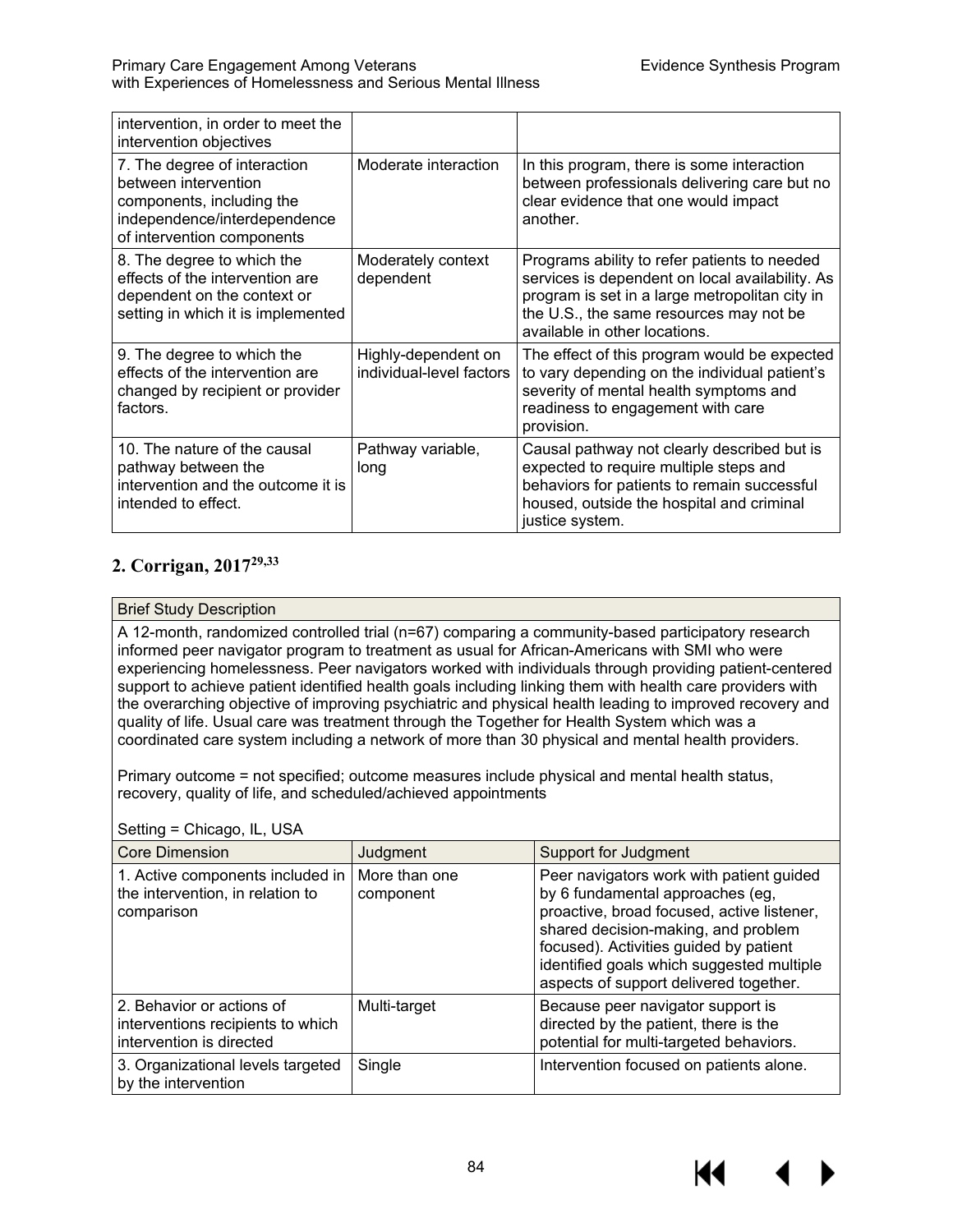| intervention, in order to meet the<br>intervention objectives                                                                                   |                                                 |                                                                                                                                                                                                                               |
|-------------------------------------------------------------------------------------------------------------------------------------------------|-------------------------------------------------|-------------------------------------------------------------------------------------------------------------------------------------------------------------------------------------------------------------------------------|
| 7. The degree of interaction<br>between intervention<br>components, including the<br>independence/interdependence<br>of intervention components | Moderate interaction                            | In this program, there is some interaction<br>between professionals delivering care but no<br>clear evidence that one would impact<br>another.                                                                                |
| 8. The degree to which the<br>effects of the intervention are<br>dependent on the context or<br>setting in which it is implemented              | Moderately context<br>dependent                 | Programs ability to refer patients to needed<br>services is dependent on local availability. As<br>program is set in a large metropolitan city in<br>the U.S., the same resources may not be<br>available in other locations. |
| 9. The degree to which the<br>effects of the intervention are<br>changed by recipient or provider<br>factors.                                   | Highly-dependent on<br>individual-level factors | The effect of this program would be expected<br>to vary depending on the individual patient's<br>severity of mental health symptoms and<br>readiness to engagement with care<br>provision.                                    |
| 10. The nature of the causal<br>pathway between the<br>intervention and the outcome it is<br>intended to effect.                                | Pathway variable,<br>long                       | Causal pathway not clearly described but is<br>expected to require multiple steps and<br>behaviors for patients to remain successful<br>housed, outside the hospital and criminal<br>justice system.                          |

# **2. Corrigan, 201729,33**

### Brief Study Description

A 12-month, randomized controlled trial (n=67) comparing a community-based participatory research informed peer navigator program to treatment as usual for African-Americans with SMI who were experiencing homelessness. Peer navigators worked with individuals through providing patient-centered support to achieve patient identified health goals including linking them with health care providers with the overarching objective of improving psychiatric and physical health leading to improved recovery and quality of life. Usual care was treatment through the Together for Health System which was a coordinated care system including a network of more than 30 physical and mental health providers.

Primary outcome = not specified; outcome measures include physical and mental health status, recovery, quality of life, and scheduled/achieved appointments

| <b>Core Dimension</b>                                                                      | Judgment                   | <b>Support for Judgment</b>                                                                                                                                                                                                                                                                        |
|--------------------------------------------------------------------------------------------|----------------------------|----------------------------------------------------------------------------------------------------------------------------------------------------------------------------------------------------------------------------------------------------------------------------------------------------|
| 1. Active components included in<br>the intervention, in relation to<br>comparison         | More than one<br>component | Peer navigators work with patient guided<br>by 6 fundamental approaches (eg,<br>proactive, broad focused, active listener,<br>shared decision-making, and problem<br>focused). Activities guided by patient<br>identified goals which suggested multiple<br>aspects of support delivered together. |
| 2. Behavior or actions of<br>interventions recipients to which<br>intervention is directed | Multi-target               | Because peer navigator support is<br>directed by the patient, there is the<br>potential for multi-targeted behaviors.                                                                                                                                                                              |
| 3. Organizational levels targeted<br>by the intervention                                   | Single                     | Intervention focused on patients alone.                                                                                                                                                                                                                                                            |

#### Setting = Chicago, IL, USA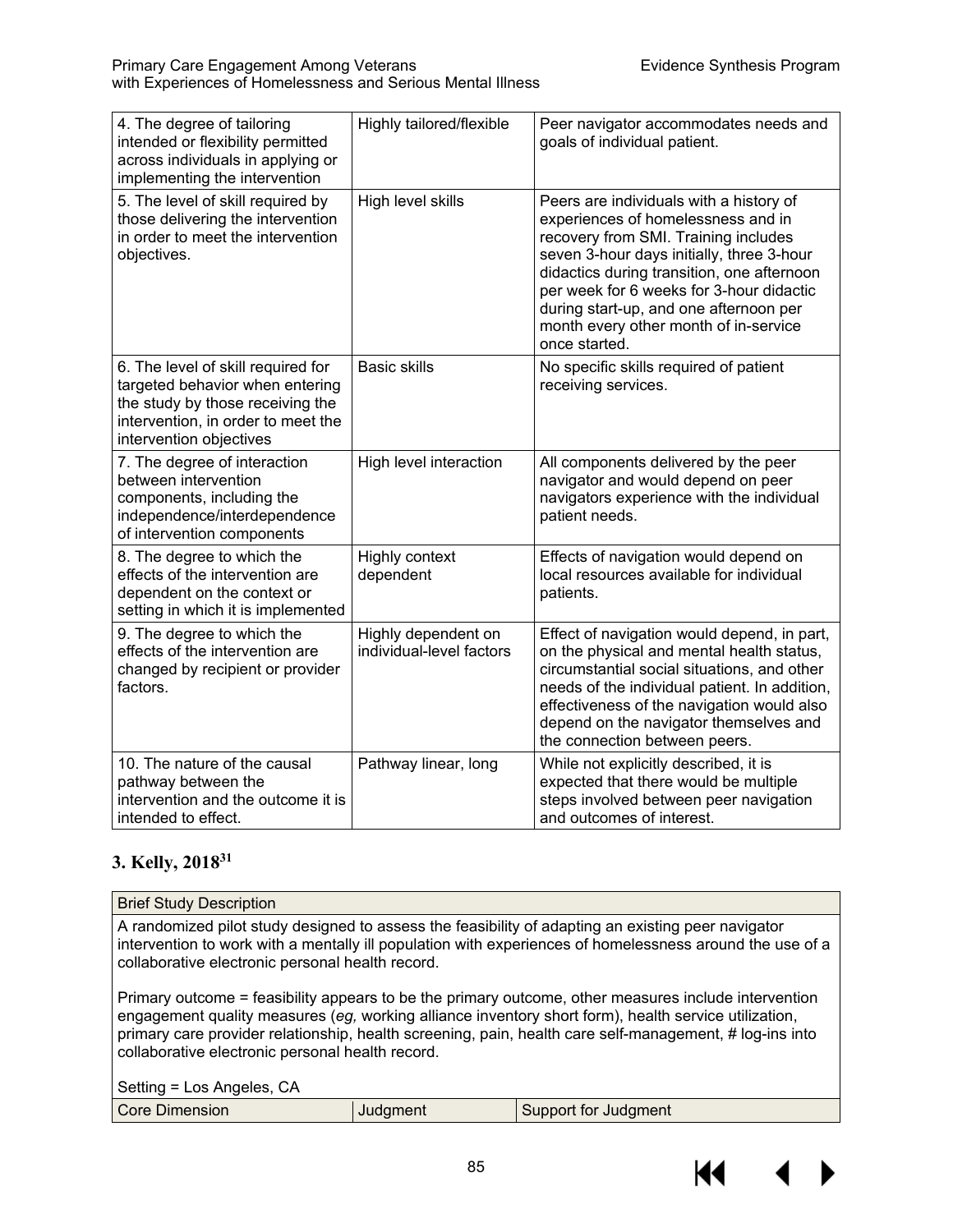| 4. The degree of tailoring<br>intended or flexibility permitted<br>across individuals in applying or<br>implementing the intervention                                      | Highly tailored/flexible                        | Peer navigator accommodates needs and<br>goals of individual patient.                                                                                                                                                                                                                                                                                            |
|----------------------------------------------------------------------------------------------------------------------------------------------------------------------------|-------------------------------------------------|------------------------------------------------------------------------------------------------------------------------------------------------------------------------------------------------------------------------------------------------------------------------------------------------------------------------------------------------------------------|
| 5. The level of skill required by<br>those delivering the intervention<br>in order to meet the intervention<br>objectives.                                                 | High level skills                               | Peers are individuals with a history of<br>experiences of homelessness and in<br>recovery from SMI. Training includes<br>seven 3-hour days initially, three 3-hour<br>didactics during transition, one afternoon<br>per week for 6 weeks for 3-hour didactic<br>during start-up, and one afternoon per<br>month every other month of in-service<br>once started. |
| 6. The level of skill required for<br>targeted behavior when entering<br>the study by those receiving the<br>intervention, in order to meet the<br>intervention objectives | <b>Basic skills</b>                             | No specific skills required of patient<br>receiving services.                                                                                                                                                                                                                                                                                                    |
| 7. The degree of interaction<br>between intervention<br>components, including the<br>independence/interdependence<br>of intervention components                            | High level interaction                          | All components delivered by the peer<br>navigator and would depend on peer<br>navigators experience with the individual<br>patient needs.                                                                                                                                                                                                                        |
| 8. The degree to which the<br>effects of the intervention are<br>dependent on the context or<br>setting in which it is implemented                                         | Highly context<br>dependent                     | Effects of navigation would depend on<br>local resources available for individual<br>patients.                                                                                                                                                                                                                                                                   |
| 9. The degree to which the<br>effects of the intervention are<br>changed by recipient or provider<br>factors.                                                              | Highly dependent on<br>individual-level factors | Effect of navigation would depend, in part,<br>on the physical and mental health status,<br>circumstantial social situations, and other<br>needs of the individual patient. In addition,<br>effectiveness of the navigation would also<br>depend on the navigator themselves and<br>the connection between peers.                                                |
| 10. The nature of the causal<br>pathway between the<br>intervention and the outcome it is<br>intended to effect.                                                           | Pathway linear, long                            | While not explicitly described, it is<br>expected that there would be multiple<br>steps involved between peer navigation<br>and outcomes of interest.                                                                                                                                                                                                            |

# **3. Kelly, 201831**

#### Brief Study Description

A randomized pilot study designed to assess the feasibility of adapting an existing peer navigator intervention to work with a mentally ill population with experiences of homelessness around the use of a collaborative electronic personal health record.

Primary outcome = feasibility appears to be the primary outcome, other measures include intervention engagement quality measures (*eg,* working alliance inventory short form), health service utilization, primary care provider relationship, health screening, pain, health care self-management, # log-ins into collaborative electronic personal health record.

Setting = Los Angeles, CA

| Core Dimension | -- - -- | <b>Support for Judgment</b> |
|----------------|---------|-----------------------------|

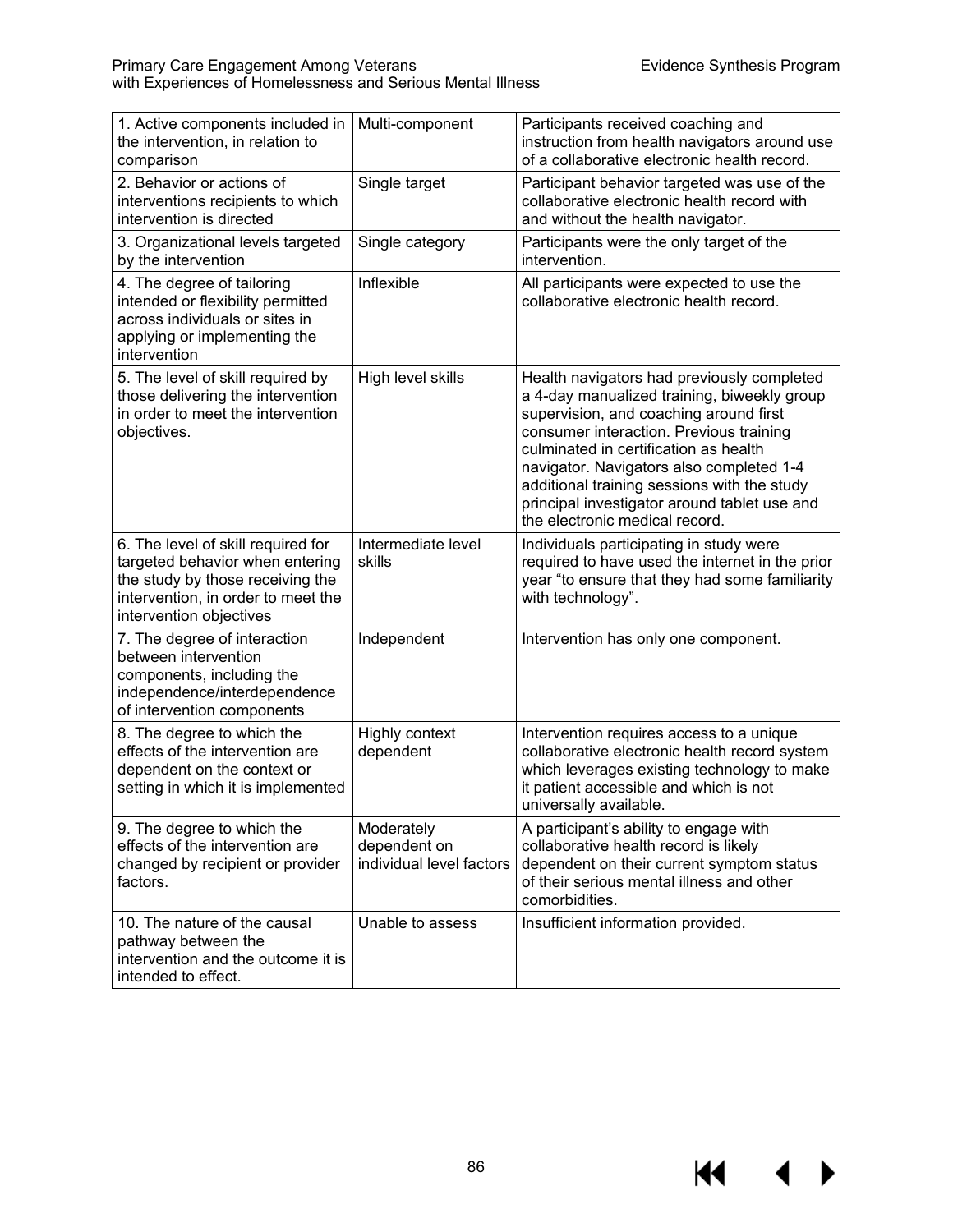$M \rightarrow$ 

| 1. Active components included in<br>the intervention, in relation to<br>comparison                                                                                         | Multi-component                                        | Participants received coaching and<br>instruction from health navigators around use<br>of a collaborative electronic health record.                                                                                                                                                                                                                                                                  |
|----------------------------------------------------------------------------------------------------------------------------------------------------------------------------|--------------------------------------------------------|------------------------------------------------------------------------------------------------------------------------------------------------------------------------------------------------------------------------------------------------------------------------------------------------------------------------------------------------------------------------------------------------------|
| 2. Behavior or actions of<br>interventions recipients to which<br>intervention is directed                                                                                 | Single target                                          | Participant behavior targeted was use of the<br>collaborative electronic health record with<br>and without the health navigator.                                                                                                                                                                                                                                                                     |
| 3. Organizational levels targeted<br>by the intervention                                                                                                                   | Single category                                        | Participants were the only target of the<br>intervention.                                                                                                                                                                                                                                                                                                                                            |
| 4. The degree of tailoring<br>intended or flexibility permitted<br>across individuals or sites in<br>applying or implementing the<br>intervention                          | Inflexible                                             | All participants were expected to use the<br>collaborative electronic health record.                                                                                                                                                                                                                                                                                                                 |
| 5. The level of skill required by<br>those delivering the intervention<br>in order to meet the intervention<br>objectives.                                                 | High level skills                                      | Health navigators had previously completed<br>a 4-day manualized training, biweekly group<br>supervision, and coaching around first<br>consumer interaction. Previous training<br>culminated in certification as health<br>navigator. Navigators also completed 1-4<br>additional training sessions with the study<br>principal investigator around tablet use and<br>the electronic medical record. |
| 6. The level of skill required for<br>targeted behavior when entering<br>the study by those receiving the<br>intervention, in order to meet the<br>intervention objectives | Intermediate level<br>skills                           | Individuals participating in study were<br>required to have used the internet in the prior<br>year "to ensure that they had some familiarity<br>with technology".                                                                                                                                                                                                                                    |
| 7. The degree of interaction<br>between intervention<br>components, including the<br>independence/interdependence<br>of intervention components                            | Independent                                            | Intervention has only one component.                                                                                                                                                                                                                                                                                                                                                                 |
| 8. The degree to which the<br>effects of the intervention are<br>dependent on the context or<br>setting in which it is implemented                                         | Highly context<br>dependent                            | Intervention requires access to a unique<br>collaborative electronic health record system<br>which leverages existing technology to make<br>it patient accessible and which is not<br>universally available.                                                                                                                                                                                         |
| 9. The degree to which the<br>effects of the intervention are<br>changed by recipient or provider<br>factors.                                                              | Moderately<br>dependent on<br>individual level factors | A participant's ability to engage with<br>collaborative health record is likely<br>dependent on their current symptom status<br>of their serious mental illness and other<br>comorbidities.                                                                                                                                                                                                          |
| 10. The nature of the causal<br>pathway between the<br>intervention and the outcome it is<br>intended to effect.                                                           | Unable to assess                                       | Insufficient information provided.                                                                                                                                                                                                                                                                                                                                                                   |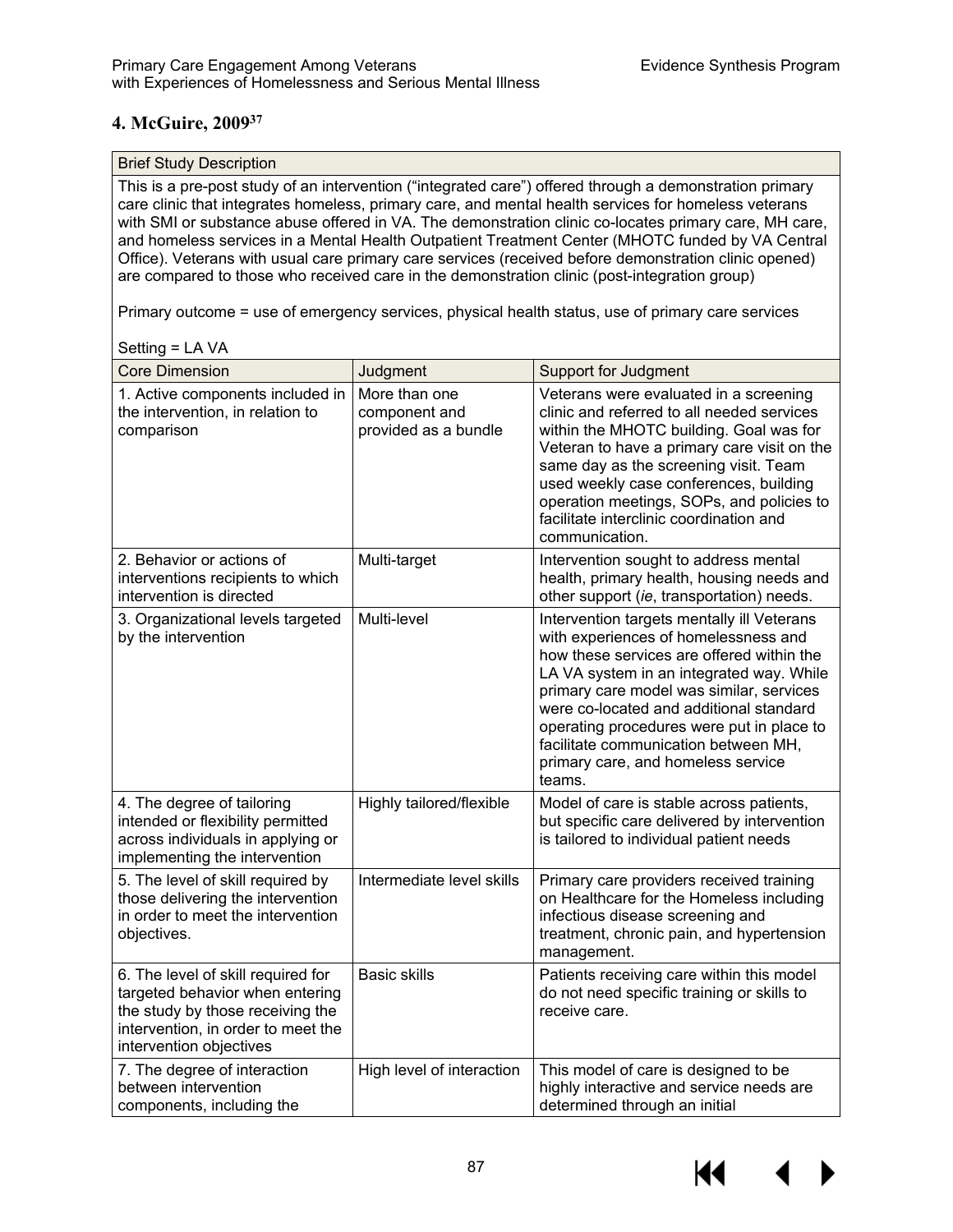# **4. McGuire, 200937**

#### Brief Study Description

This is a pre-post study of an intervention ("integrated care") offered through a demonstration primary care clinic that integrates homeless, primary care, and mental health services for homeless veterans with SMI or substance abuse offered in VA. The demonstration clinic co-locates primary care, MH care, and homeless services in a Mental Health Outpatient Treatment Center (MHOTC funded by VA Central Office). Veterans with usual care primary care services (received before demonstration clinic opened) are compared to those who received care in the demonstration clinic (post-integration group)

Primary outcome = use of emergency services, physical health status, use of primary care services

| <b>Core Dimension</b>                                                                                                                                                      | Judgment                                               | <b>Support for Judgment</b>                                                                                                                                                                                                                                                                                                                                                                             |
|----------------------------------------------------------------------------------------------------------------------------------------------------------------------------|--------------------------------------------------------|---------------------------------------------------------------------------------------------------------------------------------------------------------------------------------------------------------------------------------------------------------------------------------------------------------------------------------------------------------------------------------------------------------|
| 1. Active components included in<br>the intervention, in relation to<br>comparison                                                                                         | More than one<br>component and<br>provided as a bundle | Veterans were evaluated in a screening<br>clinic and referred to all needed services<br>within the MHOTC building. Goal was for<br>Veteran to have a primary care visit on the<br>same day as the screening visit. Team<br>used weekly case conferences, building<br>operation meetings, SOPs, and policies to<br>facilitate interclinic coordination and<br>communication.                             |
| 2. Behavior or actions of<br>interventions recipients to which<br>intervention is directed                                                                                 | Multi-target                                           | Intervention sought to address mental<br>health, primary health, housing needs and<br>other support (ie, transportation) needs.                                                                                                                                                                                                                                                                         |
| 3. Organizational levels targeted<br>by the intervention                                                                                                                   | Multi-level                                            | Intervention targets mentally ill Veterans<br>with experiences of homelessness and<br>how these services are offered within the<br>LA VA system in an integrated way. While<br>primary care model was similar, services<br>were co-located and additional standard<br>operating procedures were put in place to<br>facilitate communication between MH,<br>primary care, and homeless service<br>teams. |
| 4. The degree of tailoring<br>intended or flexibility permitted<br>across individuals in applying or<br>implementing the intervention                                      | Highly tailored/flexible                               | Model of care is stable across patients,<br>but specific care delivered by intervention<br>is tailored to individual patient needs                                                                                                                                                                                                                                                                      |
| 5. The level of skill required by<br>those delivering the intervention<br>in order to meet the intervention<br>objectives.                                                 | Intermediate level skills                              | Primary care providers received training<br>on Healthcare for the Homeless including<br>infectious disease screening and<br>treatment, chronic pain, and hypertension<br>management.                                                                                                                                                                                                                    |
| 6. The level of skill required for<br>targeted behavior when entering<br>the study by those receiving the<br>intervention, in order to meet the<br>intervention objectives | <b>Basic skills</b>                                    | Patients receiving care within this model<br>do not need specific training or skills to<br>receive care.                                                                                                                                                                                                                                                                                                |
| 7. The degree of interaction<br>between intervention<br>components, including the                                                                                          | High level of interaction                              | This model of care is designed to be<br>highly interactive and service needs are<br>determined through an initial                                                                                                                                                                                                                                                                                       |

#### Setting = LA VA

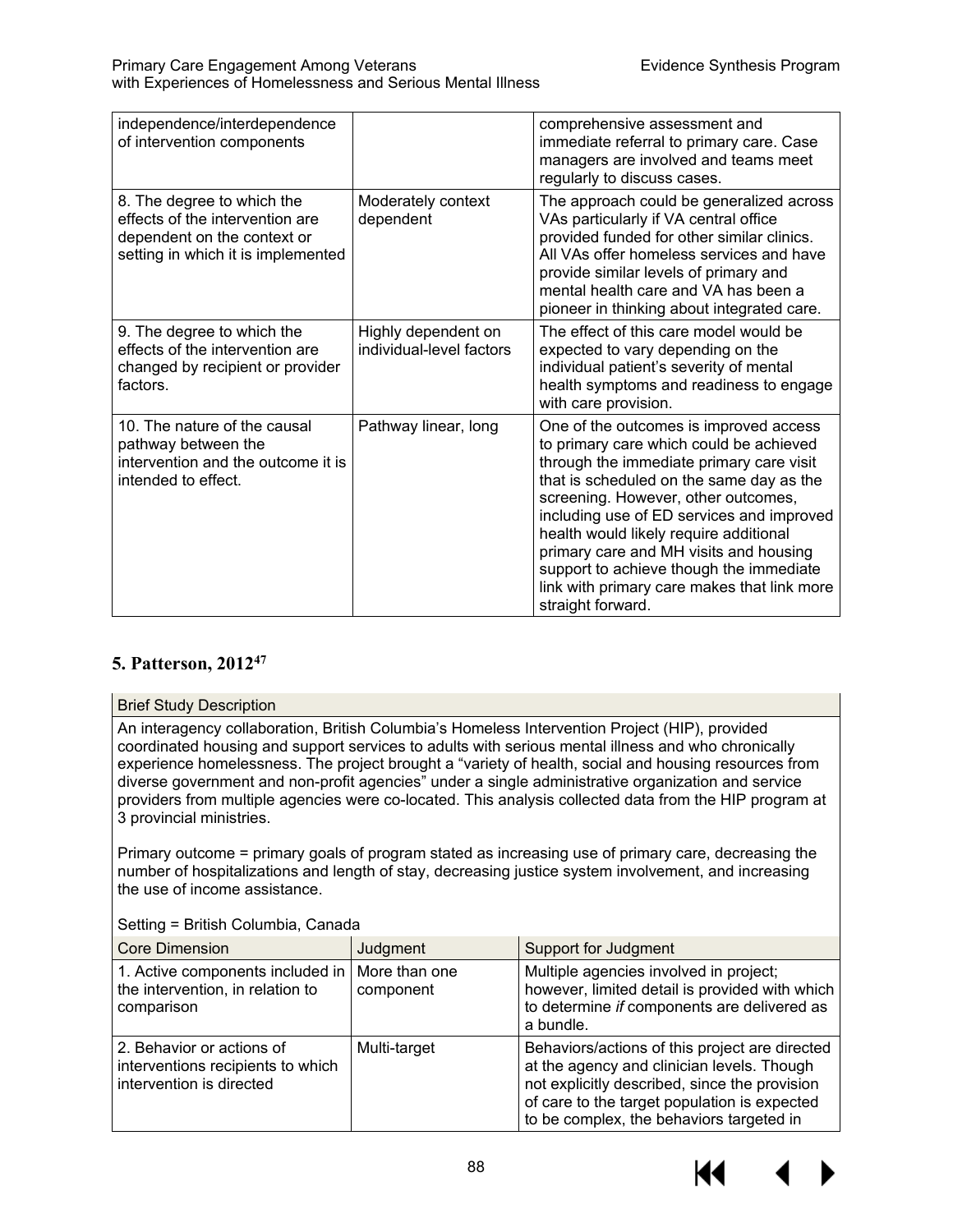| independence/interdependence<br>of intervention components                                                                         |                                                 | comprehensive assessment and<br>immediate referral to primary care. Case<br>managers are involved and teams meet<br>regularly to discuss cases.                                                                                                                                                                                                                                                                                                                  |
|------------------------------------------------------------------------------------------------------------------------------------|-------------------------------------------------|------------------------------------------------------------------------------------------------------------------------------------------------------------------------------------------------------------------------------------------------------------------------------------------------------------------------------------------------------------------------------------------------------------------------------------------------------------------|
| 8. The degree to which the<br>effects of the intervention are<br>dependent on the context or<br>setting in which it is implemented | Moderately context<br>dependent                 | The approach could be generalized across<br>VAs particularly if VA central office<br>provided funded for other similar clinics.<br>All VAs offer homeless services and have<br>provide similar levels of primary and<br>mental health care and VA has been a<br>pioneer in thinking about integrated care.                                                                                                                                                       |
| 9. The degree to which the<br>effects of the intervention are<br>changed by recipient or provider<br>factors.                      | Highly dependent on<br>individual-level factors | The effect of this care model would be<br>expected to vary depending on the<br>individual patient's severity of mental<br>health symptoms and readiness to engage<br>with care provision.                                                                                                                                                                                                                                                                        |
| 10. The nature of the causal<br>pathway between the<br>intervention and the outcome it is<br>intended to effect.                   | Pathway linear, long                            | One of the outcomes is improved access<br>to primary care which could be achieved<br>through the immediate primary care visit<br>that is scheduled on the same day as the<br>screening. However, other outcomes,<br>including use of ED services and improved<br>health would likely require additional<br>primary care and MH visits and housing<br>support to achieve though the immediate<br>link with primary care makes that link more<br>straight forward. |

# **5. Patterson, 201247**

#### Brief Study Description

An interagency collaboration, British Columbia's Homeless Intervention Project (HIP), provided coordinated housing and support services to adults with serious mental illness and who chronically experience homelessness. The project brought a "variety of health, social and housing resources from diverse government and non-profit agencies" under a single administrative organization and service providers from multiple agencies were co-located. This analysis collected data from the HIP program at 3 provincial ministries.

Primary outcome = primary goals of program stated as increasing use of primary care, decreasing the number of hospitalizations and length of stay, decreasing justice system involvement, and increasing the use of income assistance.

| <b>Core Dimension</b>                                                                      | Judgment                   | <b>Support for Judgment</b>                                                                                                                                                                                                               |
|--------------------------------------------------------------------------------------------|----------------------------|-------------------------------------------------------------------------------------------------------------------------------------------------------------------------------------------------------------------------------------------|
| 1. Active components included in<br>the intervention, in relation to<br>comparison         | More than one<br>component | Multiple agencies involved in project;<br>however, limited detail is provided with which<br>to determine if components are delivered as<br>a bundle.                                                                                      |
| 2. Behavior or actions of<br>interventions recipients to which<br>intervention is directed | Multi-target               | Behaviors/actions of this project are directed<br>at the agency and clinician levels. Though<br>not explicitly described, since the provision<br>of care to the target population is expected<br>to be complex, the behaviors targeted in |

Setting = British Columbia, Canada

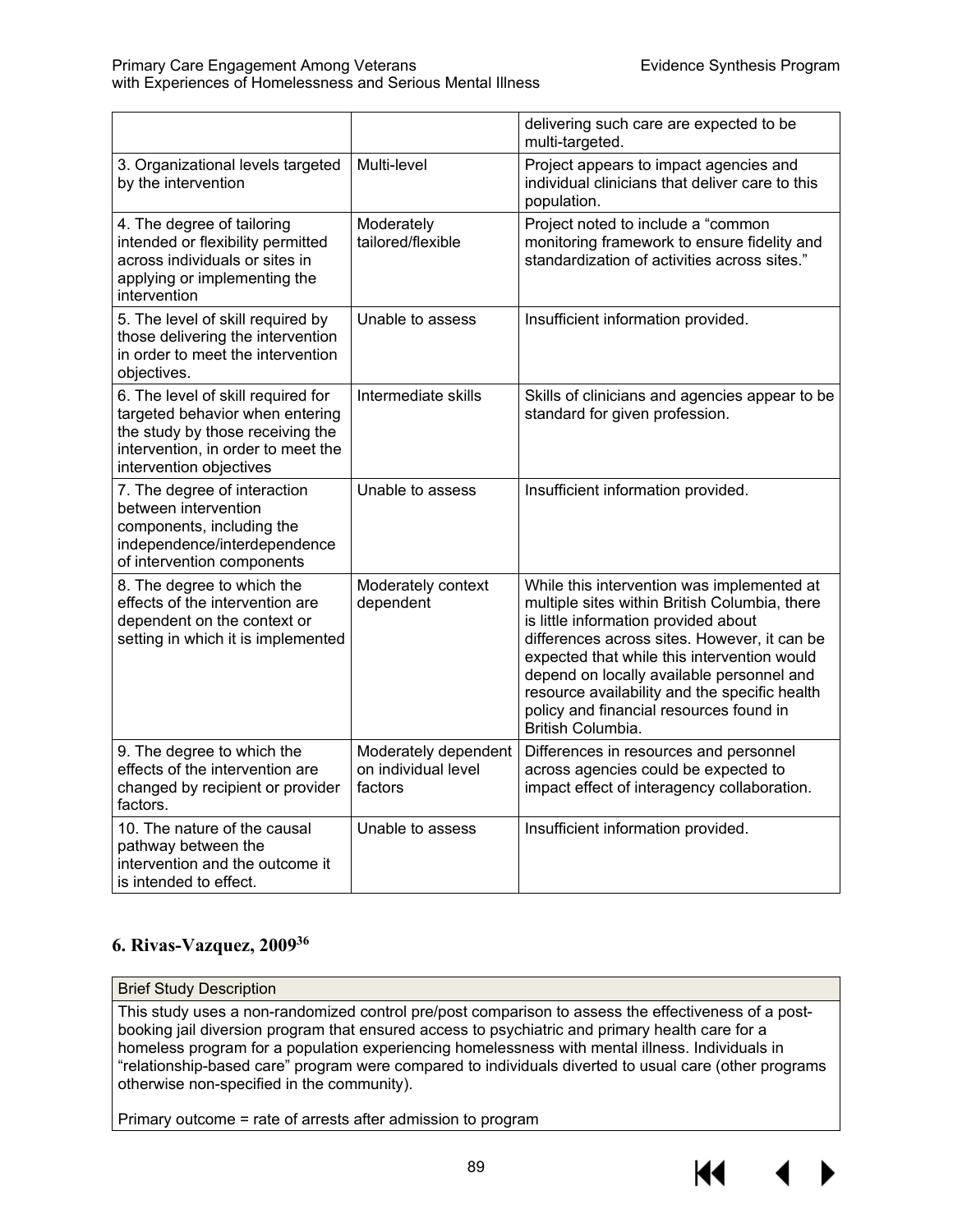|                                                                                                                                                                            |                                                        | delivering such care are expected to be<br>multi-targeted.                                                                                                                                                                                                                                                                                                                                       |
|----------------------------------------------------------------------------------------------------------------------------------------------------------------------------|--------------------------------------------------------|--------------------------------------------------------------------------------------------------------------------------------------------------------------------------------------------------------------------------------------------------------------------------------------------------------------------------------------------------------------------------------------------------|
| 3. Organizational levels targeted<br>by the intervention                                                                                                                   | Multi-level                                            | Project appears to impact agencies and<br>individual clinicians that deliver care to this<br>population.                                                                                                                                                                                                                                                                                         |
| 4. The degree of tailoring<br>intended or flexibility permitted<br>across individuals or sites in<br>applying or implementing the<br>intervention                          | Moderately<br>tailored/flexible                        | Project noted to include a "common<br>monitoring framework to ensure fidelity and<br>standardization of activities across sites."                                                                                                                                                                                                                                                                |
| 5. The level of skill required by<br>those delivering the intervention<br>in order to meet the intervention<br>objectives.                                                 | Unable to assess                                       | Insufficient information provided.                                                                                                                                                                                                                                                                                                                                                               |
| 6. The level of skill required for<br>targeted behavior when entering<br>the study by those receiving the<br>intervention, in order to meet the<br>intervention objectives | Intermediate skills                                    | Skills of clinicians and agencies appear to be<br>standard for given profession.                                                                                                                                                                                                                                                                                                                 |
| 7. The degree of interaction<br>between intervention<br>components, including the<br>independence/interdependence<br>of intervention components                            | Unable to assess                                       | Insufficient information provided.                                                                                                                                                                                                                                                                                                                                                               |
| 8. The degree to which the<br>effects of the intervention are<br>dependent on the context or<br>setting in which it is implemented                                         | Moderately context<br>dependent                        | While this intervention was implemented at<br>multiple sites within British Columbia, there<br>is little information provided about<br>differences across sites. However, it can be<br>expected that while this intervention would<br>depend on locally available personnel and<br>resource availability and the specific health<br>policy and financial resources found in<br>British Columbia. |
| 9. The degree to which the<br>effects of the intervention are<br>changed by recipient or provider<br>factors.                                                              | Moderately dependent<br>on individual level<br>factors | Differences in resources and personnel<br>across agencies could be expected to<br>impact effect of interagency collaboration.                                                                                                                                                                                                                                                                    |
| 10. The nature of the causal<br>pathway between the<br>intervention and the outcome it<br>is intended to effect.                                                           | Unable to assess                                       | Insufficient information provided.                                                                                                                                                                                                                                                                                                                                                               |

# **6. Rivas-Vazquez, 200936**

#### Brief Study Description

This study uses a non-randomized control pre/post comparison to assess the effectiveness of a postbooking jail diversion program that ensured access to psychiatric and primary health care for a homeless program for a population experiencing homelessness with mental illness. Individuals in "relationship-based care" program were compared to individuals diverted to usual care (other programs otherwise non-specified in the community).

Primary outcome = rate of arrests after admission to program

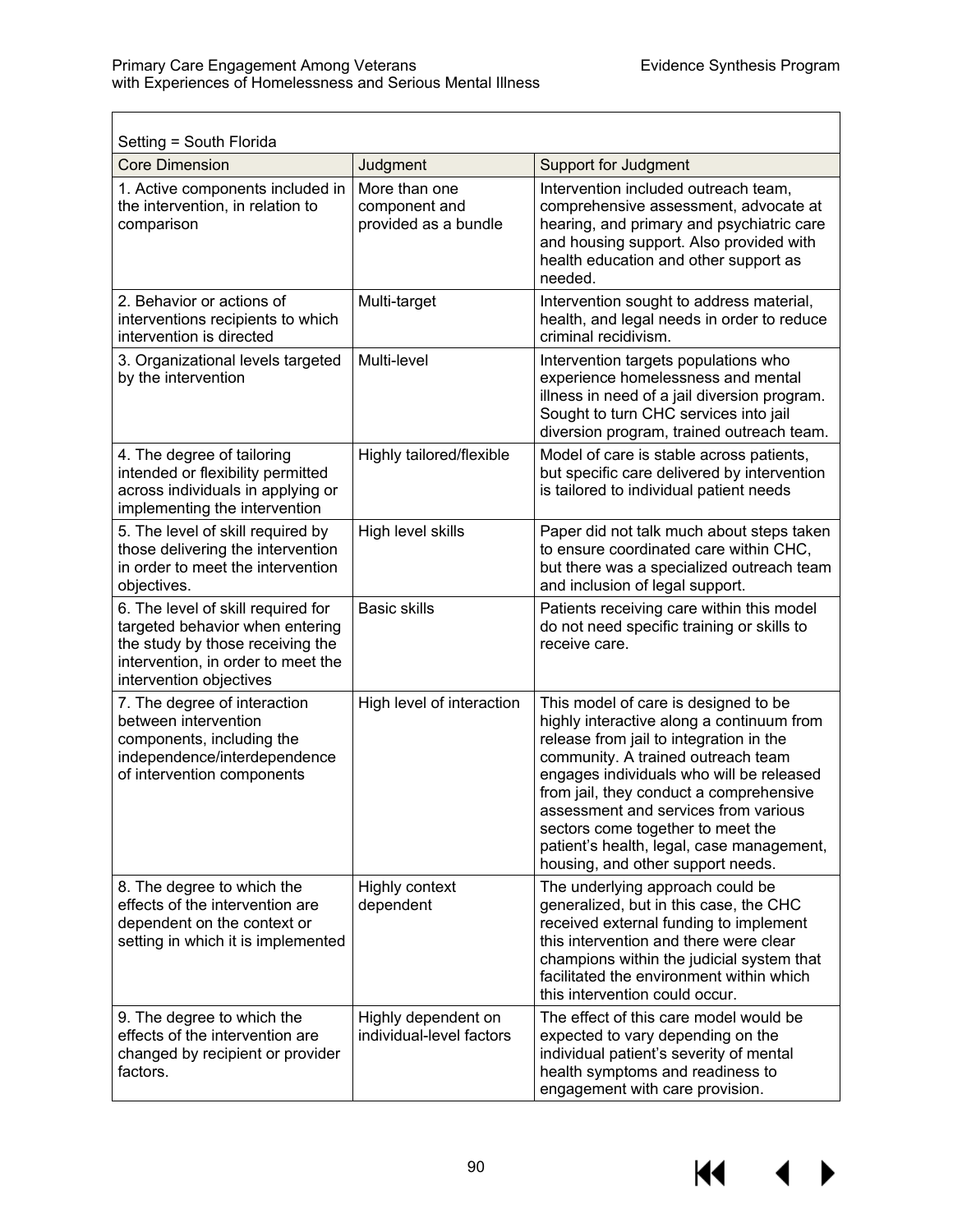$\blacksquare$ 

| Setting = South Florida                                                                                                                                                    |                                                        |                                                                                                                                                                                                                                                                                                                                                                                                                          |
|----------------------------------------------------------------------------------------------------------------------------------------------------------------------------|--------------------------------------------------------|--------------------------------------------------------------------------------------------------------------------------------------------------------------------------------------------------------------------------------------------------------------------------------------------------------------------------------------------------------------------------------------------------------------------------|
| <b>Core Dimension</b>                                                                                                                                                      | Judgment                                               | <b>Support for Judgment</b>                                                                                                                                                                                                                                                                                                                                                                                              |
| 1. Active components included in<br>the intervention, in relation to<br>comparison                                                                                         | More than one<br>component and<br>provided as a bundle | Intervention included outreach team,<br>comprehensive assessment, advocate at<br>hearing, and primary and psychiatric care<br>and housing support. Also provided with<br>health education and other support as<br>needed.                                                                                                                                                                                                |
| 2. Behavior or actions of<br>interventions recipients to which<br>intervention is directed                                                                                 | Multi-target                                           | Intervention sought to address material,<br>health, and legal needs in order to reduce<br>criminal recidivism.                                                                                                                                                                                                                                                                                                           |
| 3. Organizational levels targeted<br>by the intervention                                                                                                                   | Multi-level                                            | Intervention targets populations who<br>experience homelessness and mental<br>illness in need of a jail diversion program.<br>Sought to turn CHC services into jail<br>diversion program, trained outreach team.                                                                                                                                                                                                         |
| 4. The degree of tailoring<br>intended or flexibility permitted<br>across individuals in applying or<br>implementing the intervention                                      | Highly tailored/flexible                               | Model of care is stable across patients,<br>but specific care delivered by intervention<br>is tailored to individual patient needs                                                                                                                                                                                                                                                                                       |
| 5. The level of skill required by<br>those delivering the intervention<br>in order to meet the intervention<br>objectives.                                                 | High level skills                                      | Paper did not talk much about steps taken<br>to ensure coordinated care within CHC,<br>but there was a specialized outreach team<br>and inclusion of legal support.                                                                                                                                                                                                                                                      |
| 6. The level of skill required for<br>targeted behavior when entering<br>the study by those receiving the<br>intervention, in order to meet the<br>intervention objectives | <b>Basic skills</b>                                    | Patients receiving care within this model<br>do not need specific training or skills to<br>receive care.                                                                                                                                                                                                                                                                                                                 |
| 7. The degree of interaction<br>between intervention<br>components, including the<br>independence/interdependence<br>of intervention components                            | High level of interaction                              | This model of care is designed to be<br>highly interactive along a continuum from<br>release from jail to integration in the<br>community. A trained outreach team<br>engages individuals who will be released<br>from jail, they conduct a comprehensive<br>assessment and services from various<br>sectors come together to meet the<br>patient's health, legal, case management,<br>housing, and other support needs. |
| 8. The degree to which the<br>effects of the intervention are<br>dependent on the context or<br>setting in which it is implemented                                         | Highly context<br>dependent                            | The underlying approach could be<br>generalized, but in this case, the CHC<br>received external funding to implement<br>this intervention and there were clear<br>champions within the judicial system that<br>facilitated the environment within which<br>this intervention could occur.                                                                                                                                |
| 9. The degree to which the<br>effects of the intervention are<br>changed by recipient or provider<br>factors.                                                              | Highly dependent on<br>individual-level factors        | The effect of this care model would be<br>expected to vary depending on the<br>individual patient's severity of mental<br>health symptoms and readiness to<br>engagement with care provision.                                                                                                                                                                                                                            |

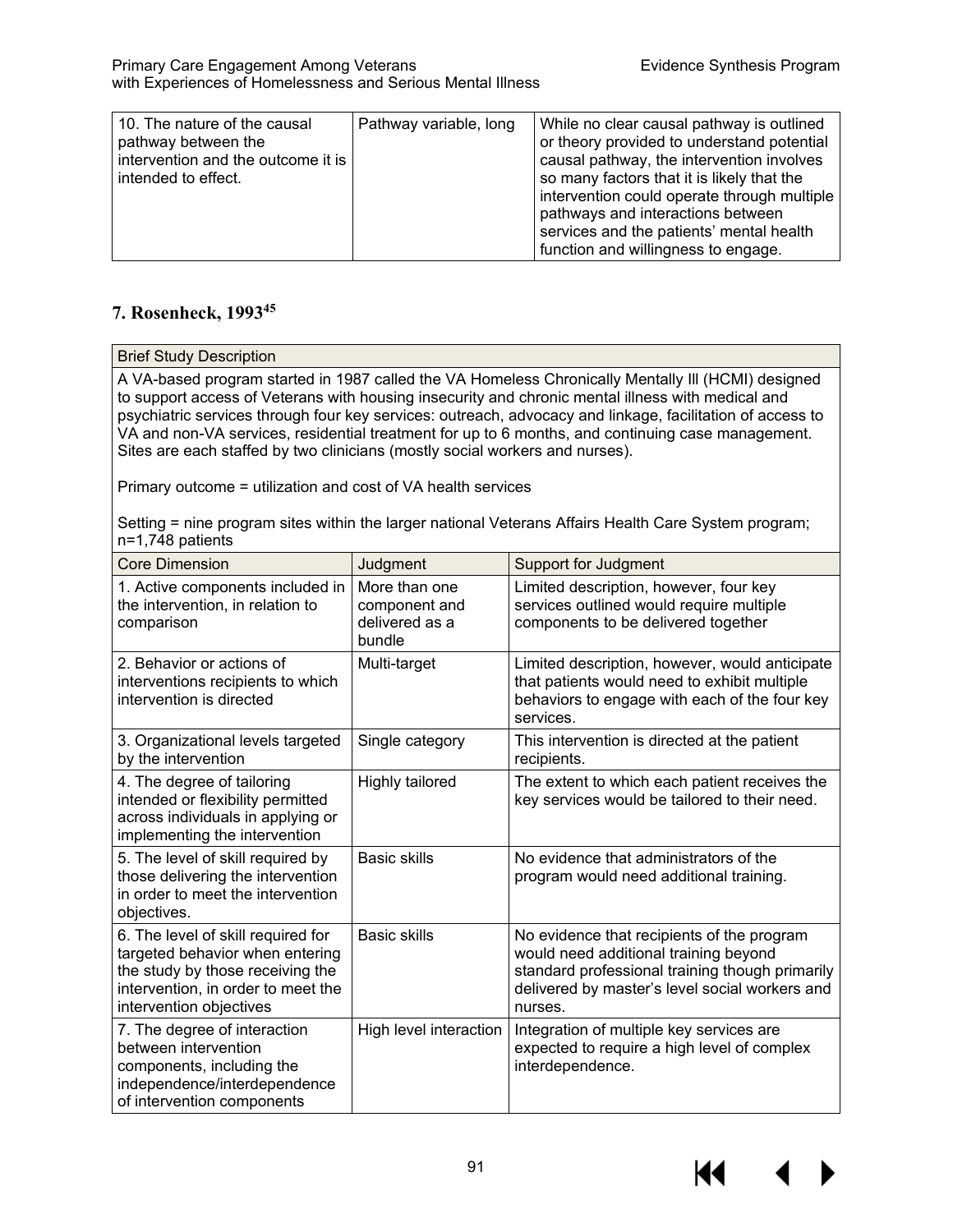| 10. The nature of the causal<br>pathway between the<br>intervention and the outcome it is<br>intended to effect. | Pathway variable, long | While no clear causal pathway is outlined<br>or theory provided to understand potential<br>causal pathway, the intervention involves<br>so many factors that it is likely that the<br>intervention could operate through multiple<br>pathways and interactions between<br>services and the patients' mental health<br>function and willingness to engage. |
|------------------------------------------------------------------------------------------------------------------|------------------------|-----------------------------------------------------------------------------------------------------------------------------------------------------------------------------------------------------------------------------------------------------------------------------------------------------------------------------------------------------------|
|------------------------------------------------------------------------------------------------------------------|------------------------|-----------------------------------------------------------------------------------------------------------------------------------------------------------------------------------------------------------------------------------------------------------------------------------------------------------------------------------------------------------|

# **7. Rosenheck, 199345**

A VA-based program started in 1987 called the VA Homeless Chronically Mentally Ill (HCMI) designed to support access of Veterans with housing insecurity and chronic mental illness with medical and psychiatric services through four key services: outreach, advocacy and linkage, facilitation of access to VA and non-VA services, residential treatment for up to 6 months, and continuing case management. Sites are each staffed by two clinicians (mostly social workers and nurses).

Primary outcome = utilization and cost of VA health services

Setting = nine program sites within the larger national Veterans Affairs Health Care System program; n=1,748 patients

| <b>Core Dimension</b>                                                                                                                                                      | Judgment                                                   | <b>Support for Judgment</b>                                                                                                                                                                         |
|----------------------------------------------------------------------------------------------------------------------------------------------------------------------------|------------------------------------------------------------|-----------------------------------------------------------------------------------------------------------------------------------------------------------------------------------------------------|
| 1. Active components included in<br>the intervention, in relation to<br>comparison                                                                                         | More than one<br>component and<br>delivered as a<br>bundle | Limited description, however, four key<br>services outlined would require multiple<br>components to be delivered together                                                                           |
| 2. Behavior or actions of<br>interventions recipients to which<br>intervention is directed                                                                                 | Multi-target                                               | Limited description, however, would anticipate<br>that patients would need to exhibit multiple<br>behaviors to engage with each of the four key<br>services.                                        |
| 3. Organizational levels targeted<br>by the intervention                                                                                                                   | Single category                                            | This intervention is directed at the patient<br>recipients.                                                                                                                                         |
| 4. The degree of tailoring<br>intended or flexibility permitted<br>across individuals in applying or<br>implementing the intervention                                      | Highly tailored                                            | The extent to which each patient receives the<br>key services would be tailored to their need.                                                                                                      |
| 5. The level of skill required by<br>those delivering the intervention<br>in order to meet the intervention<br>objectives.                                                 | <b>Basic skills</b>                                        | No evidence that administrators of the<br>program would need additional training.                                                                                                                   |
| 6. The level of skill required for<br>targeted behavior when entering<br>the study by those receiving the<br>intervention, in order to meet the<br>intervention objectives | <b>Basic skills</b>                                        | No evidence that recipients of the program<br>would need additional training beyond<br>standard professional training though primarily<br>delivered by master's level social workers and<br>nurses. |
| 7. The degree of interaction<br>between intervention<br>components, including the<br>independence/interdependence<br>of intervention components                            | High level interaction                                     | Integration of multiple key services are<br>expected to require a high level of complex<br>interdependence.                                                                                         |

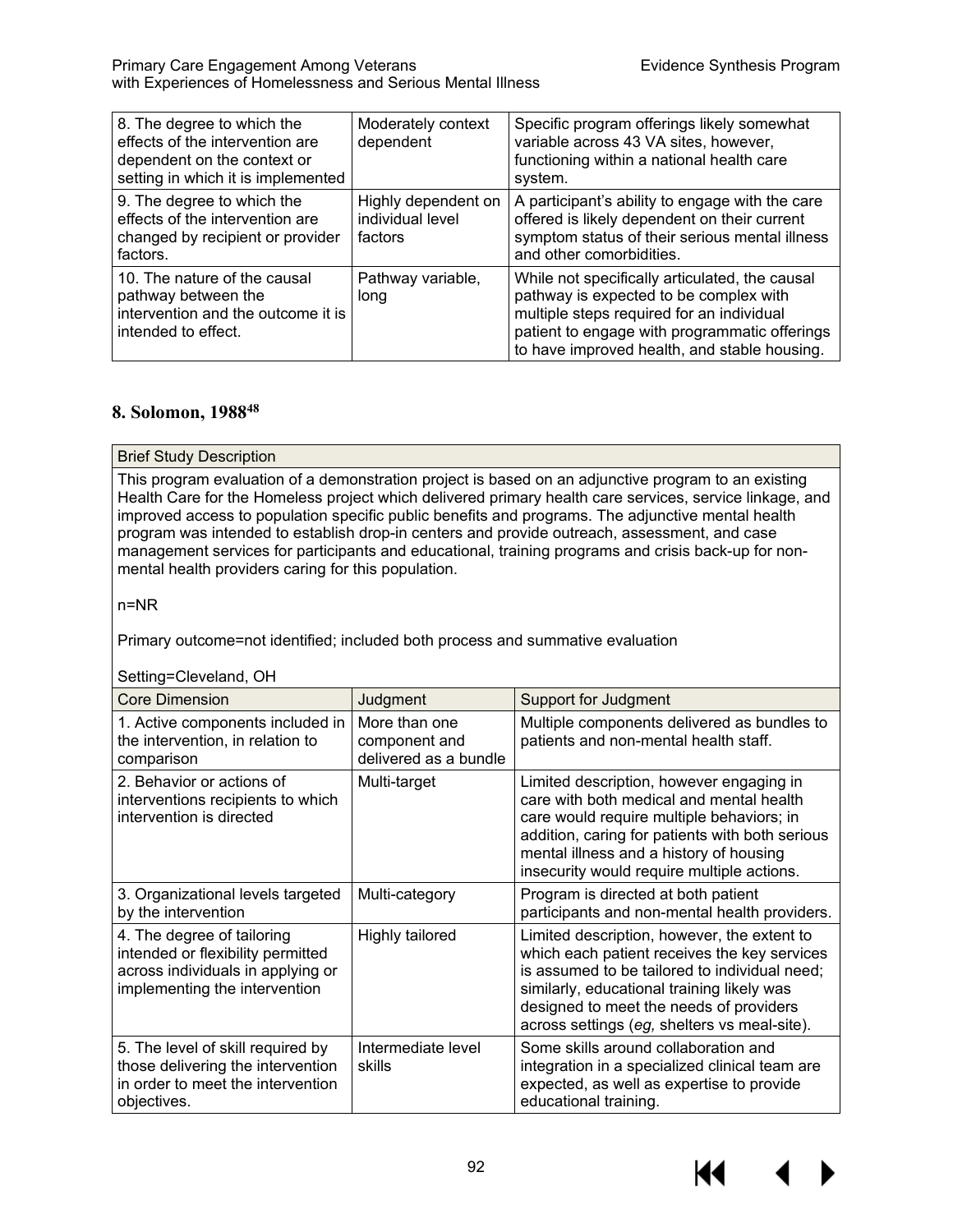| 8. The degree to which the<br>effects of the intervention are<br>dependent on the context or<br>setting in which it is implemented | Moderately context<br>dependent                    | Specific program offerings likely somewhat<br>variable across 43 VA sites, however,<br>functioning within a national health care<br>system.                                                                                            |
|------------------------------------------------------------------------------------------------------------------------------------|----------------------------------------------------|----------------------------------------------------------------------------------------------------------------------------------------------------------------------------------------------------------------------------------------|
| 9. The degree to which the<br>effects of the intervention are<br>changed by recipient or provider<br>factors.                      | Highly dependent on<br>individual level<br>factors | A participant's ability to engage with the care<br>offered is likely dependent on their current<br>symptom status of their serious mental illness<br>and other comorbidities.                                                          |
| 10. The nature of the causal<br>pathway between the<br>intervention and the outcome it is<br>intended to effect.                   | Pathway variable,<br>long                          | While not specifically articulated, the causal<br>pathway is expected to be complex with<br>multiple steps required for an individual<br>patient to engage with programmatic offerings<br>to have improved health, and stable housing. |

## **8. Solomon, 198848**

Brief Study Description

This program evaluation of a demonstration project is based on an adjunctive program to an existing Health Care for the Homeless project which delivered primary health care services, service linkage, and improved access to population specific public benefits and programs. The adjunctive mental health program was intended to establish drop-in centers and provide outreach, assessment, and case management services for participants and educational, training programs and crisis back-up for nonmental health providers caring for this population.

n=NR

Primary outcome=not identified; included both process and summative evaluation

Setting=Cleveland, OH

| <b>Core Dimension</b>                                                                                                                 | Judgment                                                | <b>Support for Judgment</b>                                                                                                                                                                                                                                                           |
|---------------------------------------------------------------------------------------------------------------------------------------|---------------------------------------------------------|---------------------------------------------------------------------------------------------------------------------------------------------------------------------------------------------------------------------------------------------------------------------------------------|
| 1. Active components included in<br>the intervention, in relation to<br>comparison                                                    | More than one<br>component and<br>delivered as a bundle | Multiple components delivered as bundles to<br>patients and non-mental health staff.                                                                                                                                                                                                  |
| 2. Behavior or actions of<br>interventions recipients to which<br>intervention is directed                                            | Multi-target                                            | Limited description, however engaging in<br>care with both medical and mental health<br>care would require multiple behaviors; in<br>addition, caring for patients with both serious<br>mental illness and a history of housing<br>insecurity would require multiple actions.         |
| 3. Organizational levels targeted<br>by the intervention                                                                              | Multi-category                                          | Program is directed at both patient<br>participants and non-mental health providers.                                                                                                                                                                                                  |
| 4. The degree of tailoring<br>intended or flexibility permitted<br>across individuals in applying or<br>implementing the intervention | Highly tailored                                         | Limited description, however, the extent to<br>which each patient receives the key services<br>is assumed to be tailored to individual need;<br>similarly, educational training likely was<br>designed to meet the needs of providers<br>across settings (eg, shelters vs meal-site). |
| 5. The level of skill required by<br>those delivering the intervention<br>in order to meet the intervention<br>objectives.            | Intermediate level<br>skills                            | Some skills around collaboration and<br>integration in a specialized clinical team are<br>expected, as well as expertise to provide<br>educational training.                                                                                                                          |

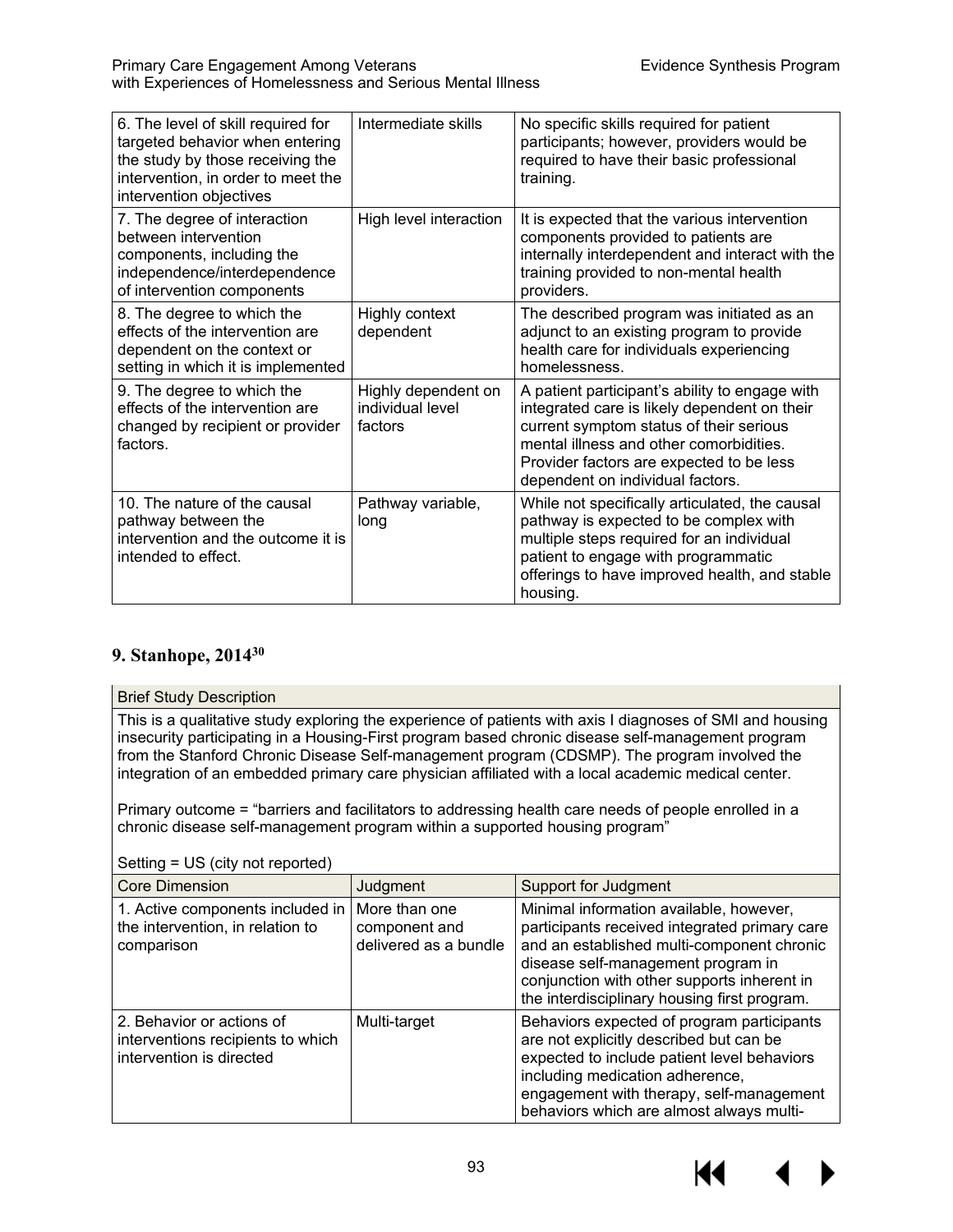| 6. The level of skill required for<br>targeted behavior when entering<br>the study by those receiving the<br>intervention, in order to meet the<br>intervention objectives | Intermediate skills                                | No specific skills required for patient<br>participants; however, providers would be<br>required to have their basic professional<br>training.                                                                                                                       |
|----------------------------------------------------------------------------------------------------------------------------------------------------------------------------|----------------------------------------------------|----------------------------------------------------------------------------------------------------------------------------------------------------------------------------------------------------------------------------------------------------------------------|
| 7. The degree of interaction<br>between intervention<br>components, including the<br>independence/interdependence<br>of intervention components                            | High level interaction                             | It is expected that the various intervention<br>components provided to patients are<br>internally interdependent and interact with the<br>training provided to non-mental health<br>providers.                                                                       |
| 8. The degree to which the<br>effects of the intervention are<br>dependent on the context or<br>setting in which it is implemented                                         | Highly context<br>dependent                        | The described program was initiated as an<br>adjunct to an existing program to provide<br>health care for individuals experiencing<br>homelessness.                                                                                                                  |
| 9. The degree to which the<br>effects of the intervention are<br>changed by recipient or provider<br>factors.                                                              | Highly dependent on<br>individual level<br>factors | A patient participant's ability to engage with<br>integrated care is likely dependent on their<br>current symptom status of their serious<br>mental illness and other comorbidities.<br>Provider factors are expected to be less<br>dependent on individual factors. |
| 10. The nature of the causal<br>pathway between the<br>intervention and the outcome it is<br>intended to effect.                                                           | Pathway variable,<br>long                          | While not specifically articulated, the causal<br>pathway is expected to be complex with<br>multiple steps required for an individual<br>patient to engage with programmatic<br>offerings to have improved health, and stable<br>housing.                            |

# **9. Stanhope, 201430**

#### Brief Study Description

This is a qualitative study exploring the experience of patients with axis I diagnoses of SMI and housing insecurity participating in a Housing-First program based chronic disease self-management program from the Stanford Chronic Disease Self-management program (CDSMP). The program involved the integration of an embedded primary care physician affiliated with a local academic medical center.

Primary outcome = "barriers and facilitators to addressing health care needs of people enrolled in a chronic disease self-management program within a supported housing program"

| <b>Core Dimension</b>                                                                      | Judgment                                                | <b>Support for Judgment</b>                                                                                                                                                                                                                                                 |
|--------------------------------------------------------------------------------------------|---------------------------------------------------------|-----------------------------------------------------------------------------------------------------------------------------------------------------------------------------------------------------------------------------------------------------------------------------|
| 1. Active components included in<br>the intervention, in relation to<br>comparison         | More than one<br>component and<br>delivered as a bundle | Minimal information available, however,<br>participants received integrated primary care<br>and an established multi-component chronic<br>disease self-management program in<br>conjunction with other supports inherent in<br>the interdisciplinary housing first program. |
| 2. Behavior or actions of<br>interventions recipients to which<br>intervention is directed | Multi-target                                            | Behaviors expected of program participants<br>are not explicitly described but can be<br>expected to include patient level behaviors<br>including medication adherence,<br>engagement with therapy, self-management<br>behaviors which are almost always multi-             |

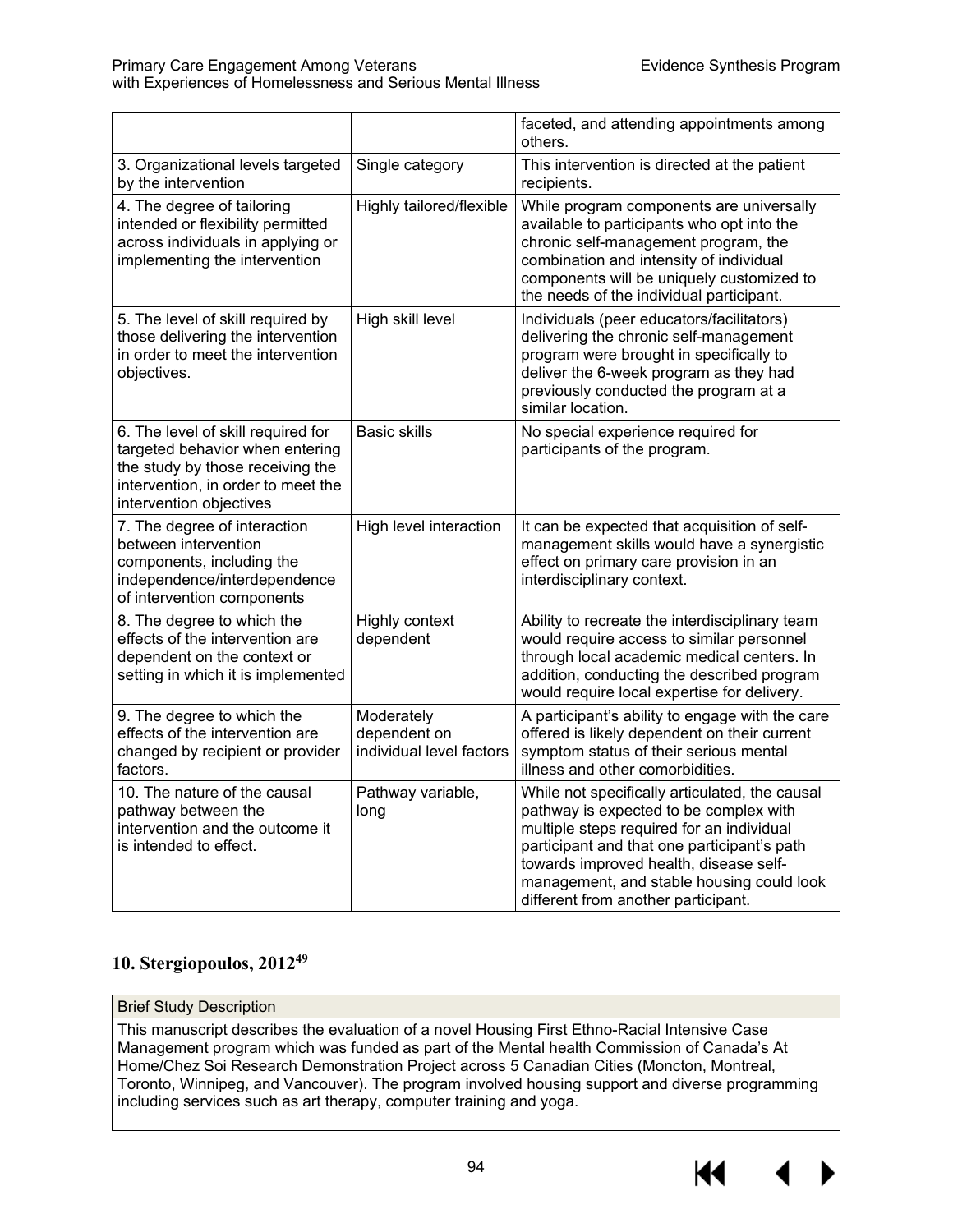|                                                                                                                                                                            |                                                        | faceted, and attending appointments among<br>others.                                                                                                                                                                                                                                                               |
|----------------------------------------------------------------------------------------------------------------------------------------------------------------------------|--------------------------------------------------------|--------------------------------------------------------------------------------------------------------------------------------------------------------------------------------------------------------------------------------------------------------------------------------------------------------------------|
| 3. Organizational levels targeted<br>by the intervention                                                                                                                   | Single category                                        | This intervention is directed at the patient<br>recipients.                                                                                                                                                                                                                                                        |
| 4. The degree of tailoring<br>intended or flexibility permitted<br>across individuals in applying or<br>implementing the intervention                                      | Highly tailored/flexible                               | While program components are universally<br>available to participants who opt into the<br>chronic self-management program, the<br>combination and intensity of individual<br>components will be uniquely customized to<br>the needs of the individual participant.                                                 |
| 5. The level of skill required by<br>those delivering the intervention<br>in order to meet the intervention<br>objectives.                                                 | High skill level                                       | Individuals (peer educators/facilitators)<br>delivering the chronic self-management<br>program were brought in specifically to<br>deliver the 6-week program as they had<br>previously conducted the program at a<br>similar location.                                                                             |
| 6. The level of skill required for<br>targeted behavior when entering<br>the study by those receiving the<br>intervention, in order to meet the<br>intervention objectives | <b>Basic skills</b>                                    | No special experience required for<br>participants of the program.                                                                                                                                                                                                                                                 |
| 7. The degree of interaction<br>between intervention<br>components, including the<br>independence/interdependence<br>of intervention components                            | High level interaction                                 | It can be expected that acquisition of self-<br>management skills would have a synergistic<br>effect on primary care provision in an<br>interdisciplinary context.                                                                                                                                                 |
| 8. The degree to which the<br>effects of the intervention are<br>dependent on the context or<br>setting in which it is implemented                                         | Highly context<br>dependent                            | Ability to recreate the interdisciplinary team<br>would require access to similar personnel<br>through local academic medical centers. In<br>addition, conducting the described program<br>would require local expertise for delivery.                                                                             |
| 9. The degree to which the<br>effects of the intervention are<br>changed by recipient or provider<br>factors.                                                              | Moderately<br>dependent on<br>individual level factors | A participant's ability to engage with the care<br>offered is likely dependent on their current<br>symptom status of their serious mental<br>illness and other comorbidities.                                                                                                                                      |
| 10. The nature of the causal<br>pathway between the<br>intervention and the outcome it<br>is intended to effect.                                                           | Pathway variable,<br>long                              | While not specifically articulated, the causal<br>pathway is expected to be complex with<br>multiple steps required for an individual<br>participant and that one participant's path<br>towards improved health, disease self-<br>management, and stable housing could look<br>different from another participant. |

# **10. Stergiopoulos, 201249**

#### Brief Study Description

This manuscript describes the evaluation of a novel Housing First Ethno-Racial Intensive Case Management program which was funded as part of the Mental health Commission of Canada's At Home/Chez Soi Research Demonstration Project across 5 Canadian Cities (Moncton, Montreal, Toronto, Winnipeg, and Vancouver). The program involved housing support and diverse programming including services such as art therapy, computer training and yoga.

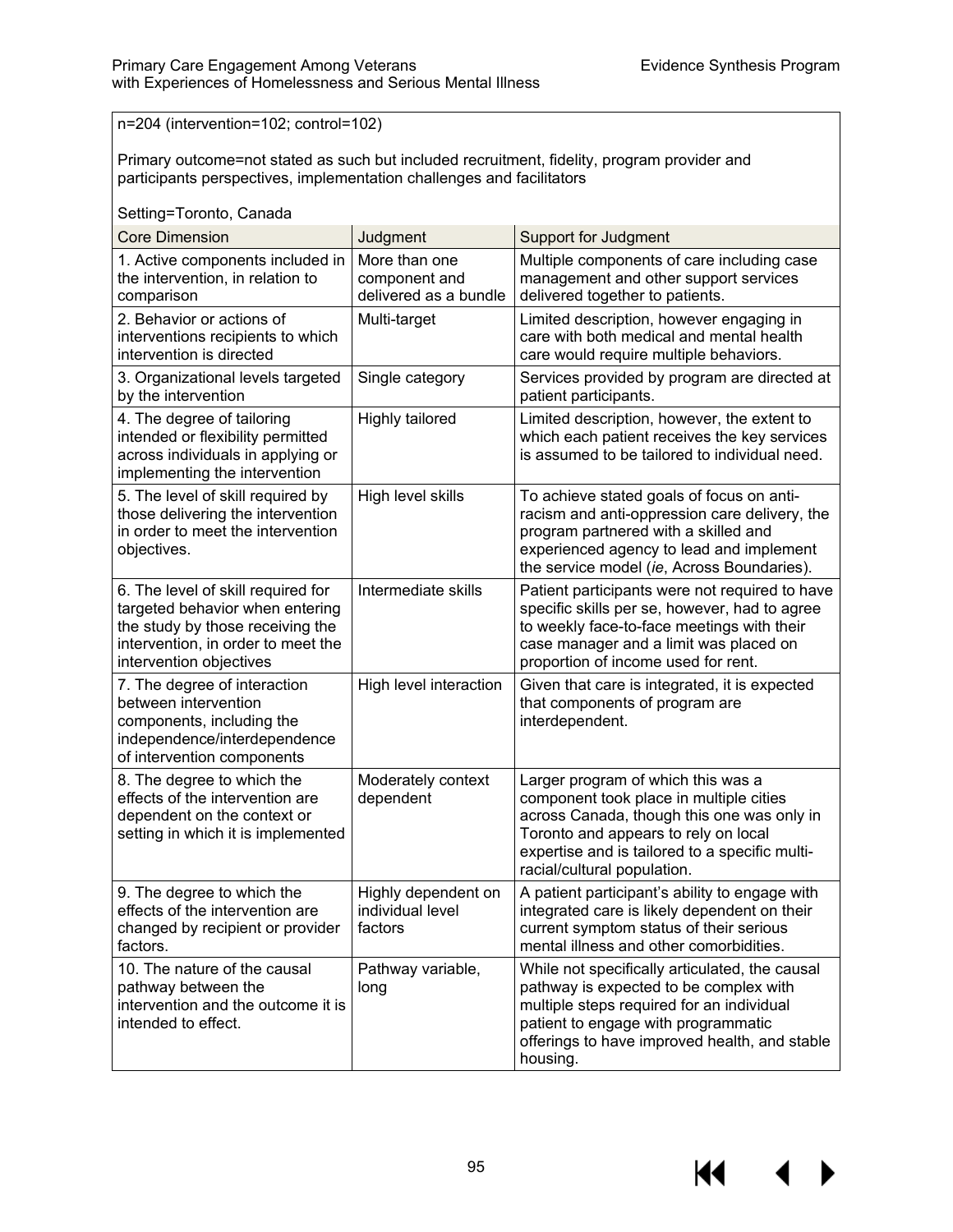n=204 (intervention=102; control=102)

Primary outcome=not stated as such but included recruitment, fidelity, program provider and participants perspectives, implementation challenges and facilitators

| Setting=Toronto, Canada                                                                                                                                                    |                                                         |                                                                                                                                                                                                                                                      |  |
|----------------------------------------------------------------------------------------------------------------------------------------------------------------------------|---------------------------------------------------------|------------------------------------------------------------------------------------------------------------------------------------------------------------------------------------------------------------------------------------------------------|--|
| <b>Core Dimension</b>                                                                                                                                                      | Judgment                                                | <b>Support for Judgment</b>                                                                                                                                                                                                                          |  |
| 1. Active components included in<br>the intervention, in relation to<br>comparison                                                                                         | More than one<br>component and<br>delivered as a bundle | Multiple components of care including case<br>management and other support services<br>delivered together to patients.                                                                                                                               |  |
| 2. Behavior or actions of<br>interventions recipients to which<br>intervention is directed                                                                                 | Multi-target                                            | Limited description, however engaging in<br>care with both medical and mental health<br>care would require multiple behaviors.                                                                                                                       |  |
| 3. Organizational levels targeted<br>by the intervention                                                                                                                   | Single category                                         | Services provided by program are directed at<br>patient participants.                                                                                                                                                                                |  |
| 4. The degree of tailoring<br>intended or flexibility permitted<br>across individuals in applying or<br>implementing the intervention                                      | <b>Highly tailored</b>                                  | Limited description, however, the extent to<br>which each patient receives the key services<br>is assumed to be tailored to individual need.                                                                                                         |  |
| 5. The level of skill required by<br>those delivering the intervention<br>in order to meet the intervention<br>objectives.                                                 | High level skills                                       | To achieve stated goals of focus on anti-<br>racism and anti-oppression care delivery, the<br>program partnered with a skilled and<br>experienced agency to lead and implement<br>the service model (ie, Across Boundaries).                         |  |
| 6. The level of skill required for<br>targeted behavior when entering<br>the study by those receiving the<br>intervention, in order to meet the<br>intervention objectives | Intermediate skills                                     | Patient participants were not required to have<br>specific skills per se, however, had to agree<br>to weekly face-to-face meetings with their<br>case manager and a limit was placed on<br>proportion of income used for rent.                       |  |
| 7. The degree of interaction<br>between intervention<br>components, including the<br>independence/interdependence<br>of intervention components                            | High level interaction                                  | Given that care is integrated, it is expected<br>that components of program are<br>interdependent.                                                                                                                                                   |  |
| 8. The degree to which the<br>effects of the intervention are<br>dependent on the context or<br>setting in which it is implemented                                         | Moderately context<br>dependent                         | Larger program of which this was a<br>component took place in multiple cities<br>across Canada, though this one was only in<br>Toronto and appears to rely on local<br>expertise and is tailored to a specific multi-<br>racial/cultural population. |  |
| 9. The degree to which the<br>effects of the intervention are<br>changed by recipient or provider<br>factors.                                                              | Highly dependent on<br>individual level<br>factors      | A patient participant's ability to engage with<br>integrated care is likely dependent on their<br>current symptom status of their serious<br>mental illness and other comorbidities.                                                                 |  |
| 10. The nature of the causal<br>pathway between the<br>intervention and the outcome it is<br>intended to effect.                                                           | Pathway variable,<br>long                               | While not specifically articulated, the causal<br>pathway is expected to be complex with<br>multiple steps required for an individual<br>patient to engage with programmatic<br>offerings to have improved health, and stable<br>housing.            |  |

KI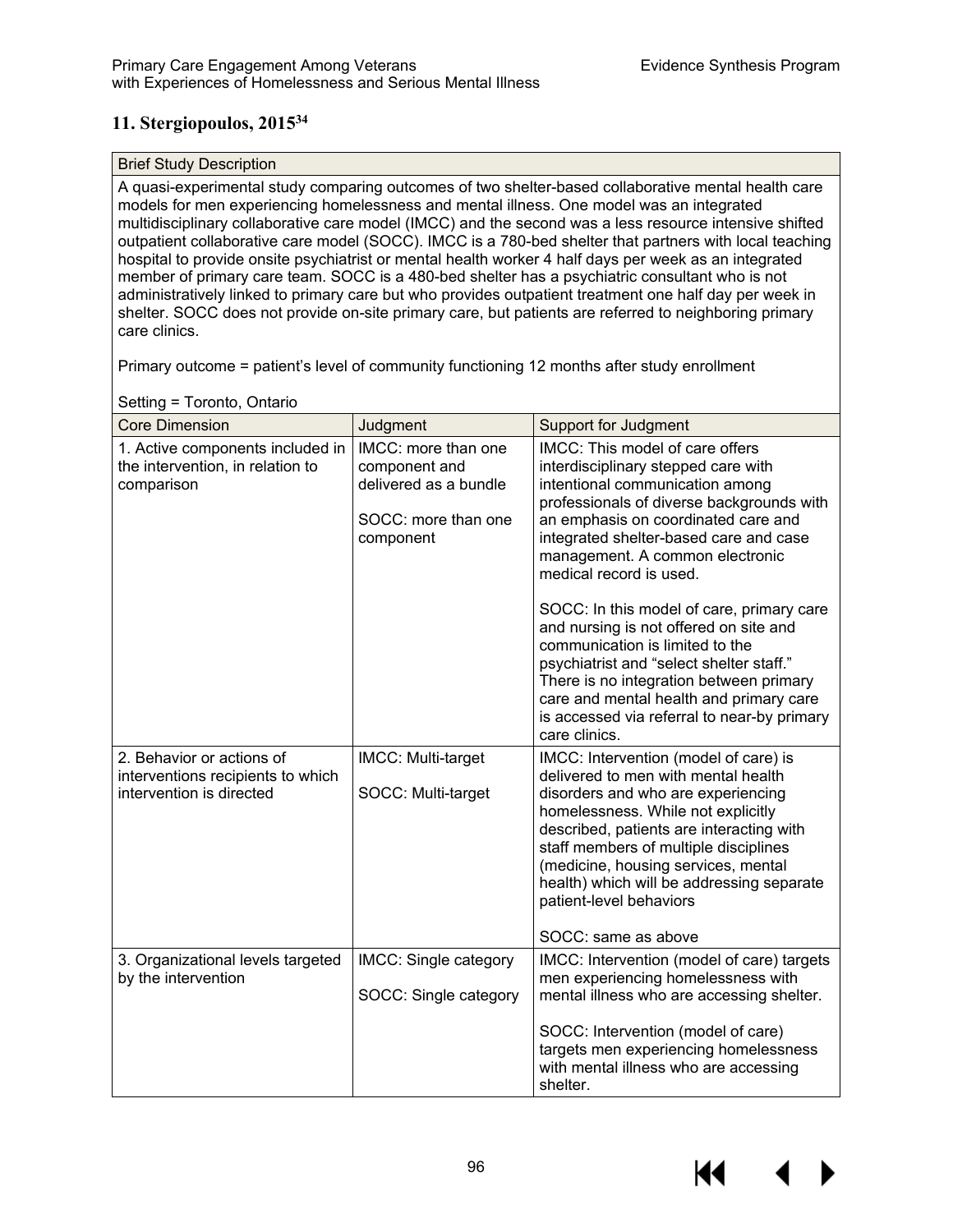# **11. Stergiopoulos, 201534**

#### Brief Study Description

A quasi-experimental study comparing outcomes of two shelter-based collaborative mental health care models for men experiencing homelessness and mental illness. One model was an integrated multidisciplinary collaborative care model (IMCC) and the second was a less resource intensive shifted outpatient collaborative care model (SOCC). IMCC is a 780-bed shelter that partners with local teaching hospital to provide onsite psychiatrist or mental health worker 4 half days per week as an integrated member of primary care team. SOCC is a 480-bed shelter has a psychiatric consultant who is not administratively linked to primary care but who provides outpatient treatment one half day per week in shelter. SOCC does not provide on-site primary care, but patients are referred to neighboring primary care clinics.

Primary outcome = patient's level of community functioning 12 months after study enrollment

| <b>Core Dimension</b>                                                                      | Judgment                                                                                          | <b>Support for Judgment</b>                                                                                                                                                                                                                                                                                                                                                         |
|--------------------------------------------------------------------------------------------|---------------------------------------------------------------------------------------------------|-------------------------------------------------------------------------------------------------------------------------------------------------------------------------------------------------------------------------------------------------------------------------------------------------------------------------------------------------------------------------------------|
| 1. Active components included in<br>the intervention, in relation to<br>comparison         | IMCC: more than one<br>component and<br>delivered as a bundle<br>SOCC: more than one<br>component | IMCC: This model of care offers<br>interdisciplinary stepped care with<br>intentional communication among<br>professionals of diverse backgrounds with<br>an emphasis on coordinated care and<br>integrated shelter-based care and case<br>management. A common electronic<br>medical record is used.                                                                               |
|                                                                                            |                                                                                                   | SOCC: In this model of care, primary care<br>and nursing is not offered on site and<br>communication is limited to the<br>psychiatrist and "select shelter staff."<br>There is no integration between primary<br>care and mental health and primary care<br>is accessed via referral to near-by primary<br>care clinics.                                                            |
| 2. Behavior or actions of<br>interventions recipients to which<br>intervention is directed | IMCC: Multi-target<br>SOCC: Multi-target                                                          | IMCC: Intervention (model of care) is<br>delivered to men with mental health<br>disorders and who are experiencing<br>homelessness. While not explicitly<br>described, patients are interacting with<br>staff members of multiple disciplines<br>(medicine, housing services, mental<br>health) which will be addressing separate<br>patient-level behaviors<br>SOCC: same as above |
| 3. Organizational levels targeted<br>by the intervention                                   | IMCC: Single category<br>SOCC: Single category                                                    | IMCC: Intervention (model of care) targets<br>men experiencing homelessness with<br>mental illness who are accessing shelter.<br>SOCC: Intervention (model of care)<br>targets men experiencing homelessness<br>with mental illness who are accessing<br>shelter.                                                                                                                   |

Setting = Toronto, Ontario

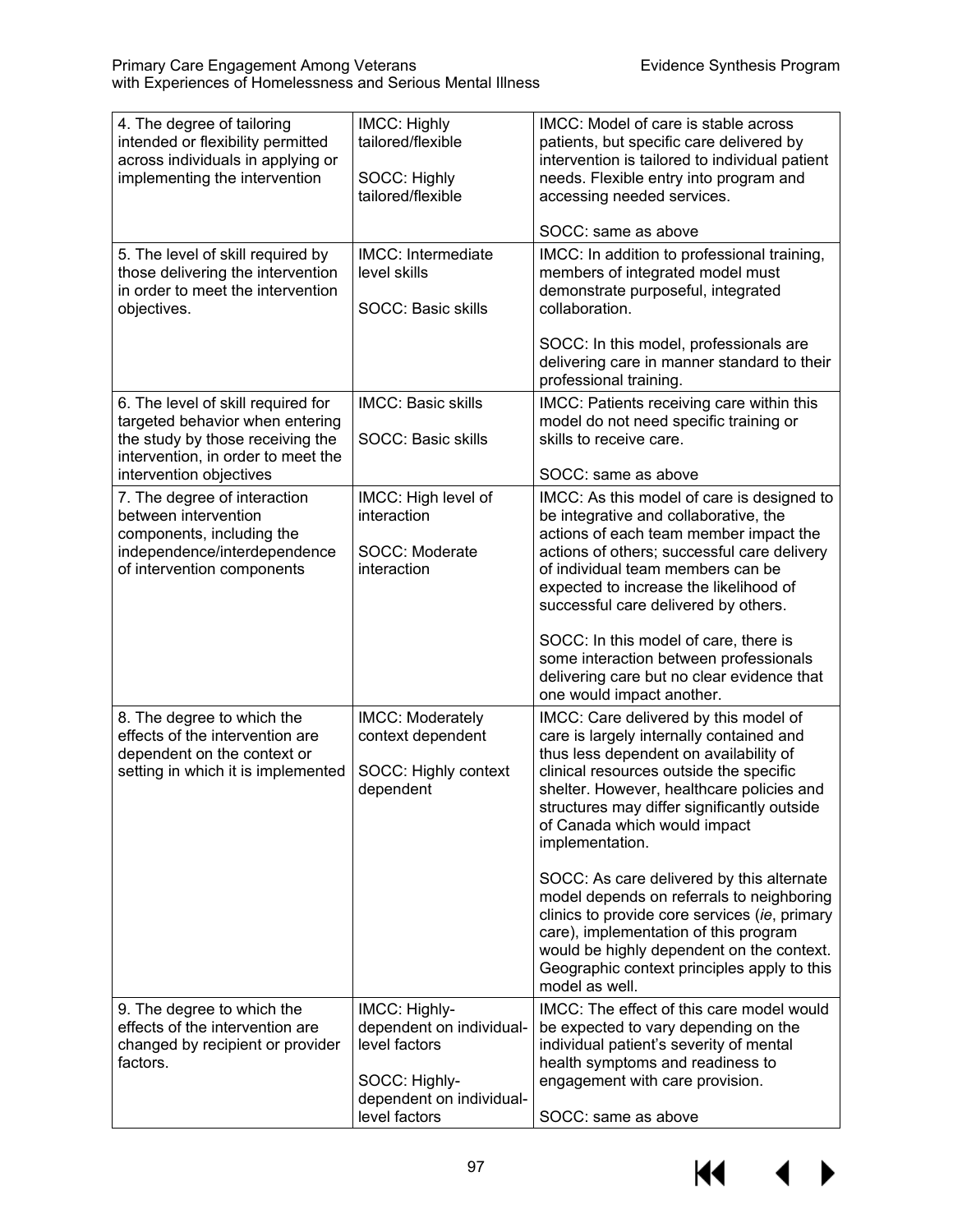| 4. The degree of tailoring<br>intended or flexibility permitted<br>across individuals in applying or<br>implementing the intervention                                      | IMCC: Highly<br>tailored/flexible<br>SOCC: Highly<br>tailored/flexible                                                   | IMCC: Model of care is stable across<br>patients, but specific care delivered by<br>intervention is tailored to individual patient<br>needs. Flexible entry into program and<br>accessing needed services.<br>SOCC: same as above                                                                                                                                                                                                                                                                                                                                                                                                                    |
|----------------------------------------------------------------------------------------------------------------------------------------------------------------------------|--------------------------------------------------------------------------------------------------------------------------|------------------------------------------------------------------------------------------------------------------------------------------------------------------------------------------------------------------------------------------------------------------------------------------------------------------------------------------------------------------------------------------------------------------------------------------------------------------------------------------------------------------------------------------------------------------------------------------------------------------------------------------------------|
| 5. The level of skill required by<br>those delivering the intervention<br>in order to meet the intervention<br>objectives.                                                 | IMCC: Intermediate<br>level skills<br><b>SOCC: Basic skills</b>                                                          | IMCC: In addition to professional training,<br>members of integrated model must<br>demonstrate purposeful, integrated<br>collaboration.                                                                                                                                                                                                                                                                                                                                                                                                                                                                                                              |
|                                                                                                                                                                            |                                                                                                                          | SOCC: In this model, professionals are<br>delivering care in manner standard to their<br>professional training.                                                                                                                                                                                                                                                                                                                                                                                                                                                                                                                                      |
| 6. The level of skill required for<br>targeted behavior when entering<br>the study by those receiving the<br>intervention, in order to meet the<br>intervention objectives | <b>IMCC: Basic skills</b><br>SOCC: Basic skills                                                                          | IMCC: Patients receiving care within this<br>model do not need specific training or<br>skills to receive care.<br>SOCC: same as above                                                                                                                                                                                                                                                                                                                                                                                                                                                                                                                |
| 7. The degree of interaction<br>between intervention<br>components, including the<br>independence/interdependence<br>of intervention components                            | IMCC: High level of<br>interaction<br>SOCC: Moderate<br>interaction                                                      | IMCC: As this model of care is designed to<br>be integrative and collaborative, the<br>actions of each team member impact the<br>actions of others; successful care delivery<br>of individual team members can be<br>expected to increase the likelihood of<br>successful care delivered by others.<br>SOCC: In this model of care, there is<br>some interaction between professionals<br>delivering care but no clear evidence that                                                                                                                                                                                                                 |
| 8. The degree to which the<br>effects of the intervention are<br>dependent on the context or<br>setting in which it is implemented                                         | IMCC: Moderately<br>context dependent<br>SOCC: Highly context<br>dependent                                               | one would impact another.<br>IMCC: Care delivered by this model of<br>care is largely internally contained and<br>thus less dependent on availability of<br>clinical resources outside the specific<br>shelter. However, healthcare policies and<br>structures may differ significantly outside<br>of Canada which would impact<br>implementation.<br>SOCC: As care delivered by this alternate<br>model depends on referrals to neighboring<br>clinics to provide core services (ie, primary<br>care), implementation of this program<br>would be highly dependent on the context.<br>Geographic context principles apply to this<br>model as well. |
| 9. The degree to which the<br>effects of the intervention are<br>changed by recipient or provider<br>factors.                                                              | IMCC: Highly-<br>dependent on individual-<br>level factors<br>SOCC: Highly-<br>dependent on individual-<br>level factors | IMCC: The effect of this care model would<br>be expected to vary depending on the<br>individual patient's severity of mental<br>health symptoms and readiness to<br>engagement with care provision.<br>SOCC: same as above                                                                                                                                                                                                                                                                                                                                                                                                                           |

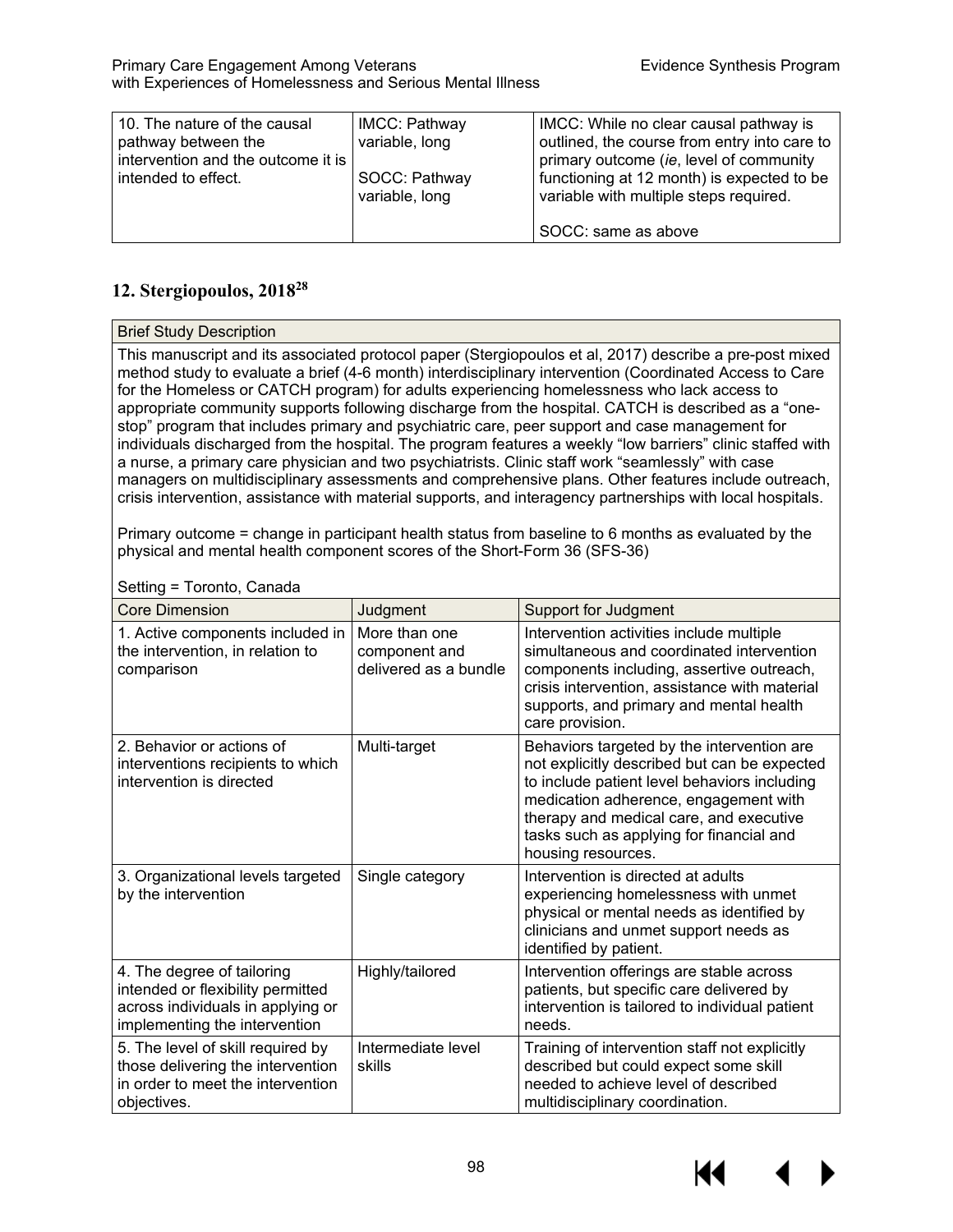| 10. The nature of the causal<br>pathway between the<br>intervention and the outcome it is | <b>IMCC: Pathway</b><br>variable, long | IMCC: While no clear causal pathway is<br>outlined, the course from entry into care to<br>primary outcome (ie, level of community |
|-------------------------------------------------------------------------------------------|----------------------------------------|-----------------------------------------------------------------------------------------------------------------------------------|
| intended to effect.                                                                       | SOCC: Pathway<br>variable, long        | functioning at 12 month) is expected to be<br>variable with multiple steps required.                                              |
|                                                                                           |                                        | SOCC: same as above                                                                                                               |

# **12. Stergiopoulos, 201828**

| <b>Brief Study Description</b>                                                                                                                                                                                |                 |                                                                                                                                                                                                                                                                                                                                                                                                                                                                                                                                                                                                                                                                                                                                                                                                                                                                                                                                                                   |
|---------------------------------------------------------------------------------------------------------------------------------------------------------------------------------------------------------------|-----------------|-------------------------------------------------------------------------------------------------------------------------------------------------------------------------------------------------------------------------------------------------------------------------------------------------------------------------------------------------------------------------------------------------------------------------------------------------------------------------------------------------------------------------------------------------------------------------------------------------------------------------------------------------------------------------------------------------------------------------------------------------------------------------------------------------------------------------------------------------------------------------------------------------------------------------------------------------------------------|
|                                                                                                                                                                                                               |                 | This manuscript and its associated protocol paper (Stergiopoulos et al, 2017) describe a pre-post mixed<br>method study to evaluate a brief (4-6 month) interdisciplinary intervention (Coordinated Access to Care<br>for the Homeless or CATCH program) for adults experiencing homelessness who lack access to<br>appropriate community supports following discharge from the hospital. CATCH is described as a "one-<br>stop" program that includes primary and psychiatric care, peer support and case management for<br>individuals discharged from the hospital. The program features a weekly "low barriers" clinic staffed with<br>a nurse, a primary care physician and two psychiatrists. Clinic staff work "seamlessly" with case<br>managers on multidisciplinary assessments and comprehensive plans. Other features include outreach,<br>crisis intervention, assistance with material supports, and interagency partnerships with local hospitals. |
| Primary outcome = change in participant health status from baseline to 6 months as evaluated by the<br>physical and mental health component scores of the Short-Form 36 (SFS-36)<br>Setting = Toronto, Canada |                 |                                                                                                                                                                                                                                                                                                                                                                                                                                                                                                                                                                                                                                                                                                                                                                                                                                                                                                                                                                   |
| Core Dimension                                                                                                                                                                                                | <b>Iudament</b> | Support for Judament                                                                                                                                                                                                                                                                                                                                                                                                                                                                                                                                                                                                                                                                                                                                                                                                                                                                                                                                              |

| <b>Core Dimension</b>                                                                                                                 | Judgment                                                | <b>Support for Judgment</b>                                                                                                                                                                                                                                                                      |
|---------------------------------------------------------------------------------------------------------------------------------------|---------------------------------------------------------|--------------------------------------------------------------------------------------------------------------------------------------------------------------------------------------------------------------------------------------------------------------------------------------------------|
| 1. Active components included in<br>the intervention, in relation to<br>comparison                                                    | More than one<br>component and<br>delivered as a bundle | Intervention activities include multiple<br>simultaneous and coordinated intervention<br>components including, assertive outreach,<br>crisis intervention, assistance with material<br>supports, and primary and mental health<br>care provision.                                                |
| 2. Behavior or actions of<br>interventions recipients to which<br>intervention is directed                                            | Multi-target                                            | Behaviors targeted by the intervention are<br>not explicitly described but can be expected<br>to include patient level behaviors including<br>medication adherence, engagement with<br>therapy and medical care, and executive<br>tasks such as applying for financial and<br>housing resources. |
| 3. Organizational levels targeted<br>by the intervention                                                                              | Single category                                         | Intervention is directed at adults<br>experiencing homelessness with unmet<br>physical or mental needs as identified by<br>clinicians and unmet support needs as<br>identified by patient.                                                                                                       |
| 4. The degree of tailoring<br>intended or flexibility permitted<br>across individuals in applying or<br>implementing the intervention | Highly/tailored                                         | Intervention offerings are stable across<br>patients, but specific care delivered by<br>intervention is tailored to individual patient<br>needs.                                                                                                                                                 |
| 5. The level of skill required by<br>those delivering the intervention<br>in order to meet the intervention<br>objectives.            | Intermediate level<br>skills                            | Training of intervention staff not explicitly<br>described but could expect some skill<br>needed to achieve level of described<br>multidisciplinary coordination.                                                                                                                                |

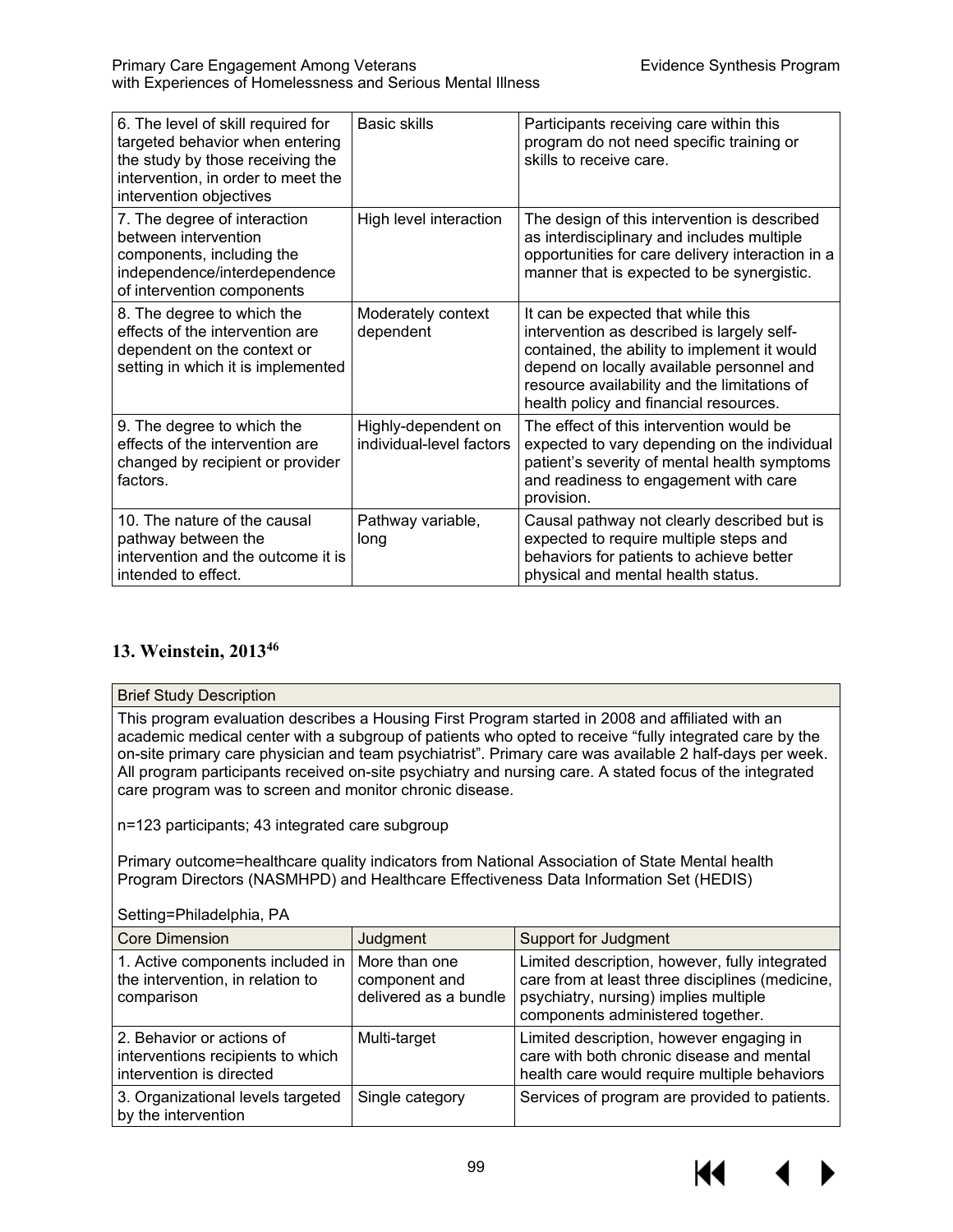| 6. The level of skill required for<br>targeted behavior when entering<br>the study by those receiving the<br>intervention, in order to meet the<br>intervention objectives | Basic skills                                    | Participants receiving care within this<br>program do not need specific training or<br>skills to receive care.                                                                                                                                                          |
|----------------------------------------------------------------------------------------------------------------------------------------------------------------------------|-------------------------------------------------|-------------------------------------------------------------------------------------------------------------------------------------------------------------------------------------------------------------------------------------------------------------------------|
| 7. The degree of interaction<br>between intervention<br>components, including the<br>independence/interdependence<br>of intervention components                            | High level interaction                          | The design of this intervention is described<br>as interdisciplinary and includes multiple<br>opportunities for care delivery interaction in a<br>manner that is expected to be synergistic.                                                                            |
| 8. The degree to which the<br>effects of the intervention are<br>dependent on the context or<br>setting in which it is implemented                                         | Moderately context<br>dependent                 | It can be expected that while this<br>intervention as described is largely self-<br>contained, the ability to implement it would<br>depend on locally available personnel and<br>resource availability and the limitations of<br>health policy and financial resources. |
| 9. The degree to which the<br>effects of the intervention are<br>changed by recipient or provider<br>factors.                                                              | Highly-dependent on<br>individual-level factors | The effect of this intervention would be<br>expected to vary depending on the individual<br>patient's severity of mental health symptoms<br>and readiness to engagement with care<br>provision.                                                                         |
| 10. The nature of the causal<br>pathway between the<br>intervention and the outcome it is<br>intended to effect.                                                           | Pathway variable,<br>long                       | Causal pathway not clearly described but is<br>expected to require multiple steps and<br>behaviors for patients to achieve better<br>physical and mental health status.                                                                                                 |

# **13. Weinstein, 201346**

### Brief Study Description

This program evaluation describes a Housing First Program started in 2008 and affiliated with an academic medical center with a subgroup of patients who opted to receive "fully integrated care by the on-site primary care physician and team psychiatrist". Primary care was available 2 half-days per week. All program participants received on-site psychiatry and nursing care. A stated focus of the integrated care program was to screen and monitor chronic disease.

n=123 participants; 43 integrated care subgroup

Primary outcome=healthcare quality indicators from National Association of State Mental health Program Directors (NASMHPD) and Healthcare Effectiveness Data Information Set (HEDIS)

Setting=Philadelphia, PA

| <b>Core Dimension</b>                                                                      | Judgment                                                | Support for Judgment                                                                                                                                                            |
|--------------------------------------------------------------------------------------------|---------------------------------------------------------|---------------------------------------------------------------------------------------------------------------------------------------------------------------------------------|
| 1. Active components included in<br>the intervention, in relation to<br>comparison         | More than one<br>component and<br>delivered as a bundle | Limited description, however, fully integrated<br>care from at least three disciplines (medicine,<br>psychiatry, nursing) implies multiple<br>components administered together. |
| 2. Behavior or actions of<br>interventions recipients to which<br>intervention is directed | Multi-target                                            | Limited description, however engaging in<br>care with both chronic disease and mental<br>health care would require multiple behaviors                                           |
| 3. Organizational levels targeted<br>by the intervention                                   | Single category                                         | Services of program are provided to patients.                                                                                                                                   |

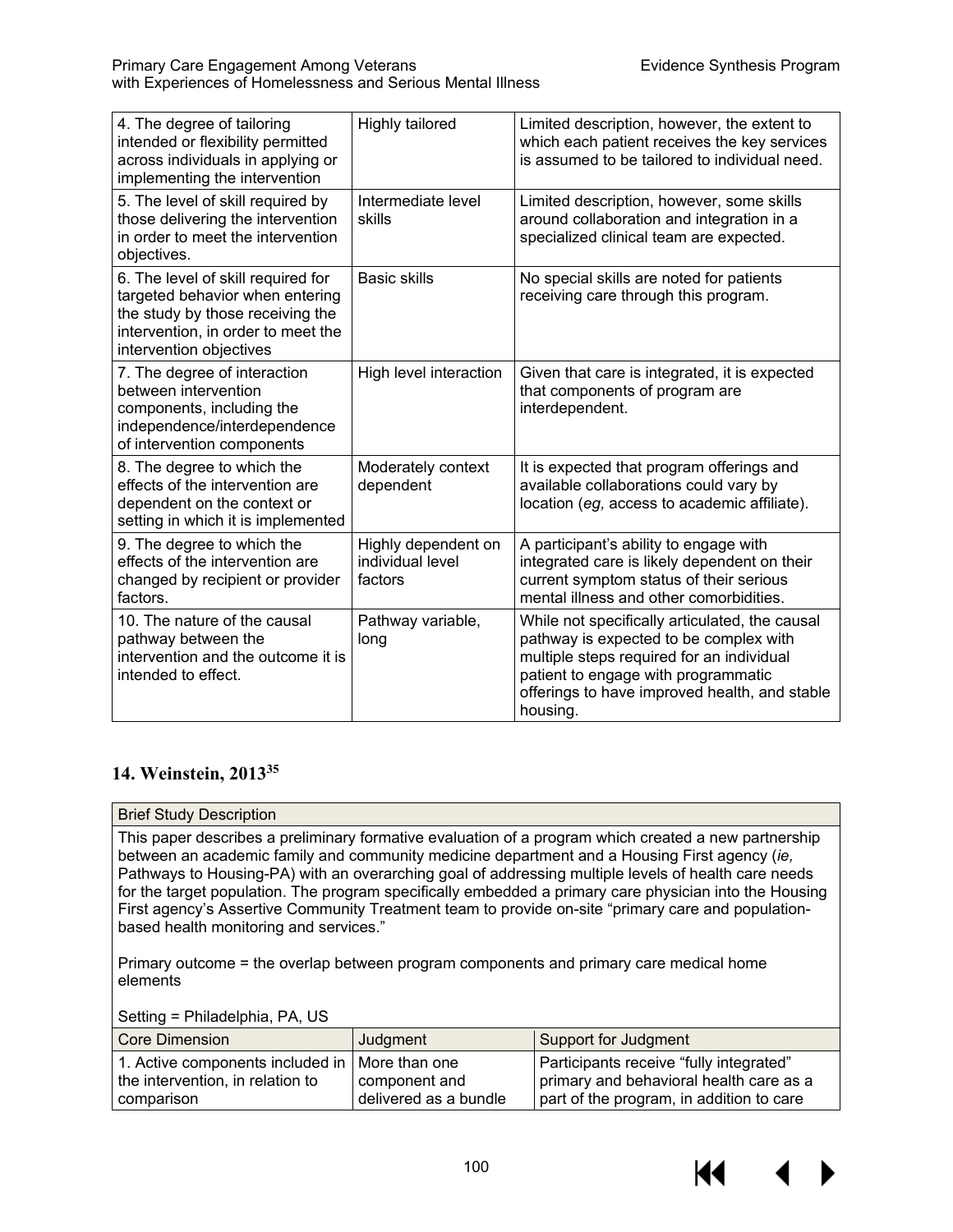| 4. The degree of tailoring<br>intended or flexibility permitted<br>across individuals in applying or<br>implementing the intervention                                      | Highly tailored                                    | Limited description, however, the extent to<br>which each patient receives the key services<br>is assumed to be tailored to individual need.                                                                                              |
|----------------------------------------------------------------------------------------------------------------------------------------------------------------------------|----------------------------------------------------|-------------------------------------------------------------------------------------------------------------------------------------------------------------------------------------------------------------------------------------------|
| 5. The level of skill required by<br>those delivering the intervention<br>in order to meet the intervention<br>objectives.                                                 | Intermediate level<br>skills                       | Limited description, however, some skills<br>around collaboration and integration in a<br>specialized clinical team are expected.                                                                                                         |
| 6. The level of skill required for<br>targeted behavior when entering<br>the study by those receiving the<br>intervention, in order to meet the<br>intervention objectives | <b>Basic skills</b>                                | No special skills are noted for patients<br>receiving care through this program.                                                                                                                                                          |
| 7. The degree of interaction<br>between intervention<br>components, including the<br>independence/interdependence<br>of intervention components                            | High level interaction                             | Given that care is integrated, it is expected<br>that components of program are<br>interdependent.                                                                                                                                        |
| 8. The degree to which the<br>effects of the intervention are<br>dependent on the context or<br>setting in which it is implemented                                         | Moderately context<br>dependent                    | It is expected that program offerings and<br>available collaborations could vary by<br>location (eg, access to academic affiliate).                                                                                                       |
| 9. The degree to which the<br>effects of the intervention are<br>changed by recipient or provider<br>factors.                                                              | Highly dependent on<br>individual level<br>factors | A participant's ability to engage with<br>integrated care is likely dependent on their<br>current symptom status of their serious<br>mental illness and other comorbidities.                                                              |
| 10. The nature of the causal<br>pathway between the<br>intervention and the outcome it is<br>intended to effect.                                                           | Pathway variable,<br>long                          | While not specifically articulated, the causal<br>pathway is expected to be complex with<br>multiple steps required for an individual<br>patient to engage with programmatic<br>offerings to have improved health, and stable<br>housing. |

### **14. Weinstein, 201335**

#### Brief Study Description

This paper describes a preliminary formative evaluation of a program which created a new partnership between an academic family and community medicine department and a Housing First agency (*ie,* Pathways to Housing-PA) with an overarching goal of addressing multiple levels of health care needs for the target population. The program specifically embedded a primary care physician into the Housing First agency's Assertive Community Treatment team to provide on-site "primary care and populationbased health monitoring and services."

Primary outcome = the overlap between program components and primary care medical home elements

#### Setting = Philadelphia, PA, US

| Core Dimension                   | Judgment              | Support for Judgment                     |
|----------------------------------|-----------------------|------------------------------------------|
| 1. Active components included in | More than one         | Participants receive "fully integrated"  |
| the intervention, in relation to | component and         | primary and behavioral health care as a  |
| comparison_                      | delivered as a bundle | part of the program, in addition to care |

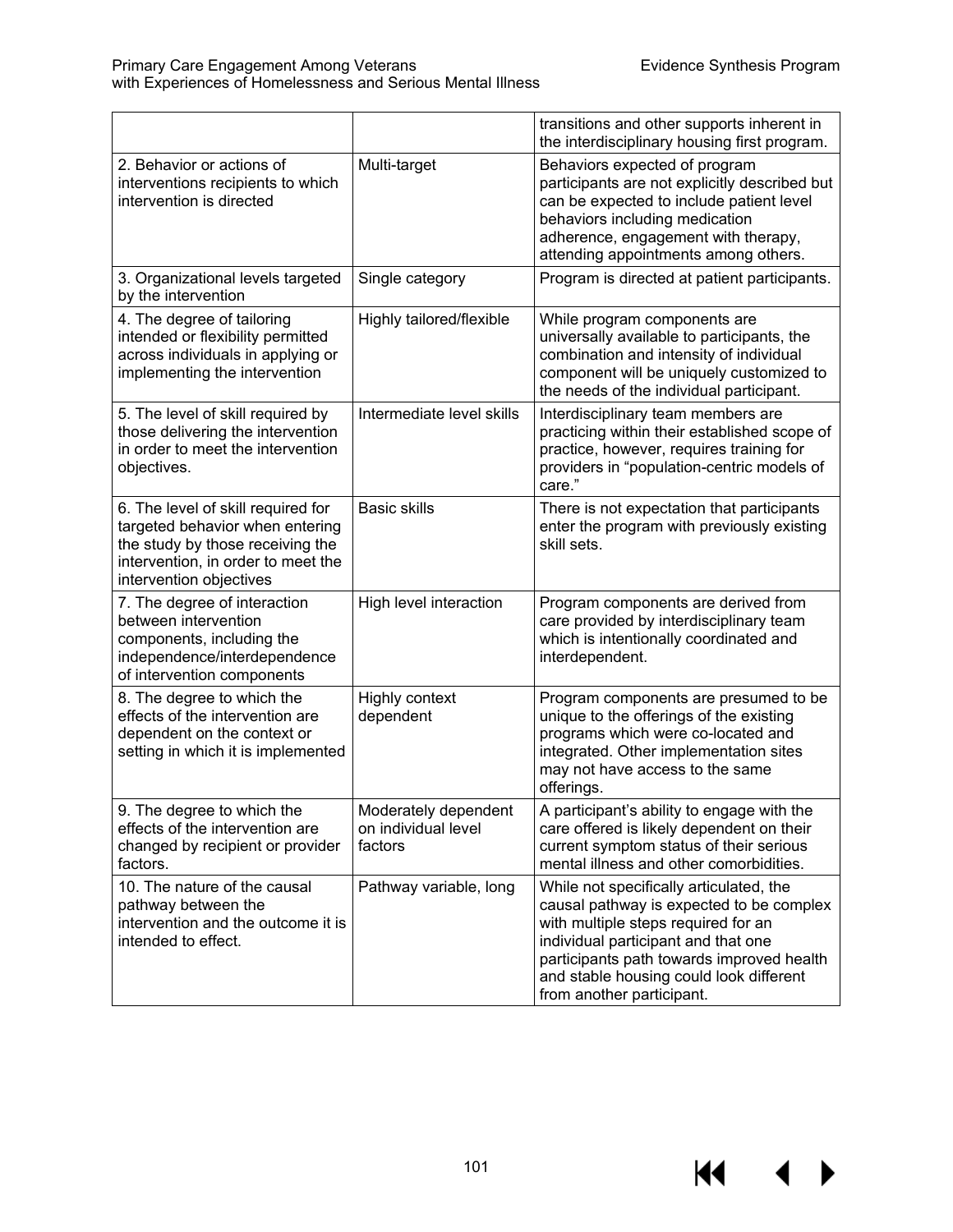$M \rightarrow$ 

|                                                                                                                                                                            |                                                        | transitions and other supports inherent in<br>the interdisciplinary housing first program.                                                                                                                                                                                             |
|----------------------------------------------------------------------------------------------------------------------------------------------------------------------------|--------------------------------------------------------|----------------------------------------------------------------------------------------------------------------------------------------------------------------------------------------------------------------------------------------------------------------------------------------|
| 2. Behavior or actions of<br>interventions recipients to which<br>intervention is directed                                                                                 | Multi-target                                           | Behaviors expected of program<br>participants are not explicitly described but<br>can be expected to include patient level<br>behaviors including medication<br>adherence, engagement with therapy,<br>attending appointments among others.                                            |
| 3. Organizational levels targeted<br>by the intervention                                                                                                                   | Single category                                        | Program is directed at patient participants.                                                                                                                                                                                                                                           |
| 4. The degree of tailoring<br>intended or flexibility permitted<br>across individuals in applying or<br>implementing the intervention                                      | Highly tailored/flexible                               | While program components are<br>universally available to participants, the<br>combination and intensity of individual<br>component will be uniquely customized to<br>the needs of the individual participant.                                                                          |
| 5. The level of skill required by<br>those delivering the intervention<br>in order to meet the intervention<br>objectives.                                                 | Intermediate level skills                              | Interdisciplinary team members are<br>practicing within their established scope of<br>practice, however, requires training for<br>providers in "population-centric models of<br>care."                                                                                                 |
| 6. The level of skill required for<br>targeted behavior when entering<br>the study by those receiving the<br>intervention, in order to meet the<br>intervention objectives | <b>Basic skills</b>                                    | There is not expectation that participants<br>enter the program with previously existing<br>skill sets.                                                                                                                                                                                |
| 7. The degree of interaction<br>between intervention<br>components, including the<br>independence/interdependence<br>of intervention components                            | High level interaction                                 | Program components are derived from<br>care provided by interdisciplinary team<br>which is intentionally coordinated and<br>interdependent.                                                                                                                                            |
| 8. The degree to which the<br>effects of the intervention are<br>dependent on the context or<br>setting in which it is implemented                                         | Highly context<br>dependent                            | Program components are presumed to be<br>unique to the offerings of the existing<br>programs which were co-located and<br>integrated. Other implementation sites<br>may not have access to the same<br>offerings.                                                                      |
| 9. The degree to which the<br>effects of the intervention are<br>changed by recipient or provider<br>factors.                                                              | Moderately dependent<br>on individual level<br>factors | A participant's ability to engage with the<br>care offered is likely dependent on their<br>current symptom status of their serious<br>mental illness and other comorbidities.                                                                                                          |
| 10. The nature of the causal<br>pathway between the<br>intervention and the outcome it is<br>intended to effect.                                                           | Pathway variable, long                                 | While not specifically articulated, the<br>causal pathway is expected to be complex<br>with multiple steps required for an<br>individual participant and that one<br>participants path towards improved health<br>and stable housing could look different<br>from another participant. |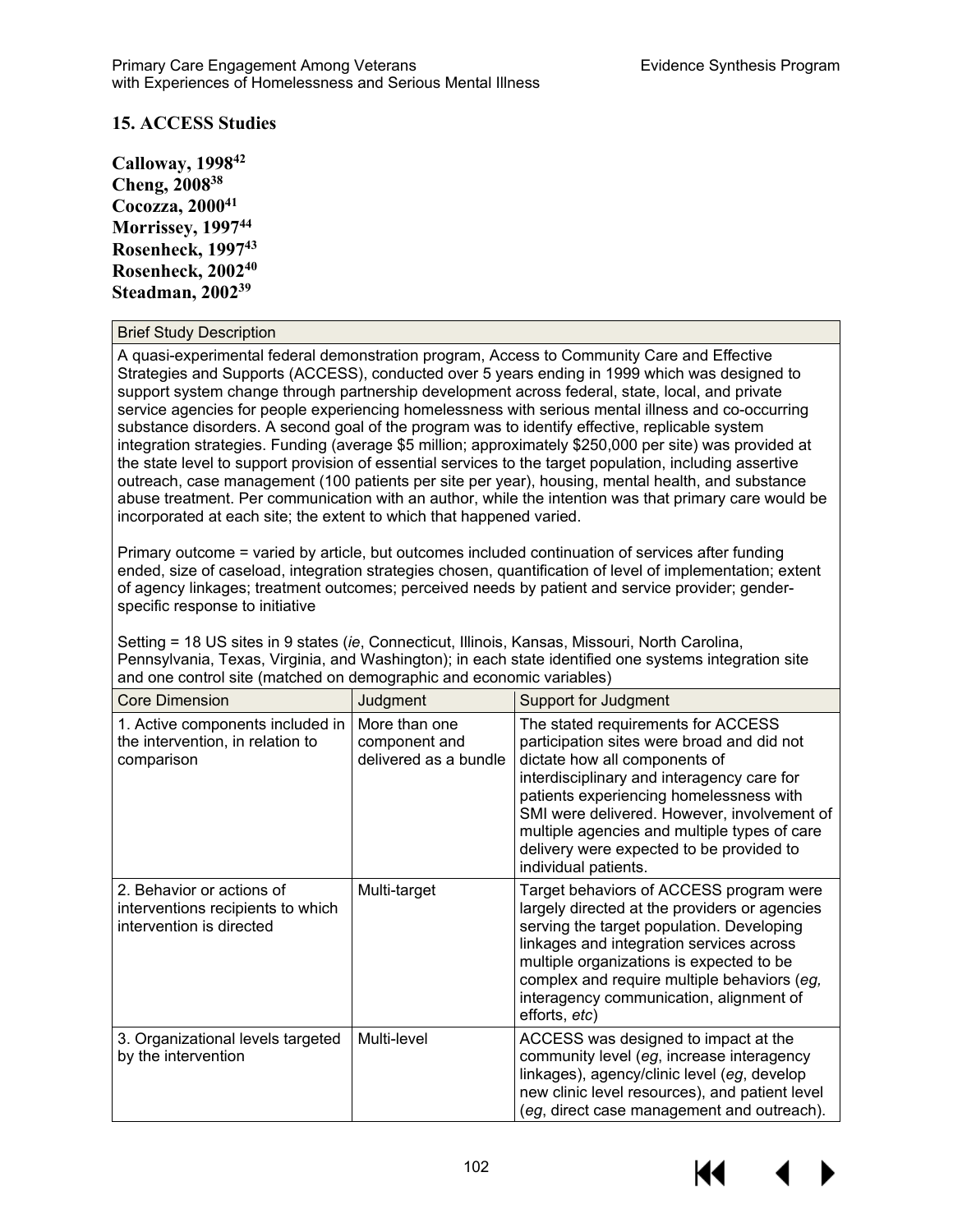### **15. ACCESS Studies**

**Calloway, 199842 Cheng, 200838 Cocozza, 200041 Morrissey, 199744 Rosenheck, 199743 Rosenheck, 200240 Steadman, 200239**

#### Brief Study Description

A quasi-experimental federal demonstration program, Access to Community Care and Effective Strategies and Supports (ACCESS), conducted over 5 years ending in 1999 which was designed to support system change through partnership development across federal, state, local, and private service agencies for people experiencing homelessness with serious mental illness and co-occurring substance disorders. A second goal of the program was to identify effective, replicable system integration strategies. Funding (average \$5 million; approximately \$250,000 per site) was provided at the state level to support provision of essential services to the target population, including assertive outreach, case management (100 patients per site per year), housing, mental health, and substance abuse treatment. Per communication with an author, while the intention was that primary care would be incorporated at each site; the extent to which that happened varied.

Primary outcome = varied by article, but outcomes included continuation of services after funding ended, size of caseload, integration strategies chosen, quantification of level of implementation; extent of agency linkages; treatment outcomes; perceived needs by patient and service provider; genderspecific response to initiative

Setting = 18 US sites in 9 states (*ie*, Connecticut, Illinois, Kansas, Missouri, North Carolina, Pennsylvania, Texas, Virginia, and Washington); in each state identified one systems integration site and one control site (matched on demographic and economic variables)

| <b>Core Dimension</b>                                                                      | Judgment                                                | <b>Support for Judgment</b>                                                                                                                                                                                                                                                                                                                                                   |
|--------------------------------------------------------------------------------------------|---------------------------------------------------------|-------------------------------------------------------------------------------------------------------------------------------------------------------------------------------------------------------------------------------------------------------------------------------------------------------------------------------------------------------------------------------|
| 1. Active components included in<br>the intervention, in relation to<br>comparison         | More than one<br>component and<br>delivered as a bundle | The stated requirements for ACCESS<br>participation sites were broad and did not<br>dictate how all components of<br>interdisciplinary and interagency care for<br>patients experiencing homelessness with<br>SMI were delivered. However, involvement of<br>multiple agencies and multiple types of care<br>delivery were expected to be provided to<br>individual patients. |
| 2. Behavior or actions of<br>interventions recipients to which<br>intervention is directed | Multi-target                                            | Target behaviors of ACCESS program were<br>largely directed at the providers or agencies<br>serving the target population. Developing<br>linkages and integration services across<br>multiple organizations is expected to be<br>complex and require multiple behaviors (eg,<br>interagency communication, alignment of<br>efforts, etc)                                      |
| 3. Organizational levels targeted<br>by the intervention                                   | Multi-level                                             | ACCESS was designed to impact at the<br>community level (eg, increase interagency<br>linkages), agency/clinic level (eg, develop<br>new clinic level resources), and patient level<br>(eg, direct case management and outreach).                                                                                                                                              |

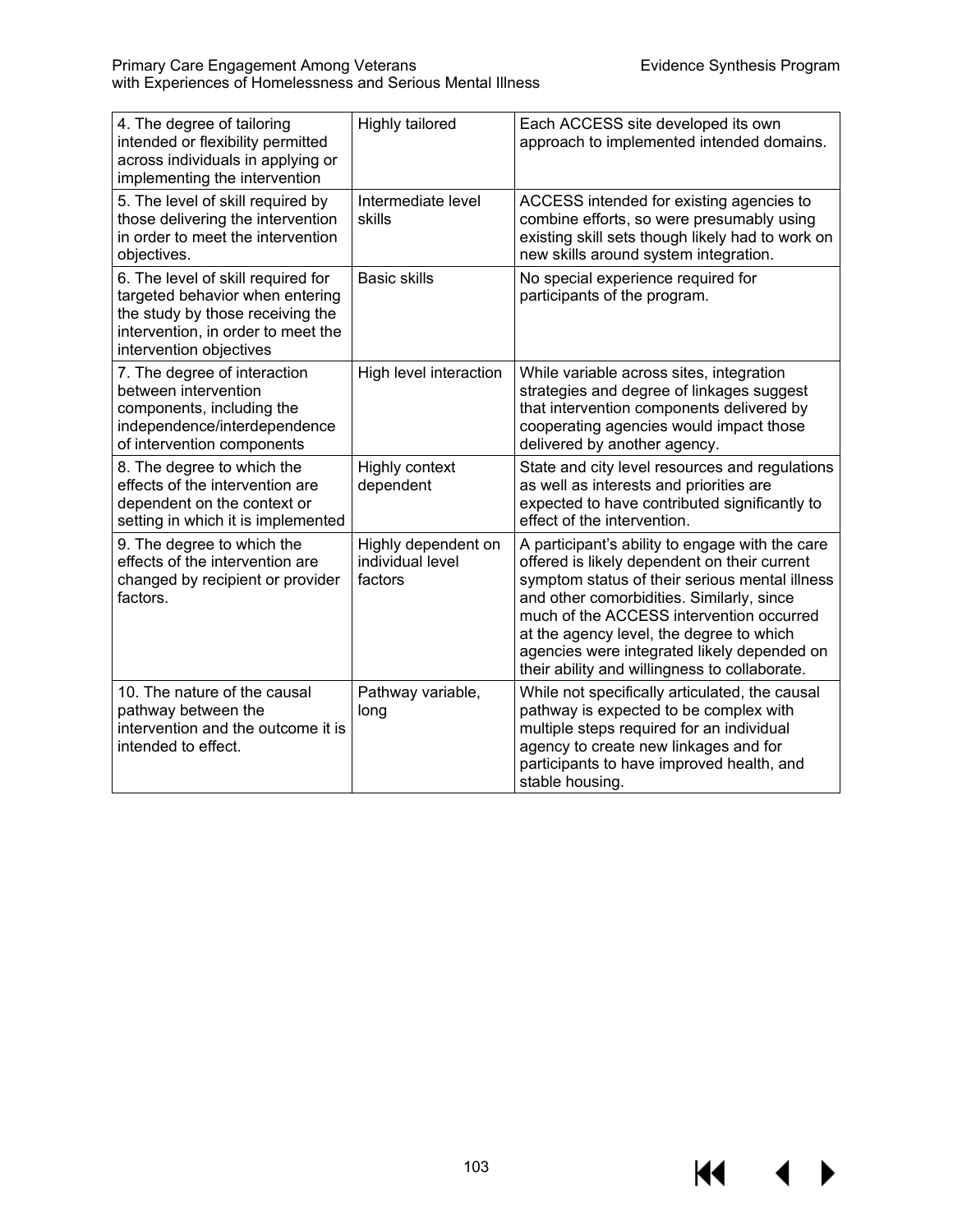$M \cdot 1$ 

 $\blacktriangleright$ 

| 4. The degree of tailoring<br>intended or flexibility permitted<br>across individuals in applying or<br>implementing the intervention                                      | Highly tailored                                    | Each ACCESS site developed its own<br>approach to implemented intended domains.                                                                                                                                                                                                                                                                                                        |
|----------------------------------------------------------------------------------------------------------------------------------------------------------------------------|----------------------------------------------------|----------------------------------------------------------------------------------------------------------------------------------------------------------------------------------------------------------------------------------------------------------------------------------------------------------------------------------------------------------------------------------------|
| 5. The level of skill required by<br>those delivering the intervention<br>in order to meet the intervention<br>objectives.                                                 | Intermediate level<br>skills                       | ACCESS intended for existing agencies to<br>combine efforts, so were presumably using<br>existing skill sets though likely had to work on<br>new skills around system integration.                                                                                                                                                                                                     |
| 6. The level of skill required for<br>targeted behavior when entering<br>the study by those receiving the<br>intervention, in order to meet the<br>intervention objectives | <b>Basic skills</b>                                | No special experience required for<br>participants of the program.                                                                                                                                                                                                                                                                                                                     |
| 7. The degree of interaction<br>between intervention<br>components, including the<br>independence/interdependence<br>of intervention components                            | High level interaction                             | While variable across sites, integration<br>strategies and degree of linkages suggest<br>that intervention components delivered by<br>cooperating agencies would impact those<br>delivered by another agency.                                                                                                                                                                          |
| 8. The degree to which the<br>effects of the intervention are<br>dependent on the context or<br>setting in which it is implemented                                         | <b>Highly context</b><br>dependent                 | State and city level resources and regulations<br>as well as interests and priorities are<br>expected to have contributed significantly to<br>effect of the intervention.                                                                                                                                                                                                              |
| 9. The degree to which the<br>effects of the intervention are<br>changed by recipient or provider<br>factors.                                                              | Highly dependent on<br>individual level<br>factors | A participant's ability to engage with the care<br>offered is likely dependent on their current<br>symptom status of their serious mental illness<br>and other comorbidities. Similarly, since<br>much of the ACCESS intervention occurred<br>at the agency level, the degree to which<br>agencies were integrated likely depended on<br>their ability and willingness to collaborate. |
| 10. The nature of the causal<br>pathway between the<br>intervention and the outcome it is<br>intended to effect.                                                           | Pathway variable,<br>long                          | While not specifically articulated, the causal<br>pathway is expected to be complex with<br>multiple steps required for an individual<br>agency to create new linkages and for<br>participants to have improved health, and<br>stable housing.                                                                                                                                         |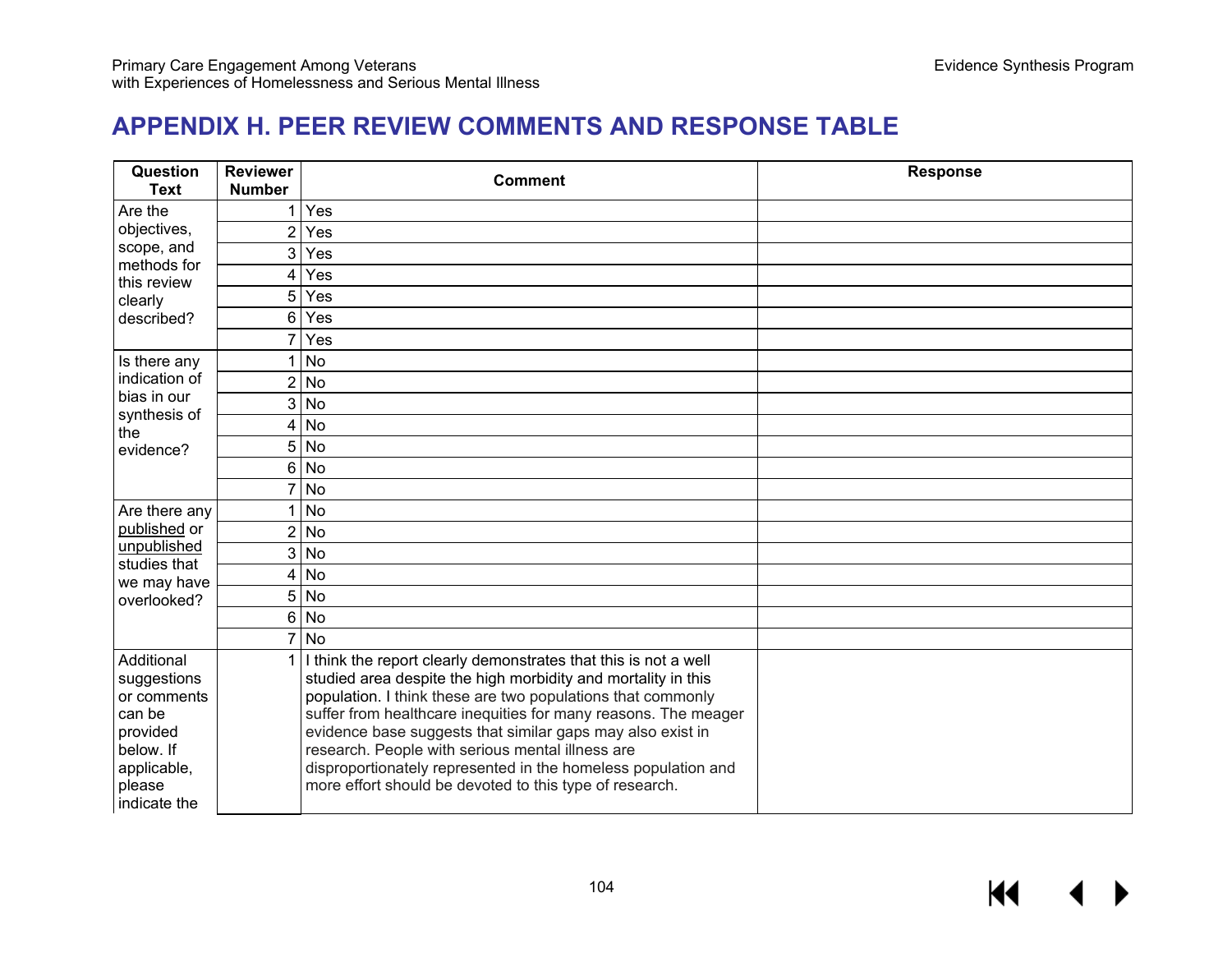# **APPENDIX H. PEER REVIEW COMMENTS AND RESPONSE TABLE**

| <b>Reviewer</b><br><b>Number</b> | <b>Comment</b>                                                                                                                                                                                                                                                                                                                                                                                                                               | <b>Response</b>                                                                                                                                                        |
|----------------------------------|----------------------------------------------------------------------------------------------------------------------------------------------------------------------------------------------------------------------------------------------------------------------------------------------------------------------------------------------------------------------------------------------------------------------------------------------|------------------------------------------------------------------------------------------------------------------------------------------------------------------------|
|                                  | Yes                                                                                                                                                                                                                                                                                                                                                                                                                                          |                                                                                                                                                                        |
| $\overline{2}$                   | Yes                                                                                                                                                                                                                                                                                                                                                                                                                                          |                                                                                                                                                                        |
|                                  | Yes                                                                                                                                                                                                                                                                                                                                                                                                                                          |                                                                                                                                                                        |
| 4                                | Yes                                                                                                                                                                                                                                                                                                                                                                                                                                          |                                                                                                                                                                        |
| 5                                | Yes                                                                                                                                                                                                                                                                                                                                                                                                                                          |                                                                                                                                                                        |
| 6                                | Yes                                                                                                                                                                                                                                                                                                                                                                                                                                          |                                                                                                                                                                        |
|                                  | Yes                                                                                                                                                                                                                                                                                                                                                                                                                                          |                                                                                                                                                                        |
|                                  | No                                                                                                                                                                                                                                                                                                                                                                                                                                           |                                                                                                                                                                        |
|                                  |                                                                                                                                                                                                                                                                                                                                                                                                                                              |                                                                                                                                                                        |
|                                  |                                                                                                                                                                                                                                                                                                                                                                                                                                              |                                                                                                                                                                        |
| 4                                | <b>No</b>                                                                                                                                                                                                                                                                                                                                                                                                                                    |                                                                                                                                                                        |
|                                  |                                                                                                                                                                                                                                                                                                                                                                                                                                              |                                                                                                                                                                        |
|                                  |                                                                                                                                                                                                                                                                                                                                                                                                                                              |                                                                                                                                                                        |
|                                  | No                                                                                                                                                                                                                                                                                                                                                                                                                                           |                                                                                                                                                                        |
|                                  | <b>No</b>                                                                                                                                                                                                                                                                                                                                                                                                                                    |                                                                                                                                                                        |
| $\overline{2}$                   | No                                                                                                                                                                                                                                                                                                                                                                                                                                           |                                                                                                                                                                        |
|                                  |                                                                                                                                                                                                                                                                                                                                                                                                                                              |                                                                                                                                                                        |
| 4                                | <b>No</b>                                                                                                                                                                                                                                                                                                                                                                                                                                    |                                                                                                                                                                        |
|                                  | <b>No</b>                                                                                                                                                                                                                                                                                                                                                                                                                                    |                                                                                                                                                                        |
| 6                                | No                                                                                                                                                                                                                                                                                                                                                                                                                                           |                                                                                                                                                                        |
|                                  | <b>No</b>                                                                                                                                                                                                                                                                                                                                                                                                                                    |                                                                                                                                                                        |
|                                  | studied area despite the high morbidity and mortality in this<br>population. I think these are two populations that commonly<br>suffer from healthcare inequities for many reasons. The meager<br>evidence base suggests that similar gaps may also exist in<br>research. People with serious mental illness are<br>disproportionately represented in the homeless population and<br>more effort should be devoted to this type of research. |                                                                                                                                                                        |
|                                  |                                                                                                                                                                                                                                                                                                                                                                                                                                              | $\mathbf{3}$<br>$2$ No<br>$\overline{3}$ No<br>$5$ No<br>6 <sup>1</sup><br><b>No</b><br>$3$ No<br>5<br>I think the report clearly demonstrates that this is not a well |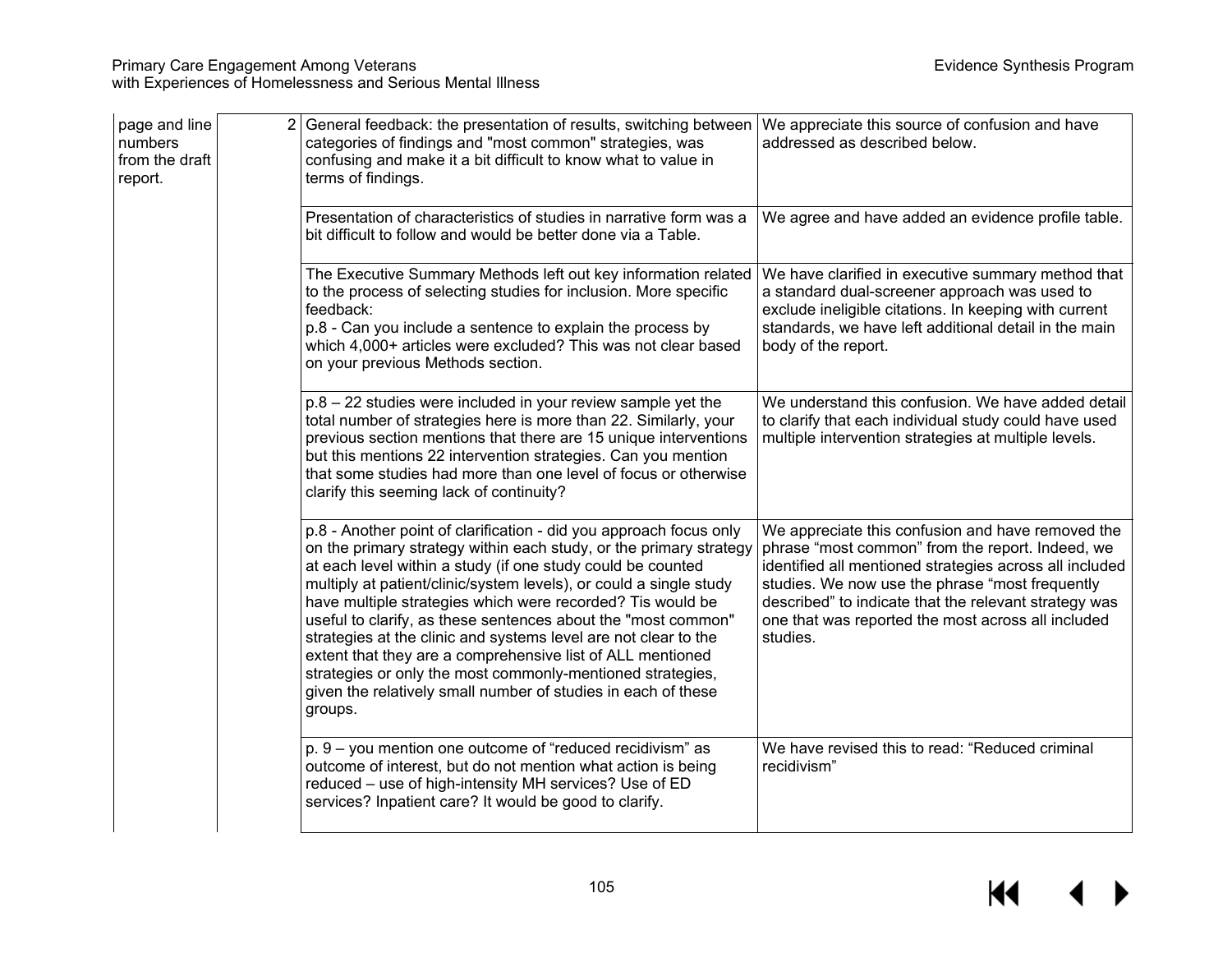| page and line<br>numbers<br>from the draft<br>report. | 2 General feedback: the presentation of results, switching between<br>categories of findings and "most common" strategies, was<br>confusing and make it a bit difficult to know what to value in<br>terms of findings.                                                                                                                                                                                                                                                                                                                                                                                                                                                                  | We appreciate this source of confusion and have<br>addressed as described below.                                                                                                                                                                                                                                                               |
|-------------------------------------------------------|-----------------------------------------------------------------------------------------------------------------------------------------------------------------------------------------------------------------------------------------------------------------------------------------------------------------------------------------------------------------------------------------------------------------------------------------------------------------------------------------------------------------------------------------------------------------------------------------------------------------------------------------------------------------------------------------|------------------------------------------------------------------------------------------------------------------------------------------------------------------------------------------------------------------------------------------------------------------------------------------------------------------------------------------------|
|                                                       | Presentation of characteristics of studies in narrative form was a<br>bit difficult to follow and would be better done via a Table.                                                                                                                                                                                                                                                                                                                                                                                                                                                                                                                                                     | We agree and have added an evidence profile table.                                                                                                                                                                                                                                                                                             |
|                                                       | The Executive Summary Methods left out key information related<br>to the process of selecting studies for inclusion. More specific<br>feedback:<br>p.8 - Can you include a sentence to explain the process by<br>which 4,000+ articles were excluded? This was not clear based<br>on your previous Methods section.                                                                                                                                                                                                                                                                                                                                                                     | We have clarified in executive summary method that<br>a standard dual-screener approach was used to<br>exclude ineligible citations. In keeping with current<br>standards, we have left additional detail in the main<br>body of the report.                                                                                                   |
|                                                       | $p.8 - 22$ studies were included in your review sample yet the<br>total number of strategies here is more than 22. Similarly, your<br>previous section mentions that there are 15 unique interventions<br>but this mentions 22 intervention strategies. Can you mention<br>that some studies had more than one level of focus or otherwise<br>clarify this seeming lack of continuity?                                                                                                                                                                                                                                                                                                  | We understand this confusion. We have added detail<br>to clarify that each individual study could have used<br>multiple intervention strategies at multiple levels.                                                                                                                                                                            |
|                                                       | p.8 - Another point of clarification - did you approach focus only<br>on the primary strategy within each study, or the primary strategy<br>at each level within a study (if one study could be counted<br>multiply at patient/clinic/system levels), or could a single study<br>have multiple strategies which were recorded? Tis would be<br>useful to clarify, as these sentences about the "most common"<br>strategies at the clinic and systems level are not clear to the<br>extent that they are a comprehensive list of ALL mentioned<br>strategies or only the most commonly-mentioned strategies,<br>given the relatively small number of studies in each of these<br>groups. | We appreciate this confusion and have removed the<br>phrase "most common" from the report. Indeed, we<br>identified all mentioned strategies across all included<br>studies. We now use the phrase "most frequently<br>described" to indicate that the relevant strategy was<br>one that was reported the most across all included<br>studies. |
|                                                       | p. 9 - you mention one outcome of "reduced recidivism" as<br>outcome of interest, but do not mention what action is being<br>reduced - use of high-intensity MH services? Use of ED<br>services? Inpatient care? It would be good to clarify.                                                                                                                                                                                                                                                                                                                                                                                                                                           | We have revised this to read: "Reduced criminal<br>recidivism"                                                                                                                                                                                                                                                                                 |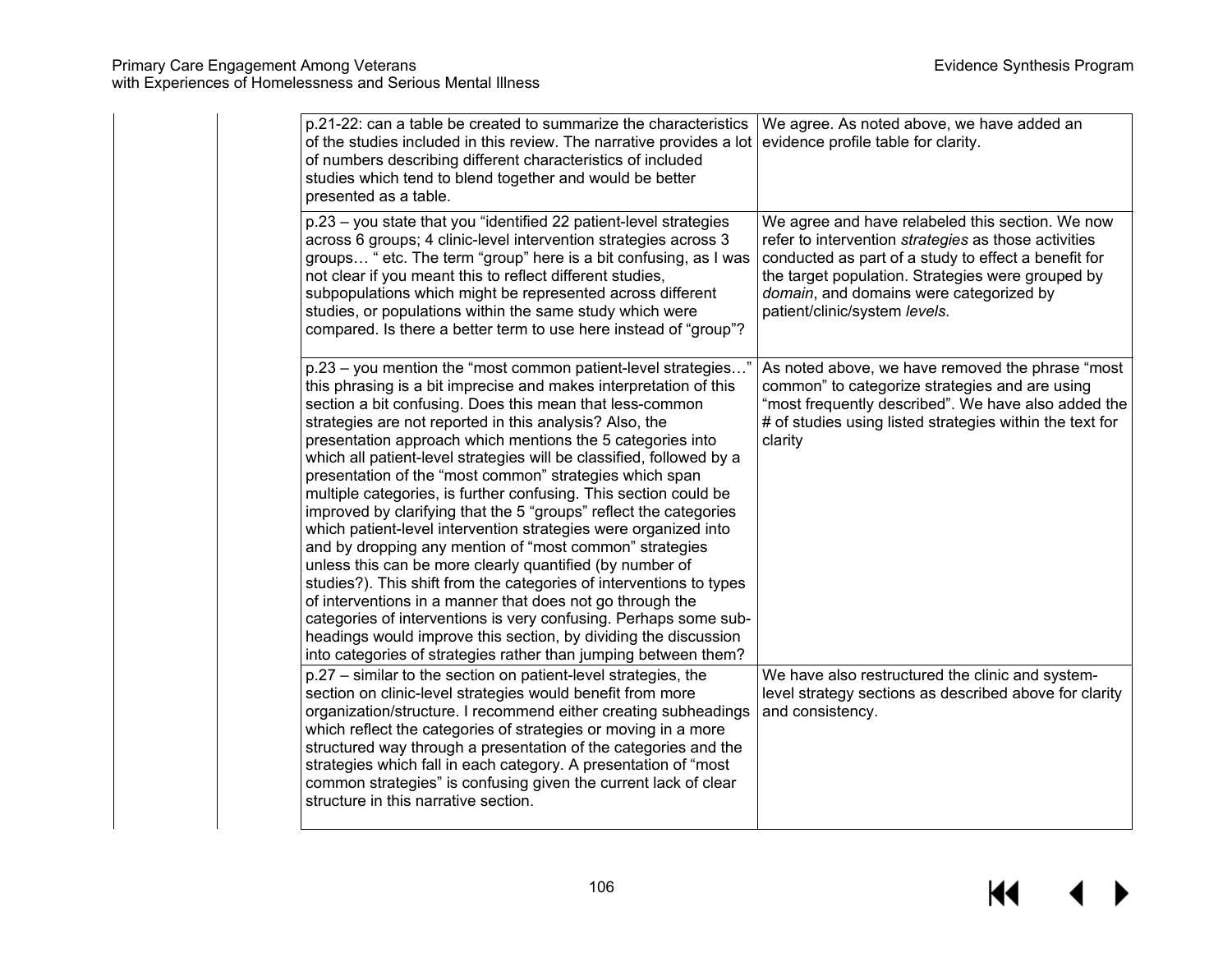| p.21-22: can a table be created to summarize the characteristics<br>of the studies included in this review. The narrative provides a lot<br>of numbers describing different characteristics of included<br>studies which tend to blend together and would be better<br>presented as a table.                                                                                                                                                                                                                                                                                                                                                                                                                                                                                                                                                                                                                                                                                                                                                                                                                                                | We agree. As noted above, we have added an<br>evidence profile table for clarity.                                                                                                                                                                                                                 |
|---------------------------------------------------------------------------------------------------------------------------------------------------------------------------------------------------------------------------------------------------------------------------------------------------------------------------------------------------------------------------------------------------------------------------------------------------------------------------------------------------------------------------------------------------------------------------------------------------------------------------------------------------------------------------------------------------------------------------------------------------------------------------------------------------------------------------------------------------------------------------------------------------------------------------------------------------------------------------------------------------------------------------------------------------------------------------------------------------------------------------------------------|---------------------------------------------------------------------------------------------------------------------------------------------------------------------------------------------------------------------------------------------------------------------------------------------------|
| p.23 - you state that you "identified 22 patient-level strategies<br>across 6 groups; 4 clinic-level intervention strategies across 3<br>groups " etc. The term "group" here is a bit confusing, as I was<br>not clear if you meant this to reflect different studies,<br>subpopulations which might be represented across different<br>studies, or populations within the same study which were<br>compared. Is there a better term to use here instead of "group"?                                                                                                                                                                                                                                                                                                                                                                                                                                                                                                                                                                                                                                                                        | We agree and have relabeled this section. We now<br>refer to intervention strategies as those activities<br>conducted as part of a study to effect a benefit for<br>the target population. Strategies were grouped by<br>domain, and domains were categorized by<br>patient/clinic/system levels. |
| p.23 - you mention the "most common patient-level strategies"<br>this phrasing is a bit imprecise and makes interpretation of this<br>section a bit confusing. Does this mean that less-common<br>strategies are not reported in this analysis? Also, the<br>presentation approach which mentions the 5 categories into<br>which all patient-level strategies will be classified, followed by a<br>presentation of the "most common" strategies which span<br>multiple categories, is further confusing. This section could be<br>improved by clarifying that the 5 "groups" reflect the categories<br>which patient-level intervention strategies were organized into<br>and by dropping any mention of "most common" strategies<br>unless this can be more clearly quantified (by number of<br>studies?). This shift from the categories of interventions to types<br>of interventions in a manner that does not go through the<br>categories of interventions is very confusing. Perhaps some sub-<br>headings would improve this section, by dividing the discussion<br>into categories of strategies rather than jumping between them? | As noted above, we have removed the phrase "most<br>common" to categorize strategies and are using<br>"most frequently described". We have also added the<br># of studies using listed strategies within the text for<br>clarity                                                                  |
| p.27 - similar to the section on patient-level strategies, the<br>section on clinic-level strategies would benefit from more<br>organization/structure. I recommend either creating subheadings<br>which reflect the categories of strategies or moving in a more<br>structured way through a presentation of the categories and the<br>strategies which fall in each category. A presentation of "most<br>common strategies" is confusing given the current lack of clear<br>structure in this narrative section.                                                                                                                                                                                                                                                                                                                                                                                                                                                                                                                                                                                                                          | We have also restructured the clinic and system-<br>level strategy sections as described above for clarity<br>and consistency.                                                                                                                                                                    |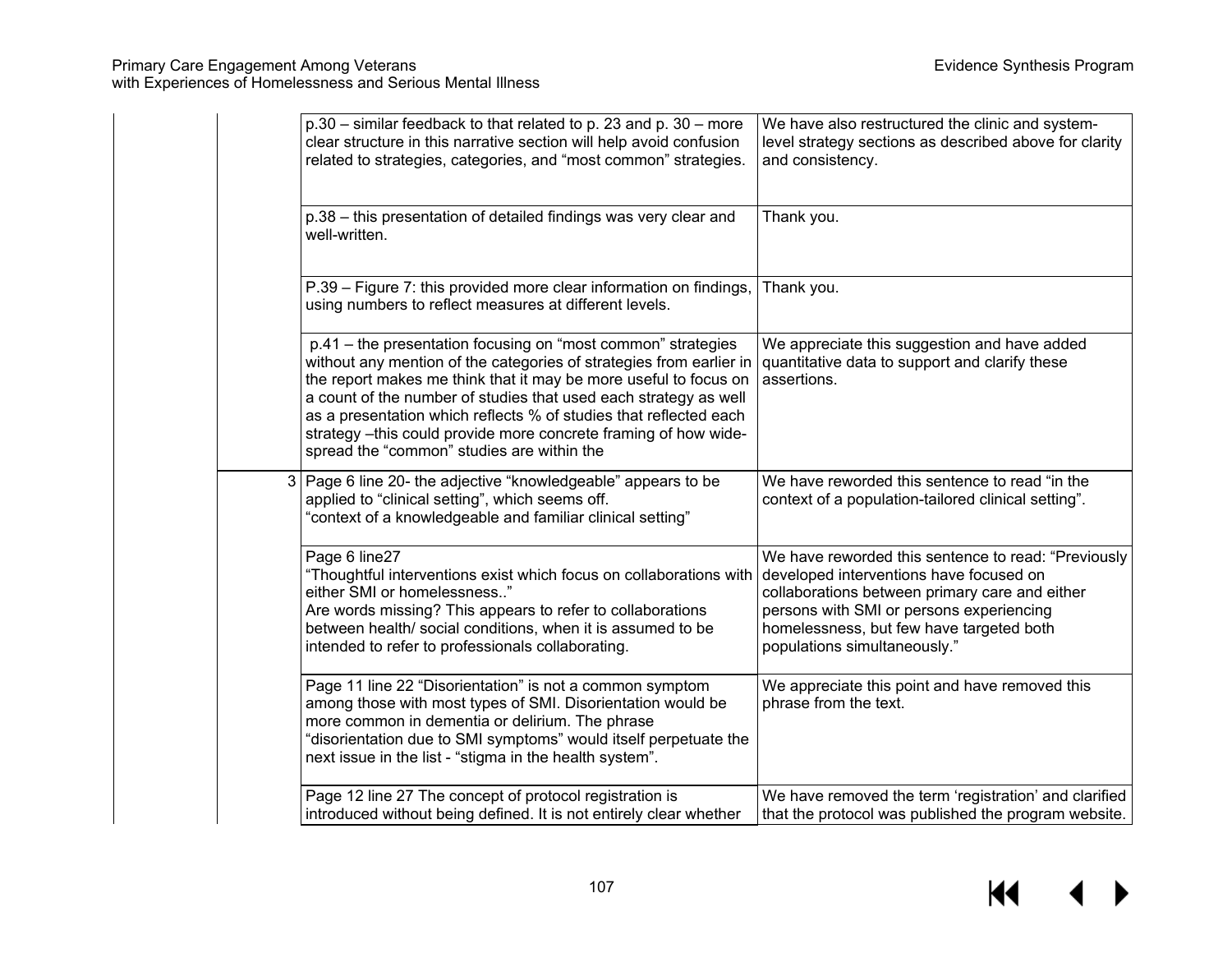|  | p.30 – similar feedback to that related to p. 23 and p. 30 – more<br>clear structure in this narrative section will help avoid confusion<br>related to strategies, categories, and "most common" strategies.                                                                                                                                                                                                                                                      | We have also restructured the clinic and system-<br>level strategy sections as described above for clarity<br>and consistency.                                                                                                                                           |
|--|-------------------------------------------------------------------------------------------------------------------------------------------------------------------------------------------------------------------------------------------------------------------------------------------------------------------------------------------------------------------------------------------------------------------------------------------------------------------|--------------------------------------------------------------------------------------------------------------------------------------------------------------------------------------------------------------------------------------------------------------------------|
|  | p.38 - this presentation of detailed findings was very clear and<br>well-written.                                                                                                                                                                                                                                                                                                                                                                                 | Thank you.                                                                                                                                                                                                                                                               |
|  | P.39 - Figure 7: this provided more clear information on findings,<br>using numbers to reflect measures at different levels.                                                                                                                                                                                                                                                                                                                                      | Thank you.                                                                                                                                                                                                                                                               |
|  | p.41 - the presentation focusing on "most common" strategies<br>without any mention of the categories of strategies from earlier in<br>the report makes me think that it may be more useful to focus on<br>a count of the number of studies that used each strategy as well<br>as a presentation which reflects % of studies that reflected each<br>strategy -this could provide more concrete framing of how wide-<br>spread the "common" studies are within the | We appreciate this suggestion and have added<br>quantitative data to support and clarify these<br>assertions.                                                                                                                                                            |
|  | 3   Page 6 line 20- the adjective "knowledgeable" appears to be<br>applied to "clinical setting", which seems off.<br>"context of a knowledgeable and familiar clinical setting"                                                                                                                                                                                                                                                                                  | We have reworded this sentence to read "in the<br>context of a population-tailored clinical setting".                                                                                                                                                                    |
|  | Page 6 line27<br>"Thoughtful interventions exist which focus on collaborations with<br>either SMI or homelessness"<br>Are words missing? This appears to refer to collaborations<br>between health/ social conditions, when it is assumed to be<br>intended to refer to professionals collaborating.                                                                                                                                                              | We have reworded this sentence to read: "Previously<br>developed interventions have focused on<br>collaborations between primary care and either<br>persons with SMI or persons experiencing<br>homelessness, but few have targeted both<br>populations simultaneously." |
|  | Page 11 line 22 "Disorientation" is not a common symptom<br>among those with most types of SMI. Disorientation would be<br>more common in dementia or delirium. The phrase<br>"disorientation due to SMI symptoms" would itself perpetuate the<br>next issue in the list - "stigma in the health system".                                                                                                                                                         | We appreciate this point and have removed this<br>phrase from the text.                                                                                                                                                                                                  |
|  | Page 12 line 27 The concept of protocol registration is<br>introduced without being defined. It is not entirely clear whether                                                                                                                                                                                                                                                                                                                                     | We have removed the term 'registration' and clarified<br>that the protocol was published the program website.                                                                                                                                                            |

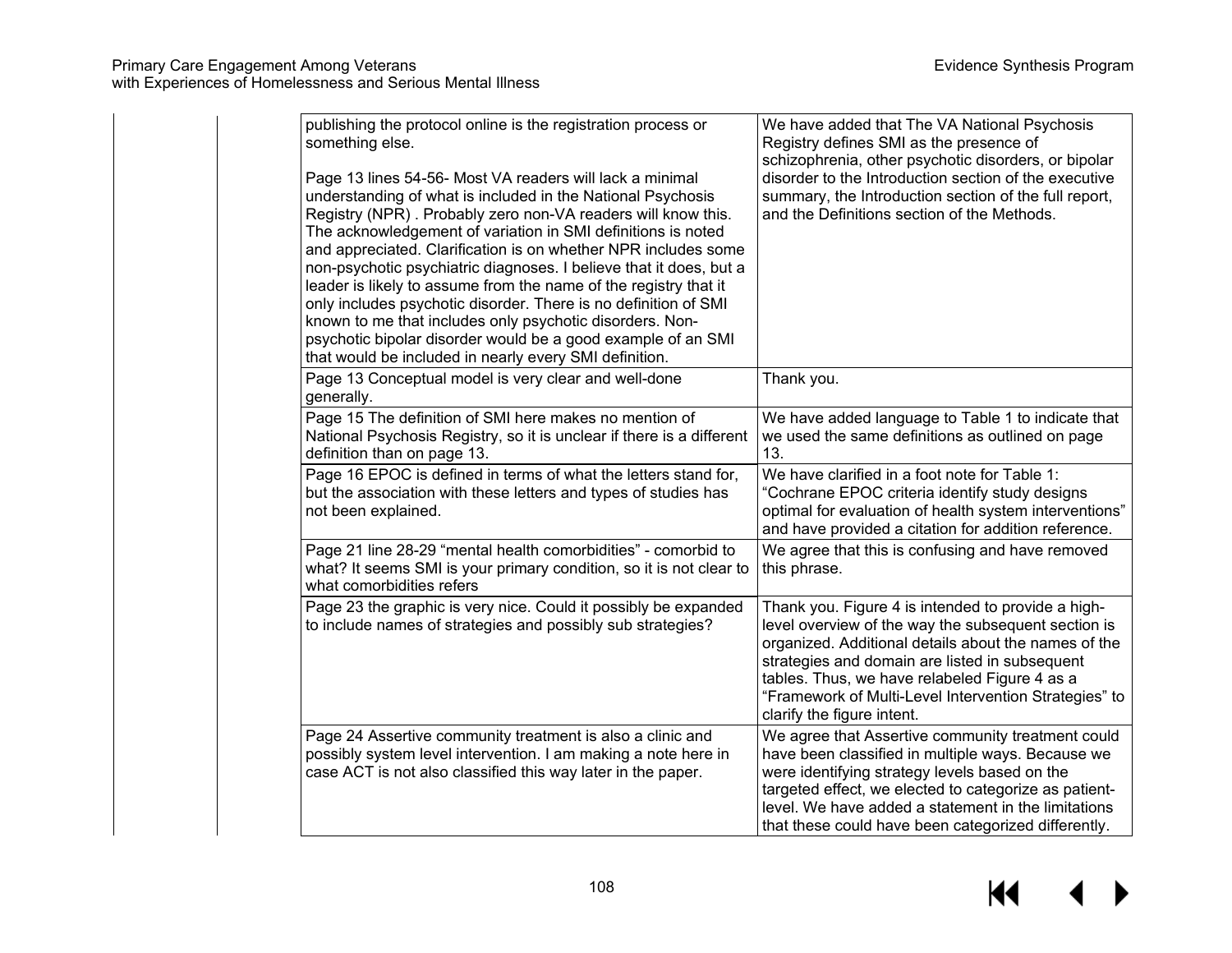| publishing the protocol online is the registration process or<br>something else.<br>Page 13 lines 54-56- Most VA readers will lack a minimal<br>understanding of what is included in the National Psychosis<br>Registry (NPR). Probably zero non-VA readers will know this.<br>The acknowledgement of variation in SMI definitions is noted<br>and appreciated. Clarification is on whether NPR includes some<br>non-psychotic psychiatric diagnoses. I believe that it does, but a<br>leader is likely to assume from the name of the registry that it<br>only includes psychotic disorder. There is no definition of SMI<br>known to me that includes only psychotic disorders. Non-<br>psychotic bipolar disorder would be a good example of an SMI<br>that would be included in nearly every SMI definition. | We have added that The VA National Psychosis<br>Registry defines SMI as the presence of<br>schizophrenia, other psychotic disorders, or bipolar<br>disorder to the Introduction section of the executive<br>summary, the Introduction section of the full report,<br>and the Definitions section of the Methods.                                            |
|------------------------------------------------------------------------------------------------------------------------------------------------------------------------------------------------------------------------------------------------------------------------------------------------------------------------------------------------------------------------------------------------------------------------------------------------------------------------------------------------------------------------------------------------------------------------------------------------------------------------------------------------------------------------------------------------------------------------------------------------------------------------------------------------------------------|-------------------------------------------------------------------------------------------------------------------------------------------------------------------------------------------------------------------------------------------------------------------------------------------------------------------------------------------------------------|
| Page 13 Conceptual model is very clear and well-done<br>generally.                                                                                                                                                                                                                                                                                                                                                                                                                                                                                                                                                                                                                                                                                                                                               | Thank you.                                                                                                                                                                                                                                                                                                                                                  |
| Page 15 The definition of SMI here makes no mention of<br>National Psychosis Registry, so it is unclear if there is a different<br>definition than on page 13.                                                                                                                                                                                                                                                                                                                                                                                                                                                                                                                                                                                                                                                   | We have added language to Table 1 to indicate that<br>we used the same definitions as outlined on page<br>13.                                                                                                                                                                                                                                               |
| Page 16 EPOC is defined in terms of what the letters stand for,<br>but the association with these letters and types of studies has<br>not been explained.                                                                                                                                                                                                                                                                                                                                                                                                                                                                                                                                                                                                                                                        | We have clarified in a foot note for Table 1:<br>"Cochrane EPOC criteria identify study designs<br>optimal for evaluation of health system interventions"<br>and have provided a citation for addition reference.                                                                                                                                           |
| Page 21 line 28-29 "mental health comorbidities" - comorbid to<br>what? It seems SMI is your primary condition, so it is not clear to<br>what comorbidities refers                                                                                                                                                                                                                                                                                                                                                                                                                                                                                                                                                                                                                                               | We agree that this is confusing and have removed<br>this phrase.                                                                                                                                                                                                                                                                                            |
| Page 23 the graphic is very nice. Could it possibly be expanded<br>to include names of strategies and possibly sub strategies?                                                                                                                                                                                                                                                                                                                                                                                                                                                                                                                                                                                                                                                                                   | Thank you. Figure 4 is intended to provide a high-<br>level overview of the way the subsequent section is<br>organized. Additional details about the names of the<br>strategies and domain are listed in subsequent<br>tables. Thus, we have relabeled Figure 4 as a<br>"Framework of Multi-Level Intervention Strategies" to<br>clarify the figure intent. |
| Page 24 Assertive community treatment is also a clinic and<br>possibly system level intervention. I am making a note here in<br>case ACT is not also classified this way later in the paper.                                                                                                                                                                                                                                                                                                                                                                                                                                                                                                                                                                                                                     | We agree that Assertive community treatment could<br>have been classified in multiple ways. Because we<br>were identifying strategy levels based on the<br>targeted effect, we elected to categorize as patient-<br>level. We have added a statement in the limitations<br>that these could have been categorized differently.                              |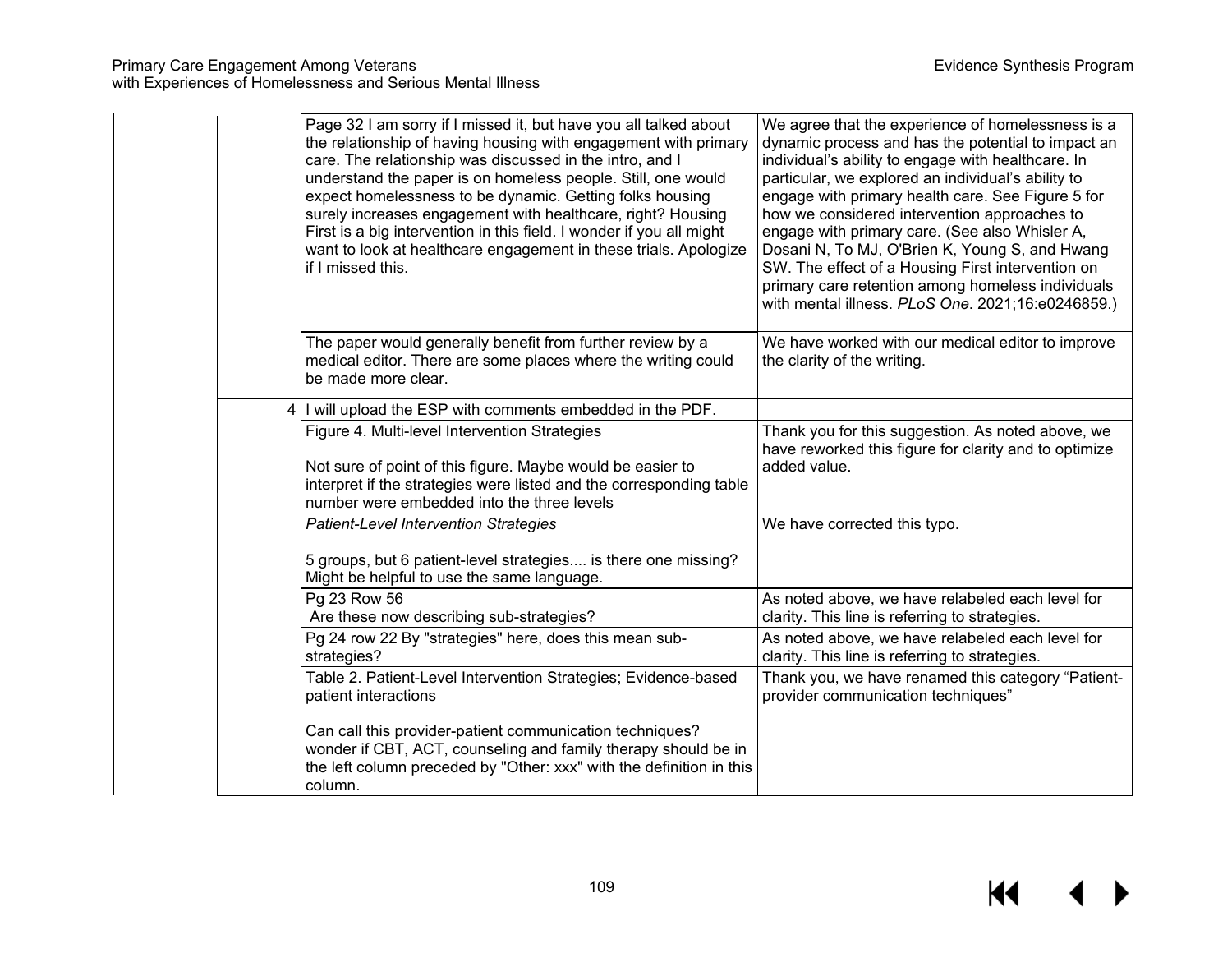| Page 32 I am sorry if I missed it, but have you all talked about<br>the relationship of having housing with engagement with primary<br>care. The relationship was discussed in the intro, and I<br>understand the paper is on homeless people. Still, one would<br>expect homelessness to be dynamic. Getting folks housing<br>surely increases engagement with healthcare, right? Housing<br>First is a big intervention in this field. I wonder if you all might<br>want to look at healthcare engagement in these trials. Apologize<br>if I missed this. | We agree that the experience of homelessness is a<br>dynamic process and has the potential to impact an<br>individual's ability to engage with healthcare. In<br>particular, we explored an individual's ability to<br>engage with primary health care. See Figure 5 for<br>how we considered intervention approaches to<br>engage with primary care. (See also Whisler A,<br>Dosani N, To MJ, O'Brien K, Young S, and Hwang<br>SW. The effect of a Housing First intervention on<br>primary care retention among homeless individuals<br>with mental illness. PLoS One. 2021;16:e0246859.) |
|-------------------------------------------------------------------------------------------------------------------------------------------------------------------------------------------------------------------------------------------------------------------------------------------------------------------------------------------------------------------------------------------------------------------------------------------------------------------------------------------------------------------------------------------------------------|---------------------------------------------------------------------------------------------------------------------------------------------------------------------------------------------------------------------------------------------------------------------------------------------------------------------------------------------------------------------------------------------------------------------------------------------------------------------------------------------------------------------------------------------------------------------------------------------|
| The paper would generally benefit from further review by a<br>medical editor. There are some places where the writing could<br>be made more clear.                                                                                                                                                                                                                                                                                                                                                                                                          | We have worked with our medical editor to improve<br>the clarity of the writing.                                                                                                                                                                                                                                                                                                                                                                                                                                                                                                            |
| 4   I will upload the ESP with comments embedded in the PDF.                                                                                                                                                                                                                                                                                                                                                                                                                                                                                                |                                                                                                                                                                                                                                                                                                                                                                                                                                                                                                                                                                                             |
| Figure 4. Multi-level Intervention Strategies<br>Not sure of point of this figure. Maybe would be easier to<br>interpret if the strategies were listed and the corresponding table<br>number were embedded into the three levels                                                                                                                                                                                                                                                                                                                            | Thank you for this suggestion. As noted above, we<br>have reworked this figure for clarity and to optimize<br>added value.                                                                                                                                                                                                                                                                                                                                                                                                                                                                  |
| <b>Patient-Level Intervention Strategies</b><br>5 groups, but 6 patient-level strategies is there one missing?<br>Might be helpful to use the same language.                                                                                                                                                                                                                                                                                                                                                                                                | We have corrected this typo.                                                                                                                                                                                                                                                                                                                                                                                                                                                                                                                                                                |
| Pg 23 Row 56<br>Are these now describing sub-strategies?                                                                                                                                                                                                                                                                                                                                                                                                                                                                                                    | As noted above, we have relabeled each level for<br>clarity. This line is referring to strategies.                                                                                                                                                                                                                                                                                                                                                                                                                                                                                          |
| Pg 24 row 22 By "strategies" here, does this mean sub-<br>strategies?                                                                                                                                                                                                                                                                                                                                                                                                                                                                                       | As noted above, we have relabeled each level for<br>clarity. This line is referring to strategies.                                                                                                                                                                                                                                                                                                                                                                                                                                                                                          |
| Table 2. Patient-Level Intervention Strategies; Evidence-based<br>patient interactions                                                                                                                                                                                                                                                                                                                                                                                                                                                                      | Thank you, we have renamed this category "Patient-<br>provider communication techniques"                                                                                                                                                                                                                                                                                                                                                                                                                                                                                                    |
| Can call this provider-patient communication techniques?<br>wonder if CBT, ACT, counseling and family therapy should be in<br>the left column preceded by "Other: xxx" with the definition in this<br>column.                                                                                                                                                                                                                                                                                                                                               |                                                                                                                                                                                                                                                                                                                                                                                                                                                                                                                                                                                             |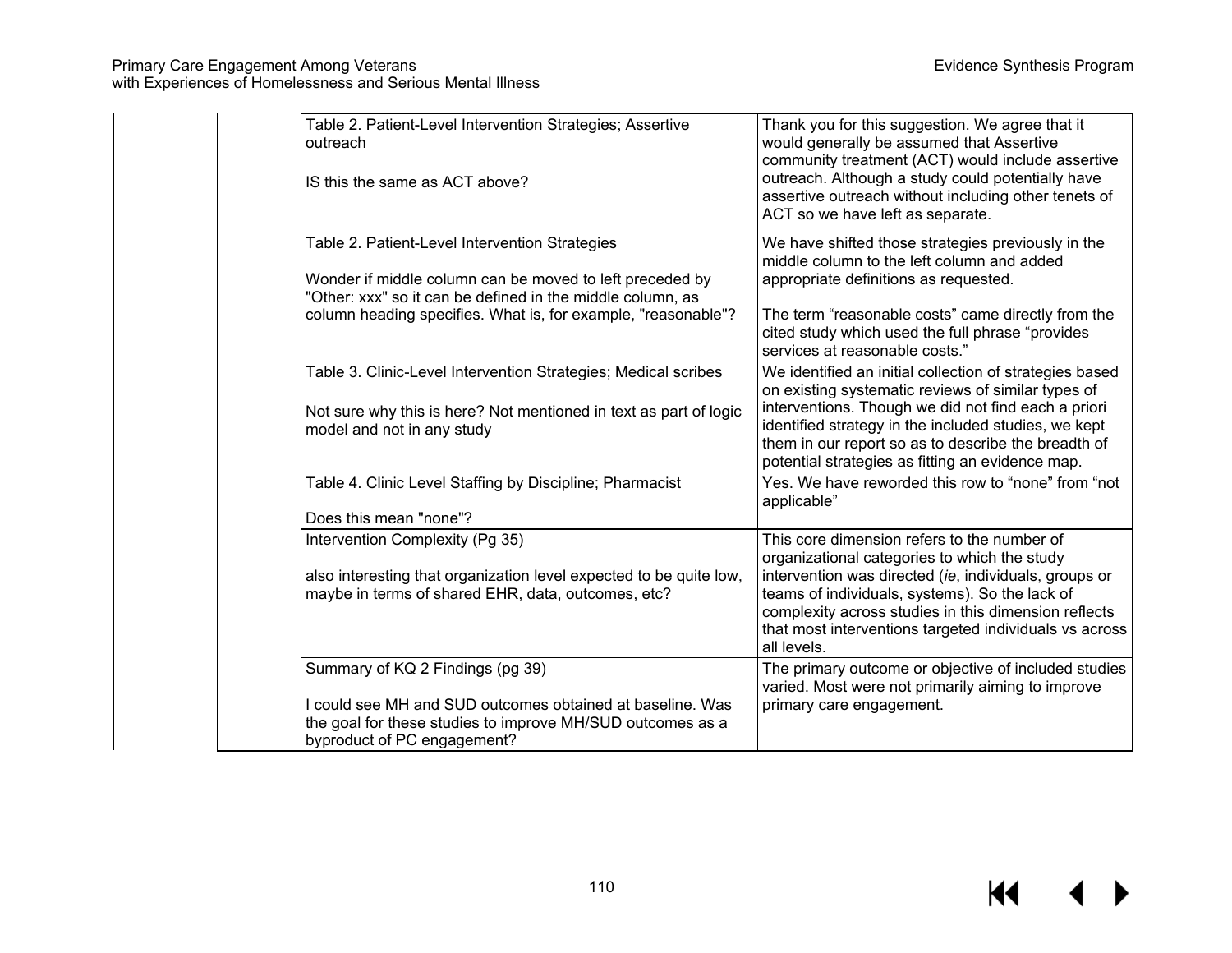| Table 2. Patient-Level Intervention Strategies; Assertive<br>outreach<br>IS this the same as ACT above?                                                                                                                                   | Thank you for this suggestion. We agree that it<br>would generally be assumed that Assertive<br>community treatment (ACT) would include assertive<br>outreach. Although a study could potentially have<br>assertive outreach without including other tenets of<br>ACT so we have left as separate.                                      |
|-------------------------------------------------------------------------------------------------------------------------------------------------------------------------------------------------------------------------------------------|-----------------------------------------------------------------------------------------------------------------------------------------------------------------------------------------------------------------------------------------------------------------------------------------------------------------------------------------|
| Table 2. Patient-Level Intervention Strategies<br>Wonder if middle column can be moved to left preceded by<br>"Other: xxx" so it can be defined in the middle column, as<br>column heading specifies. What is, for example, "reasonable"? | We have shifted those strategies previously in the<br>middle column to the left column and added<br>appropriate definitions as requested.<br>The term "reasonable costs" came directly from the                                                                                                                                         |
|                                                                                                                                                                                                                                           | cited study which used the full phrase "provides<br>services at reasonable costs."                                                                                                                                                                                                                                                      |
| Table 3. Clinic-Level Intervention Strategies; Medical scribes<br>Not sure why this is here? Not mentioned in text as part of logic<br>model and not in any study                                                                         | We identified an initial collection of strategies based<br>on existing systematic reviews of similar types of<br>interventions. Though we did not find each a priori<br>identified strategy in the included studies, we kept<br>them in our report so as to describe the breadth of<br>potential strategies as fitting an evidence map. |
| Table 4. Clinic Level Staffing by Discipline; Pharmacist<br>Does this mean "none"?                                                                                                                                                        | Yes. We have reworded this row to "none" from "not<br>applicable"                                                                                                                                                                                                                                                                       |
| Intervention Complexity (Pg 35)<br>also interesting that organization level expected to be quite low,<br>maybe in terms of shared EHR, data, outcomes, etc?                                                                               | This core dimension refers to the number of<br>organizational categories to which the study<br>intervention was directed (ie, individuals, groups or<br>teams of individuals, systems). So the lack of<br>complexity across studies in this dimension reflects<br>that most interventions targeted individuals vs across<br>all levels. |
| Summary of KQ 2 Findings (pg 39)<br>I could see MH and SUD outcomes obtained at baseline. Was<br>the goal for these studies to improve MH/SUD outcomes as a<br>byproduct of PC engagement?                                                | The primary outcome or objective of included studies<br>varied. Most were not primarily aiming to improve<br>primary care engagement.                                                                                                                                                                                                   |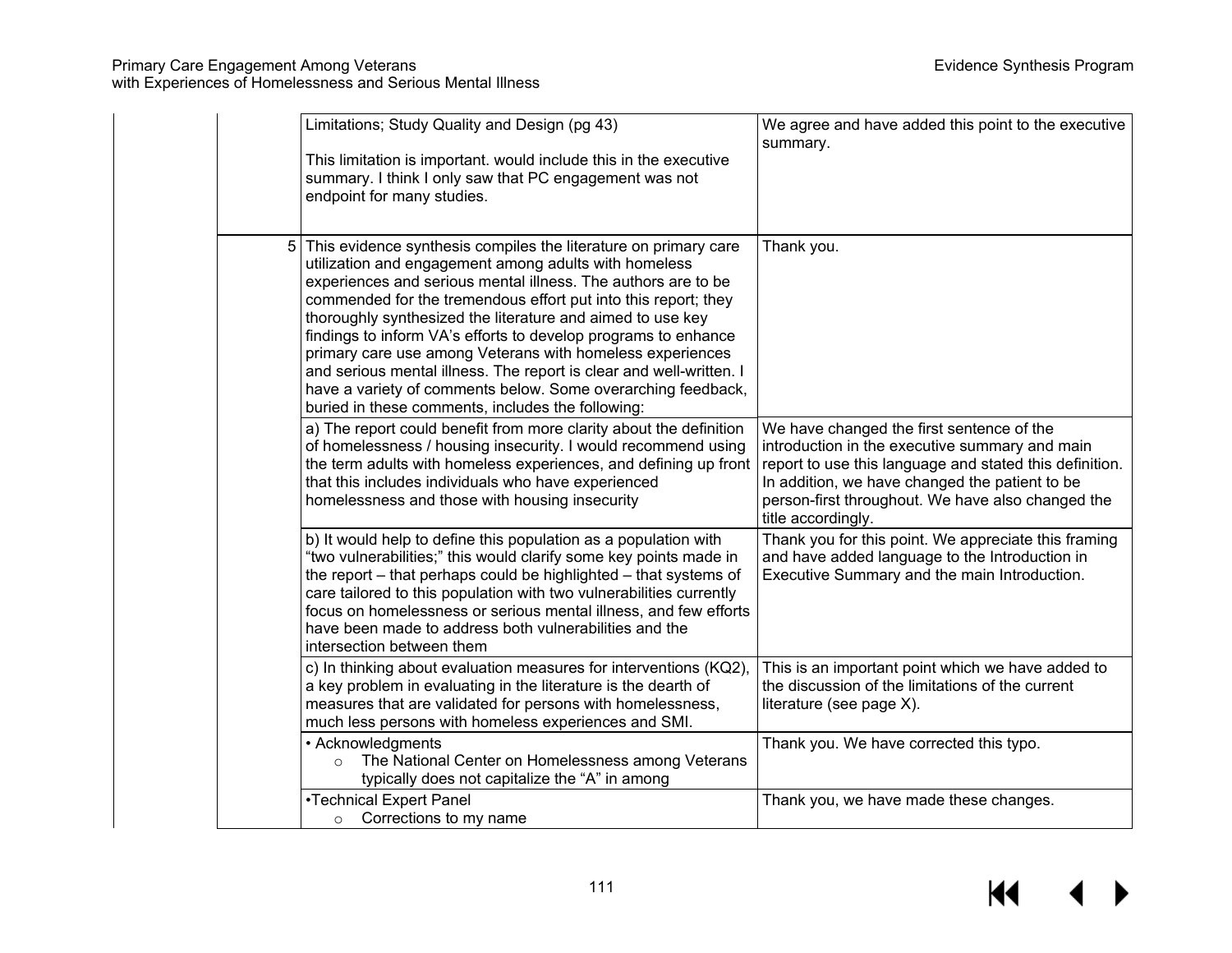|   | Limitations; Study Quality and Design (pg 43)<br>This limitation is important. would include this in the executive<br>summary. I think I only saw that PC engagement was not<br>endpoint for many studies.                                                                                                                                                                                                                                                                                                                                                                                                                                           | We agree and have added this point to the executive<br>summary.                                                                                                                                                                                                                     |
|---|------------------------------------------------------------------------------------------------------------------------------------------------------------------------------------------------------------------------------------------------------------------------------------------------------------------------------------------------------------------------------------------------------------------------------------------------------------------------------------------------------------------------------------------------------------------------------------------------------------------------------------------------------|-------------------------------------------------------------------------------------------------------------------------------------------------------------------------------------------------------------------------------------------------------------------------------------|
| 5 | This evidence synthesis compiles the literature on primary care<br>utilization and engagement among adults with homeless<br>experiences and serious mental illness. The authors are to be<br>commended for the tremendous effort put into this report; they<br>thoroughly synthesized the literature and aimed to use key<br>findings to inform VA's efforts to develop programs to enhance<br>primary care use among Veterans with homeless experiences<br>and serious mental illness. The report is clear and well-written. I<br>have a variety of comments below. Some overarching feedback,<br>buried in these comments, includes the following: | Thank you.                                                                                                                                                                                                                                                                          |
|   | a) The report could benefit from more clarity about the definition<br>of homelessness / housing insecurity. I would recommend using<br>the term adults with homeless experiences, and defining up front<br>that this includes individuals who have experienced<br>homelessness and those with housing insecurity                                                                                                                                                                                                                                                                                                                                     | We have changed the first sentence of the<br>introduction in the executive summary and main<br>report to use this language and stated this definition.<br>In addition, we have changed the patient to be<br>person-first throughout. We have also changed the<br>title accordingly. |
|   | b) It would help to define this population as a population with<br>"two vulnerabilities;" this would clarify some key points made in<br>the report – that perhaps could be highlighted – that systems of<br>care tailored to this population with two vulnerabilities currently<br>focus on homelessness or serious mental illness, and few efforts<br>have been made to address both vulnerabilities and the<br>intersection between them                                                                                                                                                                                                           | Thank you for this point. We appreciate this framing<br>and have added language to the Introduction in<br>Executive Summary and the main Introduction.                                                                                                                              |
|   | c) In thinking about evaluation measures for interventions (KQ2),<br>a key problem in evaluating in the literature is the dearth of<br>measures that are validated for persons with homelessness,<br>much less persons with homeless experiences and SMI.                                                                                                                                                                                                                                                                                                                                                                                            | This is an important point which we have added to<br>the discussion of the limitations of the current<br>literature (see page X).                                                                                                                                                   |
|   | • Acknowledgments<br>The National Center on Homelessness among Veterans<br>$\circ$<br>typically does not capitalize the "A" in among                                                                                                                                                                                                                                                                                                                                                                                                                                                                                                                 | Thank you. We have corrected this typo.                                                                                                                                                                                                                                             |
|   | •Technical Expert Panel<br>Corrections to my name<br>$\circ$                                                                                                                                                                                                                                                                                                                                                                                                                                                                                                                                                                                         | Thank you, we have made these changes.                                                                                                                                                                                                                                              |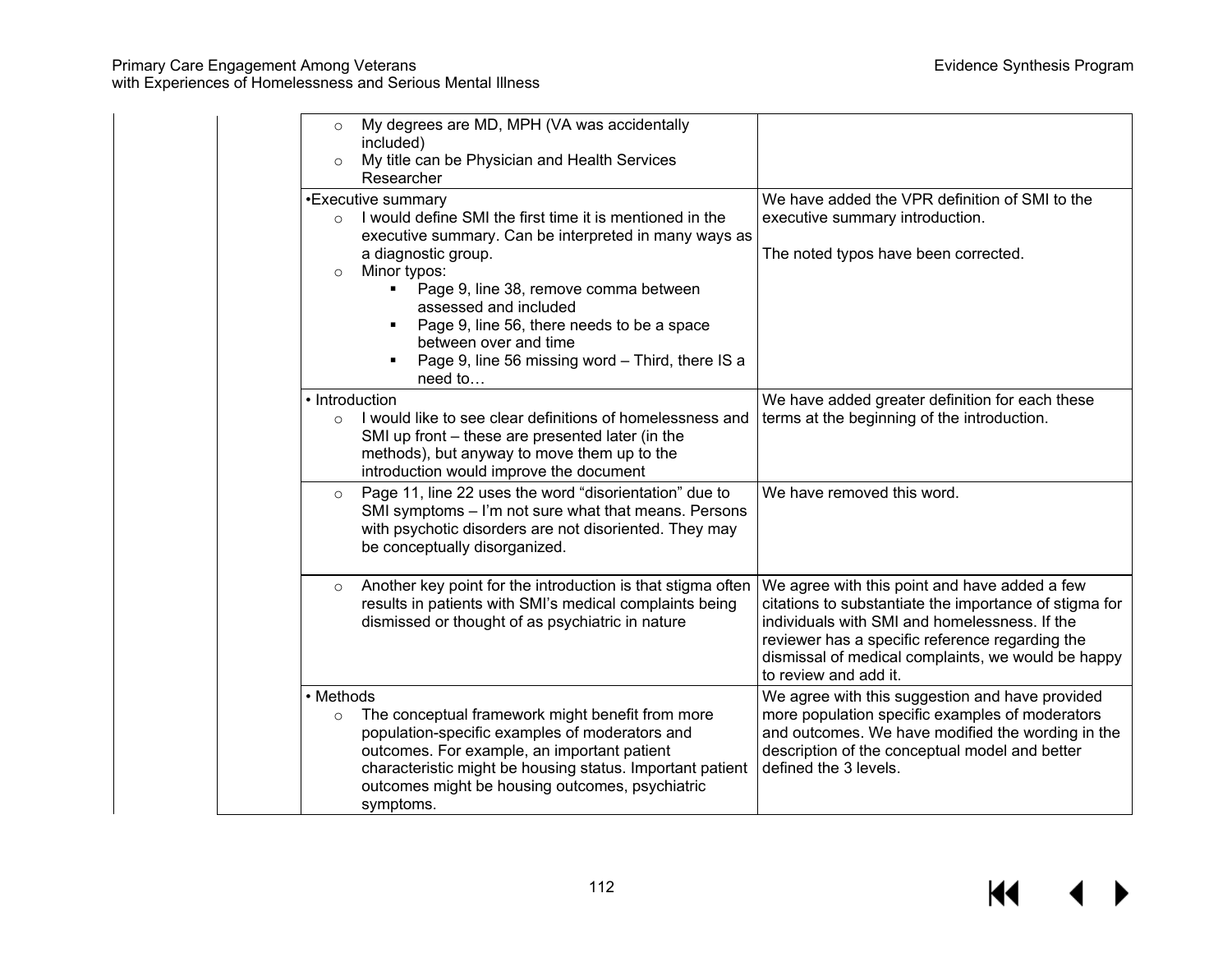| My degrees are MD, MPH (VA was accidentally<br>$\circ$<br>included)<br>My title can be Physician and Health Services<br>$\circ$<br>Researcher                                                                                                                                                                                                                                                                |                                                                                                                                                                                                                                                                                            |
|--------------------------------------------------------------------------------------------------------------------------------------------------------------------------------------------------------------------------------------------------------------------------------------------------------------------------------------------------------------------------------------------------------------|--------------------------------------------------------------------------------------------------------------------------------------------------------------------------------------------------------------------------------------------------------------------------------------------|
| •Executive summary<br>I would define SMI the first time it is mentioned in the<br>$\circ$<br>executive summary. Can be interpreted in many ways as<br>a diagnostic group.<br>Minor typos:<br>$\circ$<br>Page 9, line 38, remove comma between<br>assessed and included<br>Page 9, line 56, there needs to be a space<br>between over and time<br>Page 9, line 56 missing word - Third, there IS a<br>need to | We have added the VPR definition of SMI to the<br>executive summary introduction.<br>The noted typos have been corrected.                                                                                                                                                                  |
| • Introduction<br>I would like to see clear definitions of homelessness and<br>$\Omega$<br>SMI up front - these are presented later (in the<br>methods), but anyway to move them up to the<br>introduction would improve the document                                                                                                                                                                        | We have added greater definition for each these<br>terms at the beginning of the introduction.                                                                                                                                                                                             |
| Page 11, line 22 uses the word "disorientation" due to<br>$\circ$<br>SMI symptoms - I'm not sure what that means. Persons<br>with psychotic disorders are not disoriented. They may<br>be conceptually disorganized.                                                                                                                                                                                         | We have removed this word.                                                                                                                                                                                                                                                                 |
| Another key point for the introduction is that stigma often<br>$\circ$<br>results in patients with SMI's medical complaints being<br>dismissed or thought of as psychiatric in nature                                                                                                                                                                                                                        | We agree with this point and have added a few<br>citations to substantiate the importance of stigma for<br>individuals with SMI and homelessness. If the<br>reviewer has a specific reference regarding the<br>dismissal of medical complaints, we would be happy<br>to review and add it. |
| • Methods<br>The conceptual framework might benefit from more<br>$\circ$<br>population-specific examples of moderators and<br>outcomes. For example, an important patient<br>characteristic might be housing status. Important patient<br>outcomes might be housing outcomes, psychiatric<br>symptoms.                                                                                                       | We agree with this suggestion and have provided<br>more population specific examples of moderators<br>and outcomes. We have modified the wording in the<br>description of the conceptual model and better<br>defined the 3 levels.                                                         |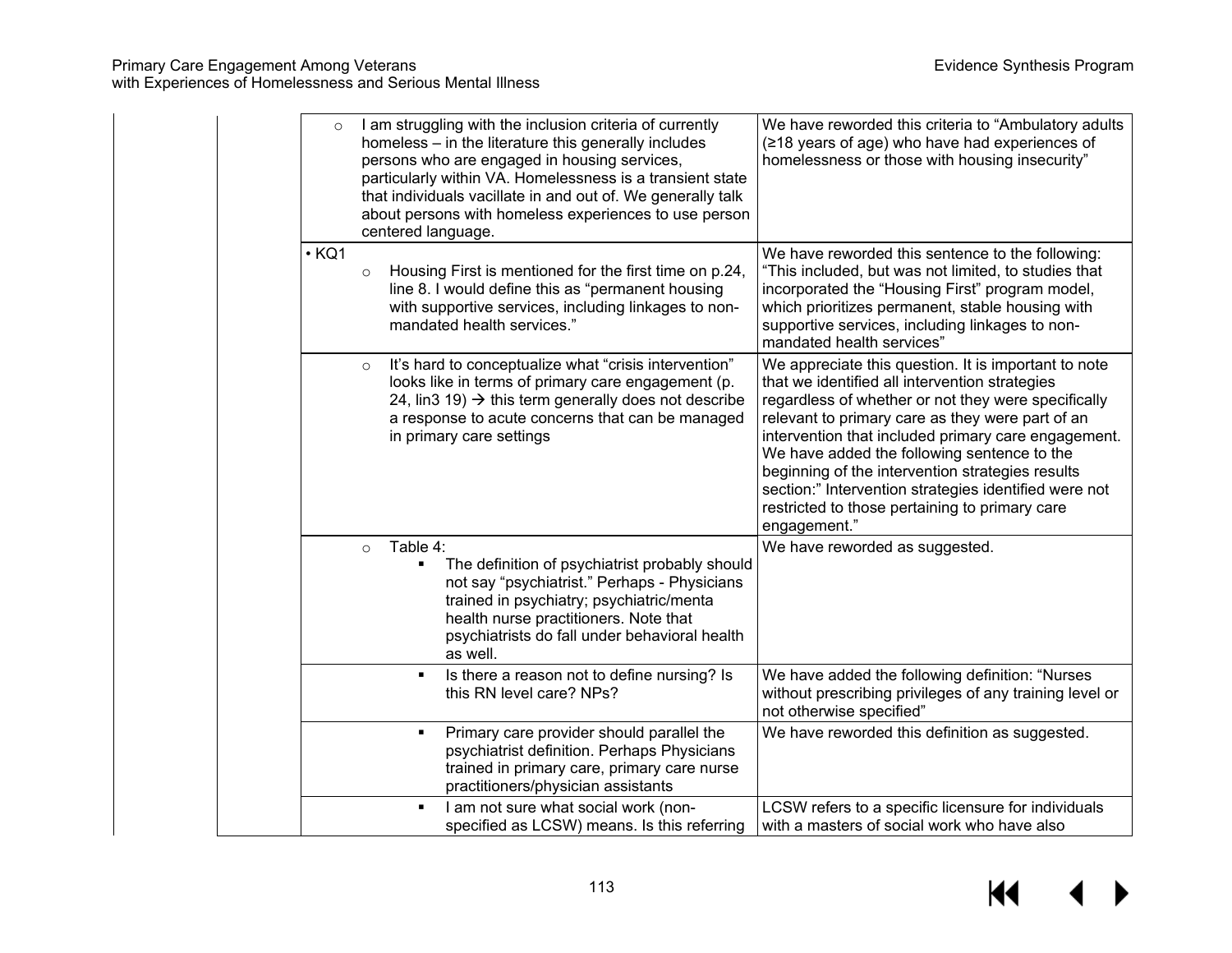| $\circ$     | I am struggling with the inclusion criteria of currently<br>homeless - in the literature this generally includes<br>persons who are engaged in housing services,<br>particularly within VA. Homelessness is a transient state<br>that individuals vacillate in and out of. We generally talk<br>about persons with homeless experiences to use person<br>centered language. | We have reworded this criteria to "Ambulatory adults<br>(≥18 years of age) who have had experiences of<br>homelessness or those with housing insecurity"                                                                                                                                                                                                                                                                                                                                               |
|-------------|-----------------------------------------------------------------------------------------------------------------------------------------------------------------------------------------------------------------------------------------------------------------------------------------------------------------------------------------------------------------------------|--------------------------------------------------------------------------------------------------------------------------------------------------------------------------------------------------------------------------------------------------------------------------------------------------------------------------------------------------------------------------------------------------------------------------------------------------------------------------------------------------------|
| $\cdot$ KQ1 | Housing First is mentioned for the first time on p.24,<br>$\circ$<br>line 8. I would define this as "permanent housing<br>with supportive services, including linkages to non-<br>mandated health services."                                                                                                                                                                | We have reworded this sentence to the following:<br>"This included, but was not limited, to studies that<br>incorporated the "Housing First" program model,<br>which prioritizes permanent, stable housing with<br>supportive services, including linkages to non-<br>mandated health services"                                                                                                                                                                                                        |
|             | It's hard to conceptualize what "crisis intervention"<br>$\circ$<br>looks like in terms of primary care engagement (p.<br>24, lin3 19) $\rightarrow$ this term generally does not describe<br>a response to acute concerns that can be managed<br>in primary care settings                                                                                                  | We appreciate this question. It is important to note<br>that we identified all intervention strategies<br>regardless of whether or not they were specifically<br>relevant to primary care as they were part of an<br>intervention that included primary care engagement.<br>We have added the following sentence to the<br>beginning of the intervention strategies results<br>section:" Intervention strategies identified were not<br>restricted to those pertaining to primary care<br>engagement." |
|             | Table 4:<br>$\circ$<br>The definition of psychiatrist probably should<br>not say "psychiatrist." Perhaps - Physicians<br>trained in psychiatry; psychiatric/menta<br>health nurse practitioners. Note that<br>psychiatrists do fall under behavioral health<br>as well.                                                                                                     | We have reworded as suggested.                                                                                                                                                                                                                                                                                                                                                                                                                                                                         |
|             | Is there a reason not to define nursing? Is<br>this RN level care? NPs?                                                                                                                                                                                                                                                                                                     | We have added the following definition: "Nurses<br>without prescribing privileges of any training level or<br>not otherwise specified"                                                                                                                                                                                                                                                                                                                                                                 |
|             | Primary care provider should parallel the<br>$\blacksquare$<br>psychiatrist definition. Perhaps Physicians<br>trained in primary care, primary care nurse<br>practitioners/physician assistants                                                                                                                                                                             | We have reworded this definition as suggested.                                                                                                                                                                                                                                                                                                                                                                                                                                                         |
|             | I am not sure what social work (non-<br>specified as LCSW) means. Is this referring                                                                                                                                                                                                                                                                                         | LCSW refers to a specific licensure for individuals<br>with a masters of social work who have also                                                                                                                                                                                                                                                                                                                                                                                                     |

 $\blacktriangleleft$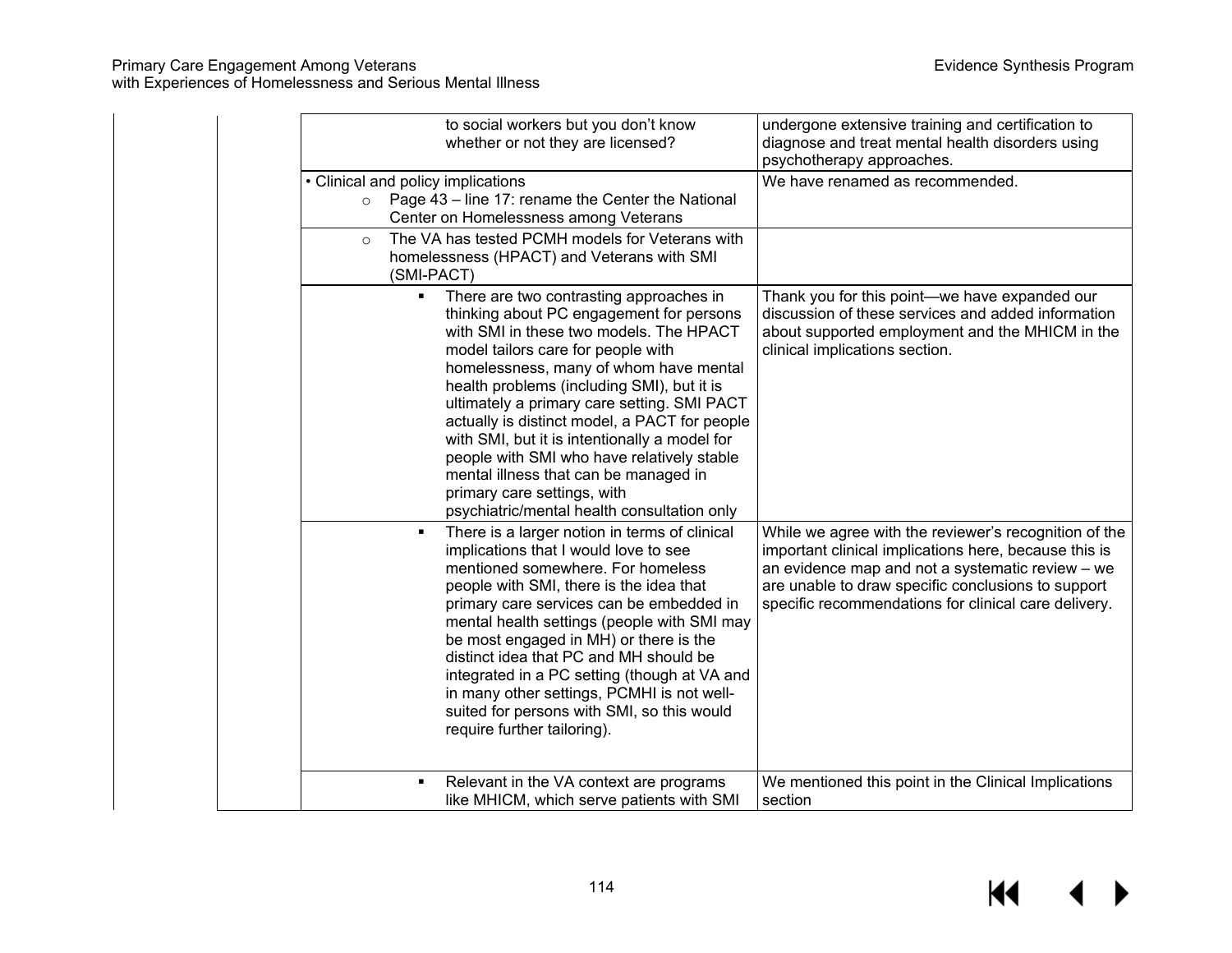with Experiences of Homelessness and Serious Mental Illness

|                                               | to social workers but you don't know<br>whether or not they are licensed?                                                                                                                                                                                                                                                                                                                                                                                                                                                                                                          | undergone extensive training and certification to<br>diagnose and treat mental health disorders using<br>psychotherapy approaches.                                                                                                                                               |
|-----------------------------------------------|------------------------------------------------------------------------------------------------------------------------------------------------------------------------------------------------------------------------------------------------------------------------------------------------------------------------------------------------------------------------------------------------------------------------------------------------------------------------------------------------------------------------------------------------------------------------------------|----------------------------------------------------------------------------------------------------------------------------------------------------------------------------------------------------------------------------------------------------------------------------------|
| • Clinical and policy implications<br>$\circ$ | Page 43 – line 17: rename the Center the National<br>Center on Homelessness among Veterans                                                                                                                                                                                                                                                                                                                                                                                                                                                                                         | We have renamed as recommended.                                                                                                                                                                                                                                                  |
| $\Omega$                                      | The VA has tested PCMH models for Veterans with<br>homelessness (HPACT) and Veterans with SMI<br>(SMI-PACT)                                                                                                                                                                                                                                                                                                                                                                                                                                                                        |                                                                                                                                                                                                                                                                                  |
|                                               | There are two contrasting approaches in<br>thinking about PC engagement for persons<br>with SMI in these two models. The HPACT<br>model tailors care for people with<br>homelessness, many of whom have mental<br>health problems (including SMI), but it is<br>ultimately a primary care setting. SMI PACT<br>actually is distinct model, a PACT for people<br>with SMI, but it is intentionally a model for<br>people with SMI who have relatively stable<br>mental illness that can be managed in<br>primary care settings, with<br>psychiatric/mental health consultation only | Thank you for this point—we have expanded our<br>discussion of these services and added information<br>about supported employment and the MHICM in the<br>clinical implications section.                                                                                         |
|                                               | There is a larger notion in terms of clinical<br>implications that I would love to see<br>mentioned somewhere. For homeless<br>people with SMI, there is the idea that<br>primary care services can be embedded in<br>mental health settings (people with SMI may<br>be most engaged in MH) or there is the<br>distinct idea that PC and MH should be<br>integrated in a PC setting (though at VA and<br>in many other settings, PCMHI is not well-<br>suited for persons with SMI, so this would<br>require further tailoring).                                                   | While we agree with the reviewer's recognition of the<br>important clinical implications here, because this is<br>an evidence map and not a systematic review - we<br>are unable to draw specific conclusions to support<br>specific recommendations for clinical care delivery. |
|                                               | Relevant in the VA context are programs<br>like MHICM, which serve patients with SMI                                                                                                                                                                                                                                                                                                                                                                                                                                                                                               | We mentioned this point in the Clinical Implications<br>section                                                                                                                                                                                                                  |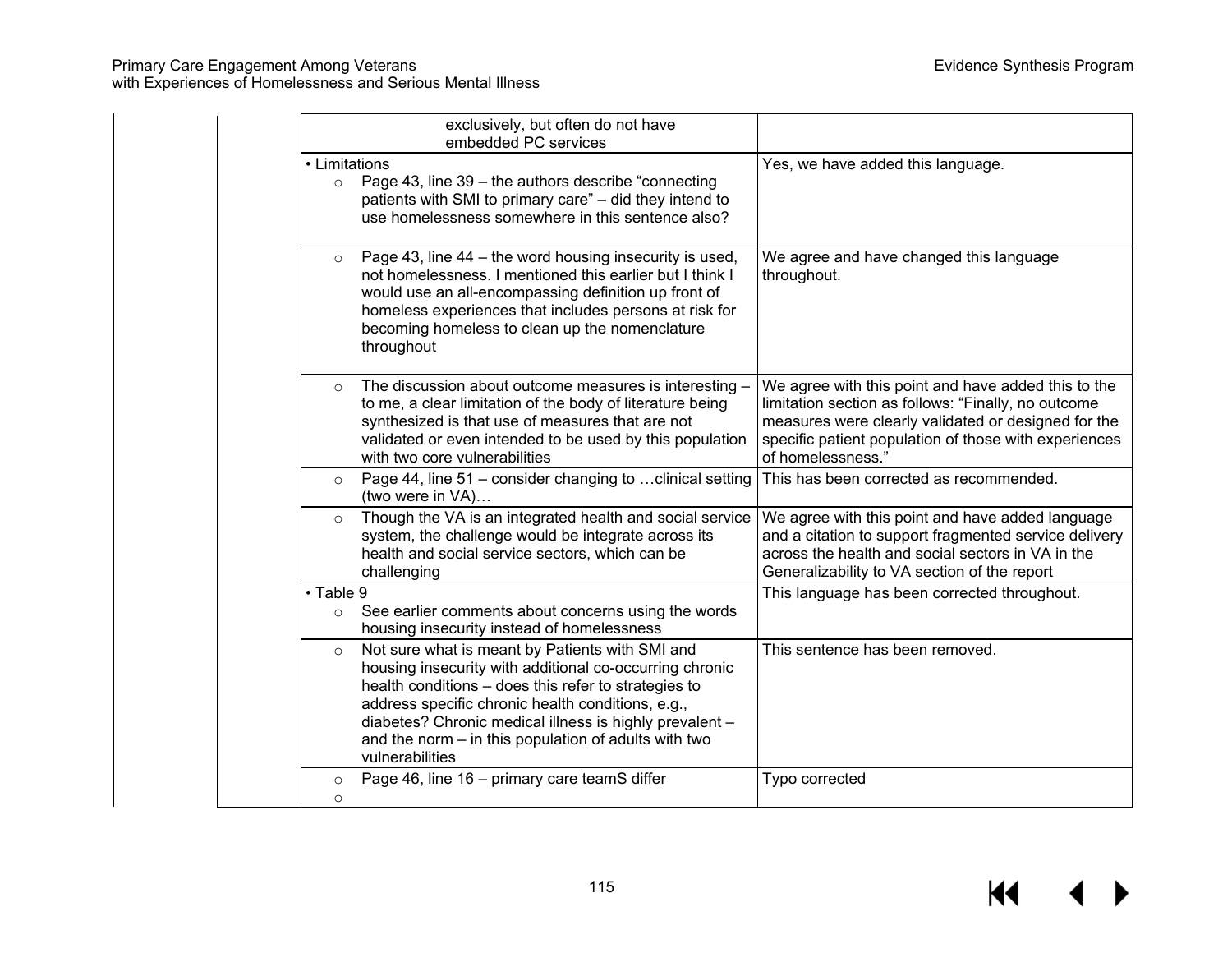# Primary Care Engagement Among Veterans Evidence Synthesis Program

with Experiences of Homelessness and Serious Mental Illness

|                          | exclusively, but often do not have<br>embedded PC services                                                                                                                                                                                                                                                                                                    |                                                                                                                                                                                                                                                 |
|--------------------------|---------------------------------------------------------------------------------------------------------------------------------------------------------------------------------------------------------------------------------------------------------------------------------------------------------------------------------------------------------------|-------------------------------------------------------------------------------------------------------------------------------------------------------------------------------------------------------------------------------------------------|
| • Limitations<br>$\circ$ | Page 43, line 39 – the authors describe "connecting"<br>patients with SMI to primary care" - did they intend to<br>use homelessness somewhere in this sentence also?                                                                                                                                                                                          | Yes, we have added this language.                                                                                                                                                                                                               |
| $\circ$                  | Page 43, line 44 – the word housing insecurity is used,<br>not homelessness. I mentioned this earlier but I think I<br>would use an all-encompassing definition up front of<br>homeless experiences that includes persons at risk for<br>becoming homeless to clean up the nomenclature<br>throughout                                                         | We agree and have changed this language<br>throughout.                                                                                                                                                                                          |
| $\circ$                  | The discussion about outcome measures is interesting -<br>to me, a clear limitation of the body of literature being<br>synthesized is that use of measures that are not<br>validated or even intended to be used by this population<br>with two core vulnerabilities                                                                                          | We agree with this point and have added this to the<br>limitation section as follows: "Finally, no outcome<br>measures were clearly validated or designed for the<br>specific patient population of those with experiences<br>of homelessness." |
| $\circ$                  | Page 44, line 51 – consider changing to  clinical setting<br>(two were in VA)                                                                                                                                                                                                                                                                                 | This has been corrected as recommended.                                                                                                                                                                                                         |
| $\circ$                  | Though the VA is an integrated health and social service<br>system, the challenge would be integrate across its<br>health and social service sectors, which can be<br>challenging                                                                                                                                                                             | We agree with this point and have added language<br>and a citation to support fragmented service delivery<br>across the health and social sectors in VA in the<br>Generalizability to VA section of the report                                  |
| • Table 9<br>$\circ$     | See earlier comments about concerns using the words<br>housing insecurity instead of homelessness                                                                                                                                                                                                                                                             | This language has been corrected throughout.                                                                                                                                                                                                    |
| $\circ$                  | Not sure what is meant by Patients with SMI and<br>housing insecurity with additional co-occurring chronic<br>health conditions - does this refer to strategies to<br>address specific chronic health conditions, e.g.,<br>diabetes? Chronic medical illness is highly prevalent -<br>and the norm - in this population of adults with two<br>vulnerabilities | This sentence has been removed.                                                                                                                                                                                                                 |
| $\circ$<br>$\circ$       | Page 46, line 16 - primary care teamS differ                                                                                                                                                                                                                                                                                                                  | Typo corrected                                                                                                                                                                                                                                  |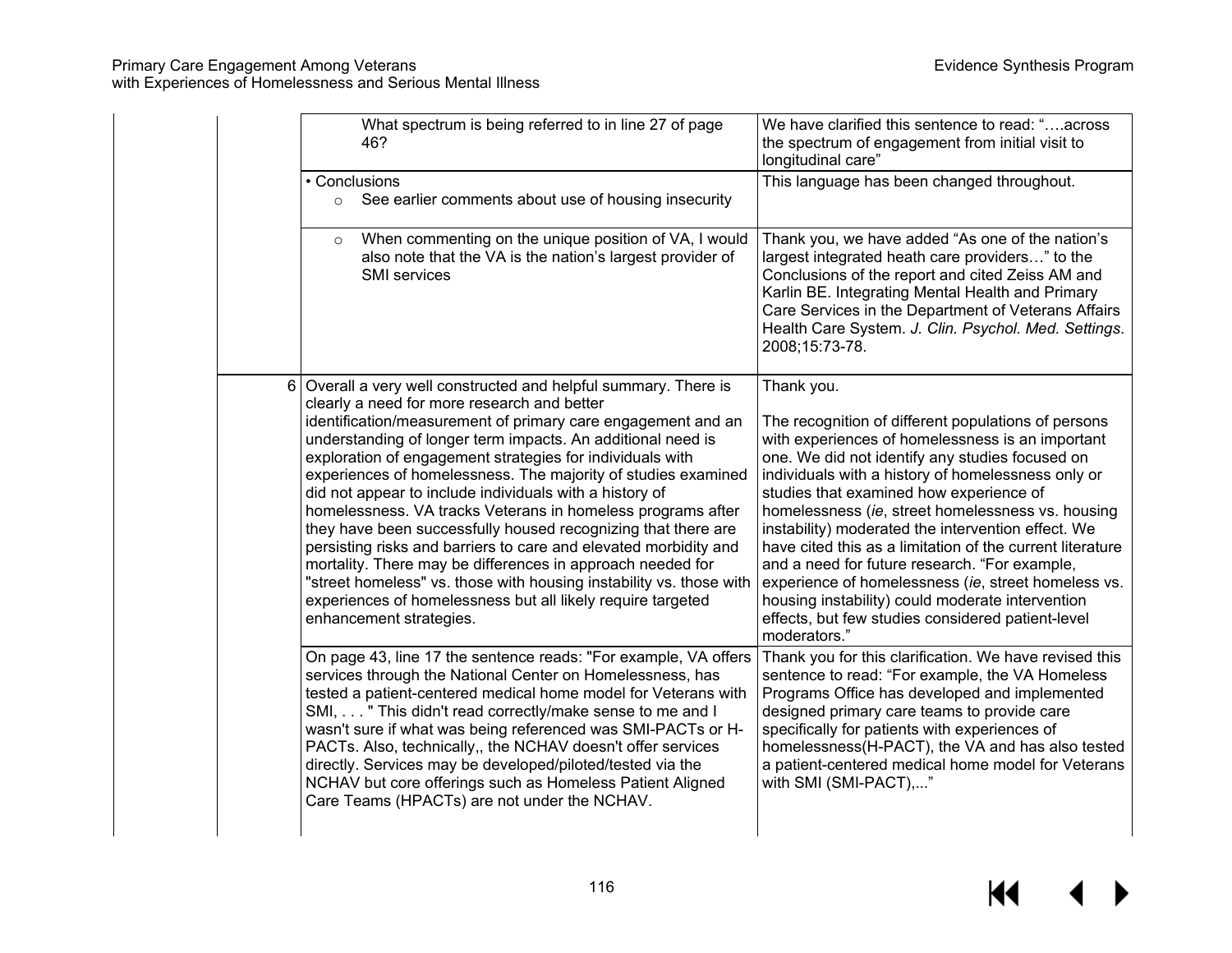| What spectrum is being referred to in line 27 of page<br>46?                                                                                                                                                                                                                                                                                                                                                                                                                                                                                                                                                                                                                                                                                                                                                                                                                | We have clarified this sentence to read: "across<br>the spectrum of engagement from initial visit to<br>longitudinal care"                                                                                                                                                                                                                                                                                                                                                                                                                                                                                                                                                         |
|-----------------------------------------------------------------------------------------------------------------------------------------------------------------------------------------------------------------------------------------------------------------------------------------------------------------------------------------------------------------------------------------------------------------------------------------------------------------------------------------------------------------------------------------------------------------------------------------------------------------------------------------------------------------------------------------------------------------------------------------------------------------------------------------------------------------------------------------------------------------------------|------------------------------------------------------------------------------------------------------------------------------------------------------------------------------------------------------------------------------------------------------------------------------------------------------------------------------------------------------------------------------------------------------------------------------------------------------------------------------------------------------------------------------------------------------------------------------------------------------------------------------------------------------------------------------------|
| • Conclusions<br>See earlier comments about use of housing insecurity<br>$\circ$                                                                                                                                                                                                                                                                                                                                                                                                                                                                                                                                                                                                                                                                                                                                                                                            | This language has been changed throughout.                                                                                                                                                                                                                                                                                                                                                                                                                                                                                                                                                                                                                                         |
| When commenting on the unique position of VA, I would<br>$\circ$<br>also note that the VA is the nation's largest provider of<br><b>SMI</b> services                                                                                                                                                                                                                                                                                                                                                                                                                                                                                                                                                                                                                                                                                                                        | Thank you, we have added "As one of the nation's<br>largest integrated heath care providers" to the<br>Conclusions of the report and cited Zeiss AM and<br>Karlin BE. Integrating Mental Health and Primary<br>Care Services in the Department of Veterans Affairs<br>Health Care System. J. Clin. Psychol. Med. Settings.<br>2008;15:73-78.                                                                                                                                                                                                                                                                                                                                       |
| 6   Overall a very well constructed and helpful summary. There is<br>clearly a need for more research and better<br>identification/measurement of primary care engagement and an<br>understanding of longer term impacts. An additional need is<br>exploration of engagement strategies for individuals with<br>experiences of homelessness. The majority of studies examined<br>did not appear to include individuals with a history of<br>homelessness. VA tracks Veterans in homeless programs after<br>they have been successfully housed recognizing that there are<br>persisting risks and barriers to care and elevated morbidity and<br>mortality. There may be differences in approach needed for<br>"street homeless" vs. those with housing instability vs. those with<br>experiences of homelessness but all likely require targeted<br>enhancement strategies. | Thank you.<br>The recognition of different populations of persons<br>with experiences of homelessness is an important<br>one. We did not identify any studies focused on<br>individuals with a history of homelessness only or<br>studies that examined how experience of<br>homelessness (ie, street homelessness vs. housing<br>instability) moderated the intervention effect. We<br>have cited this as a limitation of the current literature<br>and a need for future research. "For example,<br>experience of homelessness (ie, street homeless vs.<br>housing instability) could moderate intervention<br>effects, but few studies considered patient-level<br>moderators." |
| On page 43, line 17 the sentence reads: "For example, VA offers<br>services through the National Center on Homelessness, has<br>tested a patient-centered medical home model for Veterans with<br>SMI, " This didn't read correctly/make sense to me and I<br>wasn't sure if what was being referenced was SMI-PACTs or H-<br>PACTs. Also, technically,, the NCHAV doesn't offer services<br>directly. Services may be developed/piloted/tested via the<br>NCHAV but core offerings such as Homeless Patient Aligned<br>Care Teams (HPACTs) are not under the NCHAV.                                                                                                                                                                                                                                                                                                        | Thank you for this clarification. We have revised this<br>sentence to read: "For example, the VA Homeless<br>Programs Office has developed and implemented<br>designed primary care teams to provide care<br>specifically for patients with experiences of<br>homelessness(H-PACT), the VA and has also tested<br>a patient-centered medical home model for Veterans<br>with SMI (SMI-PACT),"                                                                                                                                                                                                                                                                                      |